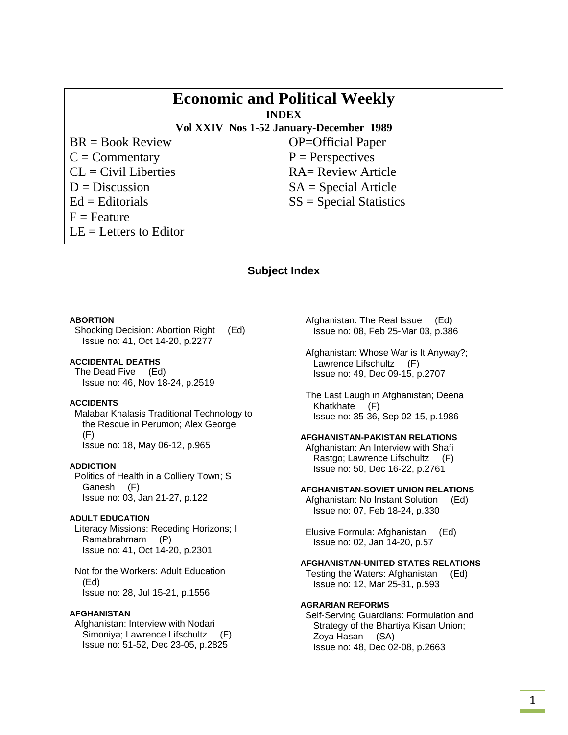| <b>Economic and Political Weekly</b><br><b>INDEX</b> |                           |
|------------------------------------------------------|---------------------------|
| Vol XXIV Nos 1-52 January-December 1989              |                           |
| $BR = Book Review$                                   | <b>OP=Official Paper</b>  |
| $C = \text{Commentary}$                              | $P =$ Perspectives        |
| $CL = Civil\:$ Liberties                             | <b>RA= Review Article</b> |
| $D = Discussion$                                     | $SA = Special Article$    |
| $Ed =$ Editorials                                    | $SS = Special Statistics$ |
| $F =$ Feature                                        |                           |
| $LE = Letters to Editor$                             |                           |

# **Subject Index**

#### **ABORTION**

 Shocking Decision: Abortion Right (Ed) Issue no: 41, Oct 14-20, p.2277

### **ACCIDENTAL DEATHS**

 The Dead Five (Ed) Issue no: 46, Nov 18-24, p.2519

### **ACCIDENTS**

 Malabar Khalasis Traditional Technology to the Rescue in Perumon; Alex George (F) Issue no: 18, May 06-12, p.965

#### **ADDICTION**

 Politics of Health in a Colliery Town; S Ganesh (F) Issue no: 03, Jan 21-27, p.122

#### **ADULT EDUCATION**

 Literacy Missions: Receding Horizons; I Ramabrahmam (P) Issue no: 41, Oct 14-20, p.2301

 Not for the Workers: Adult Education (Ed) Issue no: 28, Jul 15-21, p.1556

### **AFGHANISTAN**

 Afghanistan: Interview with Nodari Simoniya; Lawrence Lifschultz (F) Issue no: 51-52, Dec 23-05, p.2825

 Afghanistan: The Real Issue (Ed) Issue no: 08, Feb 25-Mar 03, p.386

 Afghanistan: Whose War is It Anyway?; Lawrence Lifschultz (F) Issue no: 49, Dec 09-15, p.2707

 The Last Laugh in Afghanistan; Deena Khatkhate (F) Issue no: 35-36, Sep 02-15, p.1986

### **AFGHANISTAN-PAKISTAN RELATIONS**

 Afghanistan: An Interview with Shafi Rastgo; Lawrence Lifschultz (F) Issue no: 50, Dec 16-22, p.2761

#### **AFGHANISTAN-SOVIET UNION RELATIONS**

 Afghanistan: No Instant Solution (Ed) Issue no: 07, Feb 18-24, p.330

 Elusive Formula: Afghanistan (Ed) Issue no: 02, Jan 14-20, p.57

#### **AFGHANISTAN-UNITED STATES RELATIONS**

 Testing the Waters: Afghanistan (Ed) Issue no: 12, Mar 25-31, p.593

#### **AGRARIAN REFORMS**

 Self-Serving Guardians: Formulation and Strategy of the Bhartiya Kisan Union; Zoya Hasan (SA) Issue no: 48, Dec 02-08, p.2663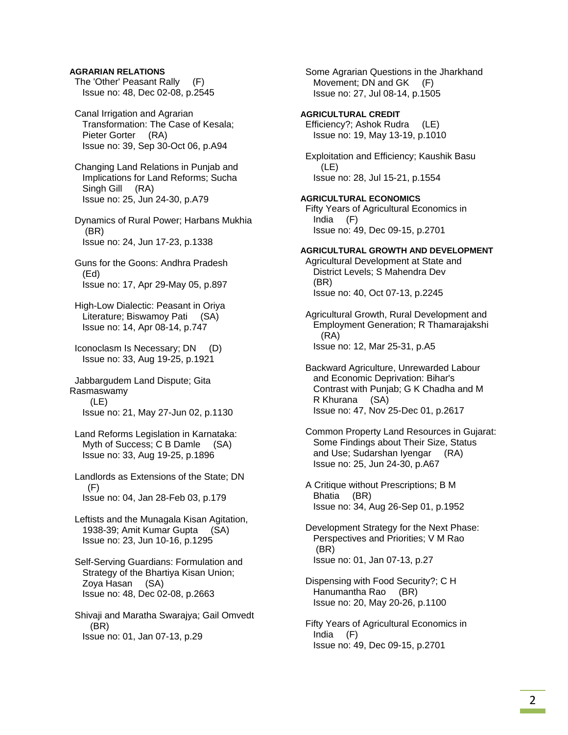### **AGRARIAN RELATIONS**

 The 'Other' Peasant Rally (F) Issue no: 48, Dec 02-08, p.2545

 Canal Irrigation and Agrarian Transformation: The Case of Kesala; Pieter Gorter (RA) Issue no: 39, Sep 30-Oct 06, p.A94

 Changing Land Relations in Punjab and Implications for Land Reforms; Sucha Singh Gill (RA) Issue no: 25, Jun 24-30, p.A79

 Dynamics of Rural Power; Harbans Mukhia (BR) Issue no: 24, Jun 17-23, p.1338

- Guns for the Goons: Andhra Pradesh (Ed) Issue no: 17, Apr 29-May 05, p.897
- High-Low Dialectic: Peasant in Oriya Literature; Biswamoy Pati (SA) Issue no: 14, Apr 08-14, p.747
- Iconoclasm Is Necessary; DN (D) Issue no: 33, Aug 19-25, p.1921

 Jabbargudem Land Dispute; Gita Rasmaswamy (LE) Issue no: 21, May 27-Jun 02, p.1130

- Land Reforms Legislation in Karnataka: Myth of Success; C B Damle (SA) Issue no: 33, Aug 19-25, p.1896
- Landlords as Extensions of the State; DN (F) Issue no: 04, Jan 28-Feb 03, p.179
- Leftists and the Munagala Kisan Agitation, 1938-39; Amit Kumar Gupta (SA) Issue no: 23, Jun 10-16, p.1295
- Self-Serving Guardians: Formulation and Strategy of the Bhartiya Kisan Union; Zoya Hasan (SA) Issue no: 48, Dec 02-08, p.2663
- Shivaji and Maratha Swarajya; Gail Omvedt (BR) Issue no: 01, Jan 07-13, p.29

 Some Agrarian Questions in the Jharkhand Movement; DN and GK (F) Issue no: 27, Jul 08-14, p.1505

### **AGRICULTURAL CREDIT**  Efficiency?; Ashok Rudra (LE) Issue no: 19, May 13-19, p.1010

 Exploitation and Efficiency; Kaushik Basu (LE) Issue no: 28, Jul 15-21, p.1554

#### **AGRICULTURAL ECONOMICS**

 Fifty Years of Agricultural Economics in India (F) Issue no: 49, Dec 09-15, p.2701

### **AGRICULTURAL GROWTH AND DEVELOPMENT**

 Agricultural Development at State and District Levels; S Mahendra Dev (BR) Issue no: 40, Oct 07-13, p.2245

 Agricultural Growth, Rural Development and Employment Generation; R Thamarajakshi (RA) Issue no: 12, Mar 25-31, p.A5

 Backward Agriculture, Unrewarded Labour and Economic Deprivation: Bihar's Contrast with Punjab; G K Chadha and M R Khurana (SA) Issue no: 47, Nov 25-Dec 01, p.2617

 Common Property Land Resources in Gujarat: Some Findings about Their Size, Status and Use; Sudarshan Iyengar (RA) Issue no: 25, Jun 24-30, p.A67

 A Critique without Prescriptions; B M Bhatia (BR) Issue no: 34, Aug 26-Sep 01, p.1952

- Development Strategy for the Next Phase: Perspectives and Priorities; V M Rao (BR) Issue no: 01, Jan 07-13, p.27
- Dispensing with Food Security?; C H Hanumantha Rao (BR) Issue no: 20, May 20-26, p.1100
- Fifty Years of Agricultural Economics in India (F) Issue no: 49, Dec 09-15, p.2701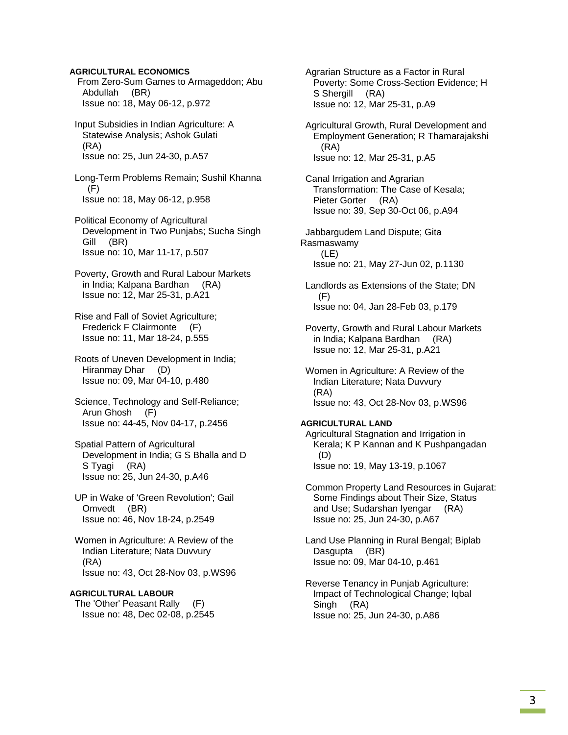### **AGRICULTURAL ECONOMICS**

 From Zero-Sum Games to Armageddon; Abu Abdullah (BR) Issue no: 18, May 06-12, p.972

 Input Subsidies in Indian Agriculture: A Statewise Analysis; Ashok Gulati (RA) Issue no: 25, Jun 24-30, p.A57

 Long-Term Problems Remain; Sushil Khanna  $(F)$ Issue no: 18, May 06-12, p.958

 Political Economy of Agricultural Development in Two Punjabs; Sucha Singh Gill (BR) Issue no: 10, Mar 11-17, p.507

 Poverty, Growth and Rural Labour Markets in India; Kalpana Bardhan (RA) Issue no: 12, Mar 25-31, p.A21

 Rise and Fall of Soviet Agriculture; Frederick F Clairmonte (F) Issue no: 11, Mar 18-24, p.555

 Roots of Uneven Development in India; Hiranmay Dhar (D) Issue no: 09, Mar 04-10, p.480

 Science, Technology and Self-Reliance; Arun Ghosh (F) Issue no: 44-45, Nov 04-17, p.2456

 Spatial Pattern of Agricultural Development in India; G S Bhalla and D S Tyagi (RA) Issue no: 25, Jun 24-30, p.A46

 UP in Wake of 'Green Revolution'; Gail Omvedt (BR) Issue no: 46, Nov 18-24, p.2549

 Women in Agriculture: A Review of the Indian Literature; Nata Duvvury (RA) Issue no: 43, Oct 28-Nov 03, p.WS96

### **AGRICULTURAL LABOUR**

 The 'Other' Peasant Rally (F) Issue no: 48, Dec 02-08, p.2545  Agrarian Structure as a Factor in Rural Poverty: Some Cross-Section Evidence; H S Shergill (RA) Issue no: 12, Mar 25-31, p.A9

 Agricultural Growth, Rural Development and Employment Generation; R Thamarajakshi (RA) Issue no: 12, Mar 25-31, p.A5

 Canal Irrigation and Agrarian Transformation: The Case of Kesala; Pieter Gorter (RA) Issue no: 39, Sep 30-Oct 06, p.A94

 Jabbargudem Land Dispute; Gita Rasmaswamy (LE) Issue no: 21, May 27-Jun 02, p.1130

 Landlords as Extensions of the State; DN (F) Issue no: 04, Jan 28-Feb 03, p.179

 Poverty, Growth and Rural Labour Markets in India; Kalpana Bardhan (RA) Issue no: 12, Mar 25-31, p.A21

 Women in Agriculture: A Review of the Indian Literature; Nata Duvvury (RA) Issue no: 43, Oct 28-Nov 03, p.WS96

#### **AGRICULTURAL LAND**

 Agricultural Stagnation and Irrigation in Kerala; K P Kannan and K Pushpangadan (D) Issue no: 19, May 13-19, p.1067

 Common Property Land Resources in Gujarat: Some Findings about Their Size, Status and Use; Sudarshan Iyengar (RA) Issue no: 25, Jun 24-30, p.A67

 Land Use Planning in Rural Bengal; Biplab Dasgupta (BR) Issue no: 09, Mar 04-10, p.461

 Reverse Tenancy in Punjab Agriculture: Impact of Technological Change; Iqbal Singh (RA) Issue no: 25, Jun 24-30, p.A86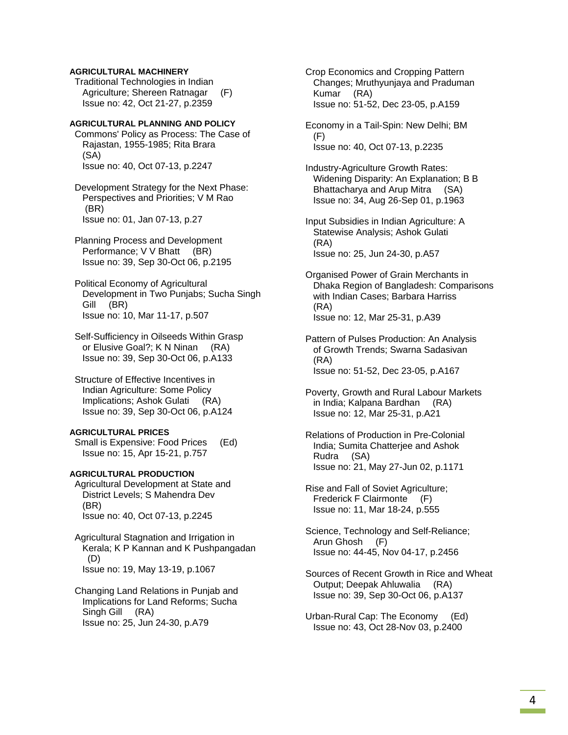### **AGRICULTURAL MACHINERY**

 Traditional Technologies in Indian Agriculture; Shereen Ratnagar (F) Issue no: 42, Oct 21-27, p.2359

### **AGRICULTURAL PLANNING AND POLICY**

 Commons' Policy as Process: The Case of Rajastan, 1955-1985; Rita Brara (SA) Issue no: 40, Oct 07-13, p.2247

 Development Strategy for the Next Phase: Perspectives and Priorities; V M Rao (BR) Issue no: 01, Jan 07-13, p.27

 Planning Process and Development Performance; V V Bhatt (BR) Issue no: 39, Sep 30-Oct 06, p.2195

 Political Economy of Agricultural Development in Two Punjabs; Sucha Singh Gill (BR) Issue no: 10, Mar 11-17, p.507

 Self-Sufficiency in Oilseeds Within Grasp or Elusive Goal?; K N Ninan (RA) Issue no: 39, Sep 30-Oct 06, p.A133

 Structure of Effective Incentives in Indian Agriculture: Some Policy Implications; Ashok Gulati (RA) Issue no: 39, Sep 30-Oct 06, p.A124

#### **AGRICULTURAL PRICES**

 Small is Expensive: Food Prices (Ed) Issue no: 15, Apr 15-21, p.757

### **AGRICULTURAL PRODUCTION**

 Agricultural Development at State and District Levels; S Mahendra Dev (BR) Issue no: 40, Oct 07-13, p.2245

 Agricultural Stagnation and Irrigation in Kerala; K P Kannan and K Pushpangadan (D) Issue no: 19, May 13-19, p.1067

 Changing Land Relations in Punjab and Implications for Land Reforms; Sucha Singh Gill (RA) Issue no: 25, Jun 24-30, p.A79

 Crop Economics and Cropping Pattern Changes; Mruthyunjaya and Praduman Kumar (RA) Issue no: 51-52, Dec 23-05, p.A159

 Economy in a Tail-Spin: New Delhi; BM (F) Issue no: 40, Oct 07-13, p.2235

 Industry-Agriculture Growth Rates: Widening Disparity: An Explanation; B B Bhattacharya and Arup Mitra (SA) Issue no: 34, Aug 26-Sep 01, p.1963

 Input Subsidies in Indian Agriculture: A Statewise Analysis; Ashok Gulati (RA) Issue no: 25, Jun 24-30, p.A57

 Organised Power of Grain Merchants in Dhaka Region of Bangladesh: Comparisons with Indian Cases; Barbara Harriss (RA) Issue no: 12, Mar 25-31, p.A39

 Pattern of Pulses Production: An Analysis of Growth Trends; Swarna Sadasivan (RA) Issue no: 51-52, Dec 23-05, p.A167

 Poverty, Growth and Rural Labour Markets in India; Kalpana Bardhan (RA) Issue no: 12, Mar 25-31, p.A21

 Relations of Production in Pre-Colonial India; Sumita Chatterjee and Ashok Rudra (SA) Issue no: 21, May 27-Jun 02, p.1171

 Rise and Fall of Soviet Agriculture; Frederick F Clairmonte (F) Issue no: 11, Mar 18-24, p.555

 Science, Technology and Self-Reliance; Arun Ghosh (F) Issue no: 44-45, Nov 04-17, p.2456

 Sources of Recent Growth in Rice and Wheat Output; Deepak Ahluwalia (RA) Issue no: 39, Sep 30-Oct 06, p.A137

 Urban-Rural Cap: The Economy (Ed) Issue no: 43, Oct 28-Nov 03, p.2400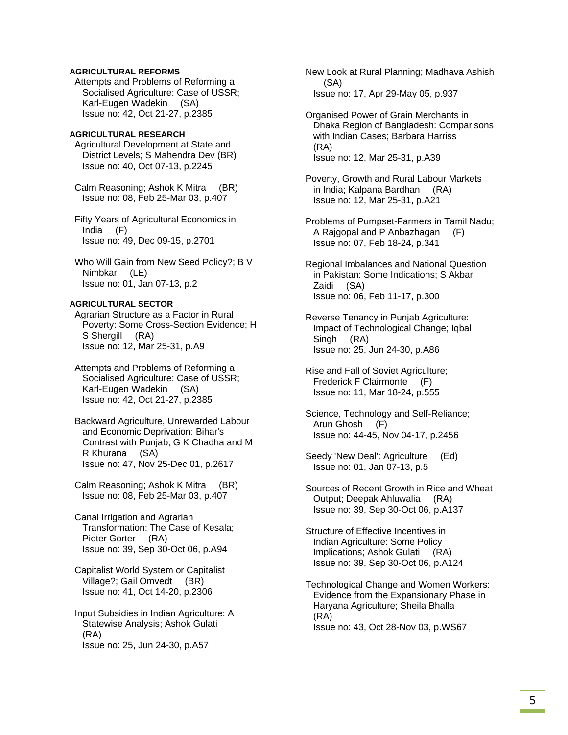### **AGRICULTURAL REFORMS**

 Attempts and Problems of Reforming a Socialised Agriculture: Case of USSR; Karl-Eugen Wadekin (SA) Issue no: 42, Oct 21-27, p.2385

#### **AGRICULTURAL RESEARCH**

 Agricultural Development at State and District Levels; S Mahendra Dev (BR) Issue no: 40, Oct 07-13, p.2245

 Calm Reasoning; Ashok K Mitra (BR) Issue no: 08, Feb 25-Mar 03, p.407

 Fifty Years of Agricultural Economics in India (F) Issue no: 49, Dec 09-15, p.2701

 Who Will Gain from New Seed Policy?; B V Nimbkar (LE) Issue no: 01, Jan 07-13, p.2

### **AGRICULTURAL SECTOR**

 Agrarian Structure as a Factor in Rural Poverty: Some Cross-Section Evidence; H S Shergill (RA) Issue no: 12, Mar 25-31, p.A9

 Attempts and Problems of Reforming a Socialised Agriculture: Case of USSR; Karl-Eugen Wadekin (SA) Issue no: 42, Oct 21-27, p.2385

 Backward Agriculture, Unrewarded Labour and Economic Deprivation: Bihar's Contrast with Punjab; G K Chadha and M R Khurana (SA) Issue no: 47, Nov 25-Dec 01, p.2617

 Calm Reasoning; Ashok K Mitra (BR) Issue no: 08, Feb 25-Mar 03, p.407

 Canal Irrigation and Agrarian Transformation: The Case of Kesala; Pieter Gorter (RA) Issue no: 39, Sep 30-Oct 06, p.A94

 Capitalist World System or Capitalist Village?; Gail Omvedt (BR) Issue no: 41, Oct 14-20, p.2306

 Input Subsidies in Indian Agriculture: A Statewise Analysis; Ashok Gulati (RA) Issue no: 25, Jun 24-30, p.A57

 New Look at Rural Planning; Madhava Ashish (SA) Issue no: 17, Apr 29-May 05, p.937

 Organised Power of Grain Merchants in Dhaka Region of Bangladesh: Comparisons with Indian Cases; Barbara Harriss (RA) Issue no: 12, Mar 25-31, p.A39

 Poverty, Growth and Rural Labour Markets in India; Kalpana Bardhan (RA) Issue no: 12, Mar 25-31, p.A21

 Problems of Pumpset-Farmers in Tamil Nadu; A Rajgopal and P Anbazhagan (F) Issue no: 07, Feb 18-24, p.341

 Regional Imbalances and National Question in Pakistan: Some Indications; S Akbar Zaidi (SA) Issue no: 06, Feb 11-17, p.300

 Reverse Tenancy in Punjab Agriculture: Impact of Technological Change; Iqbal Singh (RA) Issue no: 25, Jun 24-30, p.A86

 Rise and Fall of Soviet Agriculture; Frederick F Clairmonte (F) Issue no: 11, Mar 18-24, p.555

 Science, Technology and Self-Reliance; Arun Ghosh (F) Issue no: 44-45, Nov 04-17, p.2456

 Seedy 'New Deal': Agriculture (Ed) Issue no: 01, Jan 07-13, p.5

 Sources of Recent Growth in Rice and Wheat Output; Deepak Ahluwalia (RA) Issue no: 39, Sep 30-Oct 06, p.A137

 Structure of Effective Incentives in Indian Agriculture: Some Policy Implications; Ashok Gulati (RA) Issue no: 39, Sep 30-Oct 06, p.A124

 Technological Change and Women Workers: Evidence from the Expansionary Phase in Haryana Agriculture; Sheila Bhalla (RA) Issue no: 43, Oct 28-Nov 03, p.WS67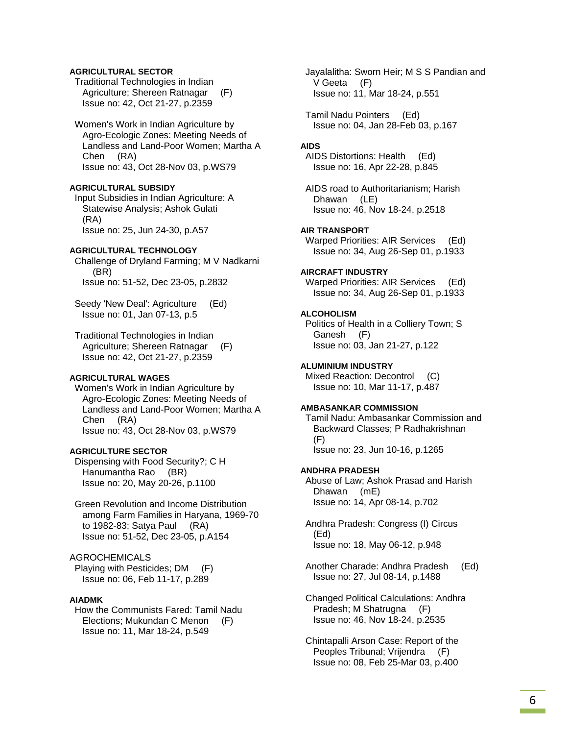### **AGRICULTURAL SECTOR**

 Traditional Technologies in Indian Agriculture; Shereen Ratnagar (F) Issue no: 42, Oct 21-27, p.2359

### Women's Work in Indian Agriculture by

 Agro-Ecologic Zones: Meeting Needs of Landless and Land-Poor Women; Martha A Chen (RA) Issue no: 43, Oct 28-Nov 03, p.WS79

#### **AGRICULTURAL SUBSIDY**

 Input Subsidies in Indian Agriculture: A Statewise Analysis; Ashok Gulati (RA) Issue no: 25, Jun 24-30, p.A57

#### **AGRICULTURAL TECHNOLOGY**

 Challenge of Dryland Farming; M V Nadkarni (BR) Issue no: 51-52, Dec 23-05, p.2832

Seedy 'New Deal': Agriculture (Ed) Issue no: 01, Jan 07-13, p.5

 Traditional Technologies in Indian Agriculture; Shereen Ratnagar (F) Issue no: 42, Oct 21-27, p.2359

### **AGRICULTURAL WAGES**

 Women's Work in Indian Agriculture by Agro-Ecologic Zones: Meeting Needs of Landless and Land-Poor Women; Martha A Chen (RA) Issue no: 43, Oct 28-Nov 03, p.WS79

#### **AGRICULTURE SECTOR**

 Dispensing with Food Security?; C H Hanumantha Rao (BR) Issue no: 20, May 20-26, p.1100

 Green Revolution and Income Distribution among Farm Families in Haryana, 1969-70 to 1982-83; Satya Paul (RA) Issue no: 51-52, Dec 23-05, p.A154

### AGROCHEMICALS

 Playing with Pesticides; DM (F) Issue no: 06, Feb 11-17, p.289

#### **AIADMK**

 How the Communists Fared: Tamil Nadu Elections; Mukundan C Menon (F) Issue no: 11, Mar 18-24, p.549

 Jayalalitha: Sworn Heir; M S S Pandian and V Geeta (F) Issue no: 11, Mar 18-24, p.551

 Tamil Nadu Pointers (Ed) Issue no: 04, Jan 28-Feb 03, p.167

### **AIDS**

 AIDS Distortions: Health (Ed) Issue no: 16, Apr 22-28, p.845

 AIDS road to Authoritarianism; Harish Dhawan (LE) Issue no: 46, Nov 18-24, p.2518

### **AIR TRANSPORT**

 Warped Priorities: AIR Services (Ed) Issue no: 34, Aug 26-Sep 01, p.1933

#### **AIRCRAFT INDUSTRY**

 Warped Priorities: AIR Services (Ed) Issue no: 34, Aug 26-Sep 01, p.1933

### **ALCOHOLISM**

 Politics of Health in a Colliery Town; S Ganesh (F) Issue no: 03, Jan 21-27, p.122

#### **ALUMINIUM INDUSTRY**

 Mixed Reaction: Decontrol (C) Issue no: 10, Mar 11-17, p.487

#### **AMBASANKAR COMMISSION**

 Tamil Nadu: Ambasankar Commission and Backward Classes; P Radhakrishnan (F) Issue no: 23, Jun 10-16, p.1265

#### **ANDHRA PRADESH**

 Abuse of Law; Ashok Prasad and Harish Dhawan (mE) Issue no: 14, Apr 08-14, p.702

 Andhra Pradesh: Congress (I) Circus (Ed) Issue no: 18, May 06-12, p.948

 Another Charade: Andhra Pradesh (Ed) Issue no: 27, Jul 08-14, p.1488

 Changed Political Calculations: Andhra Pradesh; M Shatrugna (F) Issue no: 46, Nov 18-24, p.2535

 Chintapalli Arson Case: Report of the Peoples Tribunal; Vrijendra (F) Issue no: 08, Feb 25-Mar 03, p.400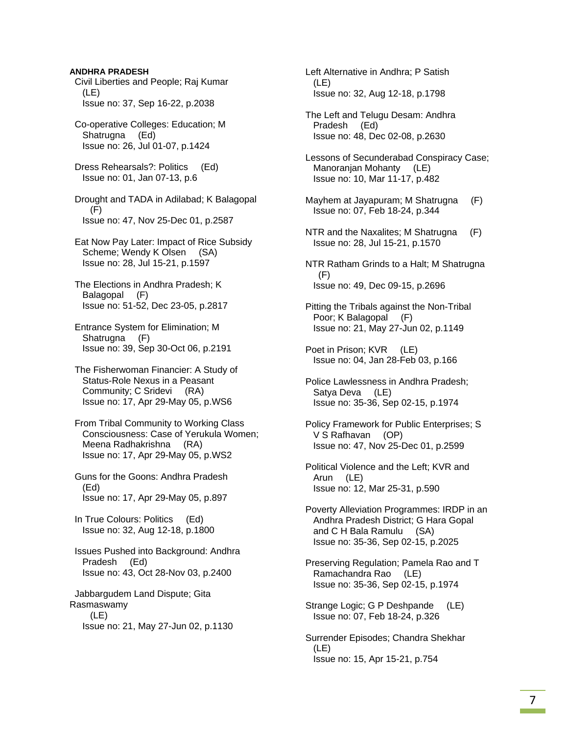# Civil Liberties and People; Raj Kumar (LE) Issue no: 37, Sep 16-22, p.2038 Co-operative Colleges: Education; M Shatrugna (Ed) Issue no: 26, Jul 01-07, p.1424 Dress Rehearsals?: Politics (Ed) Issue no: 01, Jan 07-13, p.6 Drought and TADA in Adilabad; K Balagopal (F) Issue no: 47, Nov 25-Dec 01, p.2587 Eat Now Pay Later: Impact of Rice Subsidy Scheme; Wendy K Olsen (SA) Issue no: 28, Jul 15-21, p.1597 The Elections in Andhra Pradesh; K Balagopal (F) Issue no: 51-52, Dec 23-05, p.2817 Entrance System for Elimination; M Shatrugna (F)

**ANDHRA PRADESH** 

 The Fisherwoman Financier: A Study of Status-Role Nexus in a Peasant Community; C Sridevi (RA) Issue no: 17, Apr 29-May 05, p.WS6

Issue no: 39, Sep 30-Oct 06, p.2191

 From Tribal Community to Working Class Consciousness: Case of Yerukula Women; Meena Radhakrishna (RA) Issue no: 17, Apr 29-May 05, p.WS2

 Guns for the Goons: Andhra Pradesh (Ed) Issue no: 17, Apr 29-May 05, p.897

 In True Colours: Politics (Ed) Issue no: 32, Aug 12-18, p.1800

 Issues Pushed into Background: Andhra Pradesh (Ed) Issue no: 43, Oct 28-Nov 03, p.2400

 Jabbargudem Land Dispute; Gita Rasmaswamy (LE) Issue no: 21, May 27-Jun 02, p.1130  Left Alternative in Andhra; P Satish (LE) Issue no: 32, Aug 12-18, p.1798

 The Left and Telugu Desam: Andhra Pradesh (Ed) Issue no: 48, Dec 02-08, p.2630

 Lessons of Secunderabad Conspiracy Case; Manoranjan Mohanty (LE) Issue no: 10, Mar 11-17, p.482

- Mayhem at Jayapuram; M Shatrugna (F) Issue no: 07, Feb 18-24, p.344
- NTR and the Naxalites; M Shatrugna (F) Issue no: 28, Jul 15-21, p.1570

 NTR Ratham Grinds to a Halt; M Shatrugna (F) Issue no: 49, Dec 09-15, p.2696

 Pitting the Tribals against the Non-Tribal Poor; K Balagopal (F) Issue no: 21, May 27-Jun 02, p.1149

- Poet in Prison; KVR (LE) Issue no: 04, Jan 28-Feb 03, p.166
- Police Lawlessness in Andhra Pradesh; Satya Deva (LE) Issue no: 35-36, Sep 02-15, p.1974

 Policy Framework for Public Enterprises; S V S Rafhavan (OP) Issue no: 47, Nov 25-Dec 01, p.2599

 Political Violence and the Left; KVR and Arun (LE) Issue no: 12, Mar 25-31, p.590

 Poverty Alleviation Programmes: IRDP in an Andhra Pradesh District; G Hara Gopal and C H Bala Ramulu (SA) Issue no: 35-36, Sep 02-15, p.2025

 Preserving Regulation; Pamela Rao and T Ramachandra Rao (LE) Issue no: 35-36, Sep 02-15, p.1974

 Strange Logic; G P Deshpande (LE) Issue no: 07, Feb 18-24, p.326

 Surrender Episodes; Chandra Shekhar (LE) Issue no: 15, Apr 15-21, p.754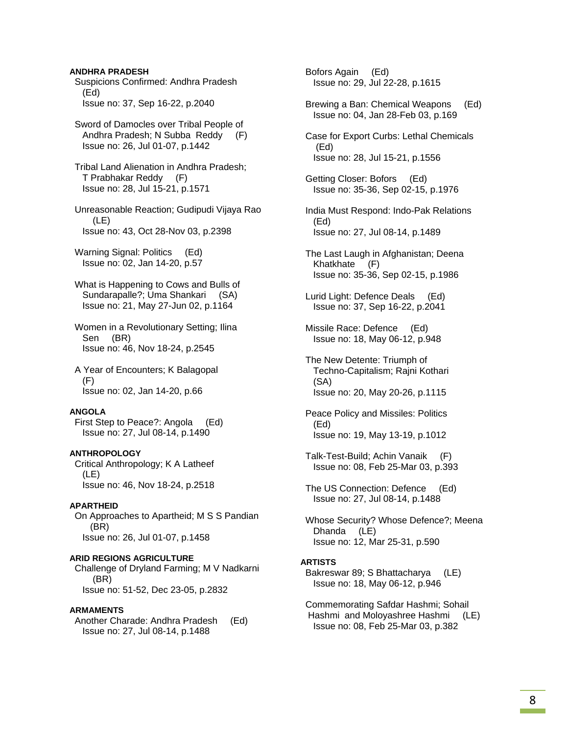### **ANDHRA PRADESH**

- Suspicions Confirmed: Andhra Pradesh (Ed) Issue no: 37, Sep 16-22, p.2040
- Sword of Damocles over Tribal People of Andhra Pradesh; N Subba Reddy (F) Issue no: 26, Jul 01-07, p.1442
- Tribal Land Alienation in Andhra Pradesh; T Prabhakar Reddy (F) Issue no: 28, Jul 15-21, p.1571
- Unreasonable Reaction; Gudipudi Vijaya Rao (LE) Issue no: 43, Oct 28-Nov 03, p.2398
- Warning Signal: Politics (Ed) Issue no: 02, Jan 14-20, p.57
- What is Happening to Cows and Bulls of Sundarapalle?; Uma Shankari (SA) Issue no: 21, May 27-Jun 02, p.1164
- Women in a Revolutionary Setting; Ilina Sen (BR) Issue no: 46, Nov 18-24, p.2545
- A Year of Encounters; K Balagopal (F) Issue no: 02, Jan 14-20, p.66

#### **ANGOLA**

 First Step to Peace?: Angola (Ed) Issue no: 27, Jul 08-14, p.1490

### **ANTHROPOLOGY**

 Critical Anthropology; K A Latheef (LE) Issue no: 46, Nov 18-24, p.2518

#### **APARTHEID**

 On Approaches to Apartheid; M S S Pandian (BR) Issue no: 26, Jul 01-07, p.1458

### **ARID REGIONS AGRICULTURE**

 Challenge of Dryland Farming; M V Nadkarni (BR) Issue no: 51-52, Dec 23-05, p.2832

#### **ARMAMENTS**

 Another Charade: Andhra Pradesh (Ed) Issue no: 27, Jul 08-14, p.1488

 Bofors Again (Ed) Issue no: 29, Jul 22-28, p.1615

- Brewing a Ban: Chemical Weapons (Ed) Issue no: 04, Jan 28-Feb 03, p.169
- Case for Export Curbs: Lethal Chemicals (Ed) Issue no: 28, Jul 15-21, p.1556
- Getting Closer: Bofors (Ed) Issue no: 35-36, Sep 02-15, p.1976
- India Must Respond: Indo-Pak Relations (Ed) Issue no: 27, Jul 08-14, p.1489
- The Last Laugh in Afghanistan; Deena Khatkhate (F) Issue no: 35-36, Sep 02-15, p.1986
- Lurid Light: Defence Deals (Ed) Issue no: 37, Sep 16-22, p.2041
- Missile Race: Defence (Ed) Issue no: 18, May 06-12, p.948
- The New Detente: Triumph of Techno-Capitalism; Rajni Kothari (SA) Issue no: 20, May 20-26, p.1115
- Peace Policy and Missiles: Politics (Ed) Issue no: 19, May 13-19, p.1012
- Talk-Test-Build; Achin Vanaik (F) Issue no: 08, Feb 25-Mar 03, p.393
- The US Connection: Defence (Ed) Issue no: 27, Jul 08-14, p.1488
- Whose Security? Whose Defence?; Meena Dhanda (LE) Issue no: 12, Mar 25-31, p.590

#### **ARTISTS**

- Bakreswar 89; S Bhattacharya (LE) Issue no: 18, May 06-12, p.946
- Commemorating Safdar Hashmi; Sohail Hashmi and Moloyashree Hashmi (LE) Issue no: 08, Feb 25-Mar 03, p.382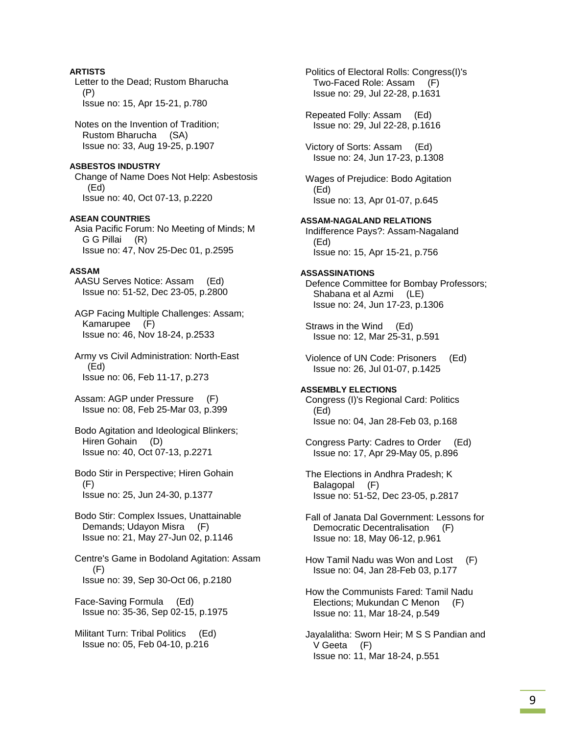**ARTISTS**  Letter to the Dead; Rustom Bharucha (P) Issue no: 15, Apr 15-21, p.780 Notes on the Invention of Tradition; Rustom Bharucha (SA) Issue no: 33, Aug 19-25, p.1907 **ASBESTOS INDUSTRY**  Change of Name Does Not Help: Asbestosis (Ed) Issue no: 40, Oct 07-13, p.2220 **ASEAN COUNTRIES**  Asia Pacific Forum: No Meeting of Minds; M G G Pillai (R) Issue no: 47, Nov 25-Dec 01, p.2595 **ASSAM**  AASU Serves Notice: Assam (Ed) Issue no: 51-52, Dec 23-05, p.2800 AGP Facing Multiple Challenges: Assam; Kamarupee (F) Issue no: 46, Nov 18-24, p.2533 Army vs Civil Administration: North-East (Ed) Issue no: 06, Feb 11-17, p.273 Assam: AGP under Pressure (F) Issue no: 08, Feb 25-Mar 03, p.399 Bodo Agitation and Ideological Blinkers; Hiren Gohain (D) Issue no: 40, Oct 07-13, p.2271 Bodo Stir in Perspective; Hiren Gohain (F) Issue no: 25, Jun 24-30, p.1377 Bodo Stir: Complex Issues, Unattainable Demands; Udayon Misra (F) Issue no: 21, May 27-Jun 02, p.1146 Centre's Game in Bodoland Agitation: Assam (F) Issue no: 39, Sep 30-Oct 06, p.2180 Face-Saving Formula (Ed) Issue no: 35-36, Sep 02-15, p.1975 Militant Turn: Tribal Politics (Ed) Issue no: 05, Feb 04-10, p.216

 Politics of Electoral Rolls: Congress(I)'s Two-Faced Role: Assam (F) Issue no: 29, Jul 22-28, p.1631 Repeated Folly: Assam (Ed) Issue no: 29, Jul 22-28, p.1616 Victory of Sorts: Assam (Ed) Issue no: 24, Jun 17-23, p.1308 Wages of Prejudice: Bodo Agitation (Ed) Issue no: 13, Apr 01-07, p.645 **ASSAM-NAGALAND RELATIONS**  Indifference Pays?: Assam-Nagaland (Ed) Issue no: 15, Apr 15-21, p.756 **ASSASSINATIONS**  Defence Committee for Bombay Professors; Shabana et al Azmi (LE) Issue no: 24, Jun 17-23, p.1306 Straws in the Wind (Ed) Issue no: 12, Mar 25-31, p.591 Violence of UN Code: Prisoners (Ed) Issue no: 26, Jul 01-07, p.1425 **ASSEMBLY ELECTIONS**  Congress (I)'s Regional Card: Politics (Ed) Issue no: 04, Jan 28-Feb 03, p.168 Congress Party: Cadres to Order (Ed) Issue no: 17, Apr 29-May 05, p.896 The Elections in Andhra Pradesh; K Balagopal (F) Issue no: 51-52, Dec 23-05, p.2817 Fall of Janata Dal Government: Lessons for Democratic Decentralisation (F) Issue no: 18, May 06-12, p.961 How Tamil Nadu was Won and Lost (F) Issue no: 04, Jan 28-Feb 03, p.177 How the Communists Fared: Tamil Nadu Elections; Mukundan C Menon (F) Issue no: 11, Mar 18-24, p.549 Jayalalitha: Sworn Heir; M S S Pandian and V Geeta (F)

Issue no: 11, Mar 18-24, p.551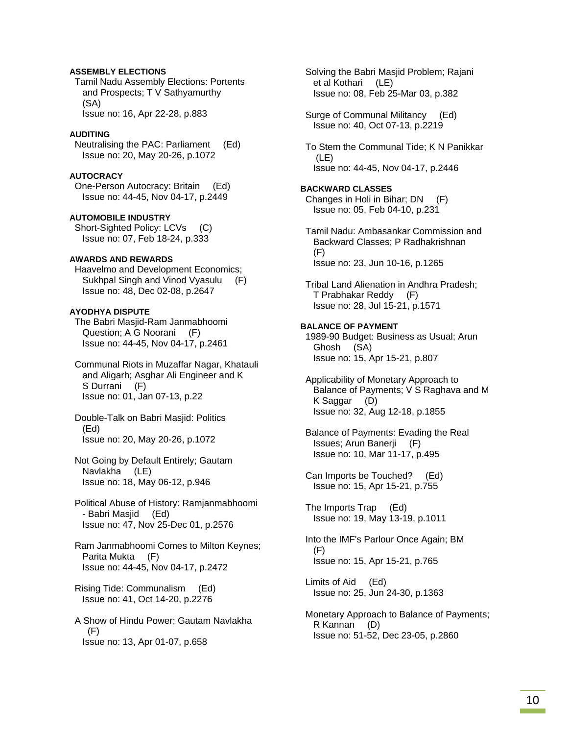### **ASSEMBLY ELECTIONS**

 Tamil Nadu Assembly Elections: Portents and Prospects; T V Sathyamurthy (SA) Issue no: 16, Apr 22-28, p.883

### **AUDITING**

 Neutralising the PAC: Parliament (Ed) Issue no: 20, May 20-26, p.1072

### **AUTOCRACY**

 One-Person Autocracy: Britain (Ed) Issue no: 44-45, Nov 04-17, p.2449

#### **AUTOMOBILE INDUSTRY**

 Short-Sighted Policy: LCVs (C) Issue no: 07, Feb 18-24, p.333

### **AWARDS AND REWARDS**

 Haavelmo and Development Economics; Sukhpal Singh and Vinod Vyasulu (F) Issue no: 48, Dec 02-08, p.2647

### **AYODHYA DISPUTE**

 The Babri Masjid-Ram Janmabhoomi Question; A G Noorani (F) Issue no: 44-45, Nov 04-17, p.2461

 Communal Riots in Muzaffar Nagar, Khatauli and Aligarh; Asghar Ali Engineer and K S Durrani (F) Issue no: 01, Jan 07-13, p.22

 Double-Talk on Babri Masjid: Politics (Ed) Issue no: 20, May 20-26, p.1072

 Not Going by Default Entirely; Gautam Navlakha (LE) Issue no: 18, May 06-12, p.946

 Political Abuse of History: Ramjanmabhoomi - Babri Masjid (Ed) Issue no: 47, Nov 25-Dec 01, p.2576

 Ram Janmabhoomi Comes to Milton Keynes; Parita Mukta (F) Issue no: 44-45, Nov 04-17, p.2472

 Rising Tide: Communalism (Ed) Issue no: 41, Oct 14-20, p.2276

 A Show of Hindu Power; Gautam Navlakha (F) Issue no: 13, Apr 01-07, p.658

 Solving the Babri Masjid Problem; Rajani et al Kothari (LE) Issue no: 08, Feb 25-Mar 03, p.382

 Surge of Communal Militancy (Ed) Issue no: 40, Oct 07-13, p.2219

 To Stem the Communal Tide; K N Panikkar (LE) Issue no: 44-45, Nov 04-17, p.2446

### **BACKWARD CLASSES**  Changes in Holi in Bihar; DN (F) Issue no: 05, Feb 04-10, p.231

 Tamil Nadu: Ambasankar Commission and Backward Classes; P Radhakrishnan (F) Issue no: 23, Jun 10-16, p.1265

 Tribal Land Alienation in Andhra Pradesh; T Prabhakar Reddy (F) Issue no: 28, Jul 15-21, p.1571

### **BALANCE OF PAYMENT**

 1989-90 Budget: Business as Usual; Arun Ghosh (SA) Issue no: 15, Apr 15-21, p.807

 Applicability of Monetary Approach to Balance of Payments; V S Raghava and M K Saggar (D) Issue no: 32, Aug 12-18, p.1855

 Balance of Payments: Evading the Real Issues; Arun Banerji (F) Issue no: 10, Mar 11-17, p.495

 Can Imports be Touched? (Ed) Issue no: 15, Apr 15-21, p.755

 The Imports Trap (Ed) Issue no: 19, May 13-19, p.1011

 Into the IMF's Parlour Once Again; BM (F) Issue no: 15, Apr 15-21, p.765

 Limits of Aid (Ed) Issue no: 25, Jun 24-30, p.1363

 Monetary Approach to Balance of Payments; R Kannan (D) Issue no: 51-52, Dec 23-05, p.2860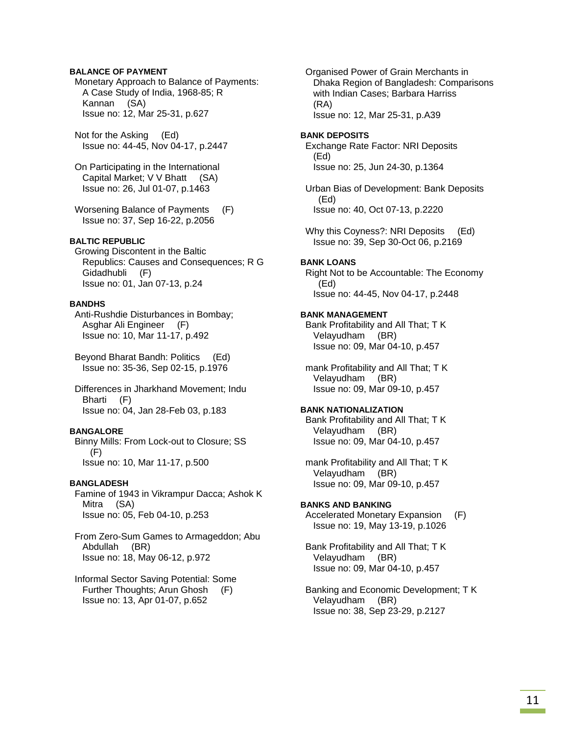### **BALANCE OF PAYMENT**

 Monetary Approach to Balance of Payments: A Case Study of India, 1968-85; R Kannan (SA) Issue no: 12, Mar 25-31, p.627

 Not for the Asking (Ed) Issue no: 44-45, Nov 04-17, p.2447

 On Participating in the International Capital Market; V V Bhatt (SA) Issue no: 26, Jul 01-07, p.1463

 Worsening Balance of Payments (F) Issue no: 37, Sep 16-22, p.2056

### **BALTIC REPUBLIC**

 Growing Discontent in the Baltic Republics: Causes and Consequences; R G Gidadhubli (F) Issue no: 01, Jan 07-13, p.24

### **BANDHS**

 Anti-Rushdie Disturbances in Bombay; Asghar Ali Engineer (F) Issue no: 10, Mar 11-17, p.492

 Beyond Bharat Bandh: Politics (Ed) Issue no: 35-36, Sep 02-15, p.1976

 Differences in Jharkhand Movement; Indu Bharti (F) Issue no: 04, Jan 28-Feb 03, p.183

### **BANGALORE**

 Binny Mills: From Lock-out to Closure; SS (F) Issue no: 10, Mar 11-17, p.500

#### **BANGLADESH**

 Famine of 1943 in Vikrampur Dacca; Ashok K Mitra (SA) Issue no: 05, Feb 04-10, p.253

 From Zero-Sum Games to Armageddon; Abu Abdullah (BR) Issue no: 18, May 06-12, p.972

 Informal Sector Saving Potential: Some Further Thoughts; Arun Ghosh (F) Issue no: 13, Apr 01-07, p.652

 Organised Power of Grain Merchants in Dhaka Region of Bangladesh: Comparisons with Indian Cases; Barbara Harriss (RA) Issue no: 12, Mar 25-31, p.A39

#### **BANK DEPOSITS**

 Exchange Rate Factor: NRI Deposits (Ed) Issue no: 25, Jun 24-30, p.1364

 Urban Bias of Development: Bank Deposits (Ed) Issue no: 40, Oct 07-13, p.2220

Why this Coyness?: NRI Deposits (Ed) Issue no: 39, Sep 30-Oct 06, p.2169

#### **BANK LOANS**

 Right Not to be Accountable: The Economy (Ed) Issue no: 44-45, Nov 04-17, p.2448

#### **BANK MANAGEMENT**

 Bank Profitability and All That; T K Velayudham (BR) Issue no: 09, Mar 04-10, p.457

 mank Profitability and All That; T K Velayudham (BR) Issue no: 09, Mar 09-10, p.457

### **BANK NATIONALIZATION**

 Bank Profitability and All That; T K Velayudham (BR) Issue no: 09, Mar 04-10, p.457

 mank Profitability and All That; T K Velayudham (BR) Issue no: 09, Mar 09-10, p.457

### **BANKS AND BANKING**

 Accelerated Monetary Expansion (F) Issue no: 19, May 13-19, p.1026

 Bank Profitability and All That; T K Velayudham (BR) Issue no: 09, Mar 04-10, p.457

 Banking and Economic Development; T K Velayudham (BR) Issue no: 38, Sep 23-29, p.2127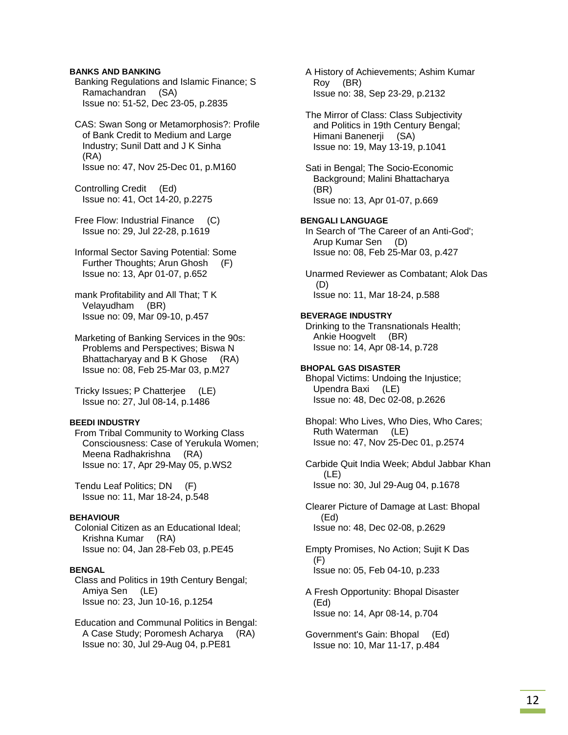### **BANKS AND BANKING**

 Banking Regulations and Islamic Finance; S Ramachandran (SA) Issue no: 51-52, Dec 23-05, p.2835

 CAS: Swan Song or Metamorphosis?: Profile of Bank Credit to Medium and Large Industry; Sunil Datt and J K Sinha (RA) Issue no: 47, Nov 25-Dec 01, p.M160

 Controlling Credit (Ed) Issue no: 41, Oct 14-20, p.2275

 Free Flow: Industrial Finance (C) Issue no: 29, Jul 22-28, p.1619

 Informal Sector Saving Potential: Some Further Thoughts; Arun Ghosh (F) Issue no: 13, Apr 01-07, p.652

 mank Profitability and All That; T K Velayudham (BR) Issue no: 09, Mar 09-10, p.457

 Marketing of Banking Services in the 90s: Problems and Perspectives; Biswa N Bhattacharyay and B K Ghose (RA) Issue no: 08, Feb 25-Mar 03, p.M27

 Tricky Issues; P Chatterjee (LE) Issue no: 27, Jul 08-14, p.1486

### **BEEDI INDUSTRY**

 From Tribal Community to Working Class Consciousness: Case of Yerukula Women; Meena Radhakrishna (RA) Issue no: 17, Apr 29-May 05, p.WS2

 Tendu Leaf Politics; DN (F) Issue no: 11, Mar 18-24, p.548

### **BEHAVIOUR**

 Colonial Citizen as an Educational Ideal; Krishna Kumar (RA) Issue no: 04, Jan 28-Feb 03, p.PE45

#### **BENGAL**

 Class and Politics in 19th Century Bengal; Amiya Sen (LE) Issue no: 23, Jun 10-16, p.1254

 Education and Communal Politics in Bengal: A Case Study; Poromesh Acharya (RA) Issue no: 30, Jul 29-Aug 04, p.PE81

 A History of Achievements; Ashim Kumar Roy (BR) Issue no: 38, Sep 23-29, p.2132

 The Mirror of Class: Class Subjectivity and Politics in 19th Century Bengal; Himani Banenerji (SA) Issue no: 19, May 13-19, p.1041

 Sati in Bengal; The Socio-Economic Background; Malini Bhattacharya (BR) Issue no: 13, Apr 01-07, p.669

### **BENGALI LANGUAGE**

 In Search of 'The Career of an Anti-God'; Arup Kumar Sen (D) Issue no: 08, Feb 25-Mar 03, p.427

 Unarmed Reviewer as Combatant; Alok Das (D) Issue no: 11, Mar 18-24, p.588

#### **BEVERAGE INDUSTRY**

 Drinking to the Transnationals Health; Ankie Hoogvelt (BR) Issue no: 14, Apr 08-14, p.728

### **BHOPAL GAS DISASTER**

 Bhopal Victims: Undoing the Injustice; Upendra Baxi (LE) Issue no: 48, Dec 02-08, p.2626

 Bhopal: Who Lives, Who Dies, Who Cares; Ruth Waterman (LE) Issue no: 47, Nov 25-Dec 01, p.2574

 Carbide Quit India Week; Abdul Jabbar Khan (LE) Issue no: 30, Jul 29-Aug 04, p.1678

 Clearer Picture of Damage at Last: Bhopal (Ed) Issue no: 48, Dec 02-08, p.2629

 Empty Promises, No Action; Sujit K Das (F) Issue no: 05, Feb 04-10, p.233

 A Fresh Opportunity: Bhopal Disaster (Ed) Issue no: 14, Apr 08-14, p.704

 Government's Gain: Bhopal (Ed) Issue no: 10, Mar 11-17, p.484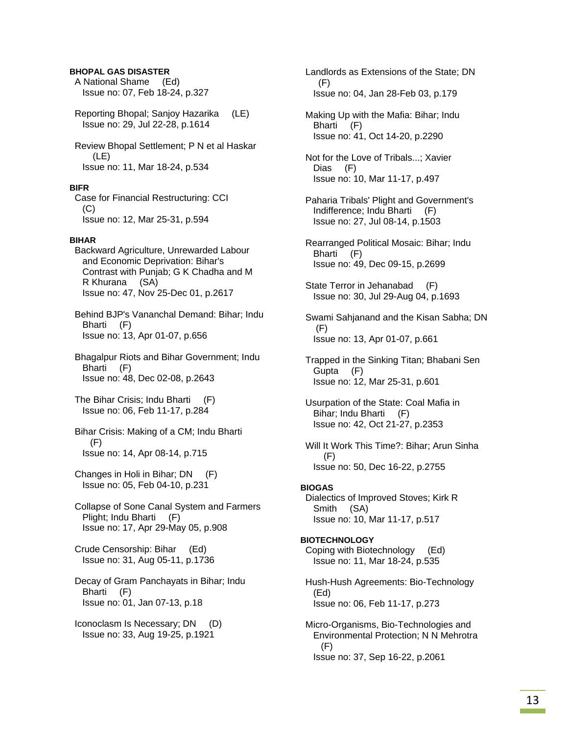### **BHOPAL GAS DISASTER**

 A National Shame (Ed) Issue no: 07, Feb 18-24, p.327

 Reporting Bhopal; Sanjoy Hazarika (LE) Issue no: 29, Jul 22-28, p.1614

 Review Bhopal Settlement; P N et al Haskar (LE) Issue no: 11, Mar 18-24, p.534

#### **BIFR**

 Case for Financial Restructuring: CCI (C) Issue no: 12, Mar 25-31, p.594

#### **BIHAR**

 Backward Agriculture, Unrewarded Labour and Economic Deprivation: Bihar's Contrast with Punjab; G K Chadha and M R Khurana (SA) Issue no: 47, Nov 25-Dec 01, p.2617

 Behind BJP's Vananchal Demand: Bihar; Indu Bharti (F) Issue no: 13, Apr 01-07, p.656

 Bhagalpur Riots and Bihar Government; Indu Bharti (F) Issue no: 48, Dec 02-08, p.2643

- The Bihar Crisis; Indu Bharti (F) Issue no: 06, Feb 11-17, p.284
- Bihar Crisis: Making of a CM; Indu Bharti (F) Issue no: 14, Apr 08-14, p.715
- Changes in Holi in Bihar; DN (F) Issue no: 05, Feb 04-10, p.231

 Collapse of Sone Canal System and Farmers Plight; Indu Bharti (F) Issue no: 17, Apr 29-May 05, p.908

 Crude Censorship: Bihar (Ed) Issue no: 31, Aug 05-11, p.1736

 Decay of Gram Panchayats in Bihar; Indu Bharti (F) Issue no: 01, Jan 07-13, p.18

 Iconoclasm Is Necessary; DN (D) Issue no: 33, Aug 19-25, p.1921

 Landlords as Extensions of the State; DN (F) Issue no: 04, Jan 28-Feb 03, p.179

 Making Up with the Mafia: Bihar; Indu Bharti (F) Issue no: 41, Oct 14-20, p.2290

 Not for the Love of Tribals...; Xavier Dias (F) Issue no: 10, Mar 11-17, p.497

- Paharia Tribals' Plight and Government's Indifference; Indu Bharti (F) Issue no: 27, Jul 08-14, p.1503
- Rearranged Political Mosaic: Bihar; Indu Bharti (F) Issue no: 49, Dec 09-15, p.2699

 State Terror in Jehanabad (F) Issue no: 30, Jul 29-Aug 04, p.1693

 Swami Sahjanand and the Kisan Sabha; DN (F) Issue no: 13, Apr 01-07, p.661

 Trapped in the Sinking Titan; Bhabani Sen Gupta (F) Issue no: 12, Mar 25-31, p.601

 Usurpation of the State: Coal Mafia in Bihar; Indu Bharti (F) Issue no: 42, Oct 21-27, p.2353

 Will It Work This Time?: Bihar; Arun Sinha (F) Issue no: 50, Dec 16-22, p.2755

#### **BIOGAS**

 Dialectics of Improved Stoves; Kirk R Smith (SA) Issue no: 10, Mar 11-17, p.517

#### **BIOTECHNOLOGY**

 Coping with Biotechnology (Ed) Issue no: 11, Mar 18-24, p.535

 Hush-Hush Agreements: Bio-Technology (Ed) Issue no: 06, Feb 11-17, p.273

 Micro-Organisms, Bio-Technologies and Environmental Protection; N N Mehrotra (F) Issue no: 37, Sep 16-22, p.2061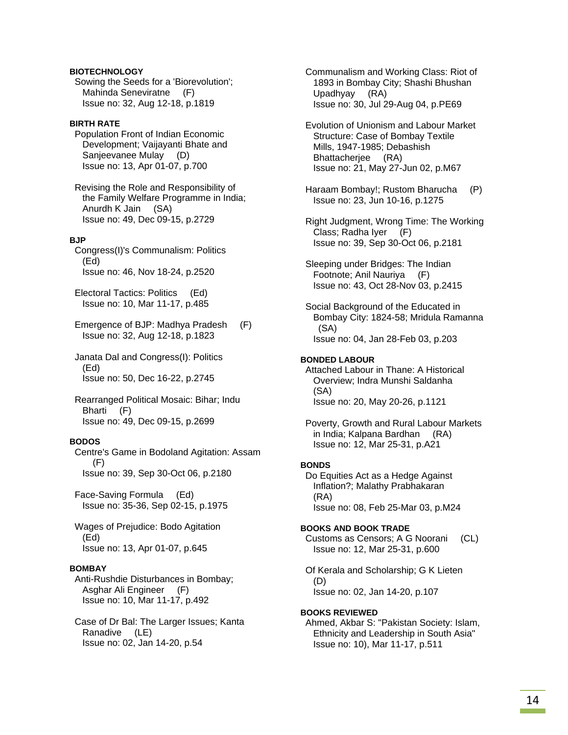### **BIOTECHNOLOGY**

 Sowing the Seeds for a 'Biorevolution'; Mahinda Seneviratne (F) Issue no: 32, Aug 12-18, p.1819

### **BIRTH RATE**

 Population Front of Indian Economic Development; Vaijayanti Bhate and Sanjeevanee Mulay (D) Issue no: 13, Apr 01-07, p.700

 Revising the Role and Responsibility of the Family Welfare Programme in India; Anurdh K Jain (SA) Issue no: 49, Dec 09-15, p.2729

### **BJP**

 Congress(I)'s Communalism: Politics (Ed) Issue no: 46, Nov 18-24, p.2520

 Electoral Tactics: Politics (Ed) Issue no: 10, Mar 11-17, p.485

 Emergence of BJP: Madhya Pradesh (F) Issue no: 32, Aug 12-18, p.1823

 Janata Dal and Congress(I): Politics (Ed) Issue no: 50, Dec 16-22, p.2745

 Rearranged Political Mosaic: Bihar; Indu Bharti (F) Issue no: 49, Dec 09-15, p.2699

### **BODOS**

 Centre's Game in Bodoland Agitation: Assam  $(F)$ Issue no: 39, Sep 30-Oct 06, p.2180

 Face-Saving Formula (Ed) Issue no: 35-36, Sep 02-15, p.1975

 Wages of Prejudice: Bodo Agitation (Ed) Issue no: 13, Apr 01-07, p.645

### **BOMBAY**

 Anti-Rushdie Disturbances in Bombay; Asghar Ali Engineer (F) Issue no: 10, Mar 11-17, p.492

 Case of Dr Bal: The Larger Issues; Kanta Ranadive (LE) Issue no: 02, Jan 14-20, p.54

 Communalism and Working Class: Riot of 1893 in Bombay City; Shashi Bhushan Upadhyay (RA) Issue no: 30, Jul 29-Aug 04, p.PE69

 Evolution of Unionism and Labour Market Structure: Case of Bombay Textile Mills, 1947-1985; Debashish Bhattacherjee (RA) Issue no: 21, May 27-Jun 02, p.M67

 Haraam Bombay!; Rustom Bharucha (P) Issue no: 23, Jun 10-16, p.1275

 Right Judgment, Wrong Time: The Working Class; Radha Iyer (F) Issue no: 39, Sep 30-Oct 06, p.2181

 Sleeping under Bridges: The Indian Footnote; Anil Nauriya (F) Issue no: 43, Oct 28-Nov 03, p.2415

 Social Background of the Educated in Bombay City: 1824-58; Mridula Ramanna (SA) Issue no: 04, Jan 28-Feb 03, p.203

### **BONDED LABOUR**

 Attached Labour in Thane: A Historical Overview; Indra Munshi Saldanha (SA) Issue no: 20, May 20-26, p.1121

 Poverty, Growth and Rural Labour Markets in India; Kalpana Bardhan (RA) Issue no: 12, Mar 25-31, p.A21

#### **BONDS**

 Do Equities Act as a Hedge Against Inflation?; Malathy Prabhakaran (RA) Issue no: 08, Feb 25-Mar 03, p.M24

### **BOOKS AND BOOK TRADE**

 Customs as Censors; A G Noorani (CL) Issue no: 12, Mar 25-31, p.600

 Of Kerala and Scholarship; G K Lieten (D) Issue no: 02, Jan 14-20, p.107

#### **BOOKS REVIEWED**

 Ahmed, Akbar S: "Pakistan Society: Islam, Ethnicity and Leadership in South Asia" Issue no: 10), Mar 11-17, p.511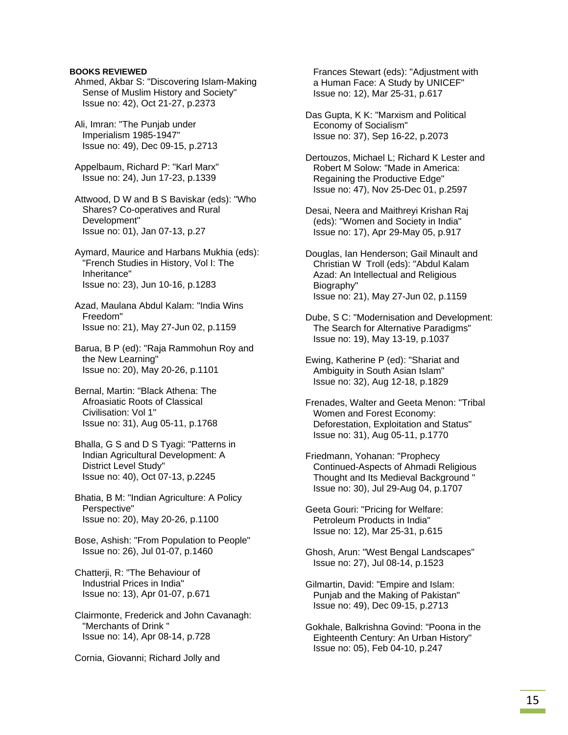Ahmed, Akbar S: "Discovering Islam-Making Sense of Muslim History and Society" Issue no: 42), Oct 21-27, p.2373

 Ali, Imran: "The Punjab under Imperialism 1985-1947" Issue no: 49), Dec 09-15, p.2713

 Appelbaum, Richard P: "Karl Marx" Issue no: 24), Jun 17-23, p.1339

 Attwood, D W and B S Baviskar (eds): "Who Shares? Co-operatives and Rural Development" Issue no: 01), Jan 07-13, p.27

 Aymard, Maurice and Harbans Mukhia (eds): "French Studies in History, Vol I: The Inheritance" Issue no: 23), Jun 10-16, p.1283

 Azad, Maulana Abdul Kalam: "India Wins Freedom" Issue no: 21), May 27-Jun 02, p.1159

 Barua, B P (ed): "Raja Rammohun Roy and the New Learning" Issue no: 20), May 20-26, p.1101

- Bernal, Martin: "Black Athena: The Afroasiatic Roots of Classical Civilisation: Vol 1" Issue no: 31), Aug 05-11, p.1768
- Bhalla, G S and D S Tyagi: "Patterns in Indian Agricultural Development: A District Level Study" Issue no: 40), Oct 07-13, p.2245

 Bhatia, B M: "Indian Agriculture: A Policy Perspective" Issue no: 20), May 20-26, p.1100

 Bose, Ashish: "From Population to People" Issue no: 26), Jul 01-07, p.1460

 Chatterji, R: "The Behaviour of Industrial Prices in India" Issue no: 13), Apr 01-07, p.671

 Clairmonte, Frederick and John Cavanagh: "Merchants of Drink " Issue no: 14), Apr 08-14, p.728

Cornia, Giovanni; Richard Jolly and

 Frances Stewart (eds): "Adjustment with a Human Face: A Study by UNICEF" Issue no: 12), Mar 25-31, p.617

 Das Gupta, K K: "Marxism and Political Economy of Socialism" Issue no: 37), Sep 16-22, p.2073

 Dertouzos, Michael L; Richard K Lester and Robert M Solow: "Made in America: Regaining the Productive Edge" Issue no: 47), Nov 25-Dec 01, p.2597

 Desai, Neera and Maithreyi Krishan Raj (eds): "Women and Society in India" Issue no: 17), Apr 29-May 05, p.917

 Douglas, Ian Henderson; Gail Minault and Christian W Troll (eds): "Abdul Kalam Azad: An Intellectual and Religious Biography" Issue no: 21), May 27-Jun 02, p.1159

 Dube, S C: "Modernisation and Development: The Search for Alternative Paradigms" Issue no: 19), May 13-19, p.1037

 Ewing, Katherine P (ed): "Shariat and Ambiguity in South Asian Islam" Issue no: 32), Aug 12-18, p.1829

 Frenades, Walter and Geeta Menon: "Tribal Women and Forest Economy: Deforestation, Exploitation and Status" Issue no: 31), Aug 05-11, p.1770

 Friedmann, Yohanan: "Prophecy Continued-Aspects of Ahmadi Religious Thought and Its Medieval Background " Issue no: 30), Jul 29-Aug 04, p.1707

 Geeta Gouri: "Pricing for Welfare: Petroleum Products in India" Issue no: 12), Mar 25-31, p.615

 Ghosh, Arun: "West Bengal Landscapes" Issue no: 27), Jul 08-14, p.1523

 Gilmartin, David: "Empire and Islam: Punjab and the Making of Pakistan" Issue no: 49), Dec 09-15, p.2713

 Gokhale, Balkrishna Govind: "Poona in the Eighteenth Century: An Urban History" Issue no: 05), Feb 04-10, p.247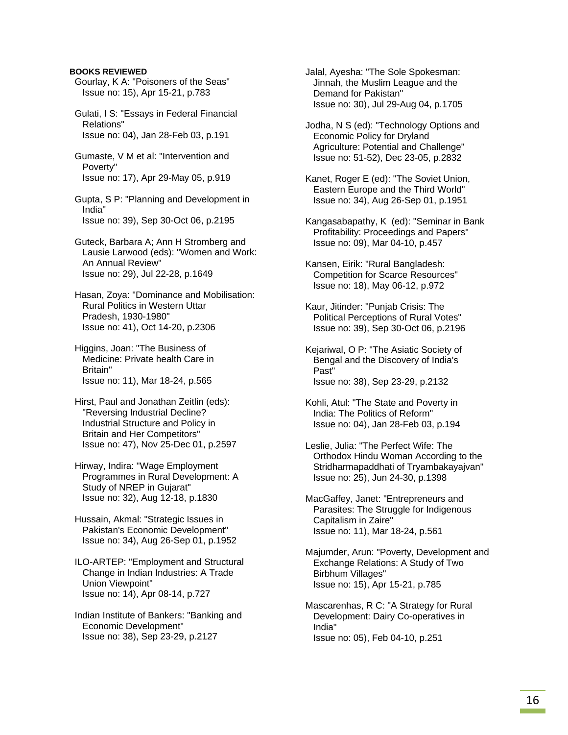Gourlay, K A: "Poisoners of the Seas" Issue no: 15), Apr 15-21, p.783

 Gulati, I S: "Essays in Federal Financial Relations" Issue no: 04), Jan 28-Feb 03, p.191

 Gumaste, V M et al: "Intervention and Poverty" Issue no: 17), Apr 29-May 05, p.919

 Gupta, S P: "Planning and Development in India" Issue no: 39), Sep 30-Oct 06, p.2195

 Guteck, Barbara A; Ann H Stromberg and Lausie Larwood (eds): "Women and Work: An Annual Review" Issue no: 29), Jul 22-28, p.1649

 Hasan, Zoya: "Dominance and Mobilisation: Rural Politics in Western Uttar Pradesh, 1930-1980" Issue no: 41), Oct 14-20, p.2306

 Higgins, Joan: "The Business of Medicine: Private health Care in Britain" Issue no: 11), Mar 18-24, p.565

 Hirst, Paul and Jonathan Zeitlin (eds): "Reversing Industrial Decline? Industrial Structure and Policy in Britain and Her Competitors" Issue no: 47), Nov 25-Dec 01, p.2597

 Hirway, Indira: "Wage Employment Programmes in Rural Development: A Study of NREP in Gujarat" Issue no: 32), Aug 12-18, p.1830

 Hussain, Akmal: "Strategic Issues in Pakistan's Economic Development" Issue no: 34), Aug 26-Sep 01, p.1952

 ILO-ARTEP: "Employment and Structural Change in Indian Industries: A Trade Union Viewpoint" Issue no: 14), Apr 08-14, p.727

 Indian Institute of Bankers: "Banking and Economic Development" Issue no: 38), Sep 23-29, p.2127

 Jalal, Ayesha: "The Sole Spokesman: Jinnah, the Muslim League and the Demand for Pakistan" Issue no: 30), Jul 29-Aug 04, p.1705

 Jodha, N S (ed): "Technology Options and Economic Policy for Dryland Agriculture: Potential and Challenge" Issue no: 51-52), Dec 23-05, p.2832

 Kanet, Roger E (ed): "The Soviet Union, Eastern Europe and the Third World" Issue no: 34), Aug 26-Sep 01, p.1951

 Kangasabapathy, K (ed): "Seminar in Bank Profitability: Proceedings and Papers" Issue no: 09), Mar 04-10, p.457

 Kansen, Eirik: "Rural Bangladesh: Competition for Scarce Resources" Issue no: 18), May 06-12, p.972

 Kaur, Jitinder: "Punjab Crisis: The Political Perceptions of Rural Votes" Issue no: 39), Sep 30-Oct 06, p.2196

 Kejariwal, O P: "The Asiatic Society of Bengal and the Discovery of India's Past" Issue no: 38), Sep 23-29, p.2132

 Kohli, Atul: "The State and Poverty in India: The Politics of Reform" Issue no: 04), Jan 28-Feb 03, p.194

 Leslie, Julia: "The Perfect Wife: The Orthodox Hindu Woman According to the Stridharmapaddhati of Tryambakayajvan" Issue no: 25), Jun 24-30, p.1398

 MacGaffey, Janet: "Entrepreneurs and Parasites: The Struggle for Indigenous Capitalism in Zaire" Issue no: 11), Mar 18-24, p.561

 Majumder, Arun: "Poverty, Development and Exchange Relations: A Study of Two Birbhum Villages" Issue no: 15), Apr 15-21, p.785

 Mascarenhas, R C: "A Strategy for Rural Development: Dairy Co-operatives in India" Issue no: 05), Feb 04-10, p.251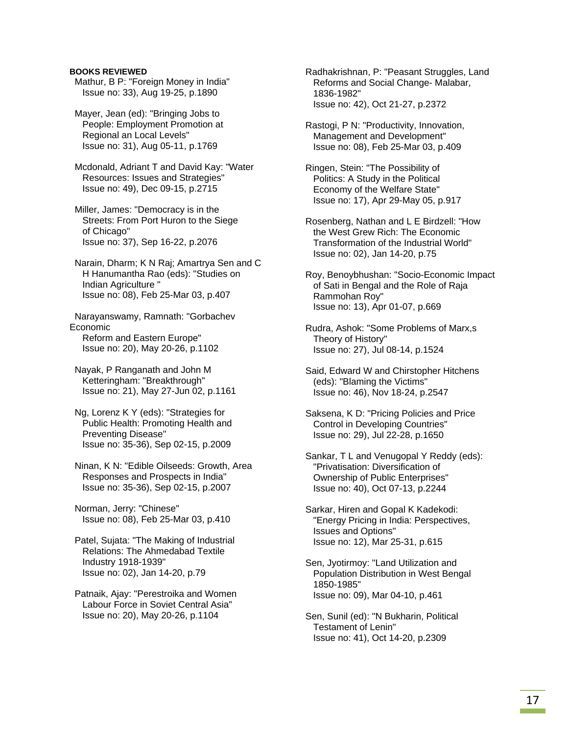- Mathur, B P: "Foreign Money in India" Issue no: 33), Aug 19-25, p.1890
- Mayer, Jean (ed): "Bringing Jobs to People: Employment Promotion at Regional an Local Levels" Issue no: 31), Aug 05-11, p.1769

 Mcdonald, Adriant T and David Kay: "Water Resources: Issues and Strategies" Issue no: 49), Dec 09-15, p.2715

- Miller, James: "Democracy is in the Streets: From Port Huron to the Siege of Chicago" Issue no: 37), Sep 16-22, p.2076
- Narain, Dharm; K N Raj; Amartrya Sen and C H Hanumantha Rao (eds): "Studies on Indian Agriculture " Issue no: 08), Feb 25-Mar 03, p.407

 Narayanswamy, Ramnath: "Gorbachev Economic Reform and Eastern Europe" Issue no: 20), May 20-26, p.1102

 Nayak, P Ranganath and John M Ketteringham: "Breakthrough" Issue no: 21), May 27-Jun 02, p.1161

- Ng, Lorenz K Y (eds): "Strategies for Public Health: Promoting Health and Preventing Disease" Issue no: 35-36), Sep 02-15, p.2009
- Ninan, K N: "Edible Oilseeds: Growth, Area Responses and Prospects in India" Issue no: 35-36), Sep 02-15, p.2007

 Norman, Jerry: "Chinese" Issue no: 08), Feb 25-Mar 03, p.410

- Patel, Sujata: "The Making of Industrial Relations: The Ahmedabad Textile Industry 1918-1939" Issue no: 02), Jan 14-20, p.79
- Patnaik, Ajay: "Perestroika and Women Labour Force in Soviet Central Asia" Issue no: 20), May 20-26, p.1104

 Radhakrishnan, P: "Peasant Struggles, Land Reforms and Social Change- Malabar, 1836-1982" Issue no: 42), Oct 21-27, p.2372

- Rastogi, P N: "Productivity, Innovation, Management and Development" Issue no: 08), Feb 25-Mar 03, p.409
- Ringen, Stein: "The Possibility of Politics: A Study in the Political Economy of the Welfare State" Issue no: 17), Apr 29-May 05, p.917
- Rosenberg, Nathan and L E Birdzell: "How the West Grew Rich: The Economic Transformation of the Industrial World" Issue no: 02), Jan 14-20, p.75
- Roy, Benoybhushan: "Socio-Economic Impact of Sati in Bengal and the Role of Raja Rammohan Roy" Issue no: 13), Apr 01-07, p.669
- Rudra, Ashok: "Some Problems of Marx,s Theory of History" Issue no: 27), Jul 08-14, p.1524
- Said, Edward W and Chirstopher Hitchens (eds): "Blaming the Victims" Issue no: 46), Nov 18-24, p.2547
- Saksena, K D: "Pricing Policies and Price Control in Developing Countries" Issue no: 29), Jul 22-28, p.1650
- Sankar, T L and Venugopal Y Reddy (eds): "Privatisation: Diversification of Ownership of Public Enterprises" Issue no: 40), Oct 07-13, p.2244
- Sarkar, Hiren and Gopal K Kadekodi: "Energy Pricing in India: Perspectives, Issues and Options" Issue no: 12), Mar 25-31, p.615
- Sen, Jyotirmoy: "Land Utilization and Population Distribution in West Bengal 1850-1985" Issue no: 09), Mar 04-10, p.461
- Sen, Sunil (ed): "N Bukharin, Political Testament of Lenin" Issue no: 41), Oct 14-20, p.2309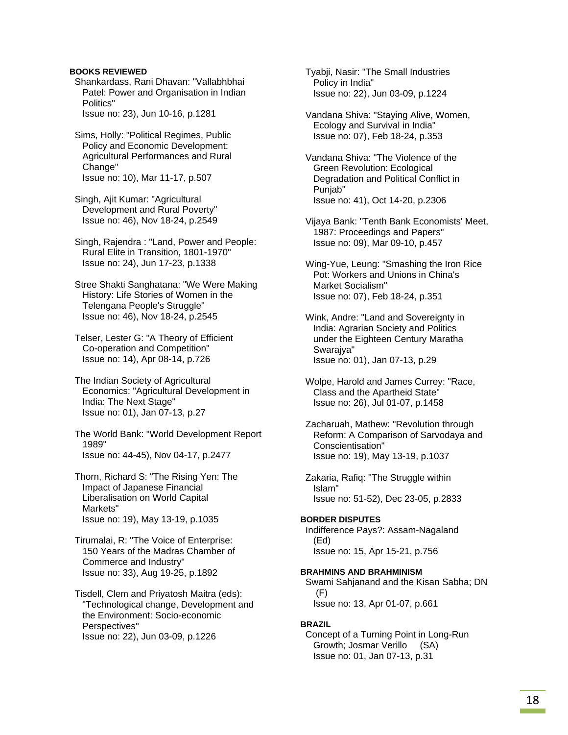Shankardass, Rani Dhavan: "Vallabhbhai Patel: Power and Organisation in Indian Politics" Issue no: 23), Jun 10-16, p.1281

 Sims, Holly: "Political Regimes, Public Policy and Economic Development: Agricultural Performances and Rural Change" Issue no: 10), Mar 11-17, p.507

 Singh, Ajit Kumar: "Agricultural Development and Rural Poverty" Issue no: 46), Nov 18-24, p.2549

 Singh, Rajendra : "Land, Power and People: Rural Elite in Transition, 1801-1970" Issue no: 24), Jun 17-23, p.1338

 Stree Shakti Sanghatana: "We Were Making History: Life Stories of Women in the Telengana People's Struggle" Issue no: 46), Nov 18-24, p.2545

 Telser, Lester G: "A Theory of Efficient Co-operation and Competition" Issue no: 14), Apr 08-14, p.726

 The Indian Society of Agricultural Economics: "Agricultural Development in India: The Next Stage" Issue no: 01), Jan 07-13, p.27

 The World Bank: "World Development Report 1989" Issue no: 44-45), Nov 04-17, p.2477

 Thorn, Richard S: "The Rising Yen: The Impact of Japanese Financial Liberalisation on World Capital Markets" Issue no: 19), May 13-19, p.1035

 Tirumalai, R: "The Voice of Enterprise: 150 Years of the Madras Chamber of Commerce and Industry" Issue no: 33), Aug 19-25, p.1892

 Tisdell, Clem and Priyatosh Maitra (eds): "Technological change, Development and the Environment: Socio-economic Perspectives" Issue no: 22), Jun 03-09, p.1226

 Tyabji, Nasir: "The Small Industries Policy in India" Issue no: 22), Jun 03-09, p.1224

 Vandana Shiva: "Staying Alive, Women, Ecology and Survival in India" Issue no: 07), Feb 18-24, p.353

 Vandana Shiva: "The Violence of the Green Revolution: Ecological Degradation and Political Conflict in Punjab" Issue no: 41), Oct 14-20, p.2306

 Vijaya Bank: "Tenth Bank Economists' Meet, 1987: Proceedings and Papers" Issue no: 09), Mar 09-10, p.457

 Wing-Yue, Leung: "Smashing the Iron Rice Pot: Workers and Unions in China's Market Socialism" Issue no: 07), Feb 18-24, p.351

 Wink, Andre: "Land and Sovereignty in India: Agrarian Society and Politics under the Eighteen Century Maratha Swarajya" Issue no: 01), Jan 07-13, p.29

 Wolpe, Harold and James Currey: "Race, Class and the Apartheid State" Issue no: 26), Jul 01-07, p.1458

 Zacharuah, Mathew: "Revolution through Reform: A Comparison of Sarvodaya and Conscientisation" Issue no: 19), May 13-19, p.1037

 Zakaria, Rafiq: "The Struggle within Islam" Issue no: 51-52), Dec 23-05, p.2833

#### **BORDER DISPUTES**

 Indifference Pays?: Assam-Nagaland (Ed) Issue no: 15, Apr 15-21, p.756

#### **BRAHMINS AND BRAHMINISM**

 Swami Sahjanand and the Kisan Sabha; DN (F) Issue no: 13, Apr 01-07, p.661

#### **BRAZIL**

 Concept of a Turning Point in Long-Run Growth; Josmar Verillo (SA) Issue no: 01, Jan 07-13, p.31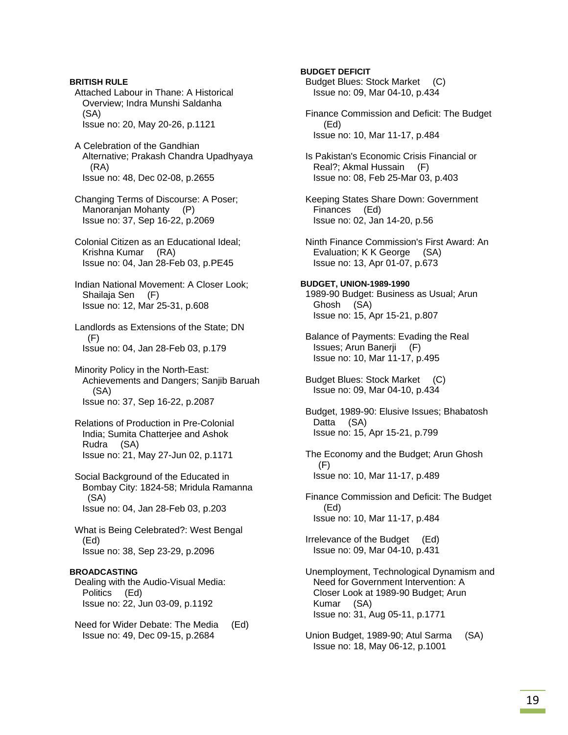**BRITISH RULE**  Attached Labour in Thane: A Historical Overview; Indra Munshi Saldanha (SA) Issue no: 20, May 20-26, p.1121 A Celebration of the Gandhian Alternative; Prakash Chandra Upadhyaya (RA) Issue no: 48, Dec 02-08, p.2655 Changing Terms of Discourse: A Poser; Manoranjan Mohanty (P) Issue no: 37, Sep 16-22, p.2069 Colonial Citizen as an Educational Ideal; Krishna Kumar (RA) Issue no: 04, Jan 28-Feb 03, p.PE45 Indian National Movement: A Closer Look; Shailaja Sen (F) Issue no: 12, Mar 25-31, p.608 Landlords as Extensions of the State; DN (F) Issue no: 04, Jan 28-Feb 03, p.179 Minority Policy in the North-East: Achievements and Dangers; Sanjib Baruah (SA) Issue no: 37, Sep 16-22, p.2087 Relations of Production in Pre-Colonial India; Sumita Chatterjee and Ashok Rudra (SA) Issue no: 21, May 27-Jun 02, p.1171 Social Background of the Educated in Bombay City: 1824-58; Mridula Ramanna (SA) Issue no: 04, Jan 28-Feb 03, p.203 What is Being Celebrated?: West Bengal (Ed) Issue no: 38, Sep 23-29, p.2096 **BROADCASTING**  Dealing with the Audio-Visual Media: Politics (Ed) Issue no: 22, Jun 03-09, p.1192 Need for Wider Debate: The Media (Ed)

Issue no: 49, Dec 09-15, p.2684

**BUDGET DEFICIT**  Budget Blues: Stock Market (C) Issue no: 09, Mar 04-10, p.434 Finance Commission and Deficit: The Budget (Ed) Issue no: 10, Mar 11-17, p.484 Is Pakistan's Economic Crisis Financial or Real?; Akmal Hussain (F) Issue no: 08, Feb 25-Mar 03, p.403 Keeping States Share Down: Government Finances (Ed) Issue no: 02, Jan 14-20, p.56 Ninth Finance Commission's First Award: An Evaluation; K K George (SA) Issue no: 13, Apr 01-07, p.673 **BUDGET, UNION-1989-1990**  1989-90 Budget: Business as Usual; Arun Ghosh (SA) Issue no: 15, Apr 15-21, p.807 Balance of Payments: Evading the Real Issues; Arun Banerji (F) Issue no: 10, Mar 11-17, p.495 Budget Blues: Stock Market (C) Issue no: 09, Mar 04-10, p.434 Budget, 1989-90: Elusive Issues; Bhabatosh Datta (SA) Issue no: 15, Apr 15-21, p.799 The Economy and the Budget; Arun Ghosh (F) Issue no: 10, Mar 11-17, p.489 Finance Commission and Deficit: The Budget (Ed) Issue no: 10, Mar 11-17, p.484 Irrelevance of the Budget (Ed) Issue no: 09, Mar 04-10, p.431 Unemployment, Technological Dynamism and

 Need for Government Intervention: A Closer Look at 1989-90 Budget; Arun Kumar (SA) Issue no: 31, Aug 05-11, p.1771

 Union Budget, 1989-90; Atul Sarma (SA) Issue no: 18, May 06-12, p.1001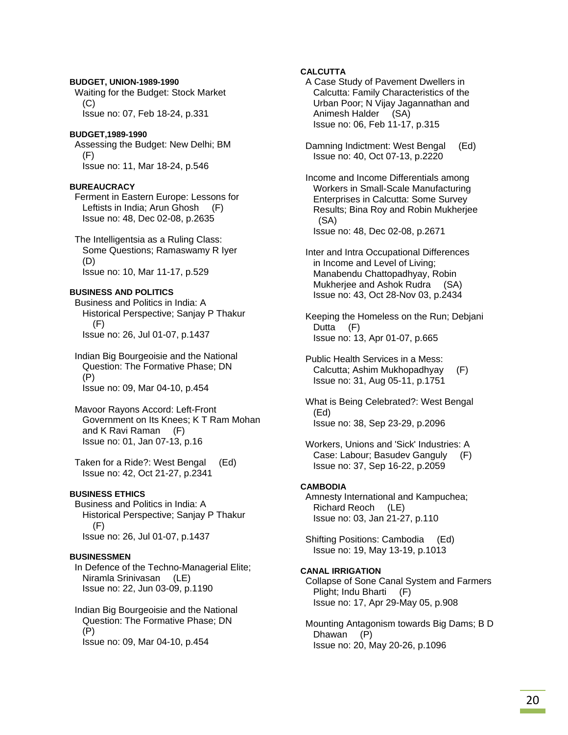## **BUDGET, UNION-1989-1990**  Waiting for the Budget: Stock Market (C) Issue no: 07, Feb 18-24, p.331

### **BUDGET,1989-1990**

 Assessing the Budget: New Delhi; BM (F) Issue no: 11, Mar 18-24, p.546

### **BUREAUCRACY**

 Ferment in Eastern Europe: Lessons for Leftists in India; Arun Ghosh (F) Issue no: 48, Dec 02-08, p.2635

 The Intelligentsia as a Ruling Class: Some Questions; Ramaswamy R Iyer (D) Issue no: 10, Mar 11-17, p.529

### **BUSINESS AND POLITICS**

 Business and Politics in India: A Historical Perspective; Sanjay P Thakur (F) Issue no: 26, Jul 01-07, p.1437

 Indian Big Bourgeoisie and the National Question: The Formative Phase; DN (P) Issue no: 09, Mar 04-10, p.454

 Mavoor Rayons Accord: Left-Front Government on Its Knees; K T Ram Mohan and K Ravi Raman (F) Issue no: 01, Jan 07-13, p.16

 Taken for a Ride?: West Bengal (Ed) Issue no: 42, Oct 21-27, p.2341

### **BUSINESS ETHICS**

 Business and Politics in India: A Historical Perspective; Sanjay P Thakur (F) Issue no: 26, Jul 01-07, p.1437

### **BUSINESSMEN**

 In Defence of the Techno-Managerial Elite; Niramla Srinivasan (LE) Issue no: 22, Jun 03-09, p.1190

 Indian Big Bourgeoisie and the National Question: The Formative Phase; DN (P) Issue no: 09, Mar 04-10, p.454

### **CALCUTTA**

 A Case Study of Pavement Dwellers in Calcutta: Family Characteristics of the Urban Poor; N Vijay Jagannathan and Animesh Halder (SA) Issue no: 06, Feb 11-17, p.315

 Damning Indictment: West Bengal (Ed) Issue no: 40, Oct 07-13, p.2220

 Income and Income Differentials among Workers in Small-Scale Manufacturing Enterprises in Calcutta: Some Survey Results; Bina Roy and Robin Mukherjee (SA) Issue no: 48, Dec 02-08, p.2671

 Inter and Intra Occupational Differences in Income and Level of Living; Manabendu Chattopadhyay, Robin Mukherjee and Ashok Rudra (SA) Issue no: 43, Oct 28-Nov 03, p.2434

 Keeping the Homeless on the Run; Debjani Dutta (F) Issue no: 13, Apr 01-07, p.665

- Public Health Services in a Mess: Calcutta; Ashim Mukhopadhyay (F) Issue no: 31, Aug 05-11, p.1751
- What is Being Celebrated?: West Bengal (Ed) Issue no: 38, Sep 23-29, p.2096
- Workers, Unions and 'Sick' Industries: A Case: Labour; Basudev Ganguly (F) Issue no: 37, Sep 16-22, p.2059

#### **CAMBODIA**

 Amnesty International and Kampuchea; Richard Reoch (LE) Issue no: 03, Jan 21-27, p.110

 Shifting Positions: Cambodia (Ed) Issue no: 19, May 13-19, p.1013

### **CANAL IRRIGATION**

 Collapse of Sone Canal System and Farmers Plight; Indu Bharti (F) Issue no: 17, Apr 29-May 05, p.908

 Mounting Antagonism towards Big Dams; B D Dhawan (P) Issue no: 20, May 20-26, p.1096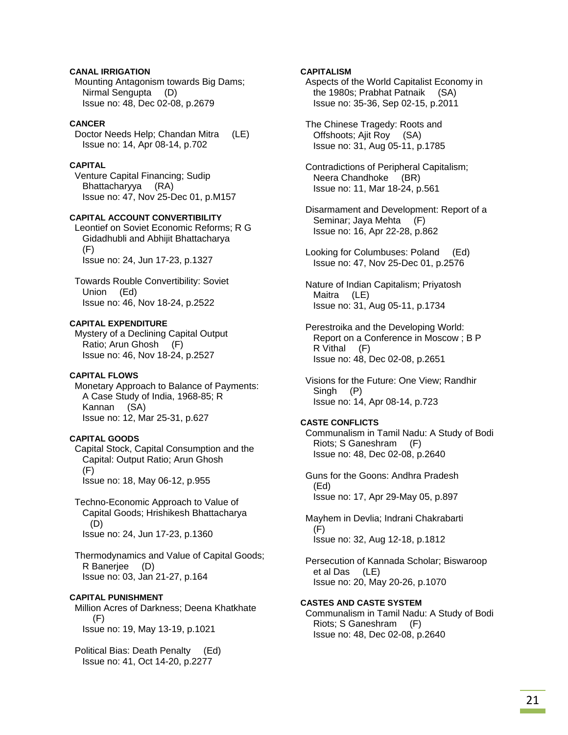### **CANAL IRRIGATION**

 Mounting Antagonism towards Big Dams; Nirmal Sengupta (D) Issue no: 48, Dec 02-08, p.2679

### **CANCER**

 Doctor Needs Help; Chandan Mitra (LE) Issue no: 14, Apr 08-14, p.702

### **CAPITAL**

 Venture Capital Financing; Sudip Bhattacharyya (RA) Issue no: 47, Nov 25-Dec 01, p.M157

### **CAPITAL ACCOUNT CONVERTIBILITY**

 Leontief on Soviet Economic Reforms; R G Gidadhubli and Abhijit Bhattacharya (F) Issue no: 24, Jun 17-23, p.1327

 Towards Rouble Convertibility: Soviet Union (Ed) Issue no: 46, Nov 18-24, p.2522

### **CAPITAL EXPENDITURE**

 Mystery of a Declining Capital Output Ratio; Arun Ghosh (F) Issue no: 46, Nov 18-24, p.2527

#### **CAPITAL FLOWS**

 Monetary Approach to Balance of Payments: A Case Study of India, 1968-85; R Kannan (SA) Issue no: 12, Mar 25-31, p.627

### **CAPITAL GOODS**

 Capital Stock, Capital Consumption and the Capital: Output Ratio; Arun Ghosh (F) Issue no: 18, May 06-12, p.955

 Techno-Economic Approach to Value of Capital Goods; Hrishikesh Bhattacharya (D) Issue no: 24, Jun 17-23, p.1360

 Thermodynamics and Value of Capital Goods; R Banerjee (D) Issue no: 03, Jan 21-27, p.164

### **CAPITAL PUNISHMENT**

 Million Acres of Darkness; Deena Khatkhate (F) Issue no: 19, May 13-19, p.1021

 Political Bias: Death Penalty (Ed) Issue no: 41, Oct 14-20, p.2277

### **CAPITALISM**

 Aspects of the World Capitalist Economy in the 1980s; Prabhat Patnaik (SA) Issue no: 35-36, Sep 02-15, p.2011

 The Chinese Tragedy: Roots and Offshoots; Ajit Roy (SA) Issue no: 31, Aug 05-11, p.1785

 Contradictions of Peripheral Capitalism; Neera Chandhoke (BR) Issue no: 11, Mar 18-24, p.561

 Disarmament and Development: Report of a Seminar; Jaya Mehta (F) Issue no: 16, Apr 22-28, p.862

 Looking for Columbuses: Poland (Ed) Issue no: 47, Nov 25-Dec 01, p.2576

 Nature of Indian Capitalism; Priyatosh Maitra (LE) Issue no: 31, Aug 05-11, p.1734

 Perestroika and the Developing World: Report on a Conference in Moscow ; B P R Vithal (F) Issue no: 48, Dec 02-08, p.2651

 Visions for the Future: One View; Randhir Singh (P) Issue no: 14, Apr 08-14, p.723

#### **CASTE CONFLICTS**

 Communalism in Tamil Nadu: A Study of Bodi Riots; S Ganeshram (F) Issue no: 48, Dec 02-08, p.2640

 Guns for the Goons: Andhra Pradesh (Ed) Issue no: 17, Apr 29-May 05, p.897

 Mayhem in Devlia; Indrani Chakrabarti (F) Issue no: 32, Aug 12-18, p.1812

 Persecution of Kannada Scholar; Biswaroop et al Das (LE) Issue no: 20, May 20-26, p.1070

### **CASTES AND CASTE SYSTEM**

 Communalism in Tamil Nadu: A Study of Bodi Riots; S Ganeshram (F) Issue no: 48, Dec 02-08, p.2640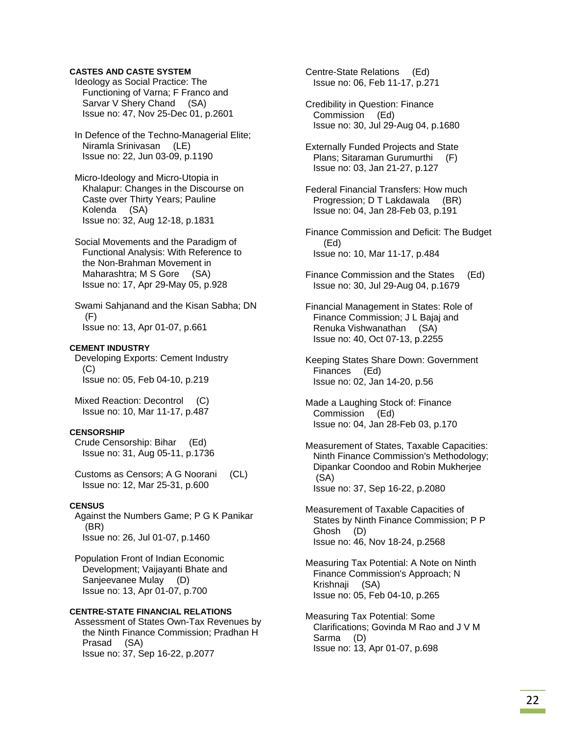### **CASTES AND CASTE SYSTEM**

 Ideology as Social Practice: The Functioning of Varna; F Franco and Sarvar V Shery Chand (SA) Issue no: 47, Nov 25-Dec 01, p.2601

 In Defence of the Techno-Managerial Elite; Niramla Srinivasan (LE) Issue no: 22, Jun 03-09, p.1190

 Micro-Ideology and Micro-Utopia in Khalapur: Changes in the Discourse on Caste over Thirty Years; Pauline Kolenda (SA) Issue no: 32, Aug 12-18, p.1831

 Social Movements and the Paradigm of Functional Analysis: With Reference to the Non-Brahman Movement in Maharashtra; M S Gore (SA) Issue no: 17, Apr 29-May 05, p.928

 Swami Sahjanand and the Kisan Sabha; DN  $(F)$ Issue no: 13, Apr 01-07, p.661

#### **CEMENT INDUSTRY**

 Developing Exports: Cement Industry (C) Issue no: 05, Feb 04-10, p.219

 Mixed Reaction: Decontrol (C) Issue no: 10, Mar 11-17, p.487

#### **CENSORSHIP**

 Crude Censorship: Bihar (Ed) Issue no: 31, Aug 05-11, p.1736

 Customs as Censors; A G Noorani (CL) Issue no: 12, Mar 25-31, p.600

### **CENSUS**

 Against the Numbers Game; P G K Panikar (BR) Issue no: 26, Jul 01-07, p.1460

 Population Front of Indian Economic Development; Vaijayanti Bhate and Sanjeevanee Mulay (D) Issue no: 13, Apr 01-07, p.700

### **CENTRE-STATE FINANCIAL RELATIONS**

 Assessment of States Own-Tax Revenues by the Ninth Finance Commission; Pradhan H Prasad (SA) Issue no: 37, Sep 16-22, p.2077

 Centre-State Relations (Ed) Issue no: 06, Feb 11-17, p.271

 Credibility in Question: Finance Commission (Ed) Issue no: 30, Jul 29-Aug 04, p.1680

 Externally Funded Projects and State Plans; Sitaraman Gurumurthi (F) Issue no: 03, Jan 21-27, p.127

 Federal Financial Transfers: How much Progression; D T Lakdawala (BR) Issue no: 04, Jan 28-Feb 03, p.191

 Finance Commission and Deficit: The Budget (Ed) Issue no: 10, Mar 11-17, p.484

- Finance Commission and the States (Ed) Issue no: 30, Jul 29-Aug 04, p.1679
- Financial Management in States: Role of Finance Commission; J L Bajaj and Renuka Vishwanathan (SA) Issue no: 40, Oct 07-13, p.2255

 Keeping States Share Down: Government Finances (Ed) Issue no: 02, Jan 14-20, p.56

- Made a Laughing Stock of: Finance Commission (Ed) Issue no: 04, Jan 28-Feb 03, p.170
- Measurement of States, Taxable Capacities: Ninth Finance Commission's Methodology; Dipankar Coondoo and Robin Mukherjee (SA) Issue no: 37, Sep 16-22, p.2080
- Measurement of Taxable Capacities of States by Ninth Finance Commission; P P Ghosh (D) Issue no: 46, Nov 18-24, p.2568

 Measuring Tax Potential: A Note on Ninth Finance Commission's Approach; N Krishnaji (SA) Issue no: 05, Feb 04-10, p.265

 Measuring Tax Potential: Some Clarifications; Govinda M Rao and J V M Sarma (D) Issue no: 13, Apr 01-07, p.698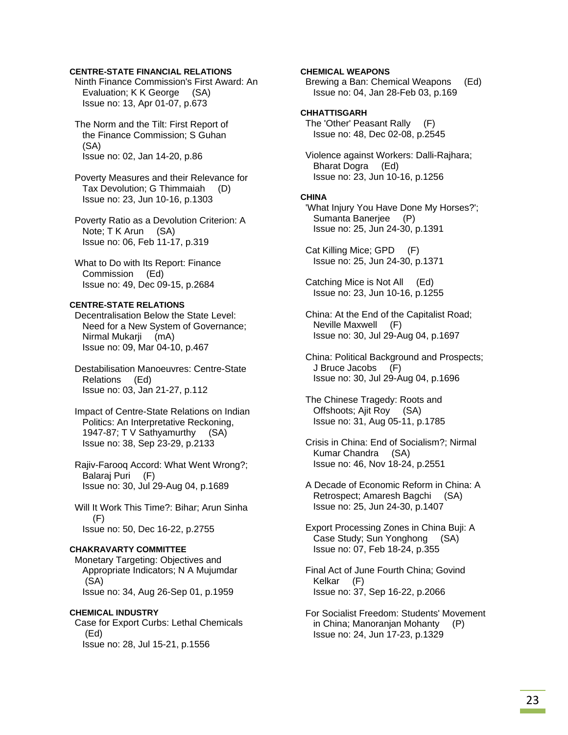### **CENTRE-STATE FINANCIAL RELATIONS**

 Ninth Finance Commission's First Award: An Evaluation; K K George (SA) Issue no: 13, Apr 01-07, p.673

 The Norm and the Tilt: First Report of the Finance Commission; S Guhan (SA) Issue no: 02, Jan 14-20, p.86

 Poverty Measures and their Relevance for Tax Devolution; G Thimmaiah (D) Issue no: 23, Jun 10-16, p.1303

 Poverty Ratio as a Devolution Criterion: A Note; T K Arun (SA) Issue no: 06, Feb 11-17, p.319

 What to Do with Its Report: Finance Commission (Ed) Issue no: 49, Dec 09-15, p.2684

### **CENTRE-STATE RELATIONS**

 Decentralisation Below the State Level: Need for a New System of Governance; Nirmal Mukarji (mA) Issue no: 09, Mar 04-10, p.467

 Destabilisation Manoeuvres: Centre-State Relations (Ed) Issue no: 03, Jan 21-27, p.112

 Impact of Centre-State Relations on Indian Politics: An Interpretative Reckoning, 1947-87; T V Sathyamurthy (SA) Issue no: 38, Sep 23-29, p.2133

 Rajiv-Farooq Accord: What Went Wrong?; Balaraj Puri (F) Issue no: 30, Jul 29-Aug 04, p.1689

 Will It Work This Time?: Bihar; Arun Sinha (F) Issue no: 50, Dec 16-22, p.2755

#### **CHAKRAVARTY COMMITTEE**

 Monetary Targeting: Objectives and Appropriate Indicators; N A Mujumdar (SA) Issue no: 34, Aug 26-Sep 01, p.1959

#### **CHEMICAL INDUSTRY**

 Case for Export Curbs: Lethal Chemicals (Ed) Issue no: 28, Jul 15-21, p.1556

### **CHEMICAL WEAPONS**

 Brewing a Ban: Chemical Weapons (Ed) Issue no: 04, Jan 28-Feb 03, p.169

### **CHHATTISGARH**

 The 'Other' Peasant Rally (F) Issue no: 48, Dec 02-08, p.2545

 Violence against Workers: Dalli-Rajhara; Bharat Dogra (Ed) Issue no: 23, Jun 10-16, p.1256

### **CHINA**

 'What Injury You Have Done My Horses?'; Sumanta Banerjee (P) Issue no: 25, Jun 24-30, p.1391

 Cat Killing Mice; GPD (F) Issue no: 25, Jun 24-30, p.1371

 Catching Mice is Not All (Ed) Issue no: 23, Jun 10-16, p.1255

 China: At the End of the Capitalist Road; Neville Maxwell (F) Issue no: 30, Jul 29-Aug 04, p.1697

 China: Political Background and Prospects; J Bruce Jacobs (F) Issue no: 30, Jul 29-Aug 04, p.1696

 The Chinese Tragedy: Roots and Offshoots; Ajit Roy (SA) Issue no: 31, Aug 05-11, p.1785

 Crisis in China: End of Socialism?; Nirmal Kumar Chandra (SA) Issue no: 46, Nov 18-24, p.2551

 A Decade of Economic Reform in China: A Retrospect; Amaresh Bagchi (SA) Issue no: 25, Jun 24-30, p.1407

 Export Processing Zones in China Buji: A Case Study; Sun Yonghong (SA) Issue no: 07, Feb 18-24, p.355

 Final Act of June Fourth China; Govind Kelkar (F) Issue no: 37, Sep 16-22, p.2066

 For Socialist Freedom: Students' Movement in China; Manoranjan Mohanty (P) Issue no: 24, Jun 17-23, p.1329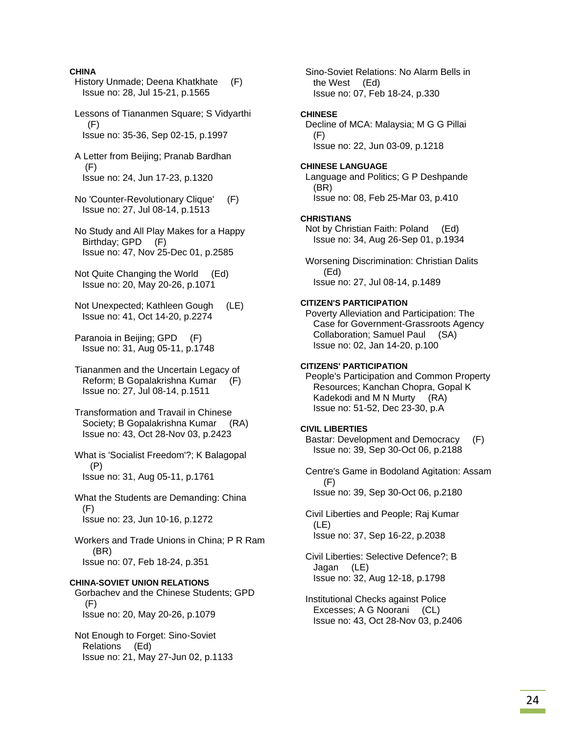### **CHINA**

 History Unmade; Deena Khatkhate (F) Issue no: 28, Jul 15-21, p.1565

 Lessons of Tiananmen Square; S Vidyarthi  $(F)$ Issue no: 35-36, Sep 02-15, p.1997

 A Letter from Beijing; Pranab Bardhan (F) Issue no: 24, Jun 17-23, p.1320

 No 'Counter-Revolutionary Clique' (F) Issue no: 27, Jul 08-14, p.1513

 No Study and All Play Makes for a Happy Birthday; GPD (F) Issue no: 47, Nov 25-Dec 01, p.2585

 Not Quite Changing the World (Ed) Issue no: 20, May 20-26, p.1071

 Not Unexpected; Kathleen Gough (LE) Issue no: 41, Oct 14-20, p.2274

 Paranoia in Beijing; GPD (F) Issue no: 31, Aug 05-11, p.1748

 Tiananmen and the Uncertain Legacy of Reform; B Gopalakrishna Kumar (F) Issue no: 27, Jul 08-14, p.1511

 Transformation and Travail in Chinese Society; B Gopalakrishna Kumar (RA) Issue no: 43, Oct 28-Nov 03, p.2423

 What is 'Socialist Freedom'?; K Balagopal (P) Issue no: 31, Aug 05-11, p.1761

 What the Students are Demanding: China (F) Issue no: 23, Jun 10-16, p.1272

 Workers and Trade Unions in China; P R Ram (BR) Issue no: 07, Feb 18-24, p.351

### **CHINA-SOVIET UNION RELATIONS**

 Gorbachev and the Chinese Students; GPD (F) Issue no: 20, May 20-26, p.1079

 Not Enough to Forget: Sino-Soviet Relations (Ed) Issue no: 21, May 27-Jun 02, p.1133  Sino-Soviet Relations: No Alarm Bells in the West (Ed) Issue no: 07, Feb 18-24, p.330

#### **CHINESE**

 Decline of MCA: Malaysia; M G G Pillai (F) Issue no: 22, Jun 03-09, p.1218

#### **CHINESE LANGUAGE**

 Language and Politics; G P Deshpande (BR) Issue no: 08, Feb 25-Mar 03, p.410

### **CHRISTIANS**

 Not by Christian Faith: Poland (Ed) Issue no: 34, Aug 26-Sep 01, p.1934

 Worsening Discrimination: Christian Dalits (Ed) Issue no: 27, Jul 08-14, p.1489

### **CITIZEN'S PARTICIPATION**

 Poverty Alleviation and Participation: The Case for Government-Grassroots Agency Collaboration; Samuel Paul (SA) Issue no: 02, Jan 14-20, p.100

#### **CITIZENS' PARTICIPATION**

 People's Participation and Common Property Resources; Kanchan Chopra, Gopal K Kadekodi and M N Murty (RA) Issue no: 51-52, Dec 23-30, p.A

### **CIVIL LIBERTIES**

 Bastar: Development and Democracy (F) Issue no: 39, Sep 30-Oct 06, p.2188

 Centre's Game in Bodoland Agitation: Assam (F) Issue no: 39, Sep 30-Oct 06, p.2180

 Civil Liberties and People; Raj Kumar (LE) Issue no: 37, Sep 16-22, p.2038

 Civil Liberties: Selective Defence?; B Jagan (LE) Issue no: 32, Aug 12-18, p.1798

 Institutional Checks against Police Excesses; A G Noorani (CL) Issue no: 43, Oct 28-Nov 03, p.2406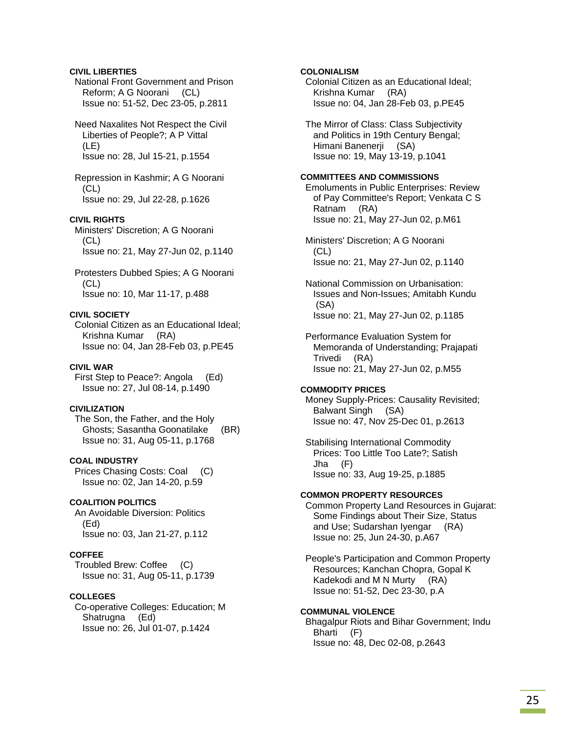### **CIVIL LIBERTIES**

 National Front Government and Prison Reform; A G Noorani (CL) Issue no: 51-52, Dec 23-05, p.2811

 Need Naxalites Not Respect the Civil Liberties of People?; A P Vittal (LE) Issue no: 28, Jul 15-21, p.1554

 Repression in Kashmir; A G Noorani (CL) Issue no: 29, Jul 22-28, p.1626

### **CIVIL RIGHTS**

 Ministers' Discretion; A G Noorani (CL) Issue no: 21, May 27-Jun 02, p.1140

 Protesters Dubbed Spies; A G Noorani (CL) Issue no: 10, Mar 11-17, p.488

#### **CIVIL SOCIETY**

 Colonial Citizen as an Educational Ideal; Krishna Kumar (RA) Issue no: 04, Jan 28-Feb 03, p.PE45

### **CIVIL WAR**

 First Step to Peace?: Angola (Ed) Issue no: 27, Jul 08-14, p.1490

### **CIVILIZATION**

 The Son, the Father, and the Holy Ghosts; Sasantha Goonatilake (BR) Issue no: 31, Aug 05-11, p.1768

### **COAL INDUSTRY**

 Prices Chasing Costs: Coal (C) Issue no: 02, Jan 14-20, p.59

### **COALITION POLITICS**

 An Avoidable Diversion: Politics (Ed) Issue no: 03, Jan 21-27, p.112

### **COFFEE**

 Troubled Brew: Coffee (C) Issue no: 31, Aug 05-11, p.1739

### **COLLEGES**

 Co-operative Colleges: Education; M Shatrugna (Ed) Issue no: 26, Jul 01-07, p.1424

### **COLONIALISM**

 Colonial Citizen as an Educational Ideal; Krishna Kumar (RA) Issue no: 04, Jan 28-Feb 03, p.PE45

 The Mirror of Class: Class Subjectivity and Politics in 19th Century Bengal; Himani Banenerji (SA) Issue no: 19, May 13-19, p.1041

### **COMMITTEES AND COMMISSIONS**

 Emoluments in Public Enterprises: Review of Pay Committee's Report; Venkata C S Ratnam (RA) Issue no: 21, May 27-Jun 02, p.M61

 Ministers' Discretion; A G Noorani  $(CL)$ Issue no: 21, May 27-Jun 02, p.1140

 National Commission on Urbanisation: Issues and Non-Issues; Amitabh Kundu (SA) Issue no: 21, May 27-Jun 02, p.1185

 Performance Evaluation System for Memoranda of Understanding; Prajapati Trivedi (RA) Issue no: 21, May 27-Jun 02, p.M55

#### **COMMODITY PRICES**

 Money Supply-Prices: Causality Revisited; Balwant Singh (SA) Issue no: 47, Nov 25-Dec 01, p.2613

 Stabilising International Commodity Prices: Too Little Too Late?; Satish Jha (F) Issue no: 33, Aug 19-25, p.1885

### **COMMON PROPERTY RESOURCES**

 Common Property Land Resources in Gujarat: Some Findings about Their Size, Status and Use; Sudarshan Iyengar (RA) Issue no: 25, Jun 24-30, p.A67

 People's Participation and Common Property Resources; Kanchan Chopra, Gopal K Kadekodi and M N Murty (RA) Issue no: 51-52, Dec 23-30, p.A

### **COMMUNAL VIOLENCE**

 Bhagalpur Riots and Bihar Government; Indu Bharti (F) Issue no: 48, Dec 02-08, p.2643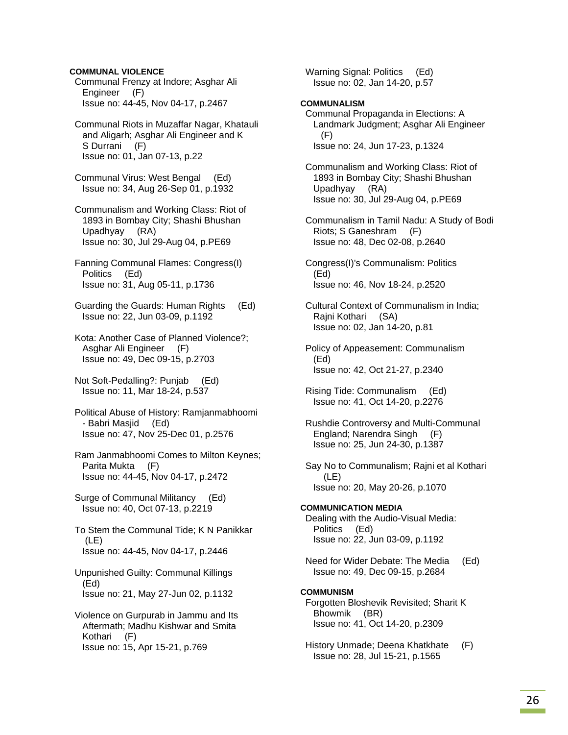### **COMMUNAL VIOLENCE**

- Communal Frenzy at Indore; Asghar Ali Engineer (F) Issue no: 44-45, Nov 04-17, p.2467
- Communal Riots in Muzaffar Nagar, Khatauli and Aligarh; Asghar Ali Engineer and K S Durrani (F) Issue no: 01, Jan 07-13, p.22
- Communal Virus: West Bengal (Ed) Issue no: 34, Aug 26-Sep 01, p.1932
- Communalism and Working Class: Riot of 1893 in Bombay City; Shashi Bhushan Upadhyay (RA) Issue no: 30, Jul 29-Aug 04, p.PE69
- Fanning Communal Flames: Congress(I) Politics (Ed) Issue no: 31, Aug 05-11, p.1736
- Guarding the Guards: Human Rights (Ed) Issue no: 22, Jun 03-09, p.1192
- Kota: Another Case of Planned Violence?; Asghar Ali Engineer (F) Issue no: 49, Dec 09-15, p.2703
- Not Soft-Pedalling?: Punjab (Ed) Issue no: 11, Mar 18-24, p.537
- Political Abuse of History: Ramjanmabhoomi - Babri Masjid (Ed) Issue no: 47, Nov 25-Dec 01, p.2576
- Ram Janmabhoomi Comes to Milton Keynes; Parita Mukta (F) Issue no: 44-45, Nov 04-17, p.2472
- Surge of Communal Militancy (Ed) Issue no: 40, Oct 07-13, p.2219
- To Stem the Communal Tide; K N Panikkar (LE) Issue no: 44-45, Nov 04-17, p.2446
- Unpunished Guilty: Communal Killings (Ed) Issue no: 21, May 27-Jun 02, p.1132
- Violence on Gurpurab in Jammu and Its Aftermath; Madhu Kishwar and Smita Kothari (F) Issue no: 15, Apr 15-21, p.769

 Warning Signal: Politics (Ed) Issue no: 02, Jan 14-20, p.57

### **COMMUNALISM**

- Communal Propaganda in Elections: A Landmark Judgment; Asghar Ali Engineer (F) Issue no: 24, Jun 17-23, p.1324
- Communalism and Working Class: Riot of 1893 in Bombay City; Shashi Bhushan Upadhyay (RA) Issue no: 30, Jul 29-Aug 04, p.PE69
- Communalism in Tamil Nadu: A Study of Bodi Riots; S Ganeshram (F) Issue no: 48, Dec 02-08, p.2640
- Congress(I)'s Communalism: Politics (Ed) Issue no: 46, Nov 18-24, p.2520
- Cultural Context of Communalism in India; Rajni Kothari (SA) Issue no: 02, Jan 14-20, p.81
- Policy of Appeasement: Communalism (Ed) Issue no: 42, Oct 21-27, p.2340
- Rising Tide: Communalism (Ed) Issue no: 41, Oct 14-20, p.2276
- Rushdie Controversy and Multi-Communal England; Narendra Singh (F) Issue no: 25, Jun 24-30, p.1387
- Say No to Communalism; Rajni et al Kothari (LE) Issue no: 20, May 20-26, p.1070

# **COMMUNICATION MEDIA**  Dealing with the Audio-Visual Media: Politics (Ed) Issue no: 22, Jun 03-09, p.1192

 Need for Wider Debate: The Media (Ed) Issue no: 49, Dec 09-15, p.2684

### **COMMUNISM**  Forgotten Bloshevik Revisited; Sharit K Bhowmik (BR) Issue no: 41, Oct 14-20, p.2309

 History Unmade; Deena Khatkhate (F) Issue no: 28, Jul 15-21, p.1565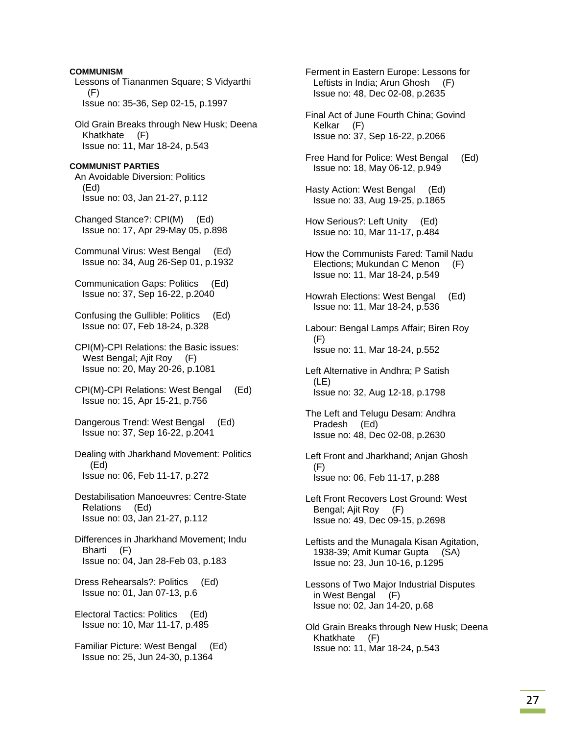Lessons of Tiananmen Square; S Vidyarthi (F) Issue no: 35-36, Sep 02-15, p.1997 Old Grain Breaks through New Husk; Deena Khatkhate (F) Issue no: 11, Mar 18-24, p.543 **COMMUNIST PARTIES**  An Avoidable Diversion: Politics (Ed) Issue no: 03, Jan 21-27, p.112 Changed Stance?: CPI(M) (Ed) Issue no: 17, Apr 29-May 05, p.898 Communal Virus: West Bengal (Ed) Issue no: 34, Aug 26-Sep 01, p.1932 Communication Gaps: Politics (Ed) Issue no: 37, Sep 16-22, p.2040 Confusing the Gullible: Politics (Ed) Issue no: 07, Feb 18-24, p.328 CPI(M)-CPI Relations: the Basic issues: West Bengal; Ajit Roy (F) Issue no: 20, May 20-26, p.1081 CPI(M)-CPI Relations: West Bengal (Ed) Issue no: 15, Apr 15-21, p.756 Dangerous Trend: West Bengal (Ed) Issue no: 37, Sep 16-22, p.2041 Dealing with Jharkhand Movement: Politics (Ed) Issue no: 06, Feb 11-17, p.272 Destabilisation Manoeuvres: Centre-State Relations (Ed) Issue no: 03, Jan 21-27, p.112 Differences in Jharkhand Movement; Indu Bharti (F) Issue no: 04, Jan 28-Feb 03, p.183 Dress Rehearsals?: Politics (Ed) Issue no: 01, Jan 07-13, p.6 Electoral Tactics: Politics (Ed) Issue no: 10, Mar 11-17, p.485 Familiar Picture: West Bengal (Ed) Issue no: 25, Jun 24-30, p.1364 Ferment in Eastern Europe: Lessons for Leftists in India; Arun Ghosh (F) Issue no: 48, Dec 02-08, p.2635

**COMMUNISM** 

 Final Act of June Fourth China; Govind Kelkar (F) Issue no: 37, Sep 16-22, p.2066 Free Hand for Police: West Bengal (Ed) Issue no: 18, May 06-12, p.949 Hasty Action: West Bengal (Ed) Issue no: 33, Aug 19-25, p.1865 How Serious?: Left Unity (Ed) Issue no: 10, Mar 11-17, p.484 How the Communists Fared: Tamil Nadu Elections; Mukundan C Menon (F) Issue no: 11, Mar 18-24, p.549 Howrah Elections: West Bengal (Ed) Issue no: 11, Mar 18-24, p.536 Labour: Bengal Lamps Affair; Biren Roy (F) Issue no: 11, Mar 18-24, p.552 Left Alternative in Andhra; P Satish (LE) Issue no: 32, Aug 12-18, p.1798 The Left and Telugu Desam: Andhra Pradesh (Ed) Issue no: 48, Dec 02-08, p.2630 Left Front and Jharkhand; Anjan Ghosh (F) Issue no: 06, Feb 11-17, p.288 Left Front Recovers Lost Ground: West Bengal; Ajit Roy (F) Issue no: 49, Dec 09-15, p.2698 Leftists and the Munagala Kisan Agitation, 1938-39; Amit Kumar Gupta (SA) Issue no: 23, Jun 10-16, p.1295 Lessons of Two Major Industrial Disputes in West Bengal (F) Issue no: 02, Jan 14-20, p.68 Old Grain Breaks through New Husk; Deena Khatkhate (F) Issue no: 11, Mar 18-24, p.543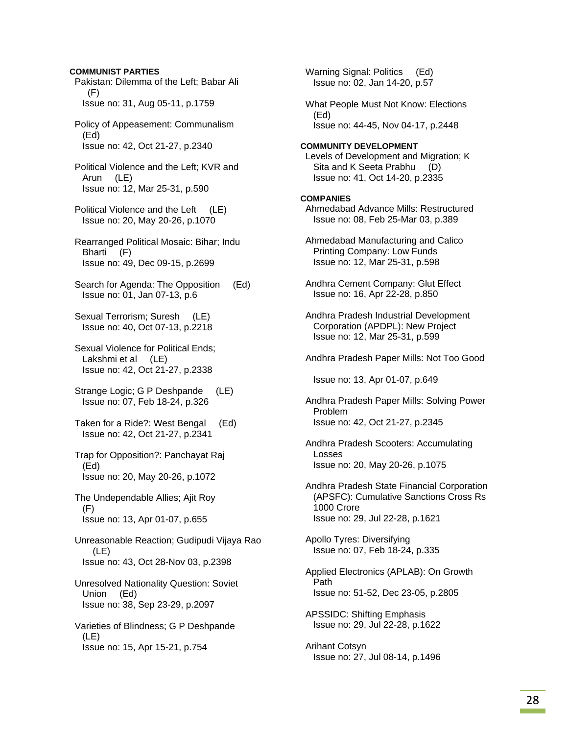### **COMMUNIST PARTIES**

- Pakistan: Dilemma of the Left; Babar Ali (F) Issue no: 31, Aug 05-11, p.1759
- Policy of Appeasement: Communalism (Ed) Issue no: 42, Oct 21-27, p.2340
- Political Violence and the Left; KVR and Arun (LE) Issue no: 12, Mar 25-31, p.590
- Political Violence and the Left (LE) Issue no: 20, May 20-26, p.1070
- Rearranged Political Mosaic: Bihar; Indu Bharti (F) Issue no: 49, Dec 09-15, p.2699
- Search for Agenda: The Opposition (Ed) Issue no: 01, Jan 07-13, p.6
- Sexual Terrorism; Suresh (LE) Issue no: 40, Oct 07-13, p.2218
- Sexual Violence for Political Ends; Lakshmi et al (LE) Issue no: 42, Oct 21-27, p.2338
- Strange Logic; G P Deshpande (LE) Issue no: 07, Feb 18-24, p.326
- Taken for a Ride?: West Bengal (Ed) Issue no: 42, Oct 21-27, p.2341
- Trap for Opposition?: Panchayat Raj (Ed) Issue no: 20, May 20-26, p.1072
- The Undependable Allies; Ajit Roy (F) Issue no: 13, Apr 01-07, p.655
- Unreasonable Reaction; Gudipudi Vijaya Rao (LE) Issue no: 43, Oct 28-Nov 03, p.2398
- Unresolved Nationality Question: Soviet Union (Ed) Issue no: 38, Sep 23-29, p.2097
- Varieties of Blindness; G P Deshpande (LE) Issue no: 15, Apr 15-21, p.754

 Warning Signal: Politics (Ed) Issue no: 02, Jan 14-20, p.57

 What People Must Not Know: Elections (Ed) Issue no: 44-45, Nov 04-17, p.2448

#### **COMMUNITY DEVELOPMENT**

 Levels of Development and Migration; K Sita and K Seeta Prabhu (D) Issue no: 41, Oct 14-20, p.2335

#### **COMPANIES**

- Ahmedabad Advance Mills: Restructured Issue no: 08, Feb 25-Mar 03, p.389
- Ahmedabad Manufacturing and Calico Printing Company: Low Funds Issue no: 12, Mar 25-31, p.598
- Andhra Cement Company: Glut Effect Issue no: 16, Apr 22-28, p.850
- Andhra Pradesh Industrial Development Corporation (APDPL): New Project Issue no: 12, Mar 25-31, p.599
- Andhra Pradesh Paper Mills: Not Too Good

Issue no: 13, Apr 01-07, p.649

- Andhra Pradesh Paper Mills: Solving Power Problem Issue no: 42, Oct 21-27, p.2345
- Andhra Pradesh Scooters: Accumulating Losses Issue no: 20, May 20-26, p.1075
- Andhra Pradesh State Financial Corporation (APSFC): Cumulative Sanctions Cross Rs 1000 Crore Issue no: 29, Jul 22-28, p.1621

 Apollo Tyres: Diversifying Issue no: 07, Feb 18-24, p.335

- Applied Electronics (APLAB): On Growth Path Issue no: 51-52, Dec 23-05, p.2805
- APSSIDC: Shifting Emphasis Issue no: 29, Jul 22-28, p.1622
- Arihant Cotsyn Issue no: 27, Jul 08-14, p.1496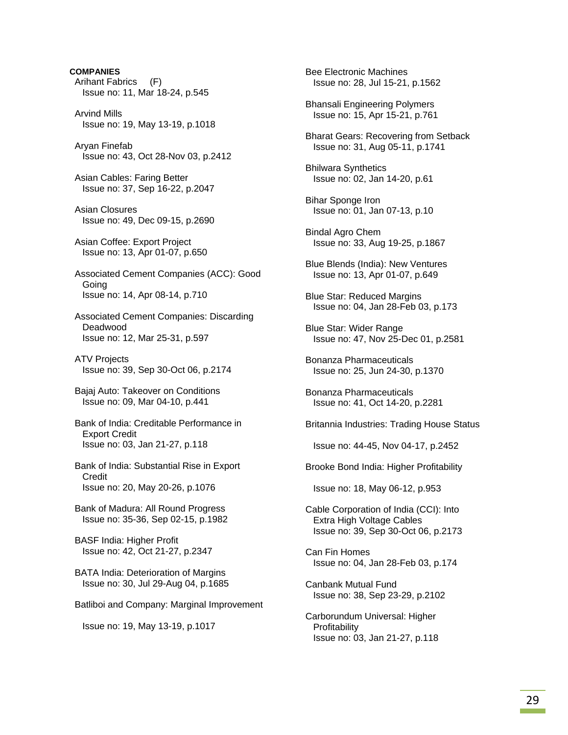**COMPANIES**  Arihant Fabrics (F) Issue no: 11, Mar 18-24, p.545 Arvind Mills Issue no: 19, May 13-19, p.1018 Aryan Finefab Issue no: 43, Oct 28-Nov 03, p.2412 Asian Cables: Faring Better Issue no: 37, Sep 16-22, p.2047 Asian Closures Issue no: 49, Dec 09-15, p.2690 Asian Coffee: Export Project Issue no: 13, Apr 01-07, p.650 Associated Cement Companies (ACC): Good Going Issue no: 14, Apr 08-14, p.710 Associated Cement Companies: Discarding Deadwood Issue no: 12, Mar 25-31, p.597 ATV Projects Issue no: 39, Sep 30-Oct 06, p.2174 Bajaj Auto: Takeover on Conditions Issue no: 09, Mar 04-10, p.441 Bank of India: Creditable Performance in Export Credit Issue no: 03, Jan 21-27, p.118 Bank of India: Substantial Rise in Export **Credit**  Issue no: 20, May 20-26, p.1076 Bank of Madura: All Round Progress Issue no: 35-36, Sep 02-15, p.1982 BASF India: Higher Profit Issue no: 42, Oct 21-27, p.2347 BATA India: Deterioration of Margins Issue no: 30, Jul 29-Aug 04, p.1685 Batliboi and Company: Marginal Improvement Issue no: 19, May 13-19, p.1017

 Bee Electronic Machines Issue no: 28, Jul 15-21, p.1562

 Bhansali Engineering Polymers Issue no: 15, Apr 15-21, p.761

 Bharat Gears: Recovering from Setback Issue no: 31, Aug 05-11, p.1741

 Bhilwara Synthetics Issue no: 02, Jan 14-20, p.61

 Bihar Sponge Iron Issue no: 01, Jan 07-13, p.10

 Bindal Agro Chem Issue no: 33, Aug 19-25, p.1867

 Blue Blends (India): New Ventures Issue no: 13, Apr 01-07, p.649

 Blue Star: Reduced Margins Issue no: 04, Jan 28-Feb 03, p.173

 Blue Star: Wider Range Issue no: 47, Nov 25-Dec 01, p.2581

 Bonanza Pharmaceuticals Issue no: 25, Jun 24-30, p.1370

 Bonanza Pharmaceuticals Issue no: 41, Oct 14-20, p.2281

Britannia Industries: Trading House Status

Issue no: 44-45, Nov 04-17, p.2452

Brooke Bond India: Higher Profitability

Issue no: 18, May 06-12, p.953

 Cable Corporation of India (CCI): Into Extra High Voltage Cables Issue no: 39, Sep 30-Oct 06, p.2173

 Can Fin Homes Issue no: 04, Jan 28-Feb 03, p.174

 Canbank Mutual Fund Issue no: 38, Sep 23-29, p.2102

 Carborundum Universal: Higher **Profitability** Issue no: 03, Jan 21-27, p.118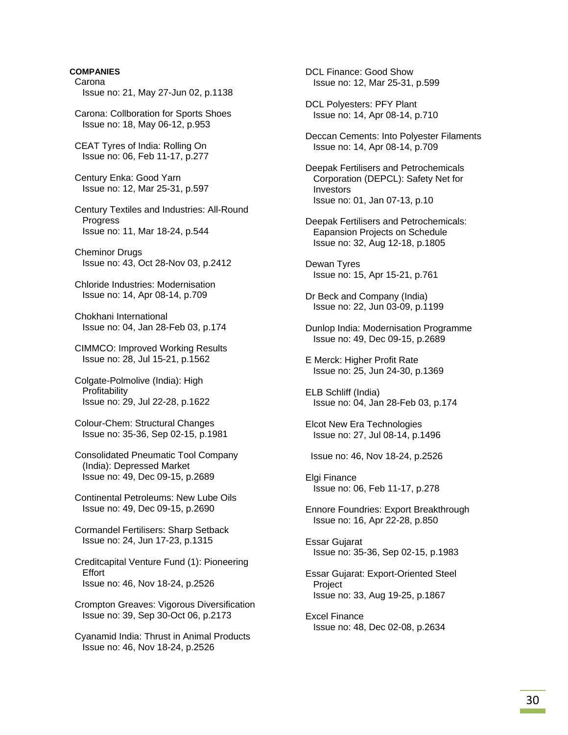Carona Issue no: 21, May 27-Jun 02, p.1138

 Carona: Collboration for Sports Shoes Issue no: 18, May 06-12, p.953

 CEAT Tyres of India: Rolling On Issue no: 06, Feb 11-17, p.277

 Century Enka: Good Yarn Issue no: 12, Mar 25-31, p.597

 Century Textiles and Industries: All-Round **Progress** Issue no: 11, Mar 18-24, p.544

 Cheminor Drugs Issue no: 43, Oct 28-Nov 03, p.2412

 Chloride Industries: Modernisation Issue no: 14, Apr 08-14, p.709

 Chokhani International Issue no: 04, Jan 28-Feb 03, p.174

 CIMMCO: Improved Working Results Issue no: 28, Jul 15-21, p.1562

 Colgate-Polmolive (India): High Profitability Issue no: 29, Jul 22-28, p.1622

 Colour-Chem: Structural Changes Issue no: 35-36, Sep 02-15, p.1981

 Consolidated Pneumatic Tool Company (India): Depressed Market Issue no: 49, Dec 09-15, p.2689

 Continental Petroleums: New Lube Oils Issue no: 49, Dec 09-15, p.2690

 Cormandel Fertilisers: Sharp Setback Issue no: 24, Jun 17-23, p.1315

 Creditcapital Venture Fund (1): Pioneering **Effort** Issue no: 46, Nov 18-24, p.2526

 Crompton Greaves: Vigorous Diversification Issue no: 39, Sep 30-Oct 06, p.2173

 Cyanamid India: Thrust in Animal Products Issue no: 46, Nov 18-24, p.2526

 DCL Finance: Good Show Issue no: 12, Mar 25-31, p.599

 DCL Polyesters: PFY Plant Issue no: 14, Apr 08-14, p.710

 Deccan Cements: Into Polyester Filaments Issue no: 14, Apr 08-14, p.709

 Deepak Fertilisers and Petrochemicals Corporation (DEPCL): Safety Net for Investors Issue no: 01, Jan 07-13, p.10

 Deepak Fertilisers and Petrochemicals: Eapansion Projects on Schedule Issue no: 32, Aug 12-18, p.1805

 Dewan Tyres Issue no: 15, Apr 15-21, p.761

 Dr Beck and Company (India) Issue no: 22, Jun 03-09, p.1199

 Dunlop India: Modernisation Programme Issue no: 49, Dec 09-15, p.2689

 E Merck: Higher Profit Rate Issue no: 25, Jun 24-30, p.1369

 ELB Schliff (India) Issue no: 04, Jan 28-Feb 03, p.174

 Elcot New Era Technologies Issue no: 27, Jul 08-14, p.1496

Issue no: 46, Nov 18-24, p.2526

 Elgi Finance Issue no: 06, Feb 11-17, p.278

 Ennore Foundries: Export Breakthrough Issue no: 16, Apr 22-28, p.850

 Essar Gujarat Issue no: 35-36, Sep 02-15, p.1983

 Essar Gujarat: Export-Oriented Steel **Project** Issue no: 33, Aug 19-25, p.1867

 Excel Finance Issue no: 48, Dec 02-08, p.2634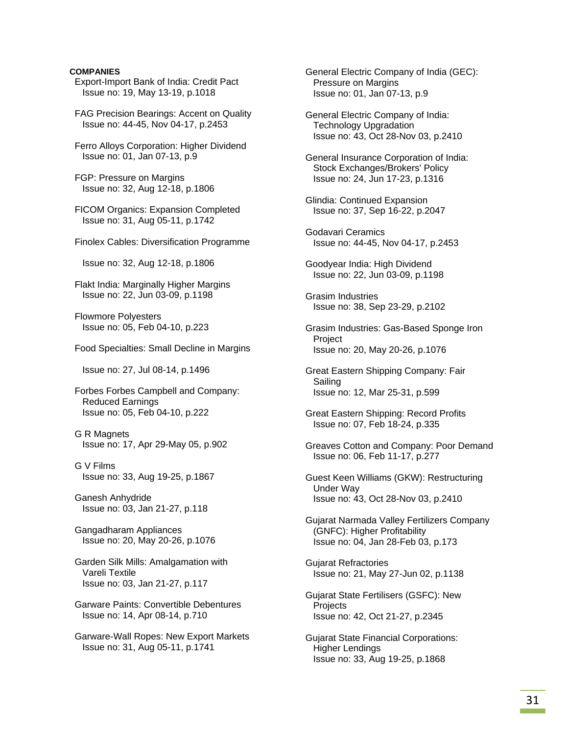- Export-Import Bank of India: Credit Pact Issue no: 19, May 13-19, p.1018
- FAG Precision Bearings: Accent on Quality Issue no: 44-45, Nov 04-17, p.2453
- Ferro Alloys Corporation: Higher Dividend Issue no: 01, Jan 07-13, p.9
- FGP: Pressure on Margins Issue no: 32, Aug 12-18, p.1806
- FICOM Organics: Expansion Completed Issue no: 31, Aug 05-11, p.1742
- Finolex Cables: Diversification Programme

Issue no: 32, Aug 12-18, p.1806

 Flakt India: Marginally Higher Margins Issue no: 22, Jun 03-09, p.1198

 Flowmore Polyesters Issue no: 05, Feb 04-10, p.223

Food Specialties: Small Decline in Margins

Issue no: 27, Jul 08-14, p.1496

 Forbes Forbes Campbell and Company: Reduced Earnings Issue no: 05, Feb 04-10, p.222

- G R Magnets Issue no: 17, Apr 29-May 05, p.902
- G V Films Issue no: 33, Aug 19-25, p.1867
- Ganesh Anhydride Issue no: 03, Jan 21-27, p.118
- Gangadharam Appliances Issue no: 20, May 20-26, p.1076
- Garden Silk Mills: Amalgamation with Vareli Textile Issue no: 03, Jan 21-27, p.117
- Garware Paints: Convertible Debentures Issue no: 14, Apr 08-14, p.710

 Garware-Wall Ropes: New Export Markets Issue no: 31, Aug 05-11, p.1741

 General Electric Company of India (GEC): Pressure on Margins Issue no: 01, Jan 07-13, p.9

- General Electric Company of India: Technology Upgradation Issue no: 43, Oct 28-Nov 03, p.2410
- General Insurance Corporation of India: Stock Exchanges/Brokers' Policy Issue no: 24, Jun 17-23, p.1316
- Glindia: Continued Expansion Issue no: 37, Sep 16-22, p.2047
- Godavari Ceramics Issue no: 44-45, Nov 04-17, p.2453
- Goodyear India: High Dividend Issue no: 22, Jun 03-09, p.1198
- Grasim Industries Issue no: 38, Sep 23-29, p.2102
- Grasim Industries: Gas-Based Sponge Iron Project Issue no: 20, May 20-26, p.1076
- Great Eastern Shipping Company: Fair Sailing Issue no: 12, Mar 25-31, p.599
- Great Eastern Shipping: Record Profits Issue no: 07, Feb 18-24, p.335
- Greaves Cotton and Company: Poor Demand Issue no: 06, Feb 11-17, p.277
- Guest Keen Williams (GKW): Restructuring Under Way Issue no: 43, Oct 28-Nov 03, p.2410
- Gujarat Narmada Valley Fertilizers Company (GNFC): Higher Profitability Issue no: 04, Jan 28-Feb 03, p.173
- Gujarat Refractories Issue no: 21, May 27-Jun 02, p.1138
- Gujarat State Fertilisers (GSFC): New **Projects** Issue no: 42, Oct 21-27, p.2345
- Gujarat State Financial Corporations: Higher Lendings Issue no: 33, Aug 19-25, p.1868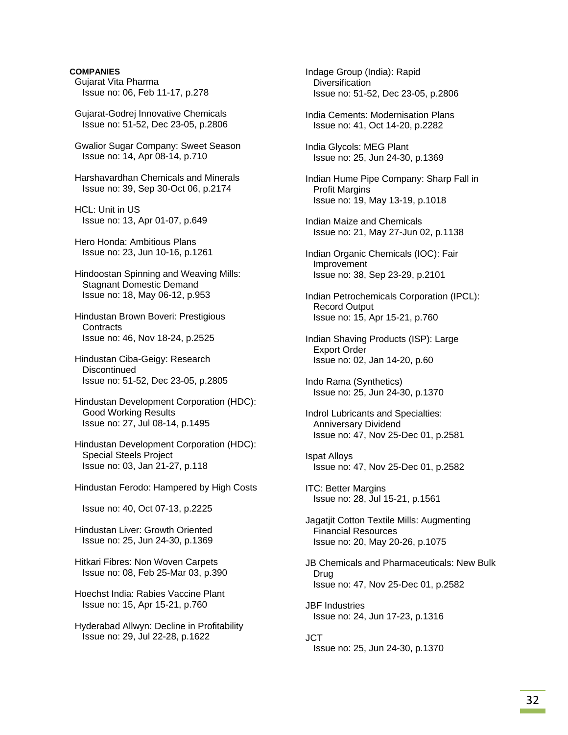- Gujarat Vita Pharma Issue no: 06, Feb 11-17, p.278
- Gujarat-Godrej Innovative Chemicals Issue no: 51-52, Dec 23-05, p.2806
- Gwalior Sugar Company: Sweet Season Issue no: 14, Apr 08-14, p.710
- Harshavardhan Chemicals and Minerals Issue no: 39, Sep 30-Oct 06, p.2174
- HCL: Unit in US Issue no: 13, Apr 01-07, p.649
- Hero Honda: Ambitious Plans Issue no: 23, Jun 10-16, p.1261
- Hindoostan Spinning and Weaving Mills: Stagnant Domestic Demand Issue no: 18, May 06-12, p.953
- Hindustan Brown Boveri: Prestigious **Contracts** Issue no: 46, Nov 18-24, p.2525
- Hindustan Ciba-Geigy: Research **Discontinued** Issue no: 51-52, Dec 23-05, p.2805
- Hindustan Development Corporation (HDC): Good Working Results Issue no: 27, Jul 08-14, p.1495
- Hindustan Development Corporation (HDC): Special Steels Project Issue no: 03, Jan 21-27, p.118
- Hindustan Ferodo: Hampered by High Costs

Issue no: 40, Oct 07-13, p.2225

- Hindustan Liver: Growth Oriented Issue no: 25, Jun 24-30, p.1369
- Hitkari Fibres: Non Woven Carpets Issue no: 08, Feb 25-Mar 03, p.390
- Hoechst India: Rabies Vaccine Plant Issue no: 15, Apr 15-21, p.760
- Hyderabad Allwyn: Decline in Profitability Issue no: 29, Jul 22-28, p.1622
- Indage Group (India): Rapid **Diversification** Issue no: 51-52, Dec 23-05, p.2806
- India Cements: Modernisation Plans Issue no: 41, Oct 14-20, p.2282
- India Glycols: MEG Plant Issue no: 25, Jun 24-30, p.1369
- Indian Hume Pipe Company: Sharp Fall in Profit Margins Issue no: 19, May 13-19, p.1018
- Indian Maize and Chemicals Issue no: 21, May 27-Jun 02, p.1138
- Indian Organic Chemicals (IOC): Fair Improvement Issue no: 38, Sep 23-29, p.2101
- Indian Petrochemicals Corporation (IPCL): Record Output Issue no: 15, Apr 15-21, p.760
- Indian Shaving Products (ISP): Large Export Order Issue no: 02, Jan 14-20, p.60
- Indo Rama (Synthetics) Issue no: 25, Jun 24-30, p.1370
- Indrol Lubricants and Specialties: Anniversary Dividend Issue no: 47, Nov 25-Dec 01, p.2581
- Ispat Alloys Issue no: 47, Nov 25-Dec 01, p.2582
- ITC: Better Margins Issue no: 28, Jul 15-21, p.1561
- Jagatjit Cotton Textile Mills: Augmenting Financial Resources Issue no: 20, May 20-26, p.1075
- JB Chemicals and Pharmaceuticals: New Bulk Drug Issue no: 47, Nov 25-Dec 01, p.2582
- JBF Industries Issue no: 24, Jun 17-23, p.1316
- JCT Issue no: 25, Jun 24-30, p.1370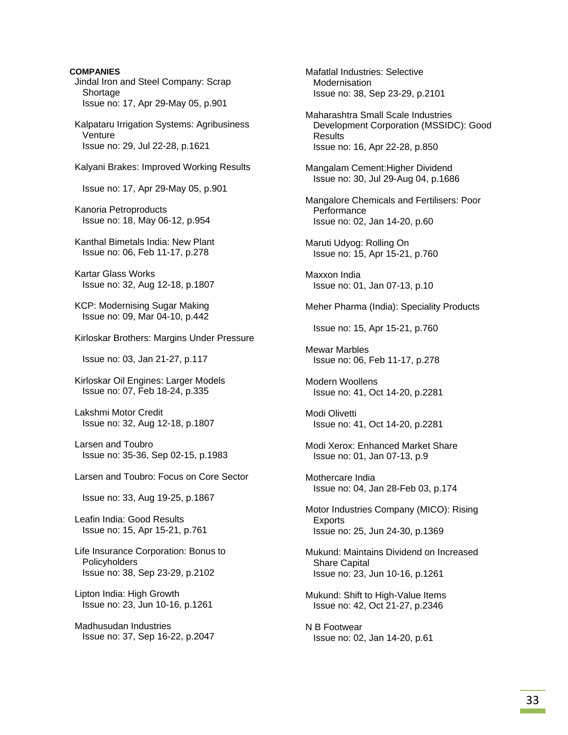**COMPANIES**  Jindal Iron and Steel Company: Scrap Shortage Issue no: 17, Apr 29-May 05, p.901 Kalpataru Irrigation Systems: Agribusiness **Venture**  Issue no: 29, Jul 22-28, p.1621 Kalyani Brakes: Improved Working Results Issue no: 17, Apr 29-May 05, p.901 Kanoria Petroproducts Issue no: 18, May 06-12, p.954 Kanthal Bimetals India: New Plant Issue no: 06, Feb 11-17, p.278 Kartar Glass Works Issue no: 32, Aug 12-18, p.1807 KCP: Modernising Sugar Making Issue no: 09, Mar 04-10, p.442 Kirloskar Brothers: Margins Under Pressure Issue no: 03, Jan 21-27, p.117 Kirloskar Oil Engines: Larger Models Issue no: 07, Feb 18-24, p.335 Lakshmi Motor Credit Issue no: 32, Aug 12-18, p.1807 Larsen and Toubro Issue no: 35-36, Sep 02-15, p.1983 Larsen and Toubro: Focus on Core Sector Issue no: 33, Aug 19-25, p.1867 Leafin India: Good Results Issue no: 15, Apr 15-21, p.761 Life Insurance Corporation: Bonus to Policyholders Issue no: 38, Sep 23-29, p.2102 Lipton India: High Growth Issue no: 23, Jun 10-16, p.1261 Madhusudan Industries Issue no: 37, Sep 16-22, p.2047

 Mafatlal Industries: Selective Modernisation Issue no: 38, Sep 23-29, p.2101 Maharashtra Small Scale Industries Development Corporation (MSSIDC): Good Results Issue no: 16, Apr 22-28, p.850 Mangalam Cement:Higher Dividend Issue no: 30, Jul 29-Aug 04, p.1686 Mangalore Chemicals and Fertilisers: Poor **Performance**  Issue no: 02, Jan 14-20, p.60 Maruti Udyog: Rolling On Issue no: 15, Apr 15-21, p.760 Maxxon India Issue no: 01, Jan 07-13, p.10 Meher Pharma (India): Speciality Products Issue no: 15, Apr 15-21, p.760 Mewar Marbles Issue no: 06, Feb 11-17, p.278 Modern Woollens Issue no: 41, Oct 14-20, p.2281 Modi Olivetti Issue no: 41, Oct 14-20, p.2281 Modi Xerox: Enhanced Market Share Issue no: 01, Jan 07-13, p.9 Mothercare India Issue no: 04, Jan 28-Feb 03, p.174 Motor Industries Company (MICO): Rising Exports Issue no: 25, Jun 24-30, p.1369 Mukund: Maintains Dividend on Increased Share Capital Issue no: 23, Jun 10-16, p.1261 Mukund: Shift to High-Value Items Issue no: 42, Oct 21-27, p.2346 N B Footwear Issue no: 02, Jan 14-20, p.61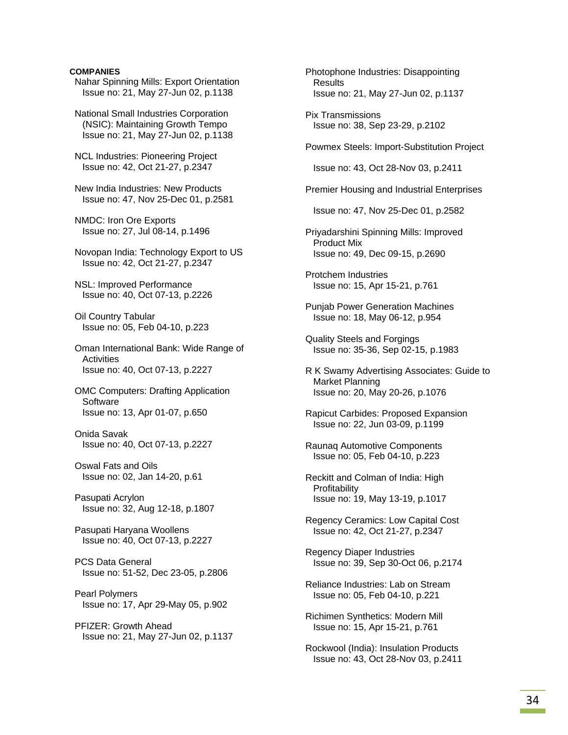Nahar Spinning Mills: Export Orientation Issue no: 21, May 27-Jun 02, p.1138

 National Small Industries Corporation (NSIC): Maintaining Growth Tempo Issue no: 21, May 27-Jun 02, p.1138

 NCL Industries: Pioneering Project Issue no: 42, Oct 21-27, p.2347

 New India Industries: New Products Issue no: 47, Nov 25-Dec 01, p.2581

 NMDC: Iron Ore Exports Issue no: 27, Jul 08-14, p.1496

 Novopan India: Technology Export to US Issue no: 42, Oct 21-27, p.2347

 NSL: Improved Performance Issue no: 40, Oct 07-13, p.2226

 Oil Country Tabular Issue no: 05, Feb 04-10, p.223

 Oman International Bank: Wide Range of **Activities** Issue no: 40, Oct 07-13, p.2227

 OMC Computers: Drafting Application **Software** Issue no: 13, Apr 01-07, p.650

 Onida Savak Issue no: 40, Oct 07-13, p.2227

 Oswal Fats and Oils Issue no: 02, Jan 14-20, p.61

 Pasupati Acrylon Issue no: 32, Aug 12-18, p.1807

 Pasupati Haryana Woollens Issue no: 40, Oct 07-13, p.2227

 PCS Data General Issue no: 51-52, Dec 23-05, p.2806

 Pearl Polymers Issue no: 17, Apr 29-May 05, p.902

 PFIZER: Growth Ahead Issue no: 21, May 27-Jun 02, p.1137  Photophone Industries: Disappointing Results Issue no: 21, May 27-Jun 02, p.1137

 Pix Transmissions Issue no: 38, Sep 23-29, p.2102

Powmex Steels: Import-Substitution Project

Issue no: 43, Oct 28-Nov 03, p.2411

Premier Housing and Industrial Enterprises

Issue no: 47, Nov 25-Dec 01, p.2582

 Priyadarshini Spinning Mills: Improved Product Mix Issue no: 49, Dec 09-15, p.2690

 Protchem Industries Issue no: 15, Apr 15-21, p.761

 Punjab Power Generation Machines Issue no: 18, May 06-12, p.954

 Quality Steels and Forgings Issue no: 35-36, Sep 02-15, p.1983

 R K Swamy Advertising Associates: Guide to Market Planning Issue no: 20, May 20-26, p.1076

 Rapicut Carbides: Proposed Expansion Issue no: 22, Jun 03-09, p.1199

 Raunaq Automotive Components Issue no: 05, Feb 04-10, p.223

 Reckitt and Colman of India: High **Profitability** Issue no: 19, May 13-19, p.1017

 Regency Ceramics: Low Capital Cost Issue no: 42, Oct 21-27, p.2347

 Regency Diaper Industries Issue no: 39, Sep 30-Oct 06, p.2174

 Reliance Industries: Lab on Stream Issue no: 05, Feb 04-10, p.221

 Richimen Synthetics: Modern Mill Issue no: 15, Apr 15-21, p.761

 Rockwool (India): Insulation Products Issue no: 43, Oct 28-Nov 03, p.2411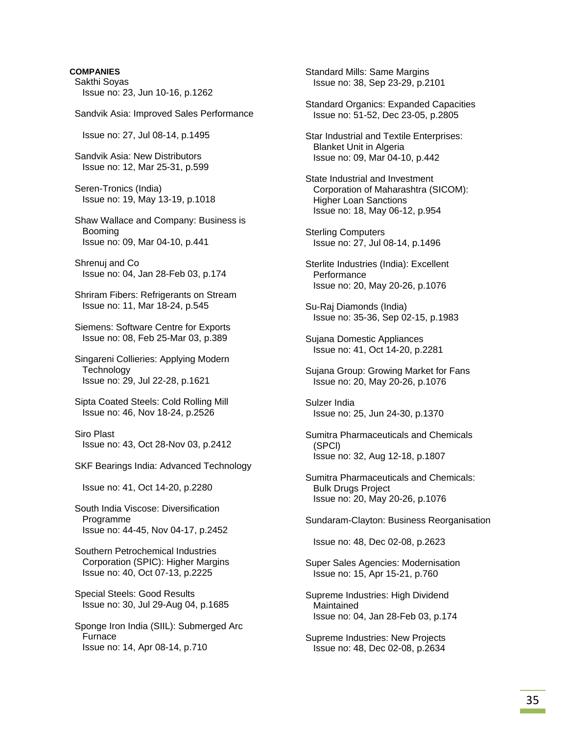Sakthi Soyas Issue no: 23, Jun 10-16, p.1262

Sandvik Asia: Improved Sales Performance

Issue no: 27, Jul 08-14, p.1495

 Sandvik Asia: New Distributors Issue no: 12, Mar 25-31, p.599

 Seren-Tronics (India) Issue no: 19, May 13-19, p.1018

 Shaw Wallace and Company: Business is Booming Issue no: 09, Mar 04-10, p.441

 Shrenuj and Co Issue no: 04, Jan 28-Feb 03, p.174

 Shriram Fibers: Refrigerants on Stream Issue no: 11, Mar 18-24, p.545

 Siemens: Software Centre for Exports Issue no: 08, Feb 25-Mar 03, p.389

 Singareni Collieries: Applying Modern **Technology** Issue no: 29, Jul 22-28, p.1621

 Sipta Coated Steels: Cold Rolling Mill Issue no: 46, Nov 18-24, p.2526

 Siro Plast Issue no: 43, Oct 28-Nov 03, p.2412

SKF Bearings India: Advanced Technology

Issue no: 41, Oct 14-20, p.2280

 South India Viscose: Diversification Programme Issue no: 44-45, Nov 04-17, p.2452

 Southern Petrochemical Industries Corporation (SPIC): Higher Margins Issue no: 40, Oct 07-13, p.2225

 Special Steels: Good Results Issue no: 30, Jul 29-Aug 04, p.1685

 Sponge Iron India (SIIL): Submerged Arc Furnace Issue no: 14, Apr 08-14, p.710

 Standard Mills: Same Margins Issue no: 38, Sep 23-29, p.2101

 Standard Organics: Expanded Capacities Issue no: 51-52, Dec 23-05, p.2805

 Star Industrial and Textile Enterprises: Blanket Unit in Algeria Issue no: 09, Mar 04-10, p.442

 State Industrial and Investment Corporation of Maharashtra (SICOM): Higher Loan Sanctions Issue no: 18, May 06-12, p.954

 Sterling Computers Issue no: 27, Jul 08-14, p.1496

 Sterlite Industries (India): Excellent **Performance** Issue no: 20, May 20-26, p.1076

 Su-Raj Diamonds (India) Issue no: 35-36, Sep 02-15, p.1983

 Sujana Domestic Appliances Issue no: 41, Oct 14-20, p.2281

 Sujana Group: Growing Market for Fans Issue no: 20, May 20-26, p.1076

 Sulzer India Issue no: 25, Jun 24-30, p.1370

 Sumitra Pharmaceuticals and Chemicals (SPCl) Issue no: 32, Aug 12-18, p.1807

 Sumitra Pharmaceuticals and Chemicals: Bulk Drugs Project Issue no: 20, May 20-26, p.1076

Sundaram-Clayton: Business Reorganisation

Issue no: 48, Dec 02-08, p.2623

 Super Sales Agencies: Modernisation Issue no: 15, Apr 15-21, p.760

 Supreme Industries: High Dividend **Maintained** Issue no: 04, Jan 28-Feb 03, p.174

 Supreme Industries: New Projects Issue no: 48, Dec 02-08, p.2634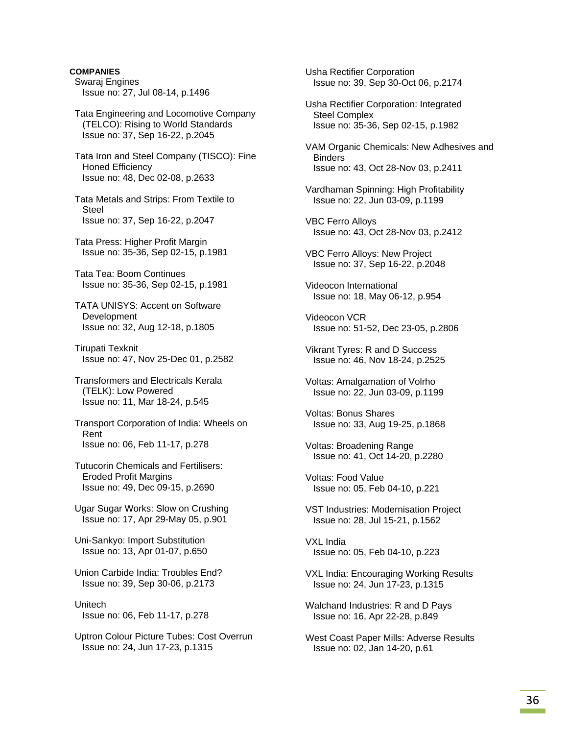**COMPANIES**  Swaraj Engines Issue no: 27, Jul 08-14, p.1496 Tata Engineering and Locomotive Company (TELCO): Rising to World Standards Issue no: 37, Sep 16-22, p.2045 Tata Iron and Steel Company (TISCO): Fine Honed Efficiency Issue no: 48, Dec 02-08, p.2633

 Tata Metals and Strips: From Textile to Steel Issue no: 37, Sep 16-22, p.2047

 Tata Press: Higher Profit Margin Issue no: 35-36, Sep 02-15, p.1981

 Tata Tea: Boom Continues Issue no: 35-36, Sep 02-15, p.1981

 TATA UNISYS: Accent on Software Development Issue no: 32, Aug 12-18, p.1805

 Tirupati Texknit Issue no: 47, Nov 25-Dec 01, p.2582

 Transformers and Electricals Kerala (TELK): Low Powered Issue no: 11, Mar 18-24, p.545

 Transport Corporation of India: Wheels on Rent Issue no: 06, Feb 11-17, p.278

 Tutucorin Chemicals and Fertilisers: Eroded Profit Margins Issue no: 49, Dec 09-15, p.2690

 Ugar Sugar Works: Slow on Crushing Issue no: 17, Apr 29-May 05, p.901

 Uni-Sankyo: Import Substitution Issue no: 13, Apr 01-07, p.650

 Union Carbide India: Troubles End? Issue no: 39, Sep 30-06, p.2173

 Unitech Issue no: 06, Feb 11-17, p.278

 Uptron Colour Picture Tubes: Cost Overrun Issue no: 24, Jun 17-23, p.1315

 Usha Rectifier Corporation Issue no: 39, Sep 30-Oct 06, p.2174

 Usha Rectifier Corporation: Integrated Steel Complex Issue no: 35-36, Sep 02-15, p.1982

 VAM Organic Chemicals: New Adhesives and **Binders** Issue no: 43, Oct 28-Nov 03, p.2411

 Vardhaman Spinning: High Profitability Issue no: 22, Jun 03-09, p.1199

 VBC Ferro Alloys Issue no: 43, Oct 28-Nov 03, p.2412

 VBC Ferro Alloys: New Project Issue no: 37, Sep 16-22, p.2048

 Videocon International Issue no: 18, May 06-12, p.954

 Videocon VCR Issue no: 51-52, Dec 23-05, p.2806

 Vikrant Tyres: R and D Success Issue no: 46, Nov 18-24, p.2525

 Voltas: Amalgamation of Volrho Issue no: 22, Jun 03-09, p.1199

 Voltas: Bonus Shares Issue no: 33, Aug 19-25, p.1868

 Voltas: Broadening Range Issue no: 41, Oct 14-20, p.2280

 Voltas: Food Value Issue no: 05, Feb 04-10, p.221

 VST Industries: Modernisation Project Issue no: 28, Jul 15-21, p.1562

 VXL India Issue no: 05, Feb 04-10, p.223

 VXL India: Encouraging Working Results Issue no: 24, Jun 17-23, p.1315

 Walchand Industries: R and D Pays Issue no: 16, Apr 22-28, p.849

 West Coast Paper Mills: Adverse Results Issue no: 02, Jan 14-20, p.61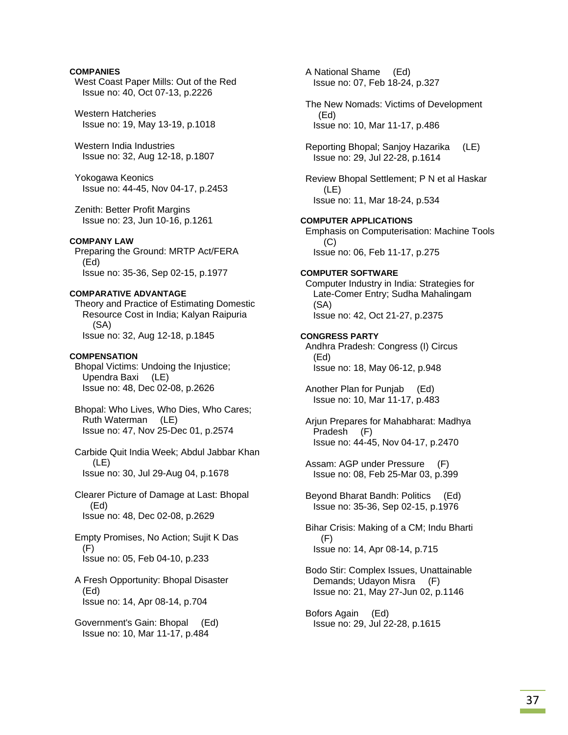# **COMPANIES**

 West Coast Paper Mills: Out of the Red Issue no: 40, Oct 07-13, p.2226

 Western Hatcheries Issue no: 19, May 13-19, p.1018

 Western India Industries Issue no: 32, Aug 12-18, p.1807

 Yokogawa Keonics Issue no: 44-45, Nov 04-17, p.2453

 Zenith: Better Profit Margins Issue no: 23, Jun 10-16, p.1261

#### **COMPANY LAW**

 Preparing the Ground: MRTP Act/FERA (Ed) Issue no: 35-36, Sep 02-15, p.1977

#### **COMPARATIVE ADVANTAGE**

 Theory and Practice of Estimating Domestic Resource Cost in India; Kalyan Raipuria (SA) Issue no: 32, Aug 12-18, p.1845

#### **COMPENSATION**

 Bhopal Victims: Undoing the Injustice; Upendra Baxi (LE) Issue no: 48, Dec 02-08, p.2626

 Bhopal: Who Lives, Who Dies, Who Cares; Ruth Waterman (LE) Issue no: 47, Nov 25-Dec 01, p.2574

 Carbide Quit India Week; Abdul Jabbar Khan  $(I F)$ Issue no: 30, Jul 29-Aug 04, p.1678

 Clearer Picture of Damage at Last: Bhopal (Ed) Issue no: 48, Dec 02-08, p.2629

 Empty Promises, No Action; Sujit K Das (F) Issue no: 05, Feb 04-10, p.233

 A Fresh Opportunity: Bhopal Disaster (Ed) Issue no: 14, Apr 08-14, p.704

 Government's Gain: Bhopal (Ed) Issue no: 10, Mar 11-17, p.484

 A National Shame (Ed) Issue no: 07, Feb 18-24, p.327

 The New Nomads: Victims of Development (Ed) Issue no: 10, Mar 11-17, p.486

 Reporting Bhopal; Sanjoy Hazarika (LE) Issue no: 29, Jul 22-28, p.1614

 Review Bhopal Settlement; P N et al Haskar (LE) Issue no: 11, Mar 18-24, p.534

### **COMPUTER APPLICATIONS**

 Emphasis on Computerisation: Machine Tools (C) Issue no: 06, Feb 11-17, p.275

#### **COMPUTER SOFTWARE**

 Computer Industry in India: Strategies for Late-Comer Entry; Sudha Mahalingam (SA) Issue no: 42, Oct 21-27, p.2375

#### **CONGRESS PARTY**

 Andhra Pradesh: Congress (I) Circus (Ed) Issue no: 18, May 06-12, p.948

 Another Plan for Punjab (Ed) Issue no: 10, Mar 11-17, p.483

 Arjun Prepares for Mahabharat: Madhya Pradesh (F) Issue no: 44-45, Nov 04-17, p.2470

 Assam: AGP under Pressure (F) Issue no: 08, Feb 25-Mar 03, p.399

 Beyond Bharat Bandh: Politics (Ed) Issue no: 35-36, Sep 02-15, p.1976

 Bihar Crisis: Making of a CM; Indu Bharti (F) Issue no: 14, Apr 08-14, p.715

 Bodo Stir: Complex Issues, Unattainable Demands; Udayon Misra (F) Issue no: 21, May 27-Jun 02, p.1146

 Bofors Again (Ed) Issue no: 29, Jul 22-28, p.1615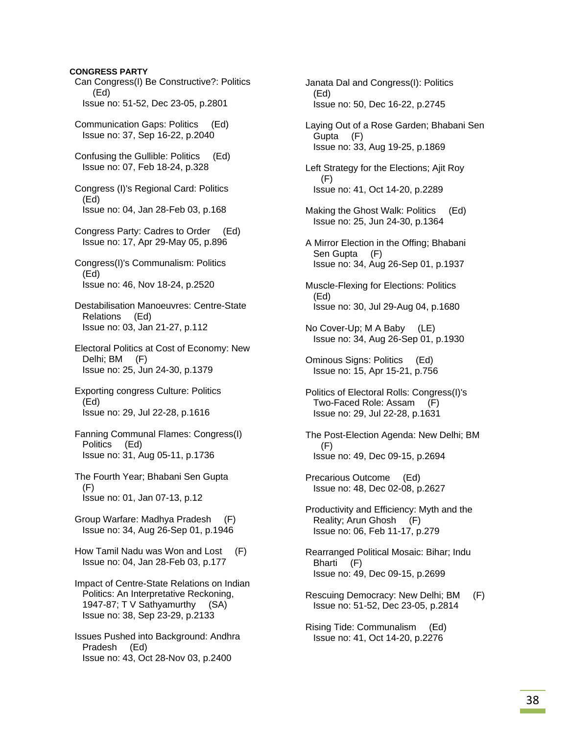# **CONGRESS PARTY**

 Can Congress(I) Be Constructive?: Politics (Ed) Issue no: 51-52, Dec 23-05, p.2801 Communication Gaps: Politics (Ed) Issue no: 37, Sep 16-22, p.2040 Confusing the Gullible: Politics (Ed) Issue no: 07, Feb 18-24, p.328 Congress (I)'s Regional Card: Politics (Ed) Issue no: 04, Jan 28-Feb 03, p.168 Congress Party: Cadres to Order (Ed) Issue no: 17, Apr 29-May 05, p.896 Congress(I)'s Communalism: Politics (Ed) Issue no: 46, Nov 18-24, p.2520 Destabilisation Manoeuvres: Centre-State Relations (Ed) Issue no: 03, Jan 21-27, p.112 Electoral Politics at Cost of Economy: New Delhi; BM (F) Issue no: 25, Jun 24-30, p.1379 Exporting congress Culture: Politics (Ed) Issue no: 29, Jul 22-28, p.1616 Fanning Communal Flames: Congress(I) Politics (Ed) Issue no: 31, Aug 05-11, p.1736 The Fourth Year; Bhabani Sen Gupta (F) Issue no: 01, Jan 07-13, p.12 Group Warfare: Madhya Pradesh (F) Issue no: 34, Aug 26-Sep 01, p.1946 How Tamil Nadu was Won and Lost (F) Issue no: 04, Jan 28-Feb 03, p.177 Impact of Centre-State Relations on Indian Politics: An Interpretative Reckoning, 1947-87; T V Sathyamurthy (SA) Issue no: 38, Sep 23-29, p.2133 Issues Pushed into Background: Andhra Pradesh (Ed) Issue no: 43, Oct 28-Nov 03, p.2400

 Janata Dal and Congress(I): Politics (Ed) Issue no: 50, Dec 16-22, p.2745

 Laying Out of a Rose Garden; Bhabani Sen Gupta (F) Issue no: 33, Aug 19-25, p.1869

 Left Strategy for the Elections; Ajit Roy (F) Issue no: 41, Oct 14-20, p.2289

- Making the Ghost Walk: Politics (Ed) Issue no: 25, Jun 24-30, p.1364
- A Mirror Election in the Offing; Bhabani Sen Gupta (F) Issue no: 34, Aug 26-Sep 01, p.1937
- Muscle-Flexing for Elections: Politics (Ed) Issue no: 30, Jul 29-Aug 04, p.1680
- No Cover-Up; M A Baby (LE) Issue no: 34, Aug 26-Sep 01, p.1930
- Ominous Signs: Politics (Ed) Issue no: 15, Apr 15-21, p.756
- Politics of Electoral Rolls: Congress(I)'s Two-Faced Role: Assam (F) Issue no: 29, Jul 22-28, p.1631
- The Post-Election Agenda: New Delhi; BM (F) Issue no: 49, Dec 09-15, p.2694
- Precarious Outcome (Ed) Issue no: 48, Dec 02-08, p.2627
- Productivity and Efficiency: Myth and the Reality; Arun Ghosh (F) Issue no: 06, Feb 11-17, p.279
- Rearranged Political Mosaic: Bihar; Indu Bharti (F) Issue no: 49, Dec 09-15, p.2699
- Rescuing Democracy: New Delhi; BM (F) Issue no: 51-52, Dec 23-05, p.2814

 Rising Tide: Communalism (Ed) Issue no: 41, Oct 14-20, p.2276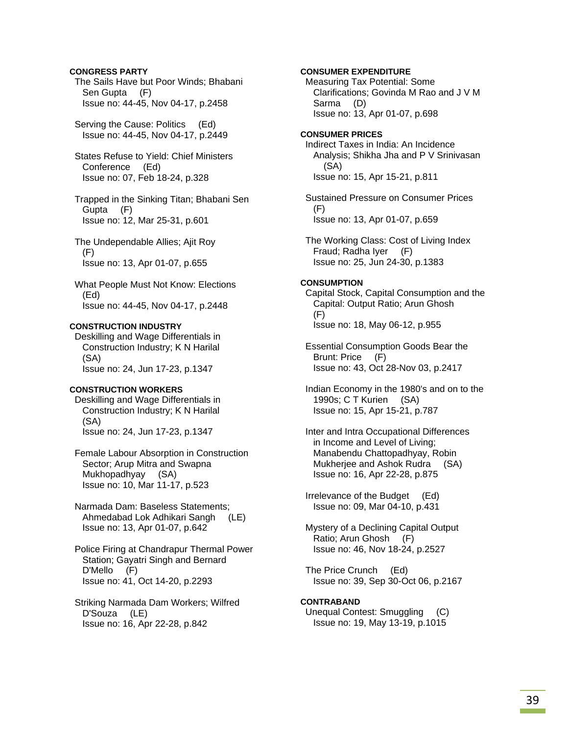# **CONGRESS PARTY**

 The Sails Have but Poor Winds; Bhabani Sen Gupta (F) Issue no: 44-45, Nov 04-17, p.2458

Serving the Cause: Politics (Ed) Issue no: 44-45, Nov 04-17, p.2449

 States Refuse to Yield: Chief Ministers Conference (Ed) Issue no: 07, Feb 18-24, p.328

 Trapped in the Sinking Titan; Bhabani Sen Gupta (F) Issue no: 12, Mar 25-31, p.601

 The Undependable Allies; Ajit Roy (F) Issue no: 13, Apr 01-07, p.655

 What People Must Not Know: Elections (Ed) Issue no: 44-45, Nov 04-17, p.2448

### **CONSTRUCTION INDUSTRY**

 Deskilling and Wage Differentials in Construction Industry; K N Harilal (SA) Issue no: 24, Jun 17-23, p.1347

#### **CONSTRUCTION WORKERS**

 Deskilling and Wage Differentials in Construction Industry; K N Harilal (SA) Issue no: 24, Jun 17-23, p.1347

 Female Labour Absorption in Construction Sector; Arup Mitra and Swapna Mukhopadhyay (SA) Issue no: 10, Mar 11-17, p.523

 Narmada Dam: Baseless Statements; Ahmedabad Lok Adhikari Sangh (LE) Issue no: 13, Apr 01-07, p.642

 Police Firing at Chandrapur Thermal Power Station; Gayatri Singh and Bernard D'Mello (F) Issue no: 41, Oct 14-20, p.2293

 Striking Narmada Dam Workers; Wilfred D'Souza (LE) Issue no: 16, Apr 22-28, p.842

 Measuring Tax Potential: Some Clarifications; Govinda M Rao and J V M Sarma (D) Issue no: 13, Apr 01-07, p.698 **CONSUMER PRICES**  Indirect Taxes in India: An Incidence Analysis; Shikha Jha and P V Srinivasan (SA) Issue no: 15, Apr 15-21, p.811

**CONSUMER EXPENDITURE** 

 Sustained Pressure on Consumer Prices (F) Issue no: 13, Apr 01-07, p.659

 The Working Class: Cost of Living Index Fraud; Radha Iyer (F) Issue no: 25, Jun 24-30, p.1383

# **CONSUMPTION**

 Capital Stock, Capital Consumption and the Capital: Output Ratio; Arun Ghosh (F) Issue no: 18, May 06-12, p.955

 Essential Consumption Goods Bear the Brunt: Price (F) Issue no: 43, Oct 28-Nov 03, p.2417

 Indian Economy in the 1980's and on to the 1990s; C T Kurien (SA) Issue no: 15, Apr 15-21, p.787

 Inter and Intra Occupational Differences in Income and Level of Living; Manabendu Chattopadhyay, Robin Mukherjee and Ashok Rudra (SA) Issue no: 16, Apr 22-28, p.875

 Irrelevance of the Budget (Ed) Issue no: 09, Mar 04-10, p.431

 Mystery of a Declining Capital Output Ratio; Arun Ghosh (F) Issue no: 46, Nov 18-24, p.2527

 The Price Crunch (Ed) Issue no: 39, Sep 30-Oct 06, p.2167

#### **CONTRABAND**

 Unequal Contest: Smuggling (C) Issue no: 19, May 13-19, p.1015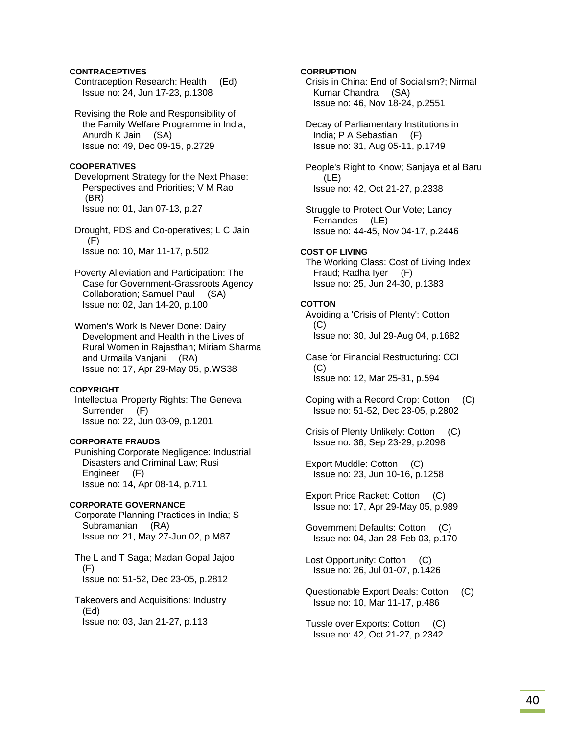# **CONTRACEPTIVES**

 Contraception Research: Health (Ed) Issue no: 24, Jun 17-23, p.1308

 Revising the Role and Responsibility of the Family Welfare Programme in India; Anurdh K Jain (SA) Issue no: 49, Dec 09-15, p.2729

# **COOPERATIVES**

 Development Strategy for the Next Phase: Perspectives and Priorities; V M Rao (BR) Issue no: 01, Jan 07-13, p.27

 Drought, PDS and Co-operatives; L C Jain (F) Issue no: 10, Mar 11-17, p.502

 Poverty Alleviation and Participation: The Case for Government-Grassroots Agency Collaboration; Samuel Paul (SA) Issue no: 02, Jan 14-20, p.100

 Women's Work Is Never Done: Dairy Development and Health in the Lives of Rural Women in Rajasthan; Miriam Sharma and Urmaila Vanjani (RA) Issue no: 17, Apr 29-May 05, p.WS38

### **COPYRIGHT**

 Intellectual Property Rights: The Geneva Surrender (F) Issue no: 22, Jun 03-09, p.1201

# **CORPORATE FRAUDS**

 Punishing Corporate Negligence: Industrial Disasters and Criminal Law; Rusi Engineer (F) Issue no: 14, Apr 08-14, p.711

# **CORPORATE GOVERNANCE**

 Corporate Planning Practices in India; S Subramanian (RA) Issue no: 21, May 27-Jun 02, p.M87

 The L and T Saga; Madan Gopal Jajoo (F) Issue no: 51-52, Dec 23-05, p.2812

 Takeovers and Acquisitions: Industry (Ed) Issue no: 03, Jan 21-27, p.113

# **CORRUPTION**

 Crisis in China: End of Socialism?; Nirmal Kumar Chandra (SA) Issue no: 46, Nov 18-24, p.2551

 Decay of Parliamentary Institutions in India; P A Sebastian (F) Issue no: 31, Aug 05-11, p.1749

 People's Right to Know; Sanjaya et al Baru (LE) Issue no: 42, Oct 21-27, p.2338

 Struggle to Protect Our Vote; Lancy Fernandes (LE) Issue no: 44-45, Nov 04-17, p.2446

#### **COST OF LIVING**

 The Working Class: Cost of Living Index Fraud; Radha Iyer (F) Issue no: 25, Jun 24-30, p.1383

#### **COTTON**

 Avoiding a 'Crisis of Plenty': Cotton (C) Issue no: 30, Jul 29-Aug 04, p.1682

 Case for Financial Restructuring: CCI (C) Issue no: 12, Mar 25-31, p.594

 Coping with a Record Crop: Cotton (C) Issue no: 51-52, Dec 23-05, p.2802

 Crisis of Plenty Unlikely: Cotton (C) Issue no: 38, Sep 23-29, p.2098

 Export Muddle: Cotton (C) Issue no: 23, Jun 10-16, p.1258

 Export Price Racket: Cotton (C) Issue no: 17, Apr 29-May 05, p.989

 Government Defaults: Cotton (C) Issue no: 04, Jan 28-Feb 03, p.170

 Lost Opportunity: Cotton (C) Issue no: 26, Jul 01-07, p.1426

 Questionable Export Deals: Cotton (C) Issue no: 10, Mar 11-17, p.486

 Tussle over Exports: Cotton (C) Issue no: 42, Oct 21-27, p.2342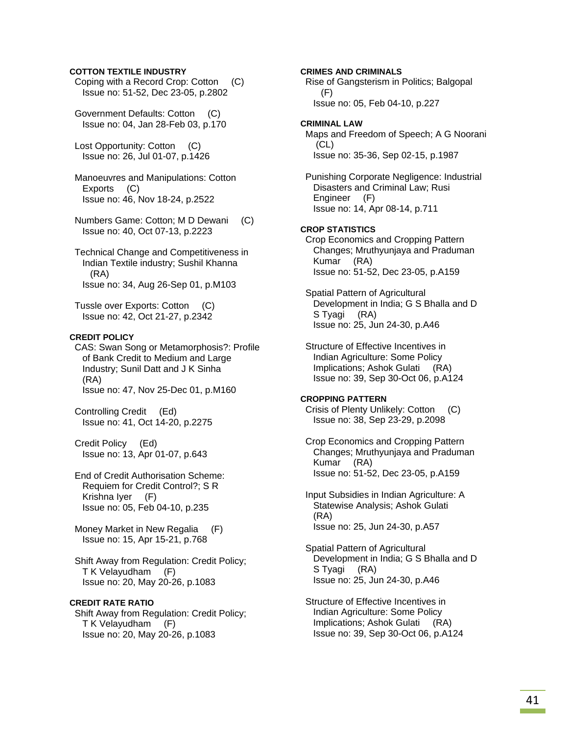# **COTTON TEXTILE INDUSTRY**

- Coping with a Record Crop: Cotton (C) Issue no: 51-52, Dec 23-05, p.2802
- Government Defaults: Cotton (C) Issue no: 04, Jan 28-Feb 03, p.170
- Lost Opportunity: Cotton (C) Issue no: 26, Jul 01-07, p.1426
- Manoeuvres and Manipulations: Cotton Exports (C) Issue no: 46, Nov 18-24, p.2522
- Numbers Game: Cotton; M D Dewani (C) Issue no: 40, Oct 07-13, p.2223
- Technical Change and Competitiveness in Indian Textile industry; Sushil Khanna (RA) Issue no: 34, Aug 26-Sep 01, p.M103

 Tussle over Exports: Cotton (C) Issue no: 42, Oct 21-27, p.2342

# **CREDIT POLICY**

 CAS: Swan Song or Metamorphosis?: Profile of Bank Credit to Medium and Large Industry; Sunil Datt and J K Sinha (RA) Issue no: 47, Nov 25-Dec 01, p.M160

 Controlling Credit (Ed) Issue no: 41, Oct 14-20, p.2275

 Credit Policy (Ed) Issue no: 13, Apr 01-07, p.643

- End of Credit Authorisation Scheme: Requiem for Credit Control?; S R Krishna Iyer (F) Issue no: 05, Feb 04-10, p.235
- Money Market in New Regalia (F) Issue no: 15, Apr 15-21, p.768
- Shift Away from Regulation: Credit Policy; T K Velayudham (F) Issue no: 20, May 20-26, p.1083

# **CREDIT RATE RATIO**

 Shift Away from Regulation: Credit Policy; T K Velayudham (F) Issue no: 20, May 20-26, p.1083

**CRIMES AND CRIMINALS**  Rise of Gangsterism in Politics; Balgopal (F) Issue no: 05, Feb 04-10, p.227 **CRIMINAL LAW**  Maps and Freedom of Speech; A G Noorani (CL) Issue no: 35-36, Sep 02-15, p.1987 Punishing Corporate Negligence: Industrial Disasters and Criminal Law; Rusi Engineer (F) Issue no: 14, Apr 08-14, p.711 **CROP STATISTICS**  Crop Economics and Cropping Pattern Changes; Mruthyunjaya and Praduman Kumar (RA) Issue no: 51-52, Dec 23-05, p.A159 Spatial Pattern of Agricultural Development in India; G S Bhalla and D S Tyagi (RA) Issue no: 25, Jun 24-30, p.A46 Structure of Effective Incentives in Indian Agriculture: Some Policy Implications; Ashok Gulati (RA) Issue no: 39, Sep 30-Oct 06, p.A124 **CROPPING PATTERN**  Crisis of Plenty Unlikely: Cotton (C) Issue no: 38, Sep 23-29, p.2098 Crop Economics and Cropping Pattern Changes; Mruthyunjaya and Praduman Kumar (RA) Issue no: 51-52, Dec 23-05, p.A159

> Input Subsidies in Indian Agriculture: A Statewise Analysis; Ashok Gulati (RA) Issue no: 25, Jun 24-30, p.A57

 Spatial Pattern of Agricultural Development in India; G S Bhalla and D S Tyagi (RA) Issue no: 25, Jun 24-30, p.A46

 Structure of Effective Incentives in Indian Agriculture: Some Policy Implications; Ashok Gulati (RA) Issue no: 39, Sep 30-Oct 06, p.A124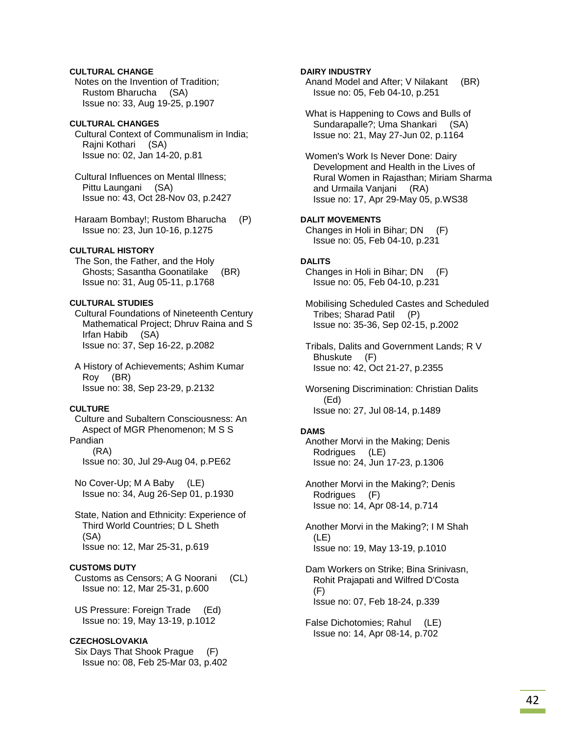# **CULTURAL CHANGE**

 Notes on the Invention of Tradition; Rustom Bharucha (SA) Issue no: 33, Aug 19-25, p.1907

# **CULTURAL CHANGES**

 Cultural Context of Communalism in India; Rajni Kothari (SA) Issue no: 02, Jan 14-20, p.81

 Cultural Influences on Mental Illness; Pittu Laungani (SA) Issue no: 43, Oct 28-Nov 03, p.2427

 Haraam Bombay!; Rustom Bharucha (P) Issue no: 23, Jun 10-16, p.1275

# **CULTURAL HISTORY**

 The Son, the Father, and the Holy Ghosts; Sasantha Goonatilake (BR) Issue no: 31, Aug 05-11, p.1768

# **CULTURAL STUDIES**

 Cultural Foundations of Nineteenth Century Mathematical Project; Dhruv Raina and S Irfan Habib (SA) Issue no: 37, Sep 16-22, p.2082

 A History of Achievements; Ashim Kumar Roy (BR) Issue no: 38, Sep 23-29, p.2132

### **CULTURE**

 Culture and Subaltern Consciousness: An Aspect of MGR Phenomenon; M S S Pandian

(RA)

Issue no: 30, Jul 29-Aug 04, p.PE62

 No Cover-Up; M A Baby (LE) Issue no: 34, Aug 26-Sep 01, p.1930

 State, Nation and Ethnicity: Experience of Third World Countries; D L Sheth (SA) Issue no: 12, Mar 25-31, p.619

# **CUSTOMS DUTY**

 Customs as Censors; A G Noorani (CL) Issue no: 12, Mar 25-31, p.600

 US Pressure: Foreign Trade (Ed) Issue no: 19, May 13-19, p.1012

#### **CZECHOSLOVAKIA**

 Six Days That Shook Prague (F) Issue no: 08, Feb 25-Mar 03, p.402

# **DAIRY INDUSTRY**

 Anand Model and After; V Nilakant (BR) Issue no: 05, Feb 04-10, p.251

 What is Happening to Cows and Bulls of Sundarapalle?; Uma Shankari (SA) Issue no: 21, May 27-Jun 02, p.1164

 Women's Work Is Never Done: Dairy Development and Health in the Lives of Rural Women in Rajasthan; Miriam Sharma and Urmaila Vanjani (RA) Issue no: 17, Apr 29-May 05, p.WS38

# **DALIT MOVEMENTS**

 Changes in Holi in Bihar; DN (F) Issue no: 05, Feb 04-10, p.231

# **DALITS**

 Changes in Holi in Bihar; DN (F) Issue no: 05, Feb 04-10, p.231

 Mobilising Scheduled Castes and Scheduled Tribes; Sharad Patil (P) Issue no: 35-36, Sep 02-15, p.2002

 Tribals, Dalits and Government Lands; R V Bhuskute (F) Issue no: 42, Oct 21-27, p.2355

 Worsening Discrimination: Christian Dalits (Ed) Issue no: 27, Jul 08-14, p.1489

#### **DAMS**

 Another Morvi in the Making; Denis Rodrigues (LE) Issue no: 24, Jun 17-23, p.1306

 Another Morvi in the Making?; Denis Rodrigues (F) Issue no: 14, Apr 08-14, p.714

 Another Morvi in the Making?; I M Shah (LE) Issue no: 19, May 13-19, p.1010

 Dam Workers on Strike; Bina Srinivasn, Rohit Prajapati and Wilfred D'Costa (F) Issue no: 07, Feb 18-24, p.339

 False Dichotomies; Rahul (LE) Issue no: 14, Apr 08-14, p.702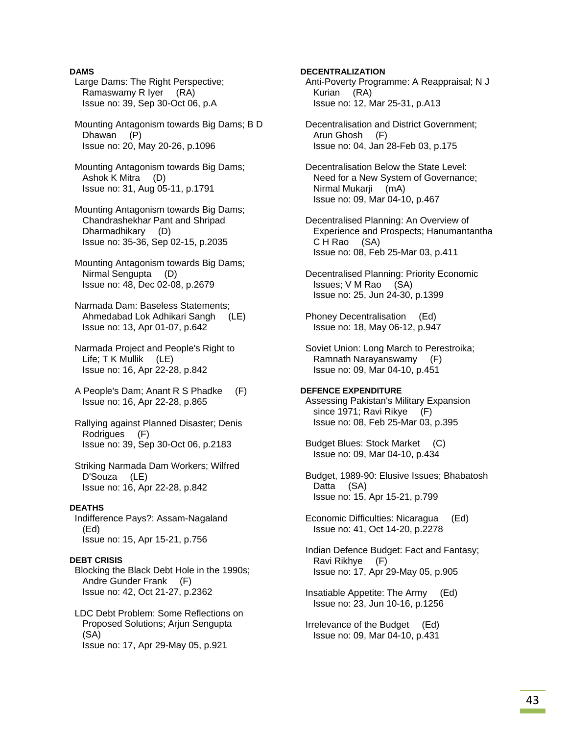# **DAMS**

- Large Dams: The Right Perspective; Ramaswamy R Iyer (RA) Issue no: 39, Sep 30-Oct 06, p.A
- Mounting Antagonism towards Big Dams; B D Dhawan (P) Issue no: 20, May 20-26, p.1096
- Mounting Antagonism towards Big Dams; Ashok K Mitra (D) Issue no: 31, Aug 05-11, p.1791
- Mounting Antagonism towards Big Dams; Chandrashekhar Pant and Shripad Dharmadhikary (D) Issue no: 35-36, Sep 02-15, p.2035
- Mounting Antagonism towards Big Dams; Nirmal Sengupta (D) Issue no: 48, Dec 02-08, p.2679
- Narmada Dam: Baseless Statements; Ahmedabad Lok Adhikari Sangh (LE) Issue no: 13, Apr 01-07, p.642
- Narmada Project and People's Right to Life; T K Mullik (LE) Issue no: 16, Apr 22-28, p.842
- A People's Dam; Anant R S Phadke (F) Issue no: 16, Apr 22-28, p.865
- Rallying against Planned Disaster; Denis Rodrigues (F) Issue no: 39, Sep 30-Oct 06, p.2183
- Striking Narmada Dam Workers; Wilfred D'Souza (LE) Issue no: 16, Apr 22-28, p.842

### **DEATHS**

 Indifference Pays?: Assam-Nagaland (Ed) Issue no: 15, Apr 15-21, p.756

### **DEBT CRISIS**

 Blocking the Black Debt Hole in the 1990s; Andre Gunder Frank (F) Issue no: 42, Oct 21-27, p.2362

 LDC Debt Problem: Some Reflections on Proposed Solutions; Arjun Sengupta (SA) Issue no: 17, Apr 29-May 05, p.921

**DECENTRALIZATION** 

- Anti-Poverty Programme: A Reappraisal; N J Kurian (RA) Issue no: 12, Mar 25-31, p.A13
- Decentralisation and District Government; Arun Ghosh (F) Issue no: 04, Jan 28-Feb 03, p.175
- Decentralisation Below the State Level: Need for a New System of Governance; Nirmal Mukarji (mA) Issue no: 09, Mar 04-10, p.467
- Decentralised Planning: An Overview of Experience and Prospects; Hanumantantha C H Rao (SA) Issue no: 08, Feb 25-Mar 03, p.411
- Decentralised Planning: Priority Economic Issues; V M Rao (SA) Issue no: 25, Jun 24-30, p.1399
- Phoney Decentralisation (Ed) Issue no: 18, May 06-12, p.947
- Soviet Union: Long March to Perestroika; Ramnath Narayanswamy (F) Issue no: 09, Mar 04-10, p.451

# **DEFENCE EXPENDITURE**

- Assessing Pakistan's Military Expansion since 1971; Ravi Rikye (F) Issue no: 08, Feb 25-Mar 03, p.395
- Budget Blues: Stock Market (C) Issue no: 09, Mar 04-10, p.434
- Budget, 1989-90: Elusive Issues; Bhabatosh Datta (SA) Issue no: 15, Apr 15-21, p.799
- Economic Difficulties: Nicaragua (Ed) Issue no: 41, Oct 14-20, p.2278
- Indian Defence Budget: Fact and Fantasy; Ravi Rikhye (F) Issue no: 17, Apr 29-May 05, p.905
- Insatiable Appetite: The Army (Ed) Issue no: 23, Jun 10-16, p.1256
- Irrelevance of the Budget (Ed) Issue no: 09, Mar 04-10, p.431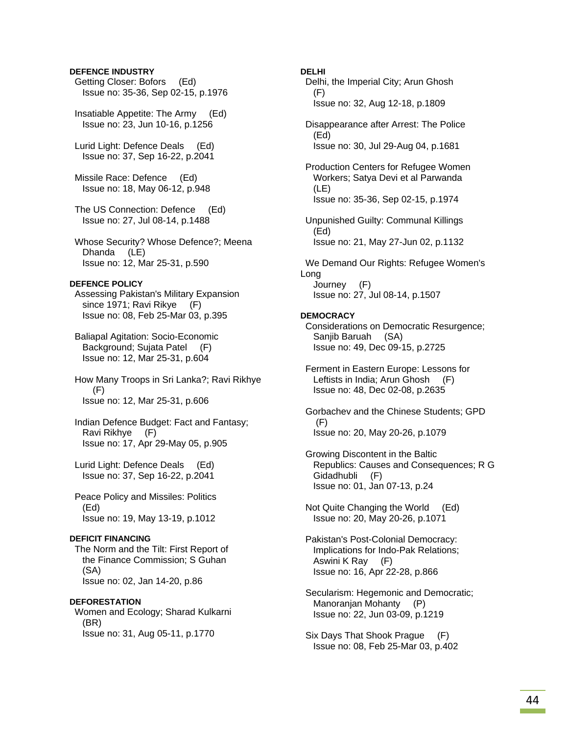# **DEFENCE INDUSTRY**

 Getting Closer: Bofors (Ed) Issue no: 35-36, Sep 02-15, p.1976

 Insatiable Appetite: The Army (Ed) Issue no: 23, Jun 10-16, p.1256

 Lurid Light: Defence Deals (Ed) Issue no: 37, Sep 16-22, p.2041

 Missile Race: Defence (Ed) Issue no: 18, May 06-12, p.948

 The US Connection: Defence (Ed) Issue no: 27, Jul 08-14, p.1488

 Whose Security? Whose Defence?; Meena Dhanda (LE) Issue no: 12, Mar 25-31, p.590

# **DEFENCE POLICY**

 Assessing Pakistan's Military Expansion since 1971; Ravi Rikye (F) Issue no: 08, Feb 25-Mar 03, p.395

 Baliapal Agitation: Socio-Economic Background; Sujata Patel (F) Issue no: 12, Mar 25-31, p.604

 How Many Troops in Sri Lanka?; Ravi Rikhye (F) Issue no: 12, Mar 25-31, p.606

 Indian Defence Budget: Fact and Fantasy; Ravi Rikhye (F) Issue no: 17, Apr 29-May 05, p.905

 Lurid Light: Defence Deals (Ed) Issue no: 37, Sep 16-22, p.2041

 Peace Policy and Missiles: Politics (Ed) Issue no: 19, May 13-19, p.1012

#### **DEFICIT FINANCING**

 The Norm and the Tilt: First Report of the Finance Commission; S Guhan (SA) Issue no: 02, Jan 14-20, p.86

### **DEFORESTATION**

 Women and Ecology; Sharad Kulkarni (BR) Issue no: 31, Aug 05-11, p.1770

### **DELHI**

 Delhi, the Imperial City; Arun Ghosh (F) Issue no: 32, Aug 12-18, p.1809

 Disappearance after Arrest: The Police (Ed) Issue no: 30, Jul 29-Aug 04, p.1681

 Production Centers for Refugee Women Workers; Satya Devi et al Parwanda (LE) Issue no: 35-36, Sep 02-15, p.1974

 Unpunished Guilty: Communal Killings (Ed) Issue no: 21, May 27-Jun 02, p.1132

 We Demand Our Rights: Refugee Women's Long Journey (F) Issue no: 27, Jul 08-14, p.1507

#### **DEMOCRACY**

 Considerations on Democratic Resurgence; Sanjib Baruah (SA) Issue no: 49, Dec 09-15, p.2725

 Ferment in Eastern Europe: Lessons for Leftists in India; Arun Ghosh (F) Issue no: 48, Dec 02-08, p.2635

 Gorbachev and the Chinese Students; GPD (F) Issue no: 20, May 20-26, p.1079

 Growing Discontent in the Baltic Republics: Causes and Consequences; R G Gidadhubli (F) Issue no: 01, Jan 07-13, p.24

 Not Quite Changing the World (Ed) Issue no: 20, May 20-26, p.1071

 Pakistan's Post-Colonial Democracy: Implications for Indo-Pak Relations; Aswini K Ray (F) Issue no: 16, Apr 22-28, p.866

 Secularism: Hegemonic and Democratic; Manoranjan Mohanty (P) Issue no: 22, Jun 03-09, p.1219

 Six Days That Shook Prague (F) Issue no: 08, Feb 25-Mar 03, p.402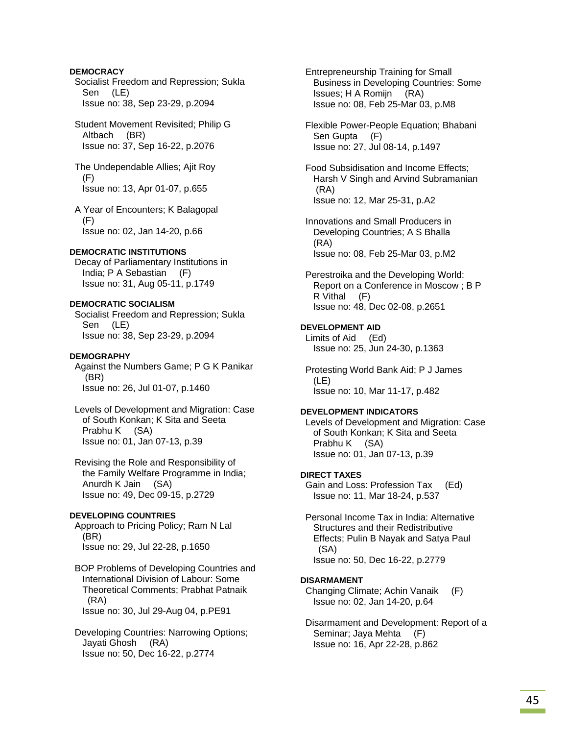# **DEMOCRACY**

 Socialist Freedom and Repression; Sukla Sen (LE) Issue no: 38, Sep 23-29, p.2094

 Student Movement Revisited; Philip G Altbach (BR) Issue no: 37, Sep 16-22, p.2076

 The Undependable Allies; Ajit Roy (F) Issue no: 13, Apr 01-07, p.655

 A Year of Encounters; K Balagopal (F) Issue no: 02, Jan 14-20, p.66

### **DEMOCRATIC INSTITUTIONS**

 Decay of Parliamentary Institutions in India; P A Sebastian (F) Issue no: 31, Aug 05-11, p.1749

# **DEMOCRATIC SOCIALISM**

 Socialist Freedom and Repression; Sukla Sen (LE) Issue no: 38, Sep 23-29, p.2094

### **DEMOGRAPHY**

 Against the Numbers Game; P G K Panikar (BR) Issue no: 26, Jul 01-07, p.1460

 Levels of Development and Migration: Case of South Konkan; K Sita and Seeta Prabhu K (SA) Issue no: 01, Jan 07-13, p.39

 Revising the Role and Responsibility of the Family Welfare Programme in India; Anurdh K Jain (SA) Issue no: 49, Dec 09-15, p.2729

# **DEVELOPING COUNTRIES**

 Approach to Pricing Policy; Ram N Lal (BR) Issue no: 29, Jul 22-28, p.1650

 BOP Problems of Developing Countries and International Division of Labour: Some Theoretical Comments; Prabhat Patnaik (RA) Issue no: 30, Jul 29-Aug 04, p.PE91

 Developing Countries: Narrowing Options; Jayati Ghosh (RA) Issue no: 50, Dec 16-22, p.2774

 Entrepreneurship Training for Small Business in Developing Countries: Some Issues; H A Romijn (RA) Issue no: 08, Feb 25-Mar 03, p.M8

 Flexible Power-People Equation; Bhabani Sen Gupta (F) Issue no: 27, Jul 08-14, p.1497

 Food Subsidisation and Income Effects; Harsh V Singh and Arvind Subramanian (RA) Issue no: 12, Mar 25-31, p.A2

- Innovations and Small Producers in Developing Countries; A S Bhalla (RA) Issue no: 08, Feb 25-Mar 03, p.M2
- Perestroika and the Developing World: Report on a Conference in Moscow ; B P R Vithal (F) Issue no: 48, Dec 02-08, p.2651

# **DEVELOPMENT AID**

 Limits of Aid (Ed) Issue no: 25, Jun 24-30, p.1363

 Protesting World Bank Aid; P J James (LE) Issue no: 10, Mar 11-17, p.482

#### **DEVELOPMENT INDICATORS**

 Levels of Development and Migration: Case of South Konkan; K Sita and Seeta Prabhu K (SA) Issue no: 01, Jan 07-13, p.39

### **DIRECT TAXES**

 Gain and Loss: Profession Tax (Ed) Issue no: 11, Mar 18-24, p.537

 Personal Income Tax in India: Alternative Structures and their Redistributive Effects; Pulin B Nayak and Satya Paul (SA) Issue no: 50, Dec 16-22, p.2779

#### **DISARMAMENT**

 Changing Climate; Achin Vanaik (F) Issue no: 02, Jan 14-20, p.64

 Disarmament and Development: Report of a Seminar; Jaya Mehta (F) Issue no: 16, Apr 22-28, p.862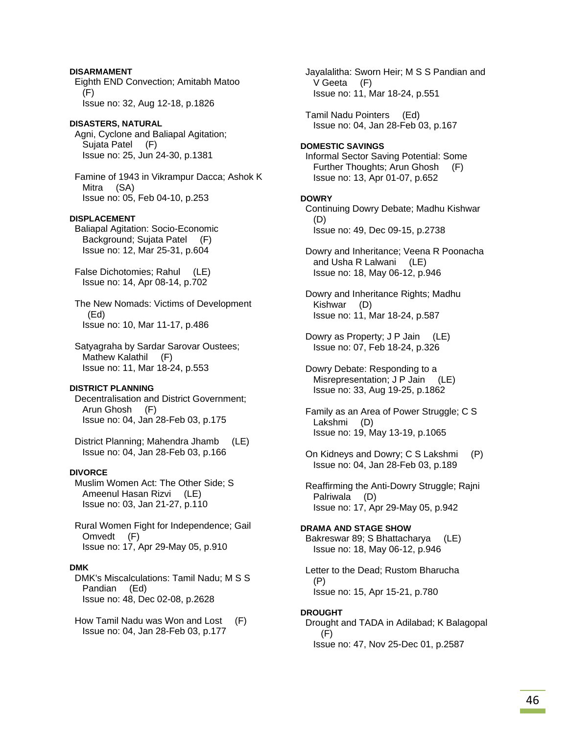# **DISARMAMENT**  Eighth END Convection; Amitabh Matoo (F) Issue no: 32, Aug 12-18, p.1826 **DISASTERS, NATURAL**  Agni, Cyclone and Baliapal Agitation; Sujata Patel (F) Issue no: 25, Jun 24-30, p.1381 Famine of 1943 in Vikrampur Dacca; Ashok K Mitra (SA) Issue no: 05, Feb 04-10, p.253 **DISPLACEMENT**  Baliapal Agitation: Socio-Economic Background; Sujata Patel (F) Issue no: 12, Mar 25-31, p.604 False Dichotomies; Rahul (LE) Issue no: 14, Apr 08-14, p.702 The New Nomads: Victims of Development (Ed) Issue no: 10, Mar 11-17, p.486

 Satyagraha by Sardar Sarovar Oustees; Mathew Kalathil (F) Issue no: 11, Mar 18-24, p.553

# **DISTRICT PLANNING**

 Decentralisation and District Government; Arun Ghosh (F) Issue no: 04, Jan 28-Feb 03, p.175

 District Planning; Mahendra Jhamb (LE) Issue no: 04, Jan 28-Feb 03, p.166

# **DIVORCE**

 Muslim Women Act: The Other Side; S Ameenul Hasan Rizvi (LE) Issue no: 03, Jan 21-27, p.110

 Rural Women Fight for Independence; Gail Omvedt (F) Issue no: 17, Apr 29-May 05, p.910

# **DMK**

 DMK's Miscalculations: Tamil Nadu; M S S Pandian (Ed) Issue no: 48, Dec 02-08, p.2628

 How Tamil Nadu was Won and Lost (F) Issue no: 04, Jan 28-Feb 03, p.177

 Jayalalitha: Sworn Heir; M S S Pandian and V Geeta (F) Issue no: 11, Mar 18-24, p.551 Tamil Nadu Pointers (Ed) Issue no: 04, Jan 28-Feb 03, p.167 **DOMESTIC SAVINGS**  Informal Sector Saving Potential: Some Further Thoughts; Arun Ghosh (F) Issue no: 13, Apr 01-07, p.652 **DOWRY**  Continuing Dowry Debate; Madhu Kishwar (D) Issue no: 49, Dec 09-15, p.2738 Dowry and Inheritance; Veena R Poonacha and Usha R Lalwani (LE) Issue no: 18, May 06-12, p.946 Dowry and Inheritance Rights; Madhu Kishwar (D) Issue no: 11, Mar 18-24, p.587 Dowry as Property; J P Jain (LE) Issue no: 07, Feb 18-24, p.326 Dowry Debate: Responding to a Misrepresentation; J P Jain (LE) Issue no: 33, Aug 19-25, p.1862 Family as an Area of Power Struggle; C S Lakshmi (D) Issue no: 19, May 13-19, p.1065 On Kidneys and Dowry; C S Lakshmi (P) Issue no: 04, Jan 28-Feb 03, p.189 Reaffirming the Anti-Dowry Struggle; Rajni Palriwala (D) Issue no: 17, Apr 29-May 05, p.942 **DRAMA AND STAGE SHOW**  Bakreswar 89; S Bhattacharya (LE) Issue no: 18, May 06-12, p.946 Letter to the Dead; Rustom Bharucha (P)

Issue no: 15, Apr 15-21, p.780

# **DROUGHT**

 Drought and TADA in Adilabad; K Balagopal (F) Issue no: 47, Nov 25-Dec 01, p.2587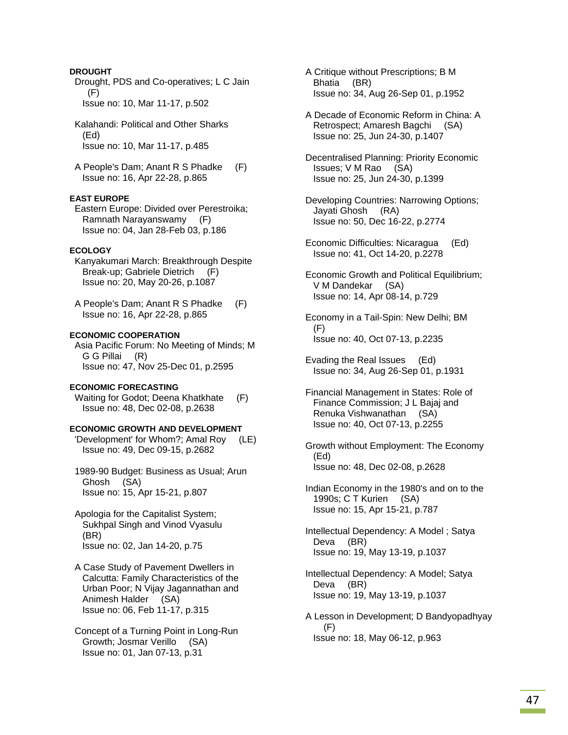# **DROUGHT**

 Drought, PDS and Co-operatives; L C Jain (F) Issue no: 10, Mar 11-17, p.502

 Kalahandi: Political and Other Sharks (Ed) Issue no: 10, Mar 11-17, p.485

 A People's Dam; Anant R S Phadke (F) Issue no: 16, Apr 22-28, p.865

### **EAST EUROPE**

 Eastern Europe: Divided over Perestroika; Ramnath Narayanswamy (F) Issue no: 04, Jan 28-Feb 03, p.186

# **ECOLOGY**

 Kanyakumari March: Breakthrough Despite Break-up; Gabriele Dietrich (F) Issue no: 20, May 20-26, p.1087

 A People's Dam; Anant R S Phadke (F) Issue no: 16, Apr 22-28, p.865

#### **ECONOMIC COOPERATION**

 Asia Pacific Forum: No Meeting of Minds; M G G Pillai (R) Issue no: 47, Nov 25-Dec 01, p.2595

# **ECONOMIC FORECASTING**

Waiting for Godot; Deena Khatkhate (F) Issue no: 48, Dec 02-08, p.2638

# **ECONOMIC GROWTH AND DEVELOPMENT**

 'Development' for Whom?; Amal Roy (LE) Issue no: 49, Dec 09-15, p.2682

 1989-90 Budget: Business as Usual; Arun Ghosh (SA) Issue no: 15, Apr 15-21, p.807

 Apologia for the Capitalist System; Sukhpal Singh and Vinod Vyasulu (BR) Issue no: 02, Jan 14-20, p.75

 A Case Study of Pavement Dwellers in Calcutta: Family Characteristics of the Urban Poor; N Vijay Jagannathan and Animesh Halder (SA) Issue no: 06, Feb 11-17, p.315

 Concept of a Turning Point in Long-Run Growth; Josmar Verillo (SA) Issue no: 01, Jan 07-13, p.31

 A Critique without Prescriptions; B M Bhatia (BR) Issue no: 34, Aug 26-Sep 01, p.1952

 A Decade of Economic Reform in China: A Retrospect; Amaresh Bagchi (SA) Issue no: 25, Jun 24-30, p.1407

 Decentralised Planning: Priority Economic Issues; V M Rao (SA) Issue no: 25, Jun 24-30, p.1399

 Developing Countries: Narrowing Options; Jayati Ghosh (RA) Issue no: 50, Dec 16-22, p.2774

 Economic Difficulties: Nicaragua (Ed) Issue no: 41, Oct 14-20, p.2278

 Economic Growth and Political Equilibrium; V M Dandekar (SA) Issue no: 14, Apr 08-14, p.729

 Economy in a Tail-Spin: New Delhi; BM  $(F)$ Issue no: 40, Oct 07-13, p.2235

 Evading the Real Issues (Ed) Issue no: 34, Aug 26-Sep 01, p.1931

 Financial Management in States: Role of Finance Commission; J L Bajaj and Renuka Vishwanathan (SA) Issue no: 40, Oct 07-13, p.2255

 Growth without Employment: The Economy (Ed) Issue no: 48, Dec 02-08, p.2628

 Indian Economy in the 1980's and on to the 1990s; C T Kurien (SA) Issue no: 15, Apr 15-21, p.787

 Intellectual Dependency: A Model ; Satya Deva (BR) Issue no: 19, May 13-19, p.1037

 Intellectual Dependency: A Model; Satya Deva (BR) Issue no: 19, May 13-19, p.1037

 A Lesson in Development; D Bandyopadhyay (F) Issue no: 18, May 06-12, p.963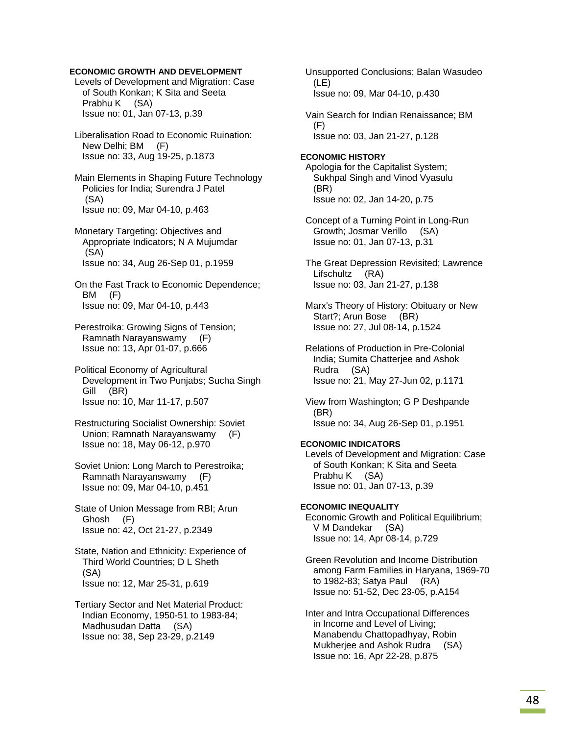# **ECONOMIC GROWTH AND DEVELOPMENT**

 Levels of Development and Migration: Case of South Konkan; K Sita and Seeta Prabhu K (SA) Issue no: 01, Jan 07-13, p.39

 Liberalisation Road to Economic Ruination: New Delhi; BM (F) Issue no: 33, Aug 19-25, p.1873

 Main Elements in Shaping Future Technology Policies for India; Surendra J Patel (SA) Issue no: 09, Mar 04-10, p.463

 Monetary Targeting: Objectives and Appropriate Indicators; N A Mujumdar (SA) Issue no: 34, Aug 26-Sep 01, p.1959

 On the Fast Track to Economic Dependence; BM (F) Issue no: 09, Mar 04-10, p.443

 Perestroika: Growing Signs of Tension; Ramnath Narayanswamy (F) Issue no: 13, Apr 01-07, p.666

 Political Economy of Agricultural Development in Two Punjabs; Sucha Singh Gill (BR) Issue no: 10, Mar 11-17, p.507

 Restructuring Socialist Ownership: Soviet Union; Ramnath Narayanswamy (F) Issue no: 18, May 06-12, p.970

 Soviet Union: Long March to Perestroika; Ramnath Narayanswamy (F) Issue no: 09, Mar 04-10, p.451

 State of Union Message from RBI; Arun Ghosh (F) Issue no: 42, Oct 21-27, p.2349

 State, Nation and Ethnicity: Experience of Third World Countries; D L Sheth (SA) Issue no: 12, Mar 25-31, p.619

 Tertiary Sector and Net Material Product: Indian Economy, 1950-51 to 1983-84; Madhusudan Datta (SA) Issue no: 38, Sep 23-29, p.2149

 Unsupported Conclusions; Balan Wasudeo (LE) Issue no: 09, Mar 04-10, p.430 Vain Search for Indian Renaissance; BM (F) Issue no: 03, Jan 21-27, p.128 **ECONOMIC HISTORY**  Apologia for the Capitalist System; Sukhpal Singh and Vinod Vyasulu (BR) Issue no: 02, Jan 14-20, p.75 Concept of a Turning Point in Long-Run Growth; Josmar Verillo (SA) Issue no: 01, Jan 07-13, p.31 The Great Depression Revisited; Lawrence Lifschultz (RA) Issue no: 03, Jan 21-27, p.138 Marx's Theory of History: Obituary or New Start?; Arun Bose (BR) Issue no: 27, Jul 08-14, p.1524 Relations of Production in Pre-Colonial India; Sumita Chatterjee and Ashok Rudra (SA) Issue no: 21, May 27-Jun 02, p.1171 View from Washington; G P Deshpande (BR) Issue no: 34, Aug 26-Sep 01, p.1951 **ECONOMIC INDICATORS**  Levels of Development and Migration: Case of South Konkan; K Sita and Seeta Prabhu K (SA) Issue no: 01, Jan 07-13, p.39 **ECONOMIC INEQUALITY**  Economic Growth and Political Equilibrium; V M Dandekar (SA) Issue no: 14, Apr 08-14, p.729 Green Revolution and Income Distribution among Farm Families in Haryana, 1969-70 to 1982-83; Satya Paul (RA) Issue no: 51-52, Dec 23-05, p.A154 Inter and Intra Occupational Differences in Income and Level of Living; Manabendu Chattopadhyay, Robin Mukherjee and Ashok Rudra (SA) Issue no: 16, Apr 22-28, p.875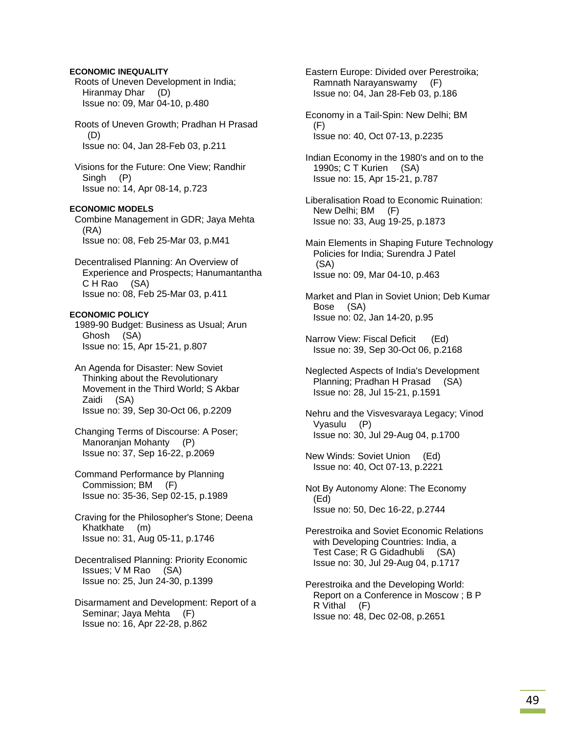# **ECONOMIC INEQUALITY**

 Roots of Uneven Development in India; Hiranmay Dhar (D) Issue no: 09, Mar 04-10, p.480

 Roots of Uneven Growth; Pradhan H Prasad (D) Issue no: 04, Jan 28-Feb 03, p.211

 Visions for the Future: One View; Randhir Singh (P) Issue no: 14, Apr 08-14, p.723

# **ECONOMIC MODELS**

 Combine Management in GDR; Jaya Mehta (RA) Issue no: 08, Feb 25-Mar 03, p.M41

 Decentralised Planning: An Overview of Experience and Prospects; Hanumantantha C H Rao (SA) Issue no: 08, Feb 25-Mar 03, p.411

### **ECONOMIC POLICY**

 1989-90 Budget: Business as Usual; Arun Ghosh (SA) Issue no: 15, Apr 15-21, p.807

 An Agenda for Disaster: New Soviet Thinking about the Revolutionary Movement in the Third World; S Akbar Zaidi (SA) Issue no: 39, Sep 30-Oct 06, p.2209

 Changing Terms of Discourse: A Poser; Manoranjan Mohanty (P) Issue no: 37, Sep 16-22, p.2069

 Command Performance by Planning Commission; BM (F) Issue no: 35-36, Sep 02-15, p.1989

 Craving for the Philosopher's Stone; Deena Khatkhate (m) Issue no: 31, Aug 05-11, p.1746

 Decentralised Planning: Priority Economic Issues; V M Rao (SA) Issue no: 25, Jun 24-30, p.1399

 Disarmament and Development: Report of a Seminar; Jaya Mehta (F) Issue no: 16, Apr 22-28, p.862

 Eastern Europe: Divided over Perestroika; Ramnath Narayanswamy (F) Issue no: 04, Jan 28-Feb 03, p.186

 Economy in a Tail-Spin: New Delhi; BM (F) Issue no: 40, Oct 07-13, p.2235

 Indian Economy in the 1980's and on to the 1990s; C T Kurien (SA) Issue no: 15, Apr 15-21, p.787

 Liberalisation Road to Economic Ruination: New Delhi; BM (F) Issue no: 33, Aug 19-25, p.1873

 Main Elements in Shaping Future Technology Policies for India; Surendra J Patel (SA) Issue no: 09, Mar 04-10, p.463

 Market and Plan in Soviet Union; Deb Kumar Bose (SA) Issue no: 02, Jan 14-20, p.95

Narrow View: Fiscal Deficit (Ed) Issue no: 39, Sep 30-Oct 06, p.2168

 Neglected Aspects of India's Development Planning; Pradhan H Prasad (SA) Issue no: 28, Jul 15-21, p.1591

 Nehru and the Visvesvaraya Legacy; Vinod Vyasulu (P) Issue no: 30, Jul 29-Aug 04, p.1700

 New Winds: Soviet Union (Ed) Issue no: 40, Oct 07-13, p.2221

 Not By Autonomy Alone: The Economy (Ed) Issue no: 50, Dec 16-22, p.2744

 Perestroika and Soviet Economic Relations with Developing Countries: India, a Test Case; R G Gidadhubli (SA) Issue no: 30, Jul 29-Aug 04, p.1717

 Perestroika and the Developing World: Report on a Conference in Moscow ; B P R Vithal (F) Issue no: 48, Dec 02-08, p.2651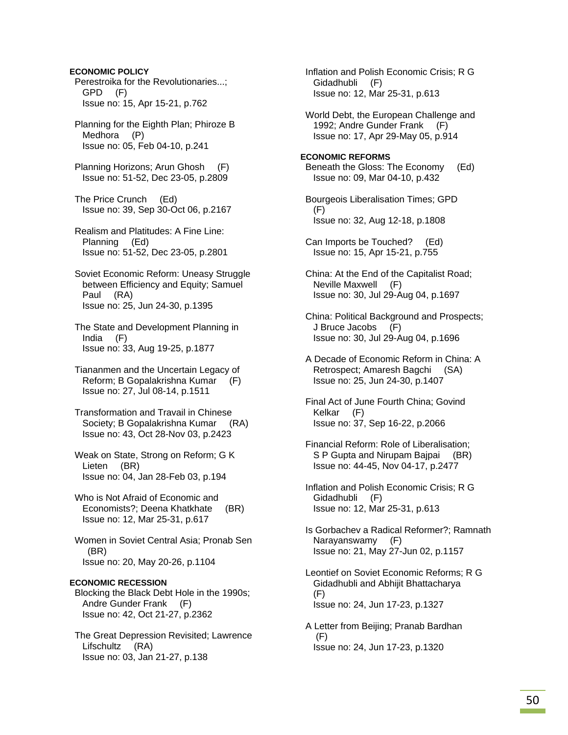**ECONOMIC POLICY**  Perestroika for the Revolutionaries...; GPD (F) Issue no: 15, Apr 15-21, p.762

 Planning for the Eighth Plan; Phiroze B Medhora (P) Issue no: 05, Feb 04-10, p.241

 Planning Horizons; Arun Ghosh (F) Issue no: 51-52, Dec 23-05, p.2809

 The Price Crunch (Ed) Issue no: 39, Sep 30-Oct 06, p.2167

 Realism and Platitudes: A Fine Line: Planning (Ed) Issue no: 51-52, Dec 23-05, p.2801

 Soviet Economic Reform: Uneasy Struggle between Efficiency and Equity; Samuel Paul (RA) Issue no: 25, Jun 24-30, p.1395

 The State and Development Planning in India (F) Issue no: 33, Aug 19-25, p.1877

 Tiananmen and the Uncertain Legacy of Reform; B Gopalakrishna Kumar (F) Issue no: 27, Jul 08-14, p.1511

 Transformation and Travail in Chinese Society; B Gopalakrishna Kumar (RA) Issue no: 43, Oct 28-Nov 03, p.2423

 Weak on State, Strong on Reform; G K Lieten (BR) Issue no: 04, Jan 28-Feb 03, p.194

 Who is Not Afraid of Economic and Economists?; Deena Khatkhate (BR) Issue no: 12, Mar 25-31, p.617

 Women in Soviet Central Asia; Pronab Sen (BR) Issue no: 20, May 20-26, p.1104

### **ECONOMIC RECESSION**

 Blocking the Black Debt Hole in the 1990s; Andre Gunder Frank (F) Issue no: 42, Oct 21-27, p.2362

 The Great Depression Revisited; Lawrence Lifschultz (RA) Issue no: 03, Jan 21-27, p.138

 Inflation and Polish Economic Crisis; R G Gidadhubli (F) Issue no: 12, Mar 25-31, p.613

 World Debt, the European Challenge and 1992; Andre Gunder Frank (F) Issue no: 17, Apr 29-May 05, p.914

### **ECONOMIC REFORMS**  Beneath the Gloss: The Economy (Ed) Issue no: 09, Mar 04-10, p.432

 Bourgeois Liberalisation Times; GPD (F) Issue no: 32, Aug 12-18, p.1808

 Can Imports be Touched? (Ed) Issue no: 15, Apr 15-21, p.755

 China: At the End of the Capitalist Road; Neville Maxwell (F) Issue no: 30, Jul 29-Aug 04, p.1697

 China: Political Background and Prospects; J Bruce Jacobs (F) Issue no: 30, Jul 29-Aug 04, p.1696

 A Decade of Economic Reform in China: A Retrospect; Amaresh Bagchi (SA) Issue no: 25, Jun 24-30, p.1407

 Final Act of June Fourth China; Govind Kelkar (F) Issue no: 37, Sep 16-22, p.2066

 Financial Reform: Role of Liberalisation; S P Gupta and Nirupam Bajpai (BR) Issue no: 44-45, Nov 04-17, p.2477

 Inflation and Polish Economic Crisis; R G Gidadhubli (F) Issue no: 12, Mar 25-31, p.613

 Is Gorbachev a Radical Reformer?; Ramnath Narayanswamy (F) Issue no: 21, May 27-Jun 02, p.1157

 Leontief on Soviet Economic Reforms; R G Gidadhubli and Abhijit Bhattacharya (F) Issue no: 24, Jun 17-23, p.1327

 A Letter from Beijing; Pranab Bardhan (F) Issue no: 24, Jun 17-23, p.1320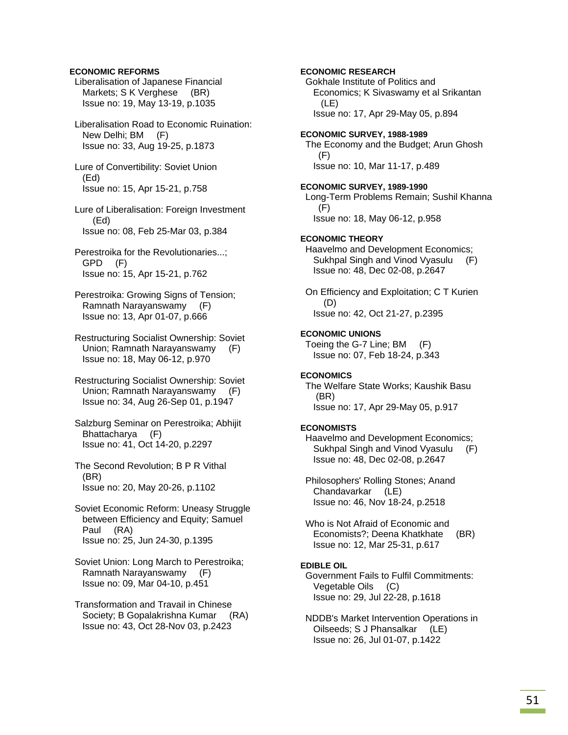# **ECONOMIC REFORMS**

 Liberalisation of Japanese Financial Markets; S K Verghese (BR) Issue no: 19, May 13-19, p.1035

 Liberalisation Road to Economic Ruination: New Delhi; BM (F) Issue no: 33, Aug 19-25, p.1873

 Lure of Convertibility: Soviet Union (Ed) Issue no: 15, Apr 15-21, p.758

 Lure of Liberalisation: Foreign Investment (Ed) Issue no: 08, Feb 25-Mar 03, p.384

- Perestroika for the Revolutionaries...; GPD (F) Issue no: 15, Apr 15-21, p.762
- Perestroika: Growing Signs of Tension; Ramnath Narayanswamy (F) Issue no: 13, Apr 01-07, p.666
- Restructuring Socialist Ownership: Soviet Union; Ramnath Narayanswamy (F) Issue no: 18, May 06-12, p.970
- Restructuring Socialist Ownership: Soviet Union; Ramnath Narayanswamy (F) Issue no: 34, Aug 26-Sep 01, p.1947
- Salzburg Seminar on Perestroika; Abhijit Bhattacharya (F) Issue no: 41, Oct 14-20, p.2297
- The Second Revolution; B P R Vithal (BR) Issue no: 20, May 20-26, p.1102
- Soviet Economic Reform: Uneasy Struggle between Efficiency and Equity; Samuel Paul (RA) Issue no: 25, Jun 24-30, p.1395
- Soviet Union: Long March to Perestroika; Ramnath Narayanswamy (F) Issue no: 09, Mar 04-10, p.451
- Transformation and Travail in Chinese Society; B Gopalakrishna Kumar (RA) Issue no: 43, Oct 28-Nov 03, p.2423

 Gokhale Institute of Politics and Economics; K Sivaswamy et al Srikantan (LE) Issue no: 17, Apr 29-May 05, p.894 **ECONOMIC SURVEY, 1988-1989**  The Economy and the Budget; Arun Ghosh (F) Issue no: 10, Mar 11-17, p.489 **ECONOMIC SURVEY, 1989-1990**  Long-Term Problems Remain; Sushil Khanna (F) Issue no: 18, May 06-12, p.958 **ECONOMIC THEORY**  Haavelmo and Development Economics; Sukhpal Singh and Vinod Vyasulu (F) Issue no: 48, Dec 02-08, p.2647 On Efficiency and Exploitation; C T Kurien (D) Issue no: 42, Oct 21-27, p.2395 **ECONOMIC UNIONS**  Toeing the G-7 Line; BM (F) Issue no: 07, Feb 18-24, p.343 **ECONOMICS**  The Welfare State Works; Kaushik Basu (BR)

**ECONOMIC RESEARCH** 

Issue no: 17, Apr 29-May 05, p.917

# **ECONOMISTS**

 Haavelmo and Development Economics; Sukhpal Singh and Vinod Vyasulu (F) Issue no: 48, Dec 02-08, p.2647

 Philosophers' Rolling Stones; Anand Chandavarkar (LE) Issue no: 46, Nov 18-24, p.2518

 Who is Not Afraid of Economic and Economists?; Deena Khatkhate (BR) Issue no: 12, Mar 25-31, p.617

# **EDIBLE OIL**

 Government Fails to Fulfil Commitments: Vegetable Oils (C) Issue no: 29, Jul 22-28, p.1618

 NDDB's Market Intervention Operations in Oilseeds; S J Phansalkar (LE) Issue no: 26, Jul 01-07, p.1422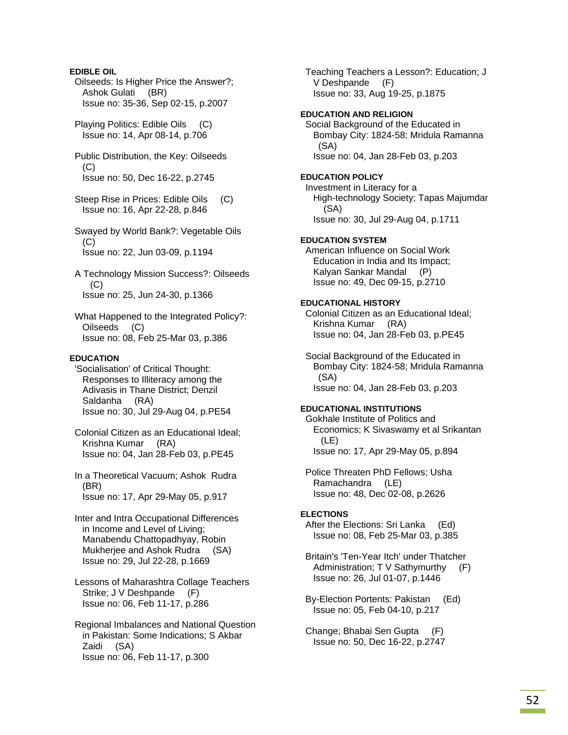**EDIBLE OIL**  Oilseeds: Is Higher Price the Answer?; Ashok Gulati (BR) Issue no: 35-36, Sep 02-15, p.2007 Playing Politics: Edible Oils (C) Issue no: 14, Apr 08-14, p.706 Public Distribution, the Key: Oilseeds (C) Issue no: 50, Dec 16-22, p.2745 Steep Rise in Prices: Edible Oils (C) Issue no: 16, Apr 22-28, p.846 Swayed by World Bank?: Vegetable Oils  $(C)$  Issue no: 22, Jun 03-09, p.1194 A Technology Mission Success?: Oilseeds  $(C)$  Issue no: 25, Jun 24-30, p.1366 What Happened to the Integrated Policy?: Oilseeds (C) Issue no: 08, Feb 25-Mar 03, p.386 **EDUCATION**  'Socialisation' of Critical Thought: Responses to Illiteracy among the Adivasis in Thane District; Denzil Saldanha (RA) Issue no: 30, Jul 29-Aug 04, p.PE54 Colonial Citizen as an Educational Ideal; Krishna Kumar (RA) Issue no: 04, Jan 28-Feb 03, p.PE45 In a Theoretical Vacuum; Ashok Rudra (BR) Issue no: 17, Apr 29-May 05, p.917 Inter and Intra Occupational Differences in Income and Level of Living; Manabendu Chattopadhyay, Robin Mukherjee and Ashok Rudra (SA) Issue no: 29, Jul 22-28, p.1669 Lessons of Maharashtra Collage Teachers Strike; J V Deshpande (F) Issue no: 06, Feb 11-17, p.286 Regional Imbalances and National Question in Pakistan: Some Indications; S Akbar Zaidi (SA)

Issue no: 06, Feb 11-17, p.300

 Teaching Teachers a Lesson?: Education; J V Deshpande (F) Issue no: 33, Aug 19-25, p.1875

### **EDUCATION AND RELIGION**

Social Background of the Educated in Bombay City: 1824-58; Mridula Ramanna (SA) Issue no: 04, Jan 28-Feb 03, p.203

# **EDUCATION POLICY**

 Investment in Literacy for a High-technology Society; Tapas Majumdar (SA) Issue no: 30, Jul 29-Aug 04, p.1711

# **EDUCATION SYSTEM**

 American Influence on Social Work Education in India and Its Impact; Kalyan Sankar Mandal (P) Issue no: 49, Dec 09-15, p.2710

# **EDUCATIONAL HISTORY**

 Colonial Citizen as an Educational Ideal; Krishna Kumar (RA) Issue no: 04, Jan 28-Feb 03, p.PE45

 Social Background of the Educated in Bombay City: 1824-58; Mridula Ramanna (SA) Issue no: 04, Jan 28-Feb 03, p.203

### **EDUCATIONAL INSTITUTIONS**

 Gokhale Institute of Politics and Economics; K Sivaswamy et al Srikantan (LE) Issue no: 17, Apr 29-May 05, p.894

 Police Threaten PhD Fellows; Usha Ramachandra (LE) Issue no: 48, Dec 02-08, p.2626

# **ELECTIONS**

 After the Elections: Sri Lanka (Ed) Issue no: 08, Feb 25-Mar 03, p.385

 Britain's 'Ten-Year Itch' under Thatcher Administration; T V Sathymurthy (F) Issue no: 26, Jul 01-07, p.1446

 By-Election Portents: Pakistan (Ed) Issue no: 05, Feb 04-10, p.217

 Change; Bhabai Sen Gupta (F) Issue no: 50, Dec 16-22, p.2747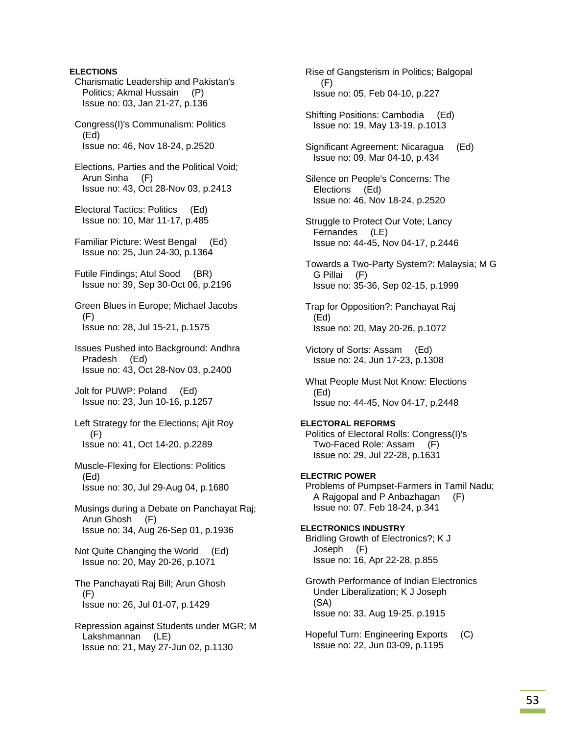# **ELECTIONS**

 Charismatic Leadership and Pakistan's Politics; Akmal Hussain (P) Issue no: 03, Jan 21-27, p.136

 Congress(I)'s Communalism: Politics (Ed) Issue no: 46, Nov 18-24, p.2520

 Elections, Parties and the Political Void; Arun Sinha (F) Issue no: 43, Oct 28-Nov 03, p.2413

 Electoral Tactics: Politics (Ed) Issue no: 10, Mar 11-17, p.485

 Familiar Picture: West Bengal (Ed) Issue no: 25, Jun 24-30, p.1364

 Futile Findings; Atul Sood (BR) Issue no: 39, Sep 30-Oct 06, p.2196

 Green Blues in Europe; Michael Jacobs (F) Issue no: 28, Jul 15-21, p.1575

 Issues Pushed into Background: Andhra Pradesh (Ed) Issue no: 43, Oct 28-Nov 03, p.2400

 Jolt for PUWP: Poland (Ed) Issue no: 23, Jun 10-16, p.1257

 Left Strategy for the Elections; Ajit Roy  $(F)$ Issue no: 41, Oct 14-20, p.2289

 Muscle-Flexing for Elections: Politics (Ed) Issue no: 30, Jul 29-Aug 04, p.1680

 Musings during a Debate on Panchayat Raj; Arun Ghosh (F) Issue no: 34, Aug 26-Sep 01, p.1936

 Not Quite Changing the World (Ed) Issue no: 20, May 20-26, p.1071

 The Panchayati Raj Bill; Arun Ghosh  $(F)$ Issue no: 26, Jul 01-07, p.1429

 Repression against Students under MGR; M Lakshmannan (LE) Issue no: 21, May 27-Jun 02, p.1130

 Rise of Gangsterism in Politics; Balgopal (F) Issue no: 05, Feb 04-10, p.227

 Shifting Positions: Cambodia (Ed) Issue no: 19, May 13-19, p.1013

 Significant Agreement: Nicaragua (Ed) Issue no: 09, Mar 04-10, p.434

 Silence on People's Concerns: The Elections (Ed) Issue no: 46, Nov 18-24, p.2520

 Struggle to Protect Our Vote; Lancy Fernandes (LE) Issue no: 44-45, Nov 04-17, p.2446

 Towards a Two-Party System?: Malaysia; M G G Pillai (F) Issue no: 35-36, Sep 02-15, p.1999

 Trap for Opposition?: Panchayat Raj (Ed) Issue no: 20, May 20-26, p.1072

 Victory of Sorts: Assam (Ed) Issue no: 24, Jun 17-23, p.1308

 What People Must Not Know: Elections (Ed) Issue no: 44-45, Nov 04-17, p.2448

**ELECTORAL REFORMS**  Politics of Electoral Rolls: Congress(I)'s

 Two-Faced Role: Assam (F) Issue no: 29, Jul 22-28, p.1631

**ELECTRIC POWER**  Problems of Pumpset-Farmers in Tamil Nadu; A Rajgopal and P Anbazhagan (F) Issue no: 07, Feb 18-24, p.341

**ELECTRONICS INDUSTRY**  Bridling Growth of Electronics?; K J Joseph (F) Issue no: 16, Apr 22-28, p.855

 Growth Performance of Indian Electronics Under Liberalization; K J Joseph (SA) Issue no: 33, Aug 19-25, p.1915

 Hopeful Turn: Engineering Exports (C) Issue no: 22, Jun 03-09, p.1195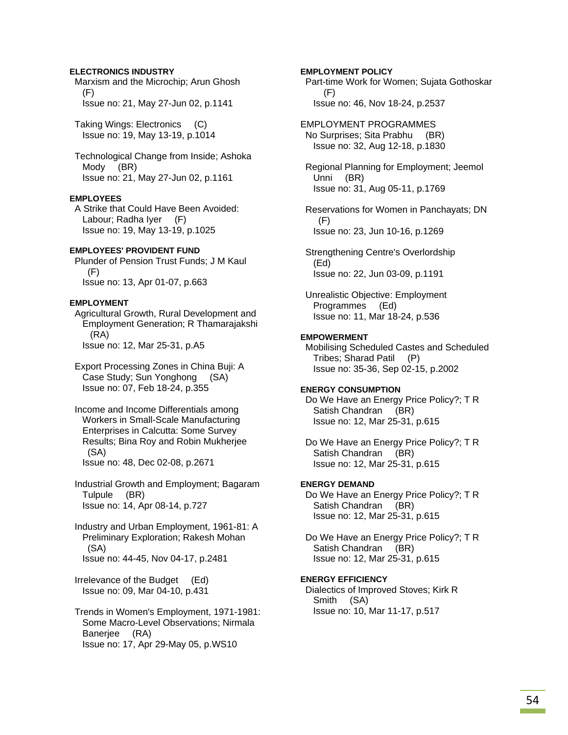# **ELECTRONICS INDUSTRY**

 Marxism and the Microchip; Arun Ghosh (F) Issue no: 21, May 27-Jun 02, p.1141

 Taking Wings: Electronics (C) Issue no: 19, May 13-19, p.1014

 Technological Change from Inside; Ashoka Mody (BR) Issue no: 21, May 27-Jun 02, p.1161

### **EMPLOYEES**

 A Strike that Could Have Been Avoided: Labour; Radha Iyer (F) Issue no: 19, May 13-19, p.1025

### **EMPLOYEES' PROVIDENT FUND**

 Plunder of Pension Trust Funds; J M Kaul (F) Issue no: 13, Apr 01-07, p.663

### **EMPLOYMENT**

 Agricultural Growth, Rural Development and Employment Generation; R Thamarajakshi (RA) Issue no: 12, Mar 25-31, p.A5

 Export Processing Zones in China Buji: A Case Study; Sun Yonghong (SA) Issue no: 07, Feb 18-24, p.355

 Income and Income Differentials among Workers in Small-Scale Manufacturing Enterprises in Calcutta: Some Survey Results; Bina Roy and Robin Mukherjee (SA) Issue no: 48, Dec 02-08, p.2671

 Industrial Growth and Employment; Bagaram Tulpule (BR) Issue no: 14, Apr 08-14, p.727

 Industry and Urban Employment, 1961-81: A Preliminary Exploration; Rakesh Mohan (SA) Issue no: 44-45, Nov 04-17, p.2481

 Irrelevance of the Budget (Ed) Issue no: 09, Mar 04-10, p.431

 Trends in Women's Employment, 1971-1981: Some Macro-Level Observations; Nirmala Banerjee (RA) Issue no: 17, Apr 29-May 05, p.WS10

**EMPLOYMENT POLICY**  Part-time Work for Women; Sujata Gothoskar (F) Issue no: 46, Nov 18-24, p.2537

EMPLOYMENT PROGRAMMES No Surprises; Sita Prabhu (BR) Issue no: 32, Aug 12-18, p.1830

 Regional Planning for Employment; Jeemol Unni (BR) Issue no: 31, Aug 05-11, p.1769

 Reservations for Women in Panchayats; DN (F) Issue no: 23, Jun 10-16, p.1269

 Strengthening Centre's Overlordship (Ed) Issue no: 22, Jun 03-09, p.1191

 Unrealistic Objective: Employment Programmes (Ed) Issue no: 11, Mar 18-24, p.536

# **EMPOWERMENT**

 Mobilising Scheduled Castes and Scheduled Tribes; Sharad Patil (P) Issue no: 35-36, Sep 02-15, p.2002

#### **ENERGY CONSUMPTION**

 Do We Have an Energy Price Policy?; T R Satish Chandran (BR) Issue no: 12, Mar 25-31, p.615

 Do We Have an Energy Price Policy?; T R Satish Chandran (BR) Issue no: 12, Mar 25-31, p.615

# **ENERGY DEMAND**

 Do We Have an Energy Price Policy?; T R Satish Chandran (BR) Issue no: 12, Mar 25-31, p.615

 Do We Have an Energy Price Policy?; T R Satish Chandran (BR) Issue no: 12, Mar 25-31, p.615

# **ENERGY EFFICIENCY**

 Dialectics of Improved Stoves; Kirk R Smith (SA) Issue no: 10, Mar 11-17, p.517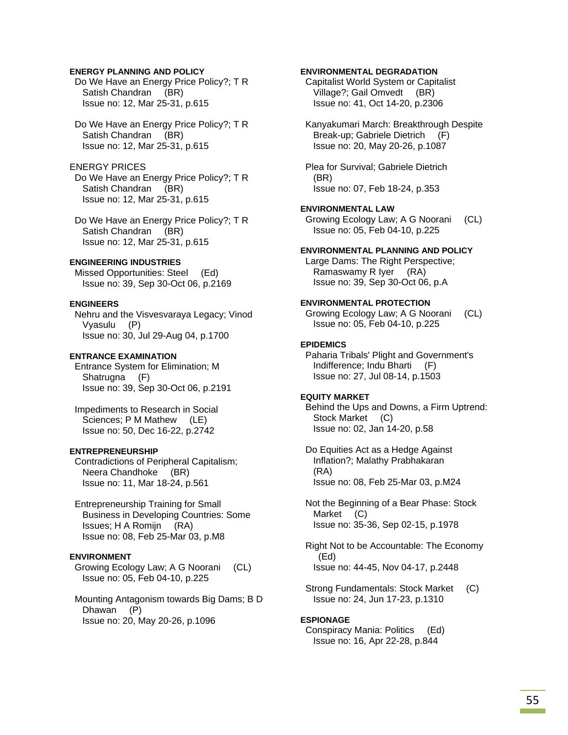# **ENERGY PLANNING AND POLICY**

 Do We Have an Energy Price Policy?; T R Satish Chandran (BR) Issue no: 12, Mar 25-31, p.615

 Do We Have an Energy Price Policy?; T R Satish Chandran (BR) Issue no: 12, Mar 25-31, p.615

# ENERGY PRICES

 Do We Have an Energy Price Policy?; T R Satish Chandran (BR) Issue no: 12, Mar 25-31, p.615

 Do We Have an Energy Price Policy?; T R Satish Chandran (BR) Issue no: 12, Mar 25-31, p.615

# **ENGINEERING INDUSTRIES**

 Missed Opportunities: Steel (Ed) Issue no: 39, Sep 30-Oct 06, p.2169

### **ENGINEERS**

 Nehru and the Visvesvaraya Legacy; Vinod Vyasulu (P) Issue no: 30, Jul 29-Aug 04, p.1700

#### **ENTRANCE EXAMINATION**

 Entrance System for Elimination; M Shatrugna (F) Issue no: 39, Sep 30-Oct 06, p.2191

 Impediments to Research in Social Sciences; P M Mathew (LE) Issue no: 50, Dec 16-22, p.2742

#### **ENTREPRENEURSHIP**

 Contradictions of Peripheral Capitalism; Neera Chandhoke (BR) Issue no: 11, Mar 18-24, p.561

 Entrepreneurship Training for Small Business in Developing Countries: Some Issues; H A Romijn (RA) Issue no: 08, Feb 25-Mar 03, p.M8

# **ENVIRONMENT**

 Growing Ecology Law; A G Noorani (CL) Issue no: 05, Feb 04-10, p.225

 Mounting Antagonism towards Big Dams; B D Dhawan (P) Issue no: 20, May 20-26, p.1096

### **ENVIRONMENTAL DEGRADATION**

 Capitalist World System or Capitalist Village?; Gail Omvedt (BR) Issue no: 41, Oct 14-20, p.2306

 Kanyakumari March: Breakthrough Despite Break-up; Gabriele Dietrich (F) Issue no: 20, May 20-26, p.1087

 Plea for Survival; Gabriele Dietrich (BR) Issue no: 07, Feb 18-24, p.353

### **ENVIRONMENTAL LAW**

 Growing Ecology Law; A G Noorani (CL) Issue no: 05, Feb 04-10, p.225

### **ENVIRONMENTAL PLANNING AND POLICY**

 Large Dams: The Right Perspective; Ramaswamy R Iyer (RA) Issue no: 39, Sep 30-Oct 06, p.A

# **ENVIRONMENTAL PROTECTION**

 Growing Ecology Law; A G Noorani (CL) Issue no: 05, Feb 04-10, p.225

#### **EPIDEMICS**

 Paharia Tribals' Plight and Government's Indifference; Indu Bharti (F) Issue no: 27, Jul 08-14, p.1503

### **EQUITY MARKET**

 Behind the Ups and Downs, a Firm Uptrend: Stock Market (C) Issue no: 02, Jan 14-20, p.58

 Do Equities Act as a Hedge Against Inflation?; Malathy Prabhakaran (RA) Issue no: 08, Feb 25-Mar 03, p.M24

 Not the Beginning of a Bear Phase: Stock Market (C) Issue no: 35-36, Sep 02-15, p.1978

 Right Not to be Accountable: The Economy (Ed) Issue no: 44-45, Nov 04-17, p.2448

Strong Fundamentals: Stock Market (C) Issue no: 24, Jun 17-23, p.1310

#### **ESPIONAGE**

 Conspiracy Mania: Politics (Ed) Issue no: 16, Apr 22-28, p.844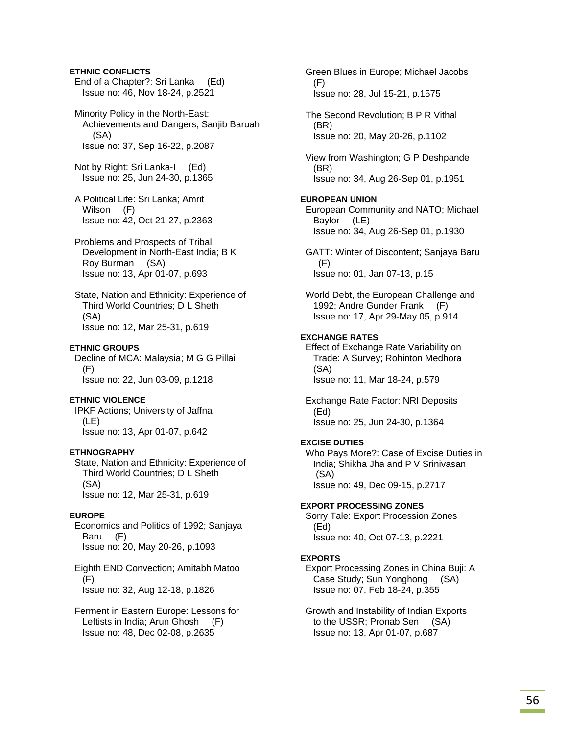# **ETHNIC CONFLICTS**

 End of a Chapter?: Sri Lanka (Ed) Issue no: 46, Nov 18-24, p.2521

 Minority Policy in the North-East: Achievements and Dangers; Sanjib Baruah (SA) Issue no: 37, Sep 16-22, p.2087

 Not by Right: Sri Lanka-I (Ed) Issue no: 25, Jun 24-30, p.1365

- A Political Life: Sri Lanka; Amrit Wilson (F) Issue no: 42, Oct 21-27, p.2363
- Problems and Prospects of Tribal Development in North-East India; B K Roy Burman (SA) Issue no: 13, Apr 01-07, p.693

 State, Nation and Ethnicity: Experience of Third World Countries; D L Sheth (SA) Issue no: 12, Mar 25-31, p.619

#### **ETHNIC GROUPS**

 Decline of MCA: Malaysia; M G G Pillai (F) Issue no: 22, Jun 03-09, p.1218

### **ETHNIC VIOLENCE**

 IPKF Actions; University of Jaffna (LE) Issue no: 13, Apr 01-07, p.642

#### **ETHNOGRAPHY**

 State, Nation and Ethnicity: Experience of Third World Countries; D L Sheth (SA) Issue no: 12, Mar 25-31, p.619

# **EUROPE**

 Economics and Politics of 1992; Sanjaya Baru (F) Issue no: 20, May 20-26, p.1093

### Eighth END Convection; Amitabh Matoo (F) Issue no: 32, Aug 12-18, p.1826

 Ferment in Eastern Europe: Lessons for Leftists in India; Arun Ghosh (F) Issue no: 48, Dec 02-08, p.2635

 Green Blues in Europe; Michael Jacobs (F) Issue no: 28, Jul 15-21, p.1575 The Second Revolution; B P R Vithal (BR) Issue no: 20, May 20-26, p.1102 View from Washington; G P Deshpande (BR) Issue no: 34, Aug 26-Sep 01, p.1951 **EUROPEAN UNION**  European Community and NATO; Michael Baylor (LE) Issue no: 34, Aug 26-Sep 01, p.1930 GATT: Winter of Discontent; Sanjaya Baru (F) Issue no: 01, Jan 07-13, p.15 World Debt, the European Challenge and 1992; Andre Gunder Frank (F) Issue no: 17, Apr 29-May 05, p.914 **EXCHANGE RATES**  Effect of Exchange Rate Variability on Trade: A Survey; Rohinton Medhora (SA) Issue no: 11, Mar 18-24, p.579 Exchange Rate Factor: NRI Deposits (Ed) Issue no: 25, Jun 24-30, p.1364 **EXCISE DUTIES**  Who Pays More?: Case of Excise Duties in India; Shikha Jha and P V Srinivasan (SA) Issue no: 49, Dec 09-15, p.2717 **EXPORT PROCESSING ZONES**  Sorry Tale: Export Procession Zones (Ed) Issue no: 40, Oct 07-13, p.2221 **EXPORTS**  Export Processing Zones in China Buji: A Case Study; Sun Yonghong (SA) Issue no: 07, Feb 18-24, p.355

 Growth and Instability of Indian Exports to the USSR; Pronab Sen (SA) Issue no: 13, Apr 01-07, p.687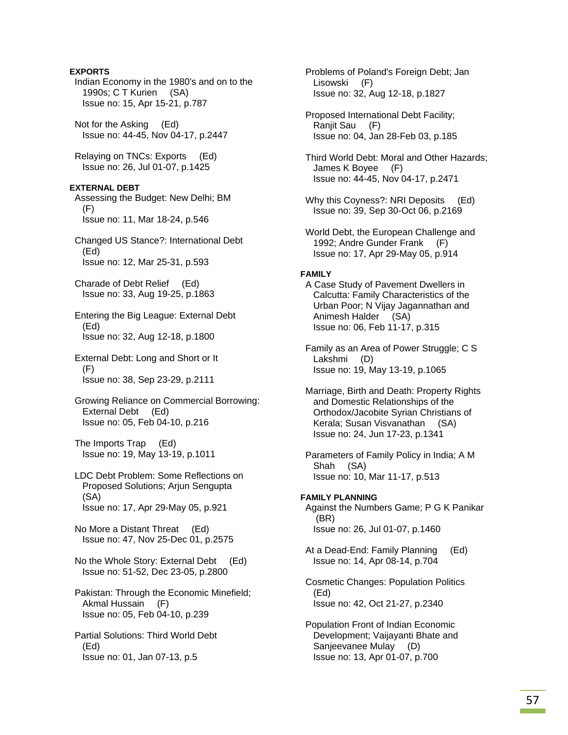# **EXPORTS**

 Indian Economy in the 1980's and on to the 1990s; C T Kurien (SA) Issue no: 15, Apr 15-21, p.787

 Not for the Asking (Ed) Issue no: 44-45, Nov 04-17, p.2447

 Relaying on TNCs: Exports (Ed) Issue no: 26, Jul 01-07, p.1425

# **EXTERNAL DEBT**

 Assessing the Budget: New Delhi; BM (F) Issue no: 11, Mar 18-24, p.546

 Changed US Stance?: International Debt (Ed) Issue no: 12, Mar 25-31, p.593

 Charade of Debt Relief (Ed) Issue no: 33, Aug 19-25, p.1863

 Entering the Big League: External Debt (Ed) Issue no: 32, Aug 12-18, p.1800

 External Debt: Long and Short or It (F) Issue no: 38, Sep 23-29, p.2111

 Growing Reliance on Commercial Borrowing: External Debt (Ed) Issue no: 05, Feb 04-10, p.216

 The Imports Trap (Ed) Issue no: 19, May 13-19, p.1011

 LDC Debt Problem: Some Reflections on Proposed Solutions; Arjun Sengupta (SA) Issue no: 17, Apr 29-May 05, p.921

 No More a Distant Threat (Ed) Issue no: 47, Nov 25-Dec 01, p.2575

 No the Whole Story: External Debt (Ed) Issue no: 51-52, Dec 23-05, p.2800

 Pakistan: Through the Economic Minefield; Akmal Hussain (F) Issue no: 05, Feb 04-10, p.239

 Partial Solutions: Third World Debt (Ed) Issue no: 01, Jan 07-13, p.5

 Problems of Poland's Foreign Debt; Jan Lisowski (F) Issue no: 32, Aug 12-18, p.1827

 Proposed International Debt Facility; Ranjit Sau (F) Issue no: 04, Jan 28-Feb 03, p.185

 Third World Debt: Moral and Other Hazards; James K Boyee (F) Issue no: 44-45, Nov 04-17, p.2471

Why this Coyness?: NRI Deposits (Ed) Issue no: 39, Sep 30-Oct 06, p.2169

 World Debt, the European Challenge and 1992; Andre Gunder Frank (F) Issue no: 17, Apr 29-May 05, p.914

#### **FAMILY**

 A Case Study of Pavement Dwellers in Calcutta: Family Characteristics of the Urban Poor; N Vijay Jagannathan and Animesh Halder (SA) Issue no: 06, Feb 11-17, p.315

 Family as an Area of Power Struggle; C S Lakshmi (D) Issue no: 19, May 13-19, p.1065

 Marriage, Birth and Death: Property Rights and Domestic Relationships of the Orthodox/Jacobite Syrian Christians of Kerala; Susan Visvanathan (SA) Issue no: 24, Jun 17-23, p.1341

 Parameters of Family Policy in India; A M Shah (SA) Issue no: 10, Mar 11-17, p.513

# **FAMILY PLANNING**

 Against the Numbers Game; P G K Panikar (BR) Issue no: 26, Jul 01-07, p.1460

 At a Dead-End: Family Planning (Ed) Issue no: 14, Apr 08-14, p.704

 Cosmetic Changes: Population Politics (Ed) Issue no: 42, Oct 21-27, p.2340

 Population Front of Indian Economic Development; Vaijayanti Bhate and Sanjeevanee Mulay (D) Issue no: 13, Apr 01-07, p.700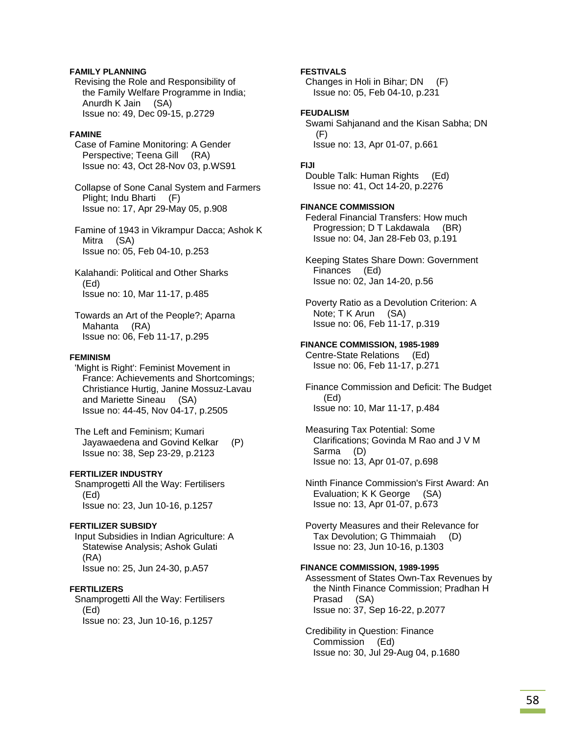# **FAMILY PLANNING**

 Revising the Role and Responsibility of the Family Welfare Programme in India; Anurdh K Jain (SA) Issue no: 49, Dec 09-15, p.2729

### **FAMINE**

 Case of Famine Monitoring: A Gender Perspective; Teena Gill (RA) Issue no: 43, Oct 28-Nov 03, p.WS91

 Collapse of Sone Canal System and Farmers Plight; Indu Bharti (F) Issue no: 17, Apr 29-May 05, p.908

 Famine of 1943 in Vikrampur Dacca; Ashok K Mitra (SA) Issue no: 05, Feb 04-10, p.253

 Kalahandi: Political and Other Sharks (Ed) Issue no: 10, Mar 11-17, p.485

 Towards an Art of the People?; Aparna Mahanta (RA) Issue no: 06, Feb 11-17, p.295

### **FEMINISM**

 'Might is Right': Feminist Movement in France: Achievements and Shortcomings; Christiance Hurtig, Janine Mossuz-Lavau and Mariette Sineau (SA) Issue no: 44-45, Nov 04-17, p.2505

 The Left and Feminism; Kumari Jayawaedena and Govind Kelkar (P) Issue no: 38, Sep 23-29, p.2123

# **FERTILIZER INDUSTRY**

 Snamprogetti All the Way: Fertilisers (Ed) Issue no: 23, Jun 10-16, p.1257

### **FERTILIZER SUBSIDY**

 Input Subsidies in Indian Agriculture: A Statewise Analysis; Ashok Gulati (RA) Issue no: 25, Jun 24-30, p.A57

#### **FERTILIZERS**

 Snamprogetti All the Way: Fertilisers (Ed) Issue no: 23, Jun 10-16, p.1257

# **FESTIVALS**

 Changes in Holi in Bihar; DN (F) Issue no: 05, Feb 04-10, p.231

### **FEUDALISM**

 Swami Sahjanand and the Kisan Sabha; DN (F) Issue no: 13, Apr 01-07, p.661

# **FIJI**

 Double Talk: Human Rights (Ed) Issue no: 41, Oct 14-20, p.2276

# **FINANCE COMMISSION**

 Federal Financial Transfers: How much Progression; D T Lakdawala (BR) Issue no: 04, Jan 28-Feb 03, p.191

 Keeping States Share Down: Government Finances (Ed) Issue no: 02, Jan 14-20, p.56

 Poverty Ratio as a Devolution Criterion: A Note; T K Arun (SA) Issue no: 06, Feb 11-17, p.319

### **FINANCE COMMISSION, 1985-1989**

 Centre-State Relations (Ed) Issue no: 06, Feb 11-17, p.271

 Finance Commission and Deficit: The Budget (Ed) Issue no: 10, Mar 11-17, p.484

 Measuring Tax Potential: Some Clarifications; Govinda M Rao and J V M Sarma (D) Issue no: 13, Apr 01-07, p.698

 Ninth Finance Commission's First Award: An Evaluation; K K George (SA) Issue no: 13, Apr 01-07, p.673

 Poverty Measures and their Relevance for Tax Devolution; G Thimmaiah (D) Issue no: 23, Jun 10-16, p.1303

### **FINANCE COMMISSION, 1989-1995**

 Assessment of States Own-Tax Revenues by the Ninth Finance Commission; Pradhan H Prasad (SA) Issue no: 37, Sep 16-22, p.2077

 Credibility in Question: Finance Commission (Ed) Issue no: 30, Jul 29-Aug 04, p.1680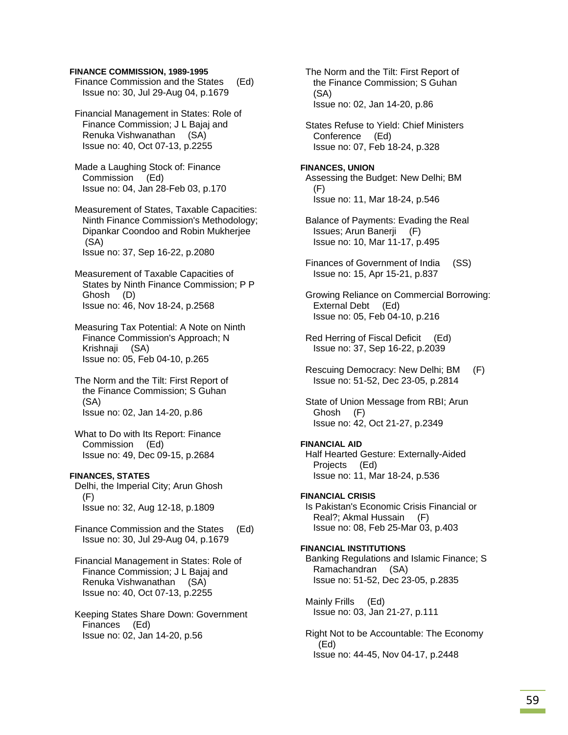#### **FINANCE COMMISSION, 1989-1995**

| Finance Commission and the States   | (Ed) |
|-------------------------------------|------|
| Issue no: 30, Jul 29-Aug 04, p.1679 |      |

 Financial Management in States: Role of Finance Commission; J L Bajaj and Renuka Vishwanathan (SA) Issue no: 40, Oct 07-13, p.2255

 Made a Laughing Stock of: Finance Commission (Ed) Issue no: 04, Jan 28-Feb 03, p.170

 Measurement of States, Taxable Capacities: Ninth Finance Commission's Methodology; Dipankar Coondoo and Robin Mukherjee (SA) Issue no: 37, Sep 16-22, p.2080

 Measurement of Taxable Capacities of States by Ninth Finance Commission; P P Ghosh (D) Issue no: 46, Nov 18-24, p.2568

 Measuring Tax Potential: A Note on Ninth Finance Commission's Approach; N Krishnaji (SA) Issue no: 05, Feb 04-10, p.265

 The Norm and the Tilt: First Report of the Finance Commission; S Guhan (SA) Issue no: 02, Jan 14-20, p.86

 What to Do with Its Report: Finance Commission (Ed) Issue no: 49, Dec 09-15, p.2684

# **FINANCES, STATES**

 Delhi, the Imperial City; Arun Ghosh (F) Issue no: 32, Aug 12-18, p.1809

 Finance Commission and the States (Ed) Issue no: 30, Jul 29-Aug 04, p.1679

 Financial Management in States: Role of Finance Commission; J L Bajaj and Renuka Vishwanathan (SA) Issue no: 40, Oct 07-13, p.2255

 Keeping States Share Down: Government Finances (Ed) Issue no: 02, Jan 14-20, p.56

 The Norm and the Tilt: First Report of the Finance Commission; S Guhan (SA) Issue no: 02, Jan 14-20, p.86

 States Refuse to Yield: Chief Ministers Conference (Ed) Issue no: 07, Feb 18-24, p.328

**FINANCES, UNION**  Assessing the Budget: New Delhi; BM (F) Issue no: 11, Mar 18-24, p.546

 Balance of Payments: Evading the Real Issues; Arun Banerji (F) Issue no: 10, Mar 11-17, p.495

 Finances of Government of India (SS) Issue no: 15, Apr 15-21, p.837

 Growing Reliance on Commercial Borrowing: External Debt (Ed) Issue no: 05, Feb 04-10, p.216

 Red Herring of Fiscal Deficit (Ed) Issue no: 37, Sep 16-22, p.2039

 Rescuing Democracy: New Delhi; BM (F) Issue no: 51-52, Dec 23-05, p.2814

 State of Union Message from RBI; Arun Ghosh (F) Issue no: 42, Oct 21-27, p.2349

# **FINANCIAL AID**

 Half Hearted Gesture: Externally-Aided Projects (Ed) Issue no: 11, Mar 18-24, p.536

# **FINANCIAL CRISIS**

 Is Pakistan's Economic Crisis Financial or Real?; Akmal Hussain (F) Issue no: 08, Feb 25-Mar 03, p.403

### **FINANCIAL INSTITUTIONS**

 Banking Regulations and Islamic Finance; S Ramachandran (SA) Issue no: 51-52, Dec 23-05, p.2835

 Mainly Frills (Ed) Issue no: 03, Jan 21-27, p.111

 Right Not to be Accountable: The Economy (Ed) Issue no: 44-45, Nov 04-17, p.2448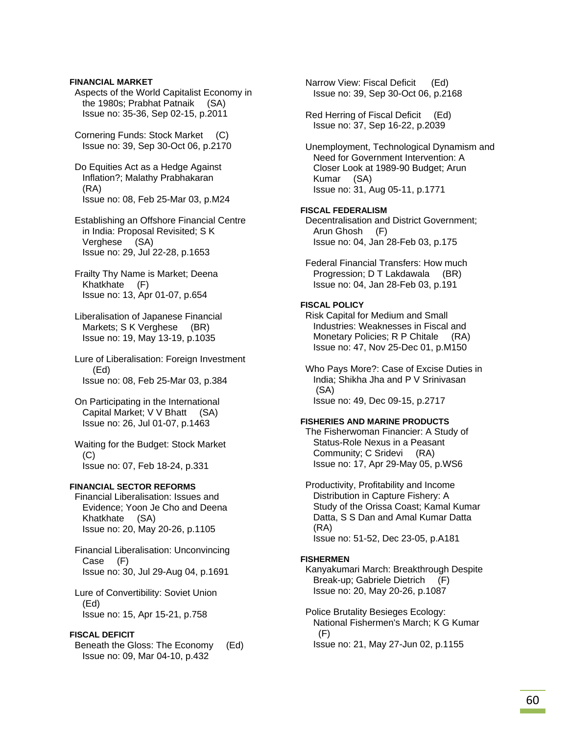# **FINANCIAL MARKET**

 Aspects of the World Capitalist Economy in the 1980s; Prabhat Patnaik (SA) Issue no: 35-36, Sep 02-15, p.2011

 Cornering Funds: Stock Market (C) Issue no: 39, Sep 30-Oct 06, p.2170

 Do Equities Act as a Hedge Against Inflation?; Malathy Prabhakaran (RA) Issue no: 08, Feb 25-Mar 03, p.M24

 Establishing an Offshore Financial Centre in India: Proposal Revisited; S K Verghese (SA) Issue no: 29, Jul 22-28, p.1653

 Frailty Thy Name is Market; Deena Khatkhate (F) Issue no: 13, Apr 01-07, p.654

 Liberalisation of Japanese Financial Markets; S K Verghese (BR) Issue no: 19, May 13-19, p.1035

 Lure of Liberalisation: Foreign Investment (Ed) Issue no: 08, Feb 25-Mar 03, p.384

 On Participating in the International Capital Market; V V Bhatt (SA) Issue no: 26, Jul 01-07, p.1463

 Waiting for the Budget: Stock Market (C) Issue no: 07, Feb 18-24, p.331

# **FINANCIAL SECTOR REFORMS**

 Financial Liberalisation: Issues and Evidence; Yoon Je Cho and Deena Khatkhate (SA) Issue no: 20, May 20-26, p.1105

 Financial Liberalisation: Unconvincing Case (F) Issue no: 30, Jul 29-Aug 04, p.1691

 Lure of Convertibility: Soviet Union (Ed) Issue no: 15, Apr 15-21, p.758

# **FISCAL DEFICIT**

 Beneath the Gloss: The Economy (Ed) Issue no: 09, Mar 04-10, p.432

 Narrow View: Fiscal Deficit (Ed) Issue no: 39, Sep 30-Oct 06, p.2168

 Red Herring of Fiscal Deficit (Ed) Issue no: 37, Sep 16-22, p.2039

 Unemployment, Technological Dynamism and Need for Government Intervention: A Closer Look at 1989-90 Budget; Arun Kumar (SA) Issue no: 31, Aug 05-11, p.1771

### **FISCAL FEDERALISM**

 Decentralisation and District Government; Arun Ghosh (F) Issue no: 04, Jan 28-Feb 03, p.175

 Federal Financial Transfers: How much Progression; D T Lakdawala (BR) Issue no: 04, Jan 28-Feb 03, p.191

# **FISCAL POLICY**

 Risk Capital for Medium and Small Industries: Weaknesses in Fiscal and Monetary Policies; R P Chitale (RA) Issue no: 47, Nov 25-Dec 01, p.M150

 Who Pays More?: Case of Excise Duties in India; Shikha Jha and P V Srinivasan (SA) Issue no: 49, Dec 09-15, p.2717

#### **FISHERIES AND MARINE PRODUCTS**

 The Fisherwoman Financier: A Study of Status-Role Nexus in a Peasant Community; C Sridevi (RA) Issue no: 17, Apr 29-May 05, p.WS6

 Productivity, Profitability and Income Distribution in Capture Fishery: A Study of the Orissa Coast; Kamal Kumar Datta, S S Dan and Amal Kumar Datta (RA) Issue no: 51-52, Dec 23-05, p.A181

#### **FISHERMEN**

 Kanyakumari March: Breakthrough Despite Break-up; Gabriele Dietrich (F) Issue no: 20, May 20-26, p.1087

 Police Brutality Besieges Ecology: National Fishermen's March; K G Kumar (F)

Issue no: 21, May 27-Jun 02, p.1155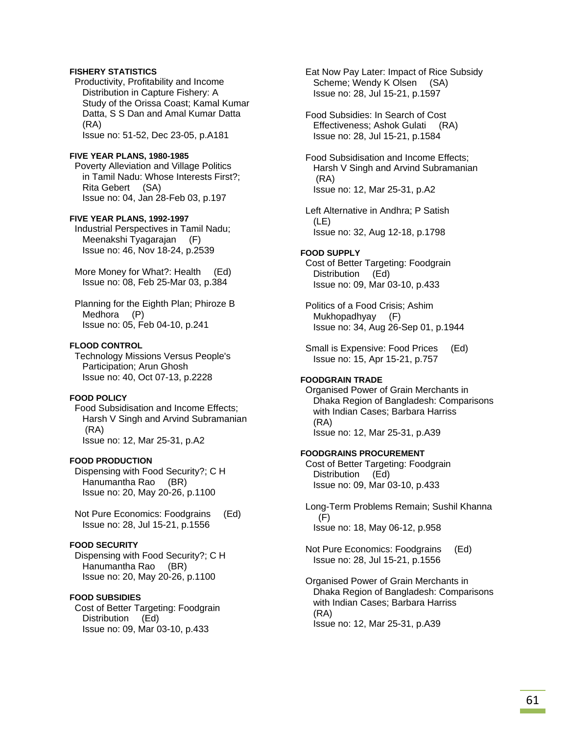# **FISHERY STATISTICS**

 Productivity, Profitability and Income Distribution in Capture Fishery: A Study of the Orissa Coast; Kamal Kumar Datta, S S Dan and Amal Kumar Datta (RA)

Issue no: 51-52, Dec 23-05, p.A181

### **FIVE YEAR PLANS, 1980-1985**

 Poverty Alleviation and Village Politics in Tamil Nadu: Whose Interests First?; Rita Gebert (SA) Issue no: 04, Jan 28-Feb 03, p.197

# **FIVE YEAR PLANS, 1992-1997**

 Industrial Perspectives in Tamil Nadu; Meenakshi Tyagarajan (F) Issue no: 46, Nov 18-24, p.2539

 More Money for What?: Health (Ed) Issue no: 08, Feb 25-Mar 03, p.384

 Planning for the Eighth Plan; Phiroze B Medhora (P) Issue no: 05, Feb 04-10, p.241

#### **FLOOD CONTROL**

 Technology Missions Versus People's Participation; Arun Ghosh Issue no: 40, Oct 07-13, p.2228

# **FOOD POLICY**

 Food Subsidisation and Income Effects; Harsh V Singh and Arvind Subramanian (RA) Issue no: 12, Mar 25-31, p.A2

# **FOOD PRODUCTION**

 Dispensing with Food Security?; C H Hanumantha Rao (BR) Issue no: 20, May 20-26, p.1100

 Not Pure Economics: Foodgrains (Ed) Issue no: 28, Jul 15-21, p.1556

# **FOOD SECURITY**

 Dispensing with Food Security?; C H Hanumantha Rao (BR) Issue no: 20, May 20-26, p.1100

# **FOOD SUBSIDIES**

 Cost of Better Targeting: Foodgrain Distribution (Ed) Issue no: 09, Mar 03-10, p.433

 Eat Now Pay Later: Impact of Rice Subsidy Scheme; Wendy K Olsen (SA) Issue no: 28, Jul 15-21, p.1597

 Food Subsidies: In Search of Cost Effectiveness; Ashok Gulati (RA) Issue no: 28, Jul 15-21, p.1584

 Food Subsidisation and Income Effects; Harsh V Singh and Arvind Subramanian (RA) Issue no: 12, Mar 25-31, p.A2

 Left Alternative in Andhra; P Satish (LE) Issue no: 32, Aug 12-18, p.1798

#### **FOOD SUPPLY**

 Cost of Better Targeting: Foodgrain Distribution (Ed) Issue no: 09, Mar 03-10, p.433

 Politics of a Food Crisis; Ashim Mukhopadhyay (F) Issue no: 34, Aug 26-Sep 01, p.1944

 Small is Expensive: Food Prices (Ed) Issue no: 15, Apr 15-21, p.757

## **FOODGRAIN TRADE**

 Organised Power of Grain Merchants in Dhaka Region of Bangladesh: Comparisons with Indian Cases; Barbara Harriss (RA) Issue no: 12, Mar 25-31, p.A39

### **FOODGRAINS PROCUREMENT**

 Cost of Better Targeting: Foodgrain Distribution (Ed) Issue no: 09, Mar 03-10, p.433

- Long-Term Problems Remain; Sushil Khanna (F) Issue no: 18, May 06-12, p.958
- Not Pure Economics: Foodgrains (Ed) Issue no: 28, Jul 15-21, p.1556
- Organised Power of Grain Merchants in Dhaka Region of Bangladesh: Comparisons with Indian Cases; Barbara Harriss (RA) Issue no: 12, Mar 25-31, p.A39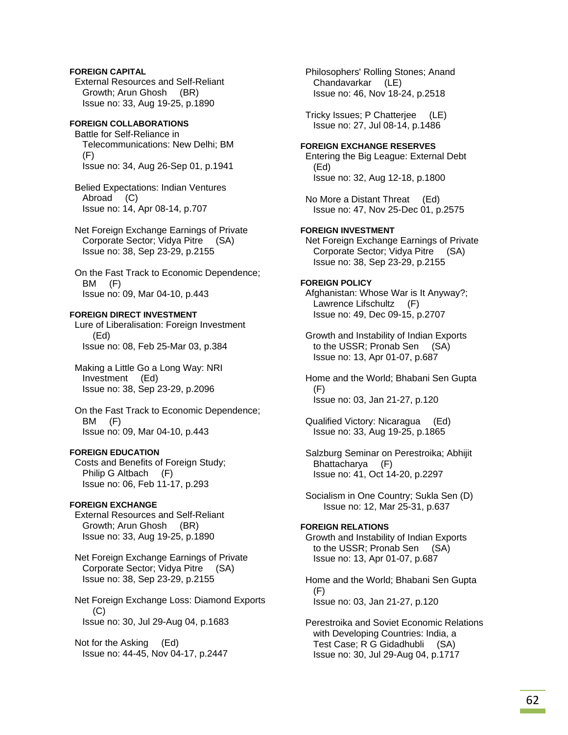# **FOREIGN CAPITAL**

 External Resources and Self-Reliant Growth; Arun Ghosh (BR) Issue no: 33, Aug 19-25, p.1890

# **FOREIGN COLLABORATIONS**

 Battle for Self-Reliance in Telecommunications: New Delhi; BM (F) Issue no: 34, Aug 26-Sep 01, p.1941

 Belied Expectations: Indian Ventures Abroad (C) Issue no: 14, Apr 08-14, p.707

 Net Foreign Exchange Earnings of Private Corporate Sector; Vidya Pitre (SA) Issue no: 38, Sep 23-29, p.2155

 On the Fast Track to Economic Dependence; BM (F) Issue no: 09, Mar 04-10, p.443

# **FOREIGN DIRECT INVESTMENT**

 Lure of Liberalisation: Foreign Investment (Ed) Issue no: 08, Feb 25-Mar 03, p.384

 Making a Little Go a Long Way: NRI Investment (Ed) Issue no: 38, Sep 23-29, p.2096

 On the Fast Track to Economic Dependence; BM (F) Issue no: 09, Mar 04-10, p.443

### **FOREIGN EDUCATION**

 Costs and Benefits of Foreign Study; Philip G Altbach (F) Issue no: 06, Feb 11-17, p.293

# **FOREIGN EXCHANGE**

 External Resources and Self-Reliant Growth; Arun Ghosh (BR) Issue no: 33, Aug 19-25, p.1890

 Net Foreign Exchange Earnings of Private Corporate Sector; Vidya Pitre (SA) Issue no: 38, Sep 23-29, p.2155

 Net Foreign Exchange Loss: Diamond Exports (C) Issue no: 30, Jul 29-Aug 04, p.1683

 Not for the Asking (Ed) Issue no: 44-45, Nov 04-17, p.2447  Philosophers' Rolling Stones; Anand Chandavarkar (LE) Issue no: 46, Nov 18-24, p.2518

 Tricky Issues; P Chatterjee (LE) Issue no: 27, Jul 08-14, p.1486

# **FOREIGN EXCHANGE RESERVES**

 Entering the Big League: External Debt (Ed) Issue no: 32, Aug 12-18, p.1800

 No More a Distant Threat (Ed) Issue no: 47, Nov 25-Dec 01, p.2575

# **FOREIGN INVESTMENT**

 Net Foreign Exchange Earnings of Private Corporate Sector; Vidya Pitre (SA) Issue no: 38, Sep 23-29, p.2155

# **FOREIGN POLICY**

 Afghanistan: Whose War is It Anyway?; Lawrence Lifschultz (F) Issue no: 49, Dec 09-15, p.2707

 Growth and Instability of Indian Exports to the USSR; Pronab Sen (SA) Issue no: 13, Apr 01-07, p.687

 Home and the World; Bhabani Sen Gupta (F) Issue no: 03, Jan 21-27, p.120

 Qualified Victory: Nicaragua (Ed) Issue no: 33, Aug 19-25, p.1865

 Salzburg Seminar on Perestroika; Abhijit Bhattacharya (F) Issue no: 41, Oct 14-20, p.2297

 Socialism in One Country; Sukla Sen (D) Issue no: 12, Mar 25-31, p.637

# **FOREIGN RELATIONS**

 Growth and Instability of Indian Exports to the USSR; Pronab Sen (SA) Issue no: 13, Apr 01-07, p.687

 Home and the World; Bhabani Sen Gupta  $(F)$ Issue no: 03, Jan 21-27, p.120

 Perestroika and Soviet Economic Relations with Developing Countries: India, a Test Case; R G Gidadhubli (SA) Issue no: 30, Jul 29-Aug 04, p.1717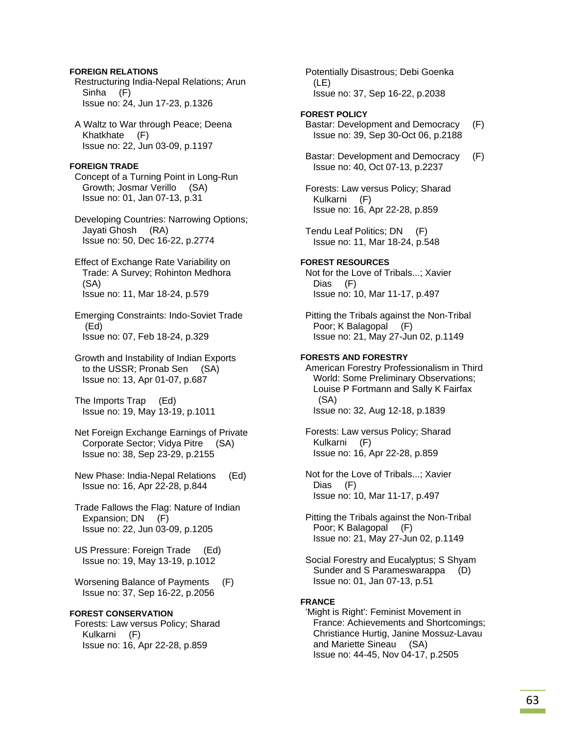# **FOREIGN RELATIONS**

 Restructuring India-Nepal Relations; Arun Sinha (F) Issue no: 24, Jun 17-23, p.1326

 A Waltz to War through Peace; Deena Khatkhate (F) Issue no: 22, Jun 03-09, p.1197

### **FOREIGN TRADE**

 Concept of a Turning Point in Long-Run Growth; Josmar Verillo (SA) Issue no: 01, Jan 07-13, p.31

 Developing Countries: Narrowing Options; Jayati Ghosh (RA) Issue no: 50, Dec 16-22, p.2774

 Effect of Exchange Rate Variability on Trade: A Survey; Rohinton Medhora (SA) Issue no: 11, Mar 18-24, p.579

 Emerging Constraints: Indo-Soviet Trade (Ed) Issue no: 07, Feb 18-24, p.329

 Growth and Instability of Indian Exports to the USSR; Pronab Sen (SA) Issue no: 13, Apr 01-07, p.687

 The Imports Trap (Ed) Issue no: 19, May 13-19, p.1011

 Net Foreign Exchange Earnings of Private Corporate Sector; Vidya Pitre (SA) Issue no: 38, Sep 23-29, p.2155

 New Phase: India-Nepal Relations (Ed) Issue no: 16, Apr 22-28, p.844

 Trade Fallows the Flag: Nature of Indian Expansion; DN (F) Issue no: 22, Jun 03-09, p.1205

 US Pressure: Foreign Trade (Ed) Issue no: 19, May 13-19, p.1012

 Worsening Balance of Payments (F) Issue no: 37, Sep 16-22, p.2056

# **FOREST CONSERVATION**

 Forests: Law versus Policy; Sharad Kulkarni (F) Issue no: 16, Apr 22-28, p.859

 Potentially Disastrous; Debi Goenka (LE) Issue no: 37, Sep 16-22, p.2038

# **FOREST POLICY**

 Bastar: Development and Democracy (F) Issue no: 39, Sep 30-Oct 06, p.2188

 Bastar: Development and Democracy (F) Issue no: 40, Oct 07-13, p.2237

 Forests: Law versus Policy; Sharad Kulkarni (F) Issue no: 16, Apr 22-28, p.859

 Tendu Leaf Politics; DN (F) Issue no: 11, Mar 18-24, p.548

# **FOREST RESOURCES**

 Not for the Love of Tribals...; Xavier Dias (F) Issue no: 10, Mar 11-17, p.497

 Pitting the Tribals against the Non-Tribal Poor; K Balagopal (F) Issue no: 21, May 27-Jun 02, p.1149

# **FORESTS AND FORESTRY**

 American Forestry Professionalism in Third World: Some Preliminary Observations; Louise P Fortmann and Sally K Fairfax (SA) Issue no: 32, Aug 12-18, p.1839

 Forests: Law versus Policy; Sharad Kulkarni (F) Issue no: 16, Apr 22-28, p.859

 Not for the Love of Tribals...; Xavier Dias (F) Issue no: 10, Mar 11-17, p.497

 Pitting the Tribals against the Non-Tribal Poor; K Balagopal (F) Issue no: 21, May 27-Jun 02, p.1149

 Social Forestry and Eucalyptus; S Shyam Sunder and S Parameswarappa (D) Issue no: 01, Jan 07-13, p.51

#### **FRANCE**

 'Might is Right': Feminist Movement in France: Achievements and Shortcomings; Christiance Hurtig, Janine Mossuz-Lavau and Mariette Sineau (SA) Issue no: 44-45, Nov 04-17, p.2505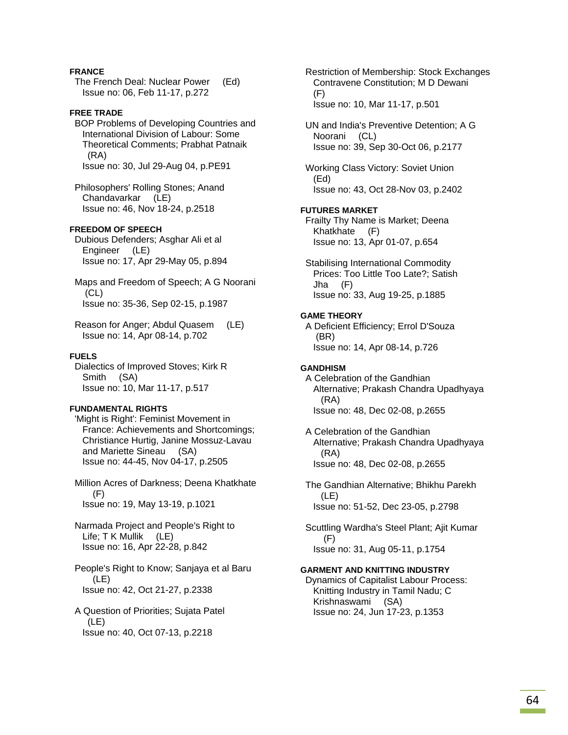# **FRANCE**

 The French Deal: Nuclear Power (Ed) Issue no: 06, Feb 11-17, p.272

# **FREE TRADE**

 BOP Problems of Developing Countries and International Division of Labour: Some Theoretical Comments; Prabhat Patnaik (RA) Issue no: 30, Jul 29-Aug 04, p.PE91

 Philosophers' Rolling Stones; Anand Chandavarkar (LE) Issue no: 46, Nov 18-24, p.2518

# **FREEDOM OF SPEECH**

 Dubious Defenders; Asghar Ali et al Engineer (LE) Issue no: 17, Apr 29-May 05, p.894

 Maps and Freedom of Speech; A G Noorani (CL) Issue no: 35-36, Sep 02-15, p.1987

 Reason for Anger; Abdul Quasem (LE) Issue no: 14, Apr 08-14, p.702

# **FUELS**

 Dialectics of Improved Stoves; Kirk R Smith (SA) Issue no: 10, Mar 11-17, p.517

#### **FUNDAMENTAL RIGHTS**

 'Might is Right': Feminist Movement in France: Achievements and Shortcomings; Christiance Hurtig, Janine Mossuz-Lavau and Mariette Sineau (SA) Issue no: 44-45, Nov 04-17, p.2505

 Million Acres of Darkness; Deena Khatkhate  $(F)$ Issue no: 19, May 13-19, p.1021

 Narmada Project and People's Right to Life; T K Mullik (LE) Issue no: 16, Apr 22-28, p.842

 People's Right to Know; Sanjaya et al Baru (LE) Issue no: 42, Oct 21-27, p.2338

 A Question of Priorities; Sujata Patel  $(LE)$ Issue no: 40, Oct 07-13, p.2218

 Restriction of Membership: Stock Exchanges Contravene Constitution; M D Dewani (F) Issue no: 10, Mar 11-17, p.501

 UN and India's Preventive Detention; A G Noorani (CL) Issue no: 39, Sep 30-Oct 06, p.2177

 Working Class Victory: Soviet Union (Ed) Issue no: 43, Oct 28-Nov 03, p.2402

#### **FUTURES MARKET**

 Frailty Thy Name is Market; Deena Khatkhate (F) Issue no: 13, Apr 01-07, p.654

 Stabilising International Commodity Prices: Too Little Too Late?; Satish Jha (F) Issue no: 33, Aug 19-25, p.1885

#### **GAME THEORY**

 A Deficient Efficiency; Errol D'Souza (BR) Issue no: 14, Apr 08-14, p.726

#### **GANDHISM**

 A Celebration of the Gandhian Alternative; Prakash Chandra Upadhyaya (RA) Issue no: 48, Dec 02-08, p.2655

 A Celebration of the Gandhian Alternative; Prakash Chandra Upadhyaya (RA) Issue no: 48, Dec 02-08, p.2655

 The Gandhian Alternative; Bhikhu Parekh (LE) Issue no: 51-52, Dec 23-05, p.2798

 Scuttling Wardha's Steel Plant; Ajit Kumar (F) Issue no: 31, Aug 05-11, p.1754

#### **GARMENT AND KNITTING INDUSTRY**

 Dynamics of Capitalist Labour Process: Knitting Industry in Tamil Nadu; C Krishnaswami (SA) Issue no: 24, Jun 17-23, p.1353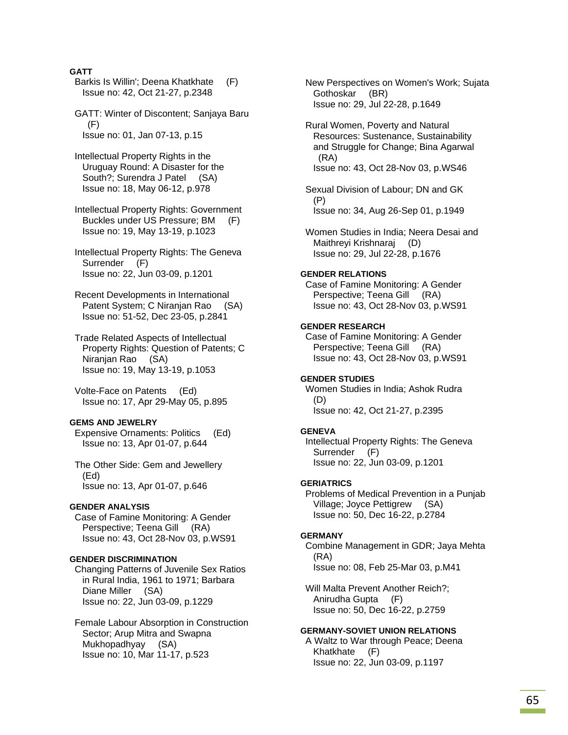# **GATT**

- Barkis Is Willin'; Deena Khatkhate (F) Issue no: 42, Oct 21-27, p.2348
- GATT: Winter of Discontent; Sanjaya Baru (F) Issue no: 01, Jan 07-13, p.15
- Intellectual Property Rights in the Uruguay Round: A Disaster for the South?; Surendra J Patel (SA) Issue no: 18, May 06-12, p.978
- Intellectual Property Rights: Government Buckles under US Pressure; BM (F) Issue no: 19, May 13-19, p.1023
- Intellectual Property Rights: The Geneva Surrender (F) Issue no: 22, Jun 03-09, p.1201
- Recent Developments in International Patent System; C Niranjan Rao (SA) Issue no: 51-52, Dec 23-05, p.2841
- Trade Related Aspects of Intellectual Property Rights: Question of Patents; C Niranjan Rao (SA) Issue no: 19, May 13-19, p.1053
- Volte-Face on Patents (Ed) Issue no: 17, Apr 29-May 05, p.895

#### **GEMS AND JEWELRY**

- Expensive Ornaments: Politics (Ed) Issue no: 13, Apr 01-07, p.644
- The Other Side: Gem and Jewellery (Ed) Issue no: 13, Apr 01-07, p.646

#### **GENDER ANALYSIS**

 Case of Famine Monitoring: A Gender Perspective; Teena Gill (RA) Issue no: 43, Oct 28-Nov 03, p.WS91

#### **GENDER DISCRIMINATION**

 Changing Patterns of Juvenile Sex Ratios in Rural India, 1961 to 1971; Barbara Diane Miller (SA) Issue no: 22, Jun 03-09, p.1229

 Female Labour Absorption in Construction Sector; Arup Mitra and Swapna Mukhopadhyay (SA) Issue no: 10, Mar 11-17, p.523

- New Perspectives on Women's Work; Sujata Gothoskar (BR) Issue no: 29, Jul 22-28, p.1649
- Rural Women, Poverty and Natural Resources: Sustenance, Sustainability and Struggle for Change; Bina Agarwal (RA) Issue no: 43, Oct 28-Nov 03, p.WS46
- Sexual Division of Labour; DN and GK (P) Issue no: 34, Aug 26-Sep 01, p.1949
- Women Studies in India; Neera Desai and Maithreyi Krishnaraj (D) Issue no: 29, Jul 22-28, p.1676

#### **GENDER RELATIONS**

 Case of Famine Monitoring: A Gender Perspective; Teena Gill (RA) Issue no: 43, Oct 28-Nov 03, p.WS91

# **GENDER RESEARCH**

 Case of Famine Monitoring: A Gender Perspective; Teena Gill (RA) Issue no: 43, Oct 28-Nov 03, p.WS91

# **GENDER STUDIES**

 Women Studies in India; Ashok Rudra (D) Issue no: 42, Oct 21-27, p.2395

### **GENEVA**

 Intellectual Property Rights: The Geneva Surrender (F) Issue no: 22, Jun 03-09, p.1201

#### **GERIATRICS**

 Problems of Medical Prevention in a Punjab Village; Joyce Pettigrew (SA) Issue no: 50, Dec 16-22, p.2784

#### **GERMANY**

 Combine Management in GDR; Jaya Mehta (RA) Issue no: 08, Feb 25-Mar 03, p.M41

Will Malta Prevent Another Reich?: Anirudha Gupta (F) Issue no: 50, Dec 16-22, p.2759

# **GERMANY-SOVIET UNION RELATIONS**

 A Waltz to War through Peace; Deena Khatkhate (F) Issue no: 22, Jun 03-09, p.1197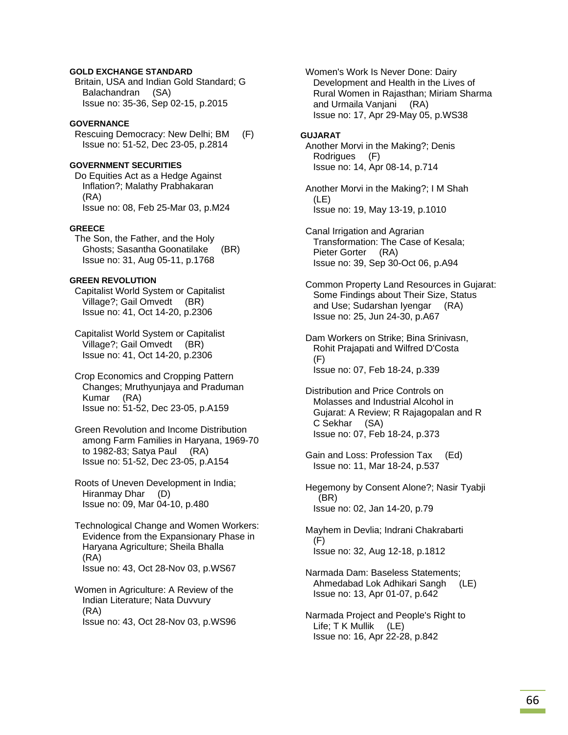# **GOLD EXCHANGE STANDARD**

 Britain, USA and Indian Gold Standard; G Balachandran (SA) Issue no: 35-36, Sep 02-15, p.2015

# **GOVERNANCE**

 Rescuing Democracy: New Delhi; BM (F) Issue no: 51-52, Dec 23-05, p.2814

# **GOVERNMENT SECURITIES**

 Do Equities Act as a Hedge Against Inflation?; Malathy Prabhakaran (RA) Issue no: 08, Feb 25-Mar 03, p.M24

### **GREECE**

 The Son, the Father, and the Holy Ghosts; Sasantha Goonatilake (BR) Issue no: 31, Aug 05-11, p.1768

# **GREEN REVOLUTION**

 Capitalist World System or Capitalist Village?; Gail Omvedt (BR) Issue no: 41, Oct 14-20, p.2306

 Capitalist World System or Capitalist Village?; Gail Omvedt (BR) Issue no: 41, Oct 14-20, p.2306

 Crop Economics and Cropping Pattern Changes; Mruthyunjaya and Praduman Kumar (RA) Issue no: 51-52, Dec 23-05, p.A159

 Green Revolution and Income Distribution among Farm Families in Haryana, 1969-70 to 1982-83; Satya Paul (RA) Issue no: 51-52, Dec 23-05, p.A154

 Roots of Uneven Development in India; Hiranmay Dhar (D) Issue no: 09, Mar 04-10, p.480

 Technological Change and Women Workers: Evidence from the Expansionary Phase in Haryana Agriculture; Sheila Bhalla (RA) Issue no: 43, Oct 28-Nov 03, p.WS67

 Women in Agriculture: A Review of the Indian Literature; Nata Duvvury (RA) Issue no: 43, Oct 28-Nov 03, p.WS96  Women's Work Is Never Done: Dairy Development and Health in the Lives of Rural Women in Rajasthan; Miriam Sharma and Urmaila Vanjani (RA) Issue no: 17, Apr 29-May 05, p.WS38

#### **GUJARAT**

 Another Morvi in the Making?; Denis Rodrigues (F) Issue no: 14, Apr 08-14, p.714

 Another Morvi in the Making?; I M Shah (LE) Issue no: 19, May 13-19, p.1010

 Canal Irrigation and Agrarian Transformation: The Case of Kesala; Pieter Gorter (RA) Issue no: 39, Sep 30-Oct 06, p.A94

 Common Property Land Resources in Gujarat: Some Findings about Their Size, Status and Use; Sudarshan Iyengar (RA) Issue no: 25, Jun 24-30, p.A67

 Dam Workers on Strike; Bina Srinivasn, Rohit Prajapati and Wilfred D'Costa (F) Issue no: 07, Feb 18-24, p.339

 Distribution and Price Controls on Molasses and Industrial Alcohol in Gujarat: A Review; R Rajagopalan and R C Sekhar (SA) Issue no: 07, Feb 18-24, p.373

 Gain and Loss: Profession Tax (Ed) Issue no: 11, Mar 18-24, p.537

 Hegemony by Consent Alone?; Nasir Tyabji (BR) Issue no: 02, Jan 14-20, p.79

 Mayhem in Devlia; Indrani Chakrabarti (F) Issue no: 32, Aug 12-18, p.1812

 Narmada Dam: Baseless Statements; Ahmedabad Lok Adhikari Sangh (LE) Issue no: 13, Apr 01-07, p.642

 Narmada Project and People's Right to Life; T K Mullik (LE) Issue no: 16, Apr 22-28, p.842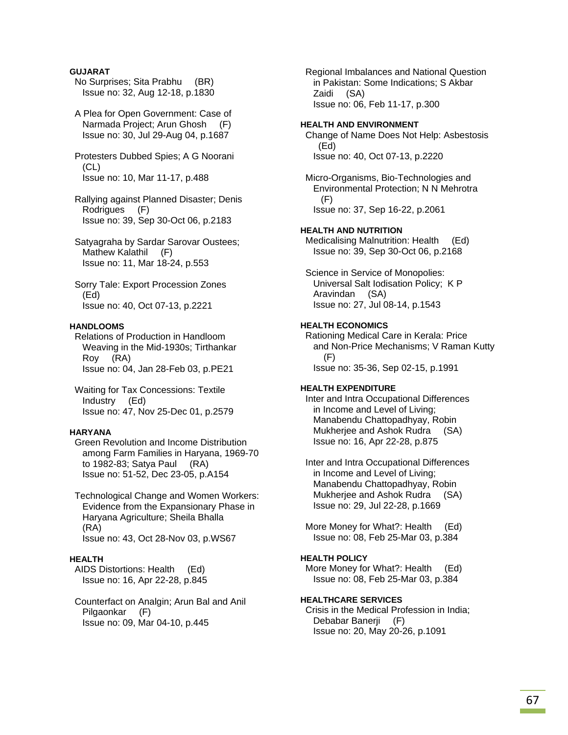# **GUJARAT**

- No Surprises; Sita Prabhu (BR) Issue no: 32, Aug 12-18, p.1830
- A Plea for Open Government: Case of Narmada Project; Arun Ghosh (F) Issue no: 30, Jul 29-Aug 04, p.1687
- Protesters Dubbed Spies; A G Noorani (CL) Issue no: 10, Mar 11-17, p.488
- Rallying against Planned Disaster; Denis Rodrigues (F) Issue no: 39, Sep 30-Oct 06, p.2183
- Satyagraha by Sardar Sarovar Oustees; Mathew Kalathil (F) Issue no: 11, Mar 18-24, p.553
- Sorry Tale: Export Procession Zones (Ed) Issue no: 40, Oct 07-13, p.2221

# **HANDLOOMS**

- Relations of Production in Handloom Weaving in the Mid-1930s; Tirthankar Roy (RA) Issue no: 04, Jan 28-Feb 03, p.PE21
- Waiting for Tax Concessions: Textile Industry (Ed) Issue no: 47, Nov 25-Dec 01, p.2579

### **HARYANA**

- Green Revolution and Income Distribution among Farm Families in Haryana, 1969-70 to 1982-83; Satya Paul (RA) Issue no: 51-52, Dec 23-05, p.A154
- Technological Change and Women Workers: Evidence from the Expansionary Phase in Haryana Agriculture; Sheila Bhalla (RA) Issue no: 43, Oct 28-Nov 03, p.WS67

### **HEALTH**

- AIDS Distortions: Health (Ed) Issue no: 16, Apr 22-28, p.845
- Counterfact on Analgin; Arun Bal and Anil Pilgaonkar (F) Issue no: 09, Mar 04-10, p.445

 Regional Imbalances and National Question in Pakistan: Some Indications; S Akbar Zaidi (SA) Issue no: 06, Feb 11-17, p.300

#### **HEALTH AND ENVIRONMENT**

 Change of Name Does Not Help: Asbestosis (Ed) Issue no: 40, Oct 07-13, p.2220

 Micro-Organisms, Bio-Technologies and Environmental Protection; N N Mehrotra (F) Issue no: 37, Sep 16-22, p.2061

### **HEALTH AND NUTRITION**

 Medicalising Malnutrition: Health (Ed) Issue no: 39, Sep 30-Oct 06, p.2168

 Science in Service of Monopolies: Universal Salt Iodisation Policy; K P Aravindan (SA) Issue no: 27, Jul 08-14, p.1543

#### **HEALTH ECONOMICS**

 Rationing Medical Care in Kerala: Price and Non-Price Mechanisms; V Raman Kutty (F) Issue no: 35-36, Sep 02-15, p.1991

# **HEALTH EXPENDITURE**

 Inter and Intra Occupational Differences in Income and Level of Living; Manabendu Chattopadhyay, Robin Mukherjee and Ashok Rudra (SA) Issue no: 16, Apr 22-28, p.875

 Inter and Intra Occupational Differences in Income and Level of Living; Manabendu Chattopadhyay, Robin Mukherjee and Ashok Rudra (SA) Issue no: 29, Jul 22-28, p.1669

More Money for What?: Health (Ed) Issue no: 08, Feb 25-Mar 03, p.384

# **HEALTH POLICY**

More Money for What?: Health (Ed) Issue no: 08, Feb 25-Mar 03, p.384

#### **HEALTHCARE SERVICES**

 Crisis in the Medical Profession in India; Debabar Banerji (F) Issue no: 20, May 20-26, p.1091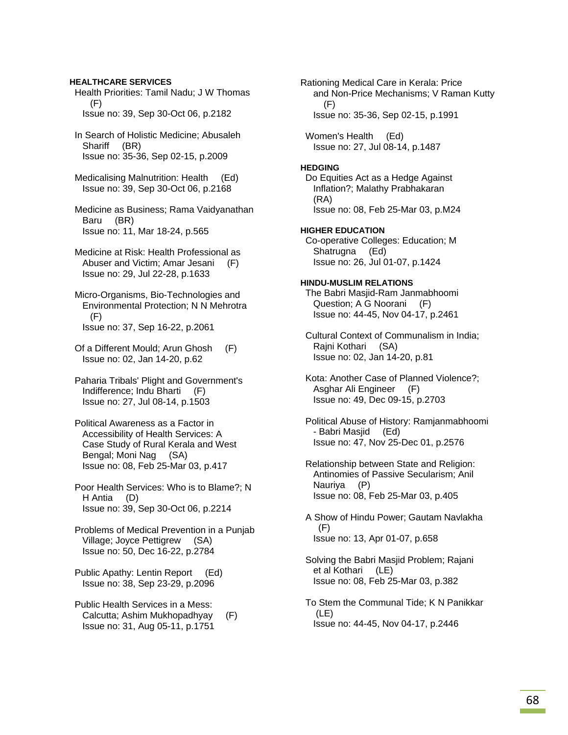Health Priorities: Tamil Nadu; J W Thomas (F) Issue no: 39, Sep 30-Oct 06, p.2182 In Search of Holistic Medicine; Abusaleh Shariff (BR) Issue no: 35-36, Sep 02-15, p.2009 Medicalising Malnutrition: Health (Ed) Issue no: 39, Sep 30-Oct 06, p.2168 Medicine as Business; Rama Vaidyanathan Baru (BR) Issue no: 11, Mar 18-24, p.565 Medicine at Risk: Health Professional as Abuser and Victim; Amar Jesani (F) Issue no: 29, Jul 22-28, p.1633 Micro-Organisms, Bio-Technologies and Environmental Protection; N N Mehrotra  $(F)$  Issue no: 37, Sep 16-22, p.2061 Of a Different Mould; Arun Ghosh (F) Issue no: 02, Jan 14-20, p.62 Paharia Tribals' Plight and Government's Indifference; Indu Bharti (F) Issue no: 27, Jul 08-14, p.1503 Political Awareness as a Factor in Accessibility of Health Services: A Case Study of Rural Kerala and West Bengal; Moni Nag (SA) Issue no: 08, Feb 25-Mar 03, p.417 Poor Health Services: Who is to Blame?; N H Antia (D) Issue no: 39, Sep 30-Oct 06, p.2214 Problems of Medical Prevention in a Punjab Village; Joyce Pettigrew (SA) Issue no: 50, Dec 16-22, p.2784 Public Apathy: Lentin Report (Ed) Issue no: 38, Sep 23-29, p.2096 Public Health Services in a Mess: Calcutta; Ashim Mukhopadhyay (F)

Issue no: 31, Aug 05-11, p.1751

**HEALTHCARE SERVICES** 

Rationing Medical Care in Kerala: Price and Non-Price Mechanisms; V Raman Kutty (F) Issue no: 35-36, Sep 02-15, p.1991

 Women's Health (Ed) Issue no: 27, Jul 08-14, p.1487

# **HEDGING**

 Do Equities Act as a Hedge Against Inflation?; Malathy Prabhakaran (RA) Issue no: 08, Feb 25-Mar 03, p.M24

# **HIGHER EDUCATION**

 Co-operative Colleges: Education; M Shatrugna (Ed) Issue no: 26, Jul 01-07, p.1424

# **HINDU-MUSLIM RELATIONS**

 The Babri Masjid-Ram Janmabhoomi Question; A G Noorani (F) Issue no: 44-45, Nov 04-17, p.2461

- Cultural Context of Communalism in India; Rajni Kothari (SA) Issue no: 02, Jan 14-20, p.81
- Kota: Another Case of Planned Violence?; Asghar Ali Engineer (F) Issue no: 49, Dec 09-15, p.2703
- Political Abuse of History: Ramjanmabhoomi - Babri Masjid (Ed) Issue no: 47, Nov 25-Dec 01, p.2576
- Relationship between State and Religion: Antinomies of Passive Secularism; Anil Nauriya (P) Issue no: 08, Feb 25-Mar 03, p.405
- A Show of Hindu Power; Gautam Navlakha (F) Issue no: 13, Apr 01-07, p.658
- Solving the Babri Masjid Problem; Rajani et al Kothari (LE) Issue no: 08, Feb 25-Mar 03, p.382
- To Stem the Communal Tide; K N Panikkar (LE) Issue no: 44-45, Nov 04-17, p.2446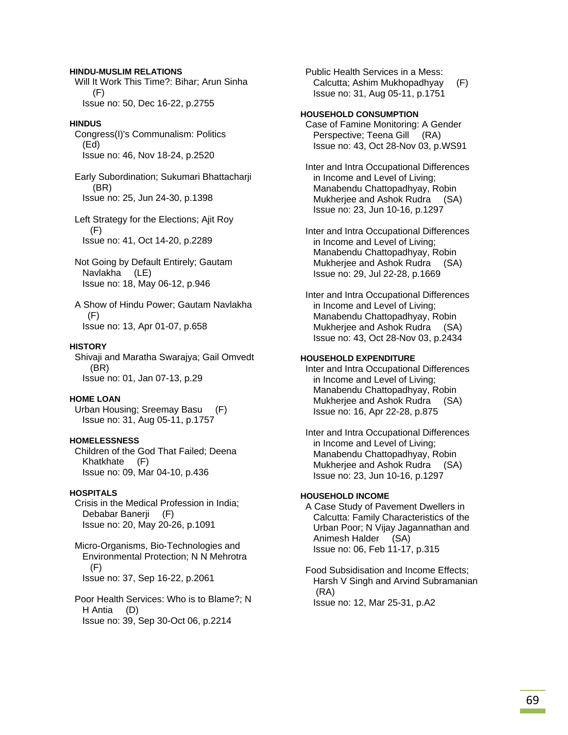#### **HINDU-MUSLIM RELATIONS**

 Will It Work This Time?: Bihar; Arun Sinha (F) Issue no: 50, Dec 16-22, p.2755

#### **HINDUS**

 Congress(I)'s Communalism: Politics (Ed) Issue no: 46, Nov 18-24, p.2520

 Early Subordination; Sukumari Bhattacharji (BR) Issue no: 25, Jun 24-30, p.1398

 Left Strategy for the Elections; Ajit Roy (F) Issue no: 41, Oct 14-20, p.2289

- Not Going by Default Entirely; Gautam Navlakha (LE) Issue no: 18, May 06-12, p.946
- A Show of Hindu Power; Gautam Navlakha (F) Issue no: 13, Apr 01-07, p.658

### **HISTORY**

 Shivaji and Maratha Swarajya; Gail Omvedt (BR) Issue no: 01, Jan 07-13, p.29

#### **HOME LOAN**

 Urban Housing; Sreemay Basu (F) Issue no: 31, Aug 05-11, p.1757

### **HOMELESSNESS**

 Children of the God That Failed; Deena Khatkhate (F) Issue no: 09, Mar 04-10, p.436

### **HOSPITALS**

 Crisis in the Medical Profession in India; Debabar Banerii (F) Issue no: 20, May 20-26, p.1091

 Micro-Organisms, Bio-Technologies and Environmental Protection; N N Mehrotra (F) Issue no: 37, Sep 16-22, p.2061

 Poor Health Services: Who is to Blame?; N H Antia (D) Issue no: 39, Sep 30-Oct 06, p.2214

 Public Health Services in a Mess: Calcutta; Ashim Mukhopadhyay (F) Issue no: 31, Aug 05-11, p.1751

#### **HOUSEHOLD CONSUMPTION**

 Case of Famine Monitoring: A Gender Perspective; Teena Gill (RA) Issue no: 43, Oct 28-Nov 03, p.WS91

 Inter and Intra Occupational Differences in Income and Level of Living; Manabendu Chattopadhyay, Robin Mukherjee and Ashok Rudra (SA) Issue no: 23, Jun 10-16, p.1297

 Inter and Intra Occupational Differences in Income and Level of Living; Manabendu Chattopadhyay, Robin Mukherjee and Ashok Rudra (SA) Issue no: 29, Jul 22-28, p.1669

 Inter and Intra Occupational Differences in Income and Level of Living; Manabendu Chattopadhyay, Robin Mukherjee and Ashok Rudra (SA) Issue no: 43, Oct 28-Nov 03, p.2434

# **HOUSEHOLD EXPENDITURE**

 Inter and Intra Occupational Differences in Income and Level of Living; Manabendu Chattopadhyay, Robin Mukherjee and Ashok Rudra (SA) Issue no: 16, Apr 22-28, p.875

 Inter and Intra Occupational Differences in Income and Level of Living; Manabendu Chattopadhyay, Robin Mukherjee and Ashok Rudra (SA) Issue no: 23, Jun 10-16, p.1297

# **HOUSEHOLD INCOME**

 A Case Study of Pavement Dwellers in Calcutta: Family Characteristics of the Urban Poor; N Vijay Jagannathan and Animesh Halder (SA) Issue no: 06, Feb 11-17, p.315

 Food Subsidisation and Income Effects; Harsh V Singh and Arvind Subramanian (RA) Issue no: 12, Mar 25-31, p.A2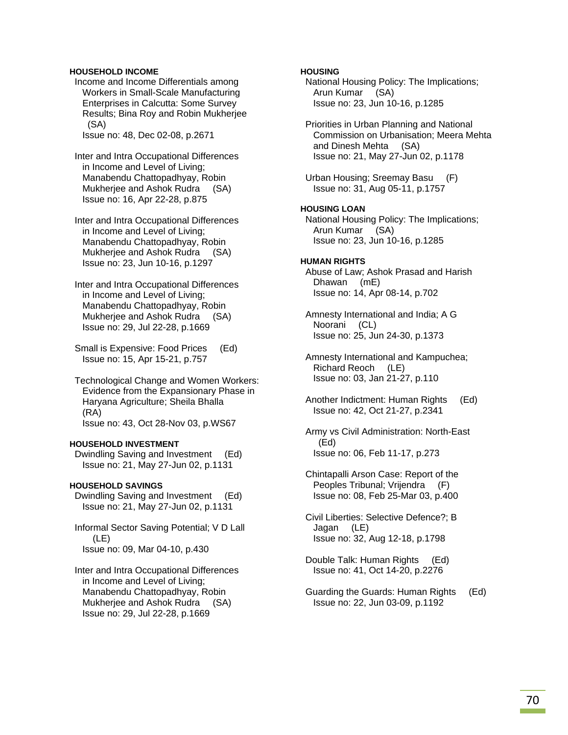# **HOUSEHOLD INCOME**

 Income and Income Differentials among Workers in Small-Scale Manufacturing Enterprises in Calcutta: Some Survey Results; Bina Roy and Robin Mukherjee (SA)

Issue no: 48, Dec 02-08, p.2671

- Inter and Intra Occupational Differences in Income and Level of Living; Manabendu Chattopadhyay, Robin Mukherjee and Ashok Rudra (SA) Issue no: 16, Apr 22-28, p.875
- Inter and Intra Occupational Differences in Income and Level of Living; Manabendu Chattopadhyay, Robin Mukherjee and Ashok Rudra (SA) Issue no: 23, Jun 10-16, p.1297
- Inter and Intra Occupational Differences in Income and Level of Living; Manabendu Chattopadhyay, Robin Mukherjee and Ashok Rudra (SA) Issue no: 29, Jul 22-28, p.1669
- Small is Expensive: Food Prices (Ed) Issue no: 15, Apr 15-21, p.757
- Technological Change and Women Workers: Evidence from the Expansionary Phase in Haryana Agriculture; Sheila Bhalla (RA) Issue no: 43, Oct 28-Nov 03, p.WS67

### **HOUSEHOLD INVESTMENT**

 Dwindling Saving and Investment (Ed) Issue no: 21, May 27-Jun 02, p.1131

# **HOUSEHOLD SAVINGS**

- Dwindling Saving and Investment (Ed) Issue no: 21, May 27-Jun 02, p.1131
- Informal Sector Saving Potential; V D Lall (LE) Issue no: 09, Mar 04-10, p.430
- Inter and Intra Occupational Differences in Income and Level of Living; Manabendu Chattopadhyay, Robin Mukherjee and Ashok Rudra (SA) Issue no: 29, Jul 22-28, p.1669

# **HOUSING**

 National Housing Policy: The Implications; Arun Kumar (SA) Issue no: 23, Jun 10-16, p.1285

- Priorities in Urban Planning and National Commission on Urbanisation; Meera Mehta and Dinesh Mehta (SA) Issue no: 21, May 27-Jun 02, p.1178
- Urban Housing; Sreemay Basu (F) Issue no: 31, Aug 05-11, p.1757

# **HOUSING LOAN**

 National Housing Policy: The Implications; Arun Kumar (SA) Issue no: 23, Jun 10-16, p.1285

# **HUMAN RIGHTS**

 Abuse of Law; Ashok Prasad and Harish Dhawan (mE) Issue no: 14, Apr 08-14, p.702

 Amnesty International and India; A G Noorani (CL) Issue no: 25, Jun 24-30, p.1373

 Amnesty International and Kampuchea; Richard Reoch (LE) Issue no: 03, Jan 21-27, p.110

- Another Indictment: Human Rights (Ed) Issue no: 42, Oct 21-27, p.2341
- Army vs Civil Administration: North-East (Ed) Issue no: 06, Feb 11-17, p.273
- Chintapalli Arson Case: Report of the Peoples Tribunal; Vrijendra (F) Issue no: 08, Feb 25-Mar 03, p.400
- Civil Liberties: Selective Defence?; B Jagan (LE) Issue no: 32, Aug 12-18, p.1798
- Double Talk: Human Rights (Ed) Issue no: 41, Oct 14-20, p.2276
- Guarding the Guards: Human Rights (Ed) Issue no: 22, Jun 03-09, p.1192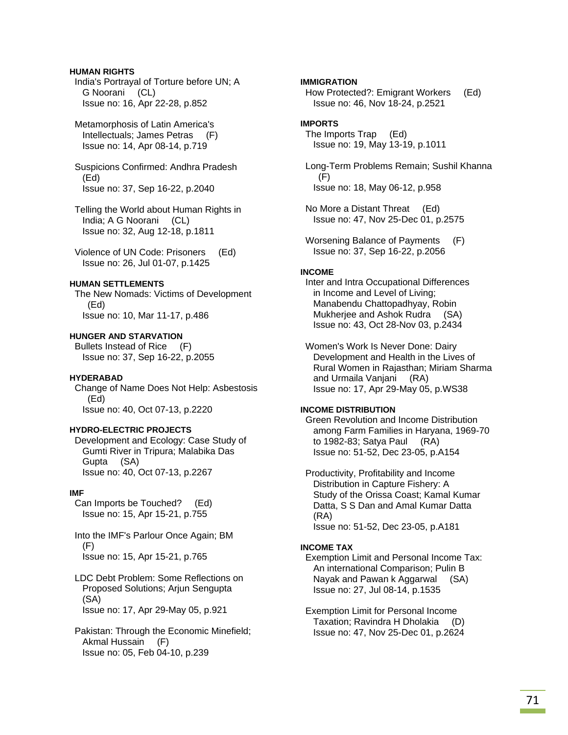# **HUMAN RIGHTS**

 India's Portrayal of Torture before UN; A G Noorani (CL) Issue no: 16, Apr 22-28, p.852

 Metamorphosis of Latin America's Intellectuals; James Petras (F) Issue no: 14, Apr 08-14, p.719

 Suspicions Confirmed: Andhra Pradesh (Ed) Issue no: 37, Sep 16-22, p.2040

 Telling the World about Human Rights in India; A G Noorani (CL) Issue no: 32, Aug 12-18, p.1811

 Violence of UN Code: Prisoners (Ed) Issue no: 26, Jul 01-07, p.1425

# **HUMAN SETTLEMENTS**

 The New Nomads: Victims of Development (Ed) Issue no: 10, Mar 11-17, p.486

# **HUNGER AND STARVATION**

 Bullets Instead of Rice (F) Issue no: 37, Sep 16-22, p.2055

# **HYDERABAD**

 Change of Name Does Not Help: Asbestosis (Ed) Issue no: 40, Oct 07-13, p.2220

# **HYDRO-ELECTRIC PROJECTS**

 Development and Ecology: Case Study of Gumti River in Tripura; Malabika Das Gupta (SA) Issue no: 40, Oct 07-13, p.2267

### **IMF**

 Can Imports be Touched? (Ed) Issue no: 15, Apr 15-21, p.755

 Into the IMF's Parlour Once Again; BM (F) Issue no: 15, Apr 15-21, p.765

 LDC Debt Problem: Some Reflections on Proposed Solutions; Arjun Sengupta (SA) Issue no: 17, Apr 29-May 05, p.921

 Pakistan: Through the Economic Minefield; Akmal Hussain (F) Issue no: 05, Feb 04-10, p.239

# **IMMIGRATION**

 How Protected?: Emigrant Workers (Ed) Issue no: 46, Nov 18-24, p.2521

# **IMPORTS**

 The Imports Trap (Ed) Issue no: 19, May 13-19, p.1011

 Long-Term Problems Remain; Sushil Khanna (F) Issue no: 18, May 06-12, p.958

 No More a Distant Threat (Ed) Issue no: 47, Nov 25-Dec 01, p.2575

 Worsening Balance of Payments (F) Issue no: 37, Sep 16-22, p.2056

### **INCOME**

 Inter and Intra Occupational Differences in Income and Level of Living; Manabendu Chattopadhyay, Robin Mukherjee and Ashok Rudra (SA) Issue no: 43, Oct 28-Nov 03, p.2434

 Women's Work Is Never Done: Dairy Development and Health in the Lives of Rural Women in Rajasthan; Miriam Sharma and Urmaila Vanjani (RA) Issue no: 17, Apr 29-May 05, p.WS38

# **INCOME DISTRIBUTION**

 Green Revolution and Income Distribution among Farm Families in Haryana, 1969-70 to 1982-83; Satya Paul (RA) Issue no: 51-52, Dec 23-05, p.A154

 Productivity, Profitability and Income Distribution in Capture Fishery: A Study of the Orissa Coast; Kamal Kumar Datta, S S Dan and Amal Kumar Datta (RA) Issue no: 51-52, Dec 23-05, p.A181

### **INCOME TAX**

 Exemption Limit and Personal Income Tax: An international Comparison; Pulin B Nayak and Pawan k Aggarwal (SA) Issue no: 27, Jul 08-14, p.1535

 Exemption Limit for Personal Income Taxation; Ravindra H Dholakia (D) Issue no: 47, Nov 25-Dec 01, p.2624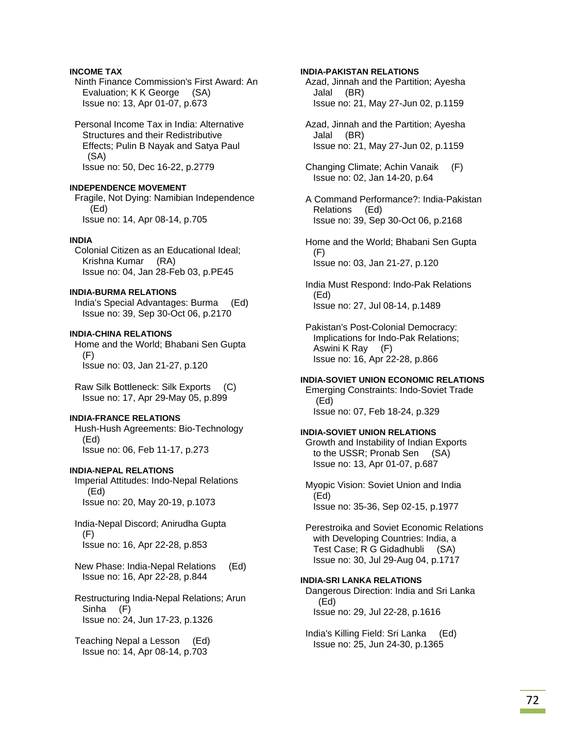# **INCOME TAX**

 Ninth Finance Commission's First Award: An Evaluation; K K George (SA) Issue no: 13, Apr 01-07, p.673

 Personal Income Tax in India: Alternative Structures and their Redistributive Effects; Pulin B Nayak and Satya Paul (SA) Issue no: 50, Dec 16-22, p.2779

#### **INDEPENDENCE MOVEMENT**

 Fragile, Not Dying: Namibian Independence (Ed) Issue no: 14, Apr 08-14, p.705

#### **INDIA**

 Colonial Citizen as an Educational Ideal; Krishna Kumar (RA) Issue no: 04, Jan 28-Feb 03, p.PE45

# **INDIA-BURMA RELATIONS**

 India's Special Advantages: Burma (Ed) Issue no: 39, Sep 30-Oct 06, p.2170

# **INDIA-CHINA RELATIONS**

 Home and the World; Bhabani Sen Gupta (F) Issue no: 03, Jan 21-27, p.120

 Raw Silk Bottleneck: Silk Exports (C) Issue no: 17, Apr 29-May 05, p.899

### **INDIA-FRANCE RELATIONS**

 Hush-Hush Agreements: Bio-Technology (Ed) Issue no: 06, Feb 11-17, p.273

#### **INDIA-NEPAL RELATIONS**

 Imperial Attitudes: Indo-Nepal Relations (Ed) Issue no: 20, May 20-19, p.1073

 India-Nepal Discord; Anirudha Gupta (F) Issue no: 16, Apr 22-28, p.853

 New Phase: India-Nepal Relations (Ed) Issue no: 16, Apr 22-28, p.844

 Restructuring India-Nepal Relations; Arun Sinha (F) Issue no: 24, Jun 17-23, p.1326

 Teaching Nepal a Lesson (Ed) Issue no: 14, Apr 08-14, p.703

# **INDIA-PAKISTAN RELATIONS**

 Azad, Jinnah and the Partition; Ayesha Jalal (BR) Issue no: 21, May 27-Jun 02, p.1159

- Azad, Jinnah and the Partition; Ayesha Jalal (BR) Issue no: 21, May 27-Jun 02, p.1159
- Changing Climate; Achin Vanaik (F) Issue no: 02, Jan 14-20, p.64

 A Command Performance?: India-Pakistan Relations (Ed) Issue no: 39, Sep 30-Oct 06, p.2168

 Home and the World; Bhabani Sen Gupta (F) Issue no: 03, Jan 21-27, p.120

 India Must Respond: Indo-Pak Relations (Ed) Issue no: 27, Jul 08-14, p.1489

 Pakistan's Post-Colonial Democracy: Implications for Indo-Pak Relations; Aswini K Ray (F) Issue no: 16, Apr 22-28, p.866

#### **INDIA-SOVIET UNION ECONOMIC RELATIONS**

 Emerging Constraints: Indo-Soviet Trade (Ed) Issue no: 07, Feb 18-24, p.329

#### **INDIA-SOVIET UNION RELATIONS**

 Growth and Instability of Indian Exports to the USSR; Pronab Sen (SA) Issue no: 13, Apr 01-07, p.687

 Myopic Vision: Soviet Union and India (Ed) Issue no: 35-36, Sep 02-15, p.1977

 Perestroika and Soviet Economic Relations with Developing Countries: India, a Test Case; R G Gidadhubli (SA) Issue no: 30, Jul 29-Aug 04, p.1717

#### **INDIA-SRI LANKA RELATIONS**

 Dangerous Direction: India and Sri Lanka (Ed) Issue no: 29, Jul 22-28, p.1616

 India's Killing Field: Sri Lanka (Ed) Issue no: 25, Jun 24-30, p.1365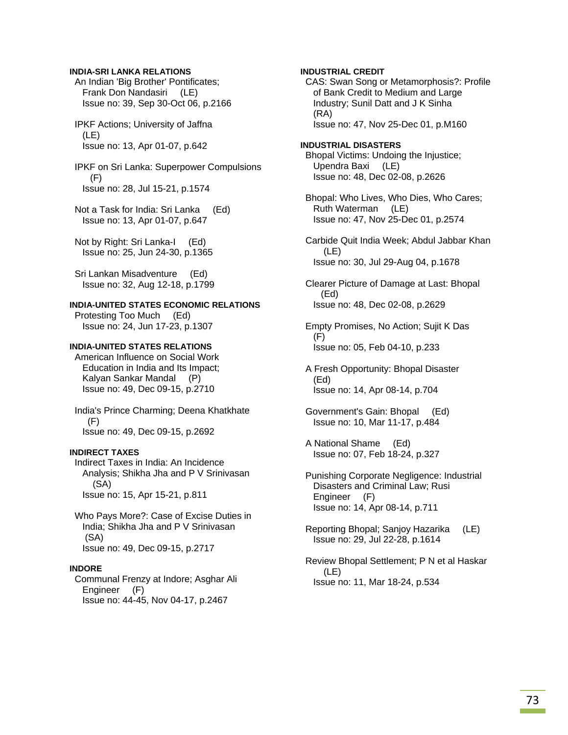### **INDIA-SRI LANKA RELATIONS**

 An Indian 'Big Brother' Pontificates; Frank Don Nandasiri (LE) Issue no: 39, Sep 30-Oct 06, p.2166

 IPKF Actions; University of Jaffna (LE) Issue no: 13, Apr 01-07, p.642

 IPKF on Sri Lanka: Superpower Compulsions (F) Issue no: 28, Jul 15-21, p.1574

 Not a Task for India: Sri Lanka (Ed) Issue no: 13, Apr 01-07, p.647

 Not by Right: Sri Lanka-I (Ed) Issue no: 25, Jun 24-30, p.1365

 Sri Lankan Misadventure (Ed) Issue no: 32, Aug 12-18, p.1799

## **INDIA-UNITED STATES ECONOMIC RELATIONS**

 Protesting Too Much (Ed) Issue no: 24, Jun 17-23, p.1307

## **INDIA-UNITED STATES RELATIONS**

 American Influence on Social Work Education in India and Its Impact; Kalyan Sankar Mandal (P) Issue no: 49, Dec 09-15, p.2710

 India's Prince Charming; Deena Khatkhate (F) Issue no: 49, Dec 09-15, p.2692

#### **INDIRECT TAXES**

 Indirect Taxes in India: An Incidence Analysis; Shikha Jha and P V Srinivasan (SA) Issue no: 15, Apr 15-21, p.811

 Who Pays More?: Case of Excise Duties in India; Shikha Jha and P V Srinivasan (SA) Issue no: 49, Dec 09-15, p.2717

#### **INDORE**

 Communal Frenzy at Indore; Asghar Ali Engineer (F) Issue no: 44-45, Nov 04-17, p.2467

## **INDUSTRIAL CREDIT**

 CAS: Swan Song or Metamorphosis?: Profile of Bank Credit to Medium and Large Industry; Sunil Datt and J K Sinha (RA) Issue no: 47, Nov 25-Dec 01, p.M160

### **INDUSTRIAL DISASTERS**

 Bhopal Victims: Undoing the Injustice; Upendra Baxi (LE) Issue no: 48, Dec 02-08, p.2626

 Bhopal: Who Lives, Who Dies, Who Cares; Ruth Waterman (LE) Issue no: 47, Nov 25-Dec 01, p.2574

 Carbide Quit India Week; Abdul Jabbar Khan (LE) Issue no: 30, Jul 29-Aug 04, p.1678

 Clearer Picture of Damage at Last: Bhopal (Ed) Issue no: 48, Dec 02-08, p.2629

 Empty Promises, No Action; Sujit K Das (F) Issue no: 05, Feb 04-10, p.233

 A Fresh Opportunity: Bhopal Disaster (Ed) Issue no: 14, Apr 08-14, p.704

 Government's Gain: Bhopal (Ed) Issue no: 10, Mar 11-17, p.484

 A National Shame (Ed) Issue no: 07, Feb 18-24, p.327

 Punishing Corporate Negligence: Industrial Disasters and Criminal Law; Rusi Engineer (F) Issue no: 14, Apr 08-14, p.711

 Reporting Bhopal; Sanjoy Hazarika (LE) Issue no: 29, Jul 22-28, p.1614

 Review Bhopal Settlement; P N et al Haskar (LE) Issue no: 11, Mar 18-24, p.534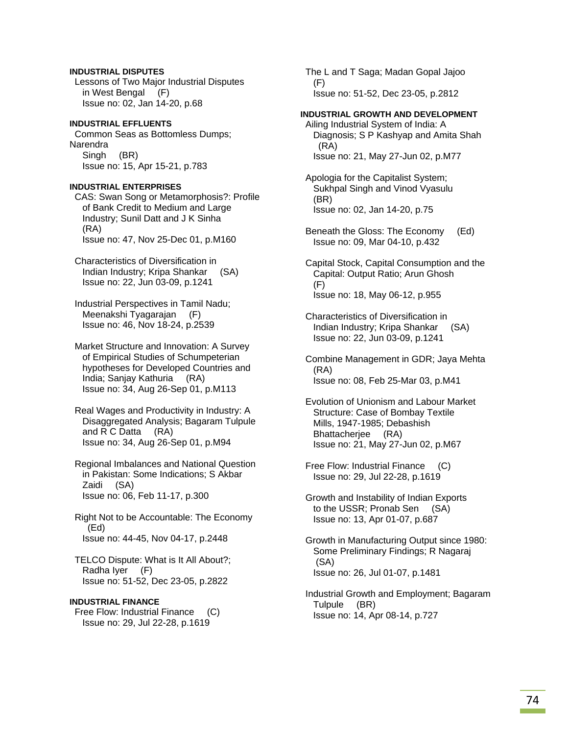# **INDUSTRIAL DISPUTES**

 Lessons of Two Major Industrial Disputes in West Bengal (F) Issue no: 02, Jan 14-20, p.68

# **INDUSTRIAL EFFLUENTS**  Common Seas as Bottomless Dumps;

Narendra Singh (BR) Issue no: 15, Apr 15-21, p.783

# **INDUSTRIAL ENTERPRISES**

 CAS: Swan Song or Metamorphosis?: Profile of Bank Credit to Medium and Large Industry; Sunil Datt and J K Sinha (RA) Issue no: 47, Nov 25-Dec 01, p.M160

 Characteristics of Diversification in Indian Industry; Kripa Shankar (SA) Issue no: 22, Jun 03-09, p.1241

 Industrial Perspectives in Tamil Nadu; Meenakshi Tyagarajan (F) Issue no: 46, Nov 18-24, p.2539

 Market Structure and Innovation: A Survey of Empirical Studies of Schumpeterian hypotheses for Developed Countries and India; Sanjay Kathuria (RA) Issue no: 34, Aug 26-Sep 01, p.M113

 Real Wages and Productivity in Industry: A Disaggregated Analysis; Bagaram Tulpule and R C Datta (RA) Issue no: 34, Aug 26-Sep 01, p.M94

 Regional Imbalances and National Question in Pakistan: Some Indications; S Akbar Zaidi (SA) Issue no: 06, Feb 11-17, p.300

 Right Not to be Accountable: The Economy (Ed) Issue no: 44-45, Nov 04-17, p.2448

 TELCO Dispute: What is It All About?; Radha Iyer (F) Issue no: 51-52, Dec 23-05, p.2822

## **INDUSTRIAL FINANCE**

 Free Flow: Industrial Finance (C) Issue no: 29, Jul 22-28, p.1619

 The L and T Saga; Madan Gopal Jajoo (F) Issue no: 51-52, Dec 23-05, p.2812

# **INDUSTRIAL GROWTH AND DEVELOPMENT**

 Ailing Industrial System of India: A Diagnosis; S P Kashyap and Amita Shah (RA) Issue no: 21, May 27-Jun 02, p.M77

- Apologia for the Capitalist System; Sukhpal Singh and Vinod Vyasulu (BR) Issue no: 02, Jan 14-20, p.75
- Beneath the Gloss: The Economy (Ed) Issue no: 09, Mar 04-10, p.432

 Capital Stock, Capital Consumption and the Capital: Output Ratio; Arun Ghosh (F) Issue no: 18, May 06-12, p.955

 Characteristics of Diversification in Indian Industry; Kripa Shankar (SA) Issue no: 22, Jun 03-09, p.1241

 Combine Management in GDR; Jaya Mehta (RA) Issue no: 08, Feb 25-Mar 03, p.M41

 Evolution of Unionism and Labour Market Structure: Case of Bombay Textile Mills, 1947-1985; Debashish Bhattacherjee (RA) Issue no: 21, May 27-Jun 02, p.M67

 Free Flow: Industrial Finance (C) Issue no: 29, Jul 22-28, p.1619

 Growth and Instability of Indian Exports to the USSR; Pronab Sen (SA) Issue no: 13, Apr 01-07, p.687

 Growth in Manufacturing Output since 1980: Some Preliminary Findings; R Nagaraj (SA) Issue no: 26, Jul 01-07, p.1481

 Industrial Growth and Employment; Bagaram Tulpule (BR) Issue no: 14, Apr 08-14, p.727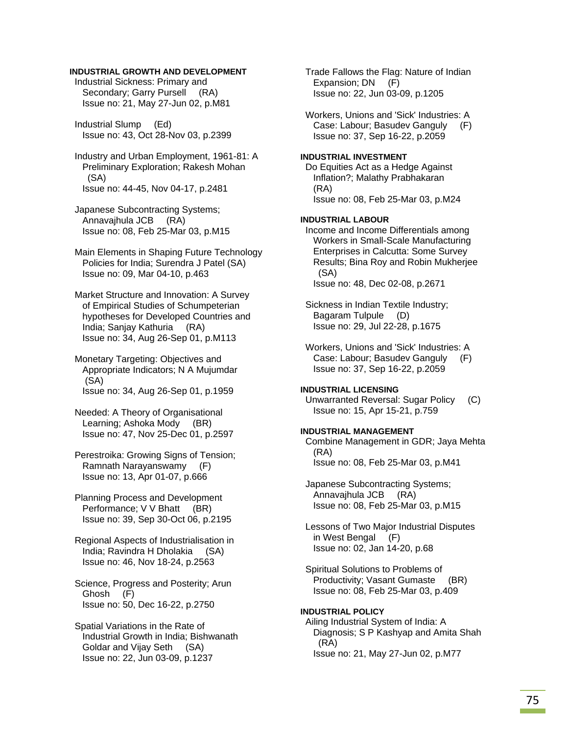## **INDUSTRIAL GROWTH AND DEVELOPMENT**

 Industrial Sickness: Primary and Secondary; Garry Pursell (RA) Issue no: 21, May 27-Jun 02, p.M81

 Industrial Slump (Ed) Issue no: 43, Oct 28-Nov 03, p.2399

 Industry and Urban Employment, 1961-81: A Preliminary Exploration; Rakesh Mohan (SA) Issue no: 44-45, Nov 04-17, p.2481

 Japanese Subcontracting Systems; Annavajhula JCB (RA) Issue no: 08, Feb 25-Mar 03, p.M15

 Main Elements in Shaping Future Technology Policies for India; Surendra J Patel (SA) Issue no: 09, Mar 04-10, p.463

 Market Structure and Innovation: A Survey of Empirical Studies of Schumpeterian hypotheses for Developed Countries and India; Sanjay Kathuria (RA) Issue no: 34, Aug 26-Sep 01, p.M113

 Monetary Targeting: Objectives and Appropriate Indicators; N A Mujumdar (SA) Issue no: 34, Aug 26-Sep 01, p.1959

 Needed: A Theory of Organisational Learning; Ashoka Mody (BR) Issue no: 47, Nov 25-Dec 01, p.2597

 Perestroika: Growing Signs of Tension; Ramnath Narayanswamy (F) Issue no: 13, Apr 01-07, p.666

 Planning Process and Development Performance; V V Bhatt (BR) Issue no: 39, Sep 30-Oct 06, p.2195

 Regional Aspects of Industrialisation in India; Ravindra H Dholakia (SA) Issue no: 46, Nov 18-24, p.2563

 Science, Progress and Posterity; Arun Ghosh (F) Issue no: 50, Dec 16-22, p.2750

 Spatial Variations in the Rate of Industrial Growth in India; Bishwanath Goldar and Vijay Seth (SA) Issue no: 22, Jun 03-09, p.1237

 Trade Fallows the Flag: Nature of Indian Expansion; DN (F) Issue no: 22, Jun 03-09, p.1205

 Workers, Unions and 'Sick' Industries: A Case: Labour; Basudev Ganguly (F) Issue no: 37, Sep 16-22, p.2059

### **INDUSTRIAL INVESTMENT**

 Do Equities Act as a Hedge Against Inflation?; Malathy Prabhakaran (RA) Issue no: 08, Feb 25-Mar 03, p.M24

### **INDUSTRIAL LABOUR**

 Income and Income Differentials among Workers in Small-Scale Manufacturing Enterprises in Calcutta: Some Survey Results; Bina Roy and Robin Mukherjee (SA) Issue no: 48, Dec 02-08, p.2671

 Sickness in Indian Textile Industry; Bagaram Tulpule (D) Issue no: 29, Jul 22-28, p.1675

 Workers, Unions and 'Sick' Industries: A Case: Labour; Basudev Ganguly (F) Issue no: 37, Sep 16-22, p.2059

### **INDUSTRIAL LICENSING**

 Unwarranted Reversal: Sugar Policy (C) Issue no: 15, Apr 15-21, p.759

### **INDUSTRIAL MANAGEMENT**

 Combine Management in GDR; Jaya Mehta (RA) Issue no: 08, Feb 25-Mar 03, p.M41

 Japanese Subcontracting Systems; Annavajhula JCB (RA) Issue no: 08, Feb 25-Mar 03, p.M15

 Lessons of Two Major Industrial Disputes in West Bengal (F) Issue no: 02, Jan 14-20, p.68

 Spiritual Solutions to Problems of Productivity; Vasant Gumaste (BR) Issue no: 08, Feb 25-Mar 03, p.409

**INDUSTRIAL POLICY**  Ailing Industrial System of India: A Diagnosis; S P Kashyap and Amita Shah (RA) Issue no: 21, May 27-Jun 02, p.M77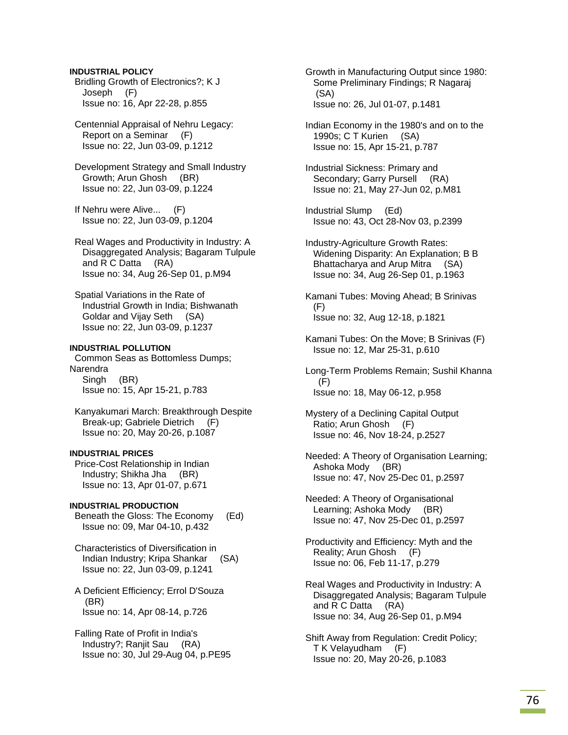**INDUSTRIAL POLICY**  Bridling Growth of Electronics?; K J Joseph (F) Issue no: 16, Apr 22-28, p.855

 Centennial Appraisal of Nehru Legacy: Report on a Seminar (F) Issue no: 22, Jun 03-09, p.1212

 Development Strategy and Small Industry Growth; Arun Ghosh (BR) Issue no: 22, Jun 03-09, p.1224

 If Nehru were Alive... (F) Issue no: 22, Jun 03-09, p.1204

 Real Wages and Productivity in Industry: A Disaggregated Analysis; Bagaram Tulpule and R C Datta (RA) Issue no: 34, Aug 26-Sep 01, p.M94

 Spatial Variations in the Rate of Industrial Growth in India; Bishwanath Goldar and Vijay Seth (SA) Issue no: 22, Jun 03-09, p.1237

## **INDUSTRIAL POLLUTION**

 Common Seas as Bottomless Dumps; Narendra Singh (BR) Issue no: 15, Apr 15-21, p.783

 Kanyakumari March: Breakthrough Despite Break-up; Gabriele Dietrich (F) Issue no: 20, May 20-26, p.1087

# **INDUSTRIAL PRICES**

 Price-Cost Relationship in Indian Industry; Shikha Jha (BR) Issue no: 13, Apr 01-07, p.671

### **INDUSTRIAL PRODUCTION**

 Beneath the Gloss: The Economy (Ed) Issue no: 09, Mar 04-10, p.432

 Characteristics of Diversification in Indian Industry; Kripa Shankar (SA) Issue no: 22, Jun 03-09, p.1241

 A Deficient Efficiency; Errol D'Souza (BR) Issue no: 14, Apr 08-14, p.726

 Falling Rate of Profit in India's Industry?; Ranjit Sau (RA) Issue no: 30, Jul 29-Aug 04, p.PE95  Growth in Manufacturing Output since 1980: Some Preliminary Findings; R Nagaraj (SA) Issue no: 26, Jul 01-07, p.1481

 Indian Economy in the 1980's and on to the 1990s; C T Kurien (SA) Issue no: 15, Apr 15-21, p.787

 Industrial Sickness: Primary and Secondary; Garry Pursell (RA) Issue no: 21, May 27-Jun 02, p.M81

 Industrial Slump (Ed) Issue no: 43, Oct 28-Nov 03, p.2399

 Industry-Agriculture Growth Rates: Widening Disparity: An Explanation; B B Bhattacharya and Arup Mitra (SA) Issue no: 34, Aug 26-Sep 01, p.1963

 Kamani Tubes: Moving Ahead; B Srinivas (F) Issue no: 32, Aug 12-18, p.1821

 Kamani Tubes: On the Move; B Srinivas (F) Issue no: 12, Mar 25-31, p.610

 Long-Term Problems Remain; Sushil Khanna (F) Issue no: 18, May 06-12, p.958

 Mystery of a Declining Capital Output Ratio; Arun Ghosh (F) Issue no: 46, Nov 18-24, p.2527

 Needed: A Theory of Organisation Learning; Ashoka Mody (BR) Issue no: 47, Nov 25-Dec 01, p.2597

 Needed: A Theory of Organisational Learning; Ashoka Mody (BR) Issue no: 47, Nov 25-Dec 01, p.2597

 Productivity and Efficiency: Myth and the Reality; Arun Ghosh (F) Issue no: 06, Feb 11-17, p.279

 Real Wages and Productivity in Industry: A Disaggregated Analysis; Bagaram Tulpule and R C Datta (RA) Issue no: 34, Aug 26-Sep 01, p.M94

 Shift Away from Regulation: Credit Policy; T K Velayudham (F) Issue no: 20, May 20-26, p.1083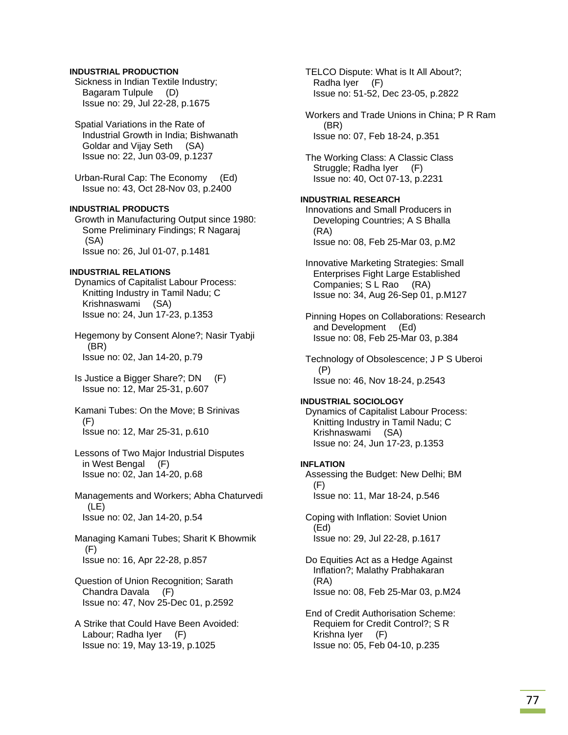## **INDUSTRIAL PRODUCTION**

 Sickness in Indian Textile Industry; Bagaram Tulpule (D) Issue no: 29, Jul 22-28, p.1675

 Spatial Variations in the Rate of Industrial Growth in India; Bishwanath Goldar and Vijay Seth (SA) Issue no: 22, Jun 03-09, p.1237

 Urban-Rural Cap: The Economy (Ed) Issue no: 43, Oct 28-Nov 03, p.2400

## **INDUSTRIAL PRODUCTS**

 Growth in Manufacturing Output since 1980: Some Preliminary Findings; R Nagaraj (SA) Issue no: 26, Jul 01-07, p.1481

#### **INDUSTRIAL RELATIONS**

 Dynamics of Capitalist Labour Process: Knitting Industry in Tamil Nadu; C Krishnaswami (SA) Issue no: 24, Jun 17-23, p.1353

 Hegemony by Consent Alone?; Nasir Tyabji (BR) Issue no: 02, Jan 14-20, p.79

 Is Justice a Bigger Share?; DN (F) Issue no: 12, Mar 25-31, p.607

 Kamani Tubes: On the Move; B Srinivas (F) Issue no: 12, Mar 25-31, p.610

 Lessons of Two Major Industrial Disputes in West Bengal (F) Issue no: 02, Jan 14-20, p.68

 Managements and Workers; Abha Chaturvedi (LE) Issue no: 02, Jan 14-20, p.54

 Managing Kamani Tubes; Sharit K Bhowmik (F) Issue no: 16, Apr 22-28, p.857

- Question of Union Recognition; Sarath Chandra Davala (F) Issue no: 47, Nov 25-Dec 01, p.2592
- A Strike that Could Have Been Avoided: Labour: Radha Iver (F) Issue no: 19, May 13-19, p.1025

 TELCO Dispute: What is It All About?; Radha Iyer (F) Issue no: 51-52, Dec 23-05, p.2822

 Workers and Trade Unions in China; P R Ram (BR) Issue no: 07, Feb 18-24, p.351

 The Working Class: A Classic Class Struggle; Radha Iyer (F) Issue no: 40, Oct 07-13, p.2231

### **INDUSTRIAL RESEARCH**  Innovations and Small Producers in Developing Countries; A S Bhalla (RA) Issue no: 08, Feb 25-Mar 03, p.M2

 Innovative Marketing Strategies: Small Enterprises Fight Large Established Companies; S L Rao (RA) Issue no: 34, Aug 26-Sep 01, p.M127

 Pinning Hopes on Collaborations: Research and Development (Ed) Issue no: 08, Feb 25-Mar 03, p.384

 Technology of Obsolescence; J P S Uberoi (P) Issue no: 46, Nov 18-24, p.2543

# **INDUSTRIAL SOCIOLOGY**

 Dynamics of Capitalist Labour Process: Knitting Industry in Tamil Nadu; C Krishnaswami (SA) Issue no: 24, Jun 17-23, p.1353

### **INFLATION**

 Assessing the Budget: New Delhi; BM (F) Issue no: 11, Mar 18-24, p.546

 Coping with Inflation: Soviet Union (Ed) Issue no: 29, Jul 22-28, p.1617

 Do Equities Act as a Hedge Against Inflation?; Malathy Prabhakaran (RA) Issue no: 08, Feb 25-Mar 03, p.M24

 End of Credit Authorisation Scheme: Requiem for Credit Control?; S R Krishna Iyer (F) Issue no: 05, Feb 04-10, p.235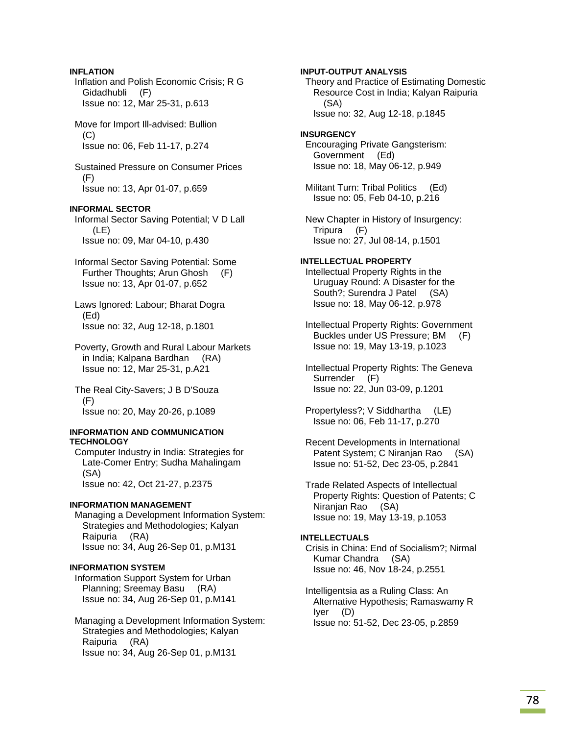## **INFLATION**

 Inflation and Polish Economic Crisis; R G Gidadhubli (F) Issue no: 12, Mar 25-31, p.613

 Move for Import Ill-advised: Bullion (C) Issue no: 06, Feb 11-17, p.274

 Sustained Pressure on Consumer Prices (F) Issue no: 13, Apr 01-07, p.659

## **INFORMAL SECTOR**

 Informal Sector Saving Potential; V D Lall (LE) Issue no: 09, Mar 04-10, p.430

- Informal Sector Saving Potential: Some Further Thoughts; Arun Ghosh (F) Issue no: 13, Apr 01-07, p.652
- Laws Ignored: Labour; Bharat Dogra (Ed) Issue no: 32, Aug 12-18, p.1801
- Poverty, Growth and Rural Labour Markets in India; Kalpana Bardhan (RA) Issue no: 12, Mar 25-31, p.A21

 The Real City-Savers; J B D'Souza (F) Issue no: 20, May 20-26, p.1089

### **INFORMATION AND COMMUNICATION TECHNOLOGY**

 Computer Industry in India: Strategies for Late-Comer Entry; Sudha Mahalingam (SA) Issue no: 42, Oct 21-27, p.2375

### **INFORMATION MANAGEMENT**

 Managing a Development Information System: Strategies and Methodologies; Kalyan Raipuria (RA) Issue no: 34, Aug 26-Sep 01, p.M131

### **INFORMATION SYSTEM**

 Information Support System for Urban Planning; Sreemay Basu (RA) Issue no: 34, Aug 26-Sep 01, p.M141

 Managing a Development Information System: Strategies and Methodologies; Kalyan Raipuria (RA) Issue no: 34, Aug 26-Sep 01, p.M131

**INPUT-OUTPUT ANALYSIS**  Theory and Practice of Estimating Domestic Resource Cost in India; Kalyan Raipuria (SA) Issue no: 32, Aug 12-18, p.1845 **INSURGENCY**  Encouraging Private Gangsterism: Government (Ed) Issue no: 18, May 06-12, p.949 Militant Turn: Tribal Politics (Ed) Issue no: 05, Feb 04-10, p.216 New Chapter in History of Insurgency: Tripura (F) Issue no: 27, Jul 08-14, p.1501 **INTELLECTUAL PROPERTY**  Intellectual Property Rights in the Uruguay Round: A Disaster for the South?; Surendra J Patel (SA) Issue no: 18, May 06-12, p.978 Intellectual Property Rights: Government Buckles under US Pressure; BM (F) Issue no: 19, May 13-19, p.1023 Intellectual Property Rights: The Geneva Surrender (F) Issue no: 22, Jun 03-09, p.1201 Propertyless?; V Siddhartha (LE) Issue no: 06, Feb 11-17, p.270

 Recent Developments in International Patent System; C Niranjan Rao (SA) Issue no: 51-52, Dec 23-05, p.2841

 Trade Related Aspects of Intellectual Property Rights: Question of Patents; C Niranjan Rao (SA) Issue no: 19, May 13-19, p.1053

### **INTELLECTUALS**

 Crisis in China: End of Socialism?; Nirmal Kumar Chandra (SA) Issue no: 46, Nov 18-24, p.2551

 Intelligentsia as a Ruling Class: An Alternative Hypothesis; Ramaswamy R Iyer (D) Issue no: 51-52, Dec 23-05, p.2859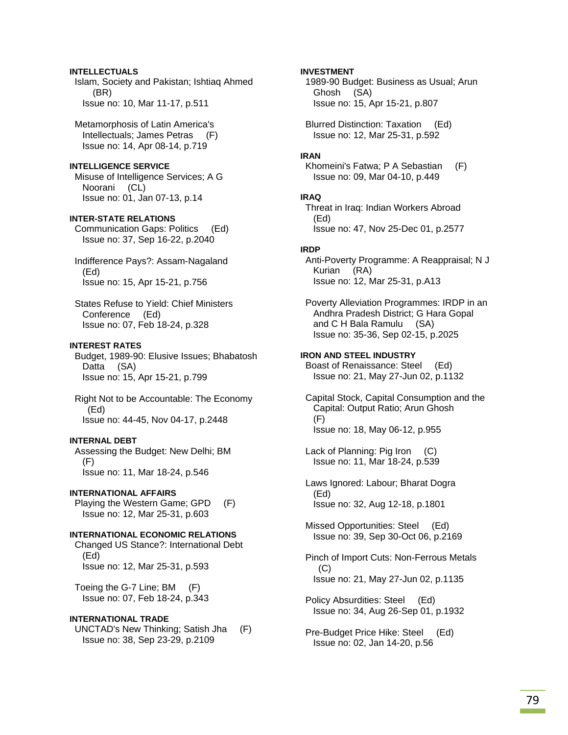## **INTELLECTUALS**

 Islam, Society and Pakistan; Ishtiaq Ahmed (BR) Issue no: 10, Mar 11-17, p.511

 Metamorphosis of Latin America's Intellectuals; James Petras (F) Issue no: 14, Apr 08-14, p.719

### **INTELLIGENCE SERVICE**

 Misuse of Intelligence Services; A G Noorani (CL) Issue no: 01, Jan 07-13, p.14

## **INTER-STATE RELATIONS**

 Communication Gaps: Politics (Ed) Issue no: 37, Sep 16-22, p.2040

 Indifference Pays?: Assam-Nagaland (Ed) Issue no: 15, Apr 15-21, p.756

 States Refuse to Yield: Chief Ministers Conference (Ed) Issue no: 07, Feb 18-24, p.328

### **INTEREST RATES**

 Budget, 1989-90: Elusive Issues; Bhabatosh Datta (SA) Issue no: 15, Apr 15-21, p.799

 Right Not to be Accountable: The Economy (Ed) Issue no: 44-45, Nov 04-17, p.2448

### **INTERNAL DEBT**

 Assessing the Budget: New Delhi; BM (F) Issue no: 11, Mar 18-24, p.546

#### **INTERNATIONAL AFFAIRS**

 Playing the Western Game; GPD (F) Issue no: 12, Mar 25-31, p.603

#### **INTERNATIONAL ECONOMIC RELATIONS**

 Changed US Stance?: International Debt (Ed) Issue no: 12, Mar 25-31, p.593

 Toeing the G-7 Line; BM (F) Issue no: 07, Feb 18-24, p.343

#### **INTERNATIONAL TRADE**

 UNCTAD's New Thinking; Satish Jha (F) Issue no: 38, Sep 23-29, p.2109

### **INVESTMENT**

 1989-90 Budget: Business as Usual; Arun Ghosh (SA) Issue no: 15, Apr 15-21, p.807

 Blurred Distinction: Taxation (Ed) Issue no: 12, Mar 25-31, p.592

#### **IRAN**

 Khomeini's Fatwa; P A Sebastian (F) Issue no: 09, Mar 04-10, p.449

**IRAQ**  Threat in Iraq: Indian Workers Abroad (Ed) Issue no: 47, Nov 25-Dec 01, p.2577

### **IRDP**

 Anti-Poverty Programme: A Reappraisal; N J Kurian (RA) Issue no: 12, Mar 25-31, p.A13

 Poverty Alleviation Programmes: IRDP in an Andhra Pradesh District; G Hara Gopal and C H Bala Ramulu (SA) Issue no: 35-36, Sep 02-15, p.2025

### **IRON AND STEEL INDUSTRY**

 Boast of Renaissance: Steel (Ed) Issue no: 21, May 27-Jun 02, p.1132

 Capital Stock, Capital Consumption and the Capital: Output Ratio; Arun Ghosh (F) Issue no: 18, May 06-12, p.955

 Lack of Planning: Pig Iron (C) Issue no: 11, Mar 18-24, p.539

 Laws Ignored: Labour; Bharat Dogra (Ed) Issue no: 32, Aug 12-18, p.1801

 Missed Opportunities: Steel (Ed) Issue no: 39, Sep 30-Oct 06, p.2169

 Pinch of Import Cuts: Non-Ferrous Metals  $(C)$ Issue no: 21, May 27-Jun 02, p.1135

 Policy Absurdities: Steel (Ed) Issue no: 34, Aug 26-Sep 01, p.1932

 Pre-Budget Price Hike: Steel (Ed) Issue no: 02, Jan 14-20, p.56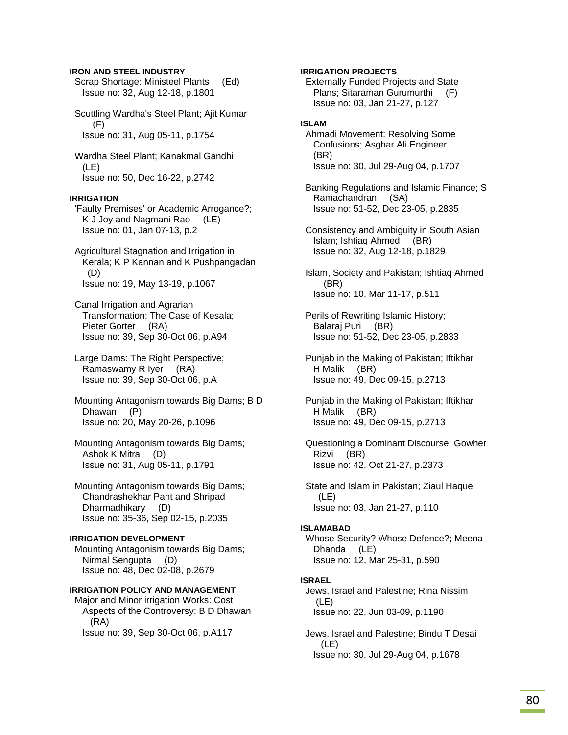### **IRON AND STEEL INDUSTRY**

- Scrap Shortage: Ministeel Plants (Ed) Issue no: 32, Aug 12-18, p.1801
- Scuttling Wardha's Steel Plant; Ajit Kumar (F) Issue no: 31, Aug 05-11, p.1754
- Wardha Steel Plant; Kanakmal Gandhi (LE) Issue no: 50, Dec 16-22, p.2742

### **IRRIGATION**

- 'Faulty Premises' or Academic Arrogance?; K J Joy and Nagmani Rao (LE) Issue no: 01, Jan 07-13, p.2
- Agricultural Stagnation and Irrigation in Kerala; K P Kannan and K Pushpangadan (D) Issue no: 19, May 13-19, p.1067
- Canal Irrigation and Agrarian Transformation: The Case of Kesala; Pieter Gorter (RA) Issue no: 39, Sep 30-Oct 06, p.A94
- Large Dams: The Right Perspective; Ramaswamy R Iyer (RA) Issue no: 39, Sep 30-Oct 06, p.A
- Mounting Antagonism towards Big Dams; B D Dhawan (P) Issue no: 20, May 20-26, p.1096
- Mounting Antagonism towards Big Dams; Ashok K Mitra (D) Issue no: 31, Aug 05-11, p.1791
- Mounting Antagonism towards Big Dams; Chandrashekhar Pant and Shripad Dharmadhikary (D) Issue no: 35-36, Sep 02-15, p.2035

#### **IRRIGATION DEVELOPMENT**

 Mounting Antagonism towards Big Dams; Nirmal Sengupta (D) Issue no: 48, Dec 02-08, p.2679

## **IRRIGATION POLICY AND MANAGEMENT**

 Major and Minor irrigation Works: Cost Aspects of the Controversy; B D Dhawan (RA) Issue no: 39, Sep 30-Oct 06, p.A117

## **IRRIGATION PROJECTS**

 Externally Funded Projects and State Plans; Sitaraman Gurumurthi (F) Issue no: 03, Jan 21-27, p.127

## **ISLAM**

- Ahmadi Movement: Resolving Some Confusions; Asghar Ali Engineer (BR) Issue no: 30, Jul 29-Aug 04, p.1707
- Banking Regulations and Islamic Finance; S Ramachandran (SA) Issue no: 51-52, Dec 23-05, p.2835
- Consistency and Ambiguity in South Asian Islam; Ishtiaq Ahmed (BR) Issue no: 32, Aug 12-18, p.1829
- Islam, Society and Pakistan; Ishtiaq Ahmed (BR) Issue no: 10, Mar 11-17, p.511
- Perils of Rewriting Islamic History; Balaraj Puri (BR) Issue no: 51-52, Dec 23-05, p.2833
- Punjab in the Making of Pakistan; Iftikhar H Malik (BR) Issue no: 49, Dec 09-15, p.2713
- Punjab in the Making of Pakistan; Iftikhar H Malik (BR) Issue no: 49, Dec 09-15, p.2713
- Questioning a Dominant Discourse; Gowher Rizvi (BR) Issue no: 42, Oct 21-27, p.2373
- State and Islam in Pakistan; Ziaul Haque (LE) Issue no: 03, Jan 21-27, p.110

### **ISLAMABAD**

 Whose Security? Whose Defence?; Meena Dhanda (LE) Issue no: 12, Mar 25-31, p.590

### **ISRAEL**

- Jews, Israel and Palestine; Rina Nissim (LE) Issue no: 22, Jun 03-09, p.1190
- Jews, Israel and Palestine; Bindu T Desai (LE) Issue no: 30, Jul 29-Aug 04, p.1678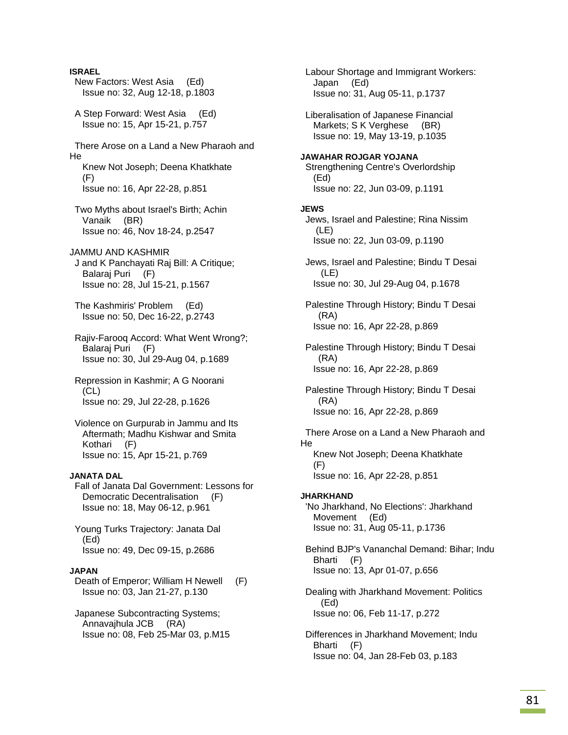**ISRAEL**  New Factors: West Asia (Ed) Issue no: 32, Aug 12-18, p.1803 A Step Forward: West Asia (Ed) Issue no: 15, Apr 15-21, p.757 There Arose on a Land a New Pharaoh and He Knew Not Joseph; Deena Khatkhate (F) Issue no: 16, Apr 22-28, p.851 Two Myths about Israel's Birth; Achin Vanaik (BR) Issue no: 46, Nov 18-24, p.2547 JAMMU AND KASHMIR J and K Panchayati Raj Bill: A Critique; Balaraj Puri (F) Issue no: 28, Jul 15-21, p.1567 The Kashmiris' Problem (Ed) Issue no: 50, Dec 16-22, p.2743 Rajiv-Farooq Accord: What Went Wrong?; Balaraj Puri (F) Issue no: 30, Jul 29-Aug 04, p.1689 Repression in Kashmir; A G Noorani (CL) Issue no: 29, Jul 22-28, p.1626 Violence on Gurpurab in Jammu and Its Aftermath; Madhu Kishwar and Smita Kothari (F) Issue no: 15, Apr 15-21, p.769 **JANATA DAL**  Fall of Janata Dal Government: Lessons for Democratic Decentralisation (F) Issue no: 18, May 06-12, p.961 Young Turks Trajectory: Janata Dal (Ed) Issue no: 49, Dec 09-15, p.2686 **JAPAN**  Death of Emperor; William H Newell (F) Issue no: 03, Jan 21-27, p.130 Japanese Subcontracting Systems; Annavajhula JCB (RA) Issue no: 08, Feb 25-Mar 03, p.M15 Labour Shortage and Immigrant Workers: Japan (Ed) Issue no: 31, Aug 05-11, p.1737 (Ed) **JEWS**  (LE) (LE) (RA) (RA) (RA) He (F) **JHARKHAND**  (Ed)

 Liberalisation of Japanese Financial Markets; S K Verghese (BR) Issue no: 19, May 13-19, p.1035 **JAWAHAR ROJGAR YOJANA**  Strengthening Centre's Overlordship Issue no: 22, Jun 03-09, p.1191 Jews, Israel and Palestine; Rina Nissim Issue no: 22, Jun 03-09, p.1190 Jews, Israel and Palestine; Bindu T Desai Issue no: 30, Jul 29-Aug 04, p.1678 Palestine Through History; Bindu T Desai Issue no: 16, Apr 22-28, p.869 Palestine Through History; Bindu T Desai Issue no: 16, Apr 22-28, p.869 Palestine Through History; Bindu T Desai Issue no: 16, Apr 22-28, p.869 There Arose on a Land a New Pharaoh and Knew Not Joseph; Deena Khatkhate Issue no: 16, Apr 22-28, p.851 'No Jharkhand, No Elections': Jharkhand Movement (Ed) Issue no: 31, Aug 05-11, p.1736 Behind BJP's Vananchal Demand: Bihar; Indu Bharti (F) Issue no: 13, Apr 01-07, p.656 Dealing with Jharkhand Movement: Politics Issue no: 06, Feb 11-17, p.272

 Differences in Jharkhand Movement; Indu Bharti (F) Issue no: 04, Jan 28-Feb 03, p.183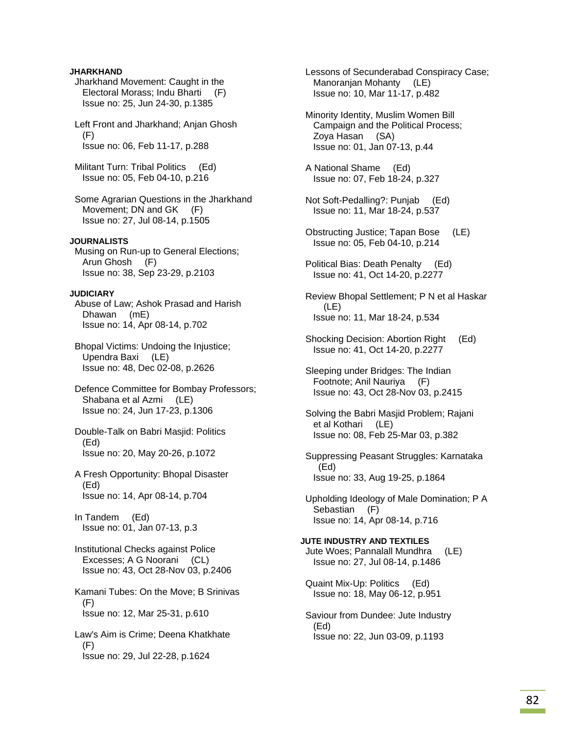## **JHARKHAND**

- Jharkhand Movement: Caught in the Electoral Morass; Indu Bharti (F) Issue no: 25, Jun 24-30, p.1385
- Left Front and Jharkhand; Anjan Ghosh (F) Issue no: 06, Feb 11-17, p.288
- Militant Turn: Tribal Politics (Ed) Issue no: 05, Feb 04-10, p.216
- Some Agrarian Questions in the Jharkhand Movement; DN and GK (F) Issue no: 27, Jul 08-14, p.1505

## **JOURNALISTS**

 Musing on Run-up to General Elections; Arun Ghosh (F) Issue no: 38, Sep 23-29, p.2103

### **JUDICIARY**

 Abuse of Law; Ashok Prasad and Harish Dhawan (mE) Issue no: 14, Apr 08-14, p.702

 Bhopal Victims: Undoing the Injustice; Upendra Baxi (LE) Issue no: 48, Dec 02-08, p.2626

 Defence Committee for Bombay Professors; Shabana et al Azmi (LE) Issue no: 24, Jun 17-23, p.1306

- Double-Talk on Babri Masjid: Politics (Ed) Issue no: 20, May 20-26, p.1072
- A Fresh Opportunity: Bhopal Disaster (Ed) Issue no: 14, Apr 08-14, p.704

 In Tandem (Ed) Issue no: 01, Jan 07-13, p.3

 Institutional Checks against Police Excesses; A G Noorani (CL) Issue no: 43, Oct 28-Nov 03, p.2406

 Kamani Tubes: On the Move; B Srinivas (F) Issue no: 12, Mar 25-31, p.610

 Law's Aim is Crime; Deena Khatkhate (F) Issue no: 29, Jul 22-28, p.1624

 Lessons of Secunderabad Conspiracy Case; Manoranjan Mohanty (LE) Issue no: 10, Mar 11-17, p.482

 Minority Identity, Muslim Women Bill Campaign and the Political Process; Zoya Hasan (SA) Issue no: 01, Jan 07-13, p.44

 A National Shame (Ed) Issue no: 07, Feb 18-24, p.327

- Not Soft-Pedalling?: Punjab (Ed) Issue no: 11, Mar 18-24, p.537
- Obstructing Justice; Tapan Bose (LE) Issue no: 05, Feb 04-10, p.214
- Political Bias: Death Penalty (Ed) Issue no: 41, Oct 14-20, p.2277

 Review Bhopal Settlement; P N et al Haskar (LE) Issue no: 11, Mar 18-24, p.534

 Shocking Decision: Abortion Right (Ed) Issue no: 41, Oct 14-20, p.2277

 Sleeping under Bridges: The Indian Footnote; Anil Nauriya (F) Issue no: 43, Oct 28-Nov 03, p.2415

 Solving the Babri Masjid Problem; Rajani et al Kothari (LE) Issue no: 08, Feb 25-Mar 03, p.382

- Suppressing Peasant Struggles: Karnataka (Ed) Issue no: 33, Aug 19-25, p.1864
- Upholding Ideology of Male Domination; P A Sebastian (F) Issue no: 14, Apr 08-14, p.716

**JUTE INDUSTRY AND TEXTILES**  Jute Woes; Pannalall Mundhra (LE) Issue no: 27, Jul 08-14, p.1486

 Quaint Mix-Up: Politics (Ed) Issue no: 18, May 06-12, p.951

 Saviour from Dundee: Jute Industry (Ed) Issue no: 22, Jun 03-09, p.1193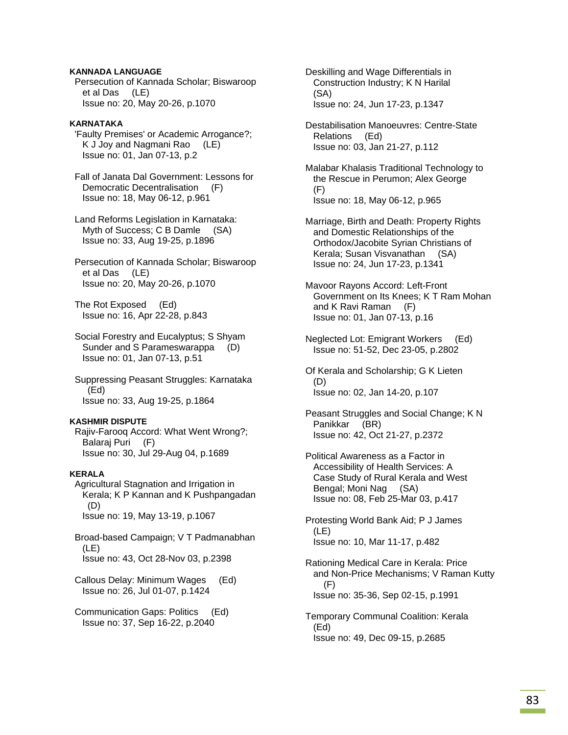## **KANNADA LANGUAGE**

 Persecution of Kannada Scholar; Biswaroop et al Das (LE) Issue no: 20, May 20-26, p.1070

## **KARNATAKA**

 'Faulty Premises' or Academic Arrogance?; K J Joy and Nagmani Rao (LE) Issue no: 01, Jan 07-13, p.2

 Fall of Janata Dal Government: Lessons for Democratic Decentralisation (F) Issue no: 18, May 06-12, p.961

 Land Reforms Legislation in Karnataka: Myth of Success; C B Damle (SA) Issue no: 33, Aug 19-25, p.1896

 Persecution of Kannada Scholar; Biswaroop et al Das (LE) Issue no: 20, May 20-26, p.1070

 The Rot Exposed (Ed) Issue no: 16, Apr 22-28, p.843

 Social Forestry and Eucalyptus; S Shyam Sunder and S Parameswarappa (D) Issue no: 01, Jan 07-13, p.51

 Suppressing Peasant Struggles: Karnataka (Ed) Issue no: 33, Aug 19-25, p.1864

### **KASHMIR DISPUTE**

 Rajiv-Farooq Accord: What Went Wrong?; Balaraj Puri (F) Issue no: 30, Jul 29-Aug 04, p.1689

## **KERALA**

 Agricultural Stagnation and Irrigation in Kerala; K P Kannan and K Pushpangadan (D) Issue no: 19, May 13-19, p.1067

 Broad-based Campaign; V T Padmanabhan (LE) Issue no: 43, Oct 28-Nov 03, p.2398

 Callous Delay: Minimum Wages (Ed) Issue no: 26, Jul 01-07, p.1424

 Communication Gaps: Politics (Ed) Issue no: 37, Sep 16-22, p.2040

 Deskilling and Wage Differentials in Construction Industry; K N Harilal (SA) Issue no: 24, Jun 17-23, p.1347

 Destabilisation Manoeuvres: Centre-State Relations (Ed) Issue no: 03, Jan 21-27, p.112

 Malabar Khalasis Traditional Technology to the Rescue in Perumon; Alex George (F) Issue no: 18, May 06-12, p.965

 Marriage, Birth and Death: Property Rights and Domestic Relationships of the Orthodox/Jacobite Syrian Christians of Kerala; Susan Visvanathan (SA) Issue no: 24, Jun 17-23, p.1341

- Mavoor Rayons Accord: Left-Front Government on Its Knees; K T Ram Mohan and K Ravi Raman (F) Issue no: 01, Jan 07-13, p.16
- Neglected Lot: Emigrant Workers (Ed) Issue no: 51-52, Dec 23-05, p.2802
- Of Kerala and Scholarship; G K Lieten (D) Issue no: 02, Jan 14-20, p.107

 Peasant Struggles and Social Change; K N Panikkar (BR) Issue no: 42, Oct 21-27, p.2372

 Political Awareness as a Factor in Accessibility of Health Services: A Case Study of Rural Kerala and West Bengal; Moni Nag (SA) Issue no: 08, Feb 25-Mar 03, p.417

 Protesting World Bank Aid; P J James (LE) Issue no: 10, Mar 11-17, p.482

 Rationing Medical Care in Kerala: Price and Non-Price Mechanisms; V Raman Kutty (F) Issue no: 35-36, Sep 02-15, p.1991

 Temporary Communal Coalition: Kerala (Ed) Issue no: 49, Dec 09-15, p.2685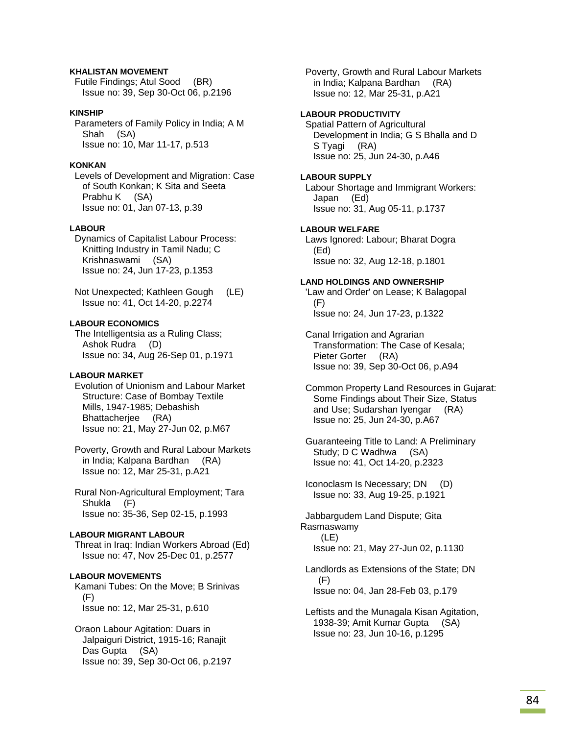## **KHALISTAN MOVEMENT**

 Futile Findings; Atul Sood (BR) Issue no: 39, Sep 30-Oct 06, p.2196

## **KINSHIP**

 Parameters of Family Policy in India; A M Shah (SA) Issue no: 10, Mar 11-17, p.513

## **KONKAN**

 Levels of Development and Migration: Case of South Konkan; K Sita and Seeta Prabhu K (SA) Issue no: 01, Jan 07-13, p.39

### **LABOUR**

 Dynamics of Capitalist Labour Process: Knitting Industry in Tamil Nadu; C Krishnaswami (SA) Issue no: 24, Jun 17-23, p.1353

 Not Unexpected; Kathleen Gough (LE) Issue no: 41, Oct 14-20, p.2274

### **LABOUR ECONOMICS**

 The Intelligentsia as a Ruling Class; Ashok Rudra (D) Issue no: 34, Aug 26-Sep 01, p.1971

## **LABOUR MARKET**

 Evolution of Unionism and Labour Market Structure: Case of Bombay Textile Mills, 1947-1985; Debashish Bhattacherjee (RA) Issue no: 21, May 27-Jun 02, p.M67

 Poverty, Growth and Rural Labour Markets in India; Kalpana Bardhan (RA) Issue no: 12, Mar 25-31, p.A21

 Rural Non-Agricultural Employment; Tara Shukla (F) Issue no: 35-36, Sep 02-15, p.1993

#### **LABOUR MIGRANT LABOUR**

 Threat in Iraq: Indian Workers Abroad (Ed) Issue no: 47, Nov 25-Dec 01, p.2577

## **LABOUR MOVEMENTS**

 Kamani Tubes: On the Move; B Srinivas (F) Issue no: 12, Mar 25-31, p.610

 Oraon Labour Agitation: Duars in Jalpaiguri District, 1915-16; Ranajit Das Gupta (SA) Issue no: 39, Sep 30-Oct 06, p.2197  Poverty, Growth and Rural Labour Markets in India; Kalpana Bardhan (RA) Issue no: 12, Mar 25-31, p.A21

## **LABOUR PRODUCTIVITY**

 Spatial Pattern of Agricultural Development in India; G S Bhalla and D S Tyagi (RA) Issue no: 25, Jun 24-30, p.A46

## **LABOUR SUPPLY**

 Labour Shortage and Immigrant Workers: Japan (Ed) Issue no: 31, Aug 05-11, p.1737

### **LABOUR WELFARE**

 Laws Ignored: Labour; Bharat Dogra (Ed) Issue no: 32, Aug 12-18, p.1801

## **LAND HOLDINGS AND OWNERSHIP**

'Law and Order' on Lease; K Balagopal (F) Issue no: 24, Jun 17-23, p.1322

 Canal Irrigation and Agrarian Transformation: The Case of Kesala; Pieter Gorter (RA) Issue no: 39, Sep 30-Oct 06, p.A94

 Common Property Land Resources in Gujarat: Some Findings about Their Size, Status and Use; Sudarshan Iyengar (RA) Issue no: 25, Jun 24-30, p.A67

 Guaranteeing Title to Land: A Preliminary Study; D C Wadhwa (SA) Issue no: 41, Oct 14-20, p.2323

 Iconoclasm Is Necessary; DN (D) Issue no: 33, Aug 19-25, p.1921

 Jabbargudem Land Dispute; Gita Rasmaswamy (LE) Issue no: 21, May 27-Jun 02, p.1130

 Landlords as Extensions of the State; DN (F) Issue no: 04, Jan 28-Feb 03, p.179

 Leftists and the Munagala Kisan Agitation, 1938-39; Amit Kumar Gupta (SA) Issue no: 23, Jun 10-16, p.1295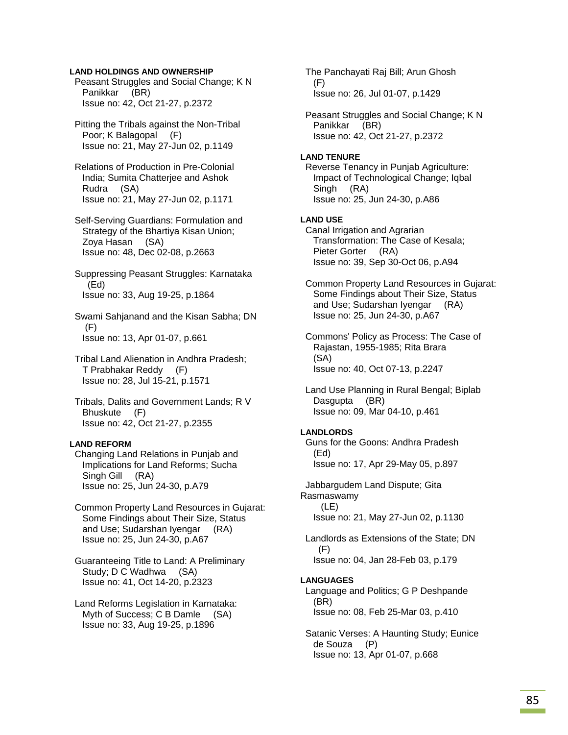## **LAND HOLDINGS AND OWNERSHIP**

 Peasant Struggles and Social Change; K N Panikkar (BR) Issue no: 42, Oct 21-27, p.2372

 Pitting the Tribals against the Non-Tribal Poor; K Balagopal (F) Issue no: 21, May 27-Jun 02, p.1149

 Relations of Production in Pre-Colonial India; Sumita Chatterjee and Ashok Rudra (SA) Issue no: 21, May 27-Jun 02, p.1171

 Self-Serving Guardians: Formulation and Strategy of the Bhartiya Kisan Union; Zoya Hasan (SA) Issue no: 48, Dec 02-08, p.2663

 Suppressing Peasant Struggles: Karnataka (Ed) Issue no: 33, Aug 19-25, p.1864

 Swami Sahjanand and the Kisan Sabha; DN (F) Issue no: 13, Apr 01-07, p.661

 Tribal Land Alienation in Andhra Pradesh; T Prabhakar Reddy (F) Issue no: 28, Jul 15-21, p.1571

 Tribals, Dalits and Government Lands; R V Bhuskute (F) Issue no: 42, Oct 21-27, p.2355

## **LAND REFORM**

 Changing Land Relations in Punjab and Implications for Land Reforms; Sucha Singh Gill (RA) Issue no: 25, Jun 24-30, p.A79

 Common Property Land Resources in Gujarat: Some Findings about Their Size, Status and Use; Sudarshan Iyengar (RA) Issue no: 25, Jun 24-30, p.A67

 Guaranteeing Title to Land: A Preliminary Study; D C Wadhwa (SA) Issue no: 41, Oct 14-20, p.2323

 Land Reforms Legislation in Karnataka: Myth of Success; C B Damle (SA) Issue no: 33, Aug 19-25, p.1896

 The Panchayati Raj Bill; Arun Ghosh (F) Issue no: 26, Jul 01-07, p.1429

 Peasant Struggles and Social Change; K N Panikkar (BR) Issue no: 42, Oct 21-27, p.2372

### **LAND TENURE**

 Reverse Tenancy in Punjab Agriculture: Impact of Technological Change; Iqbal Singh (RA) Issue no: 25, Jun 24-30, p.A86

# **LAND USE**

 Canal Irrigation and Agrarian Transformation: The Case of Kesala; Pieter Gorter (RA) Issue no: 39, Sep 30-Oct 06, p.A94

 Common Property Land Resources in Gujarat: Some Findings about Their Size, Status and Use; Sudarshan Iyengar (RA) Issue no: 25, Jun 24-30, p.A67

 Commons' Policy as Process: The Case of Rajastan, 1955-1985; Rita Brara (SA) Issue no: 40, Oct 07-13, p.2247

 Land Use Planning in Rural Bengal; Biplab Dasgupta (BR) Issue no: 09, Mar 04-10, p.461

#### **LANDLORDS**

 Guns for the Goons: Andhra Pradesh (Ed) Issue no: 17, Apr 29-May 05, p.897

 Jabbargudem Land Dispute; Gita Rasmaswamy (LE) Issue no: 21, May 27-Jun 02, p.1130

 Landlords as Extensions of the State; DN (F) Issue no: 04, Jan 28-Feb 03, p.179

#### **LANGUAGES**

 Language and Politics; G P Deshpande (BR) Issue no: 08, Feb 25-Mar 03, p.410

 Satanic Verses: A Haunting Study; Eunice de Souza (P) Issue no: 13, Apr 01-07, p.668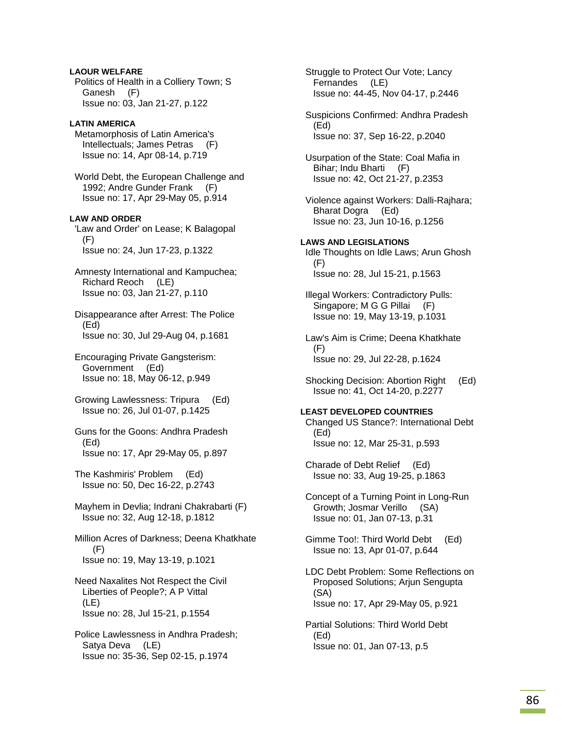## **LAOUR WELFARE**

 Politics of Health in a Colliery Town; S Ganesh (F) Issue no: 03, Jan 21-27, p.122

# **LATIN AMERICA**

 Metamorphosis of Latin America's Intellectuals; James Petras (F) Issue no: 14, Apr 08-14, p.719

 World Debt, the European Challenge and 1992; Andre Gunder Frank (F) Issue no: 17, Apr 29-May 05, p.914

# **LAW AND ORDER**

'Law and Order' on Lease; K Balagopal (F) Issue no: 24, Jun 17-23, p.1322

 Amnesty International and Kampuchea; Richard Reoch (LE) Issue no: 03, Jan 21-27, p.110

 Disappearance after Arrest: The Police (Ed) Issue no: 30, Jul 29-Aug 04, p.1681

 Encouraging Private Gangsterism: Government (Ed) Issue no: 18, May 06-12, p.949

 Growing Lawlessness: Tripura (Ed) Issue no: 26, Jul 01-07, p.1425

 Guns for the Goons: Andhra Pradesh (Ed) Issue no: 17, Apr 29-May 05, p.897

 The Kashmiris' Problem (Ed) Issue no: 50, Dec 16-22, p.2743

 Mayhem in Devlia; Indrani Chakrabarti (F) Issue no: 32, Aug 12-18, p.1812

 Million Acres of Darkness; Deena Khatkhate (F) Issue no: 19, May 13-19, p.1021

 Need Naxalites Not Respect the Civil Liberties of People?; A P Vittal (LE) Issue no: 28, Jul 15-21, p.1554

 Police Lawlessness in Andhra Pradesh; Satya Deva (LE) Issue no: 35-36, Sep 02-15, p.1974

 Struggle to Protect Our Vote; Lancy Fernandes (LE) Issue no: 44-45, Nov 04-17, p.2446 Suspicions Confirmed: Andhra Pradesh (Ed) Issue no: 37, Sep 16-22, p.2040 Usurpation of the State: Coal Mafia in Bihar; Indu Bharti (F) Issue no: 42, Oct 21-27, p.2353 Violence against Workers: Dalli-Rajhara; Bharat Dogra (Ed) Issue no: 23, Jun 10-16, p.1256 **LAWS AND LEGISLATIONS**  Idle Thoughts on Idle Laws; Arun Ghosh (F) Issue no: 28, Jul 15-21, p.1563 Illegal Workers: Contradictory Pulls: Singapore; M G G Pillai (F) Issue no: 19, May 13-19, p.1031 Law's Aim is Crime; Deena Khatkhate  $(F)$  Issue no: 29, Jul 22-28, p.1624 Shocking Decision: Abortion Right (Ed) Issue no: 41, Oct 14-20, p.2277 **LEAST DEVELOPED COUNTRIES**  Changed US Stance?: International Debt (Ed) Issue no: 12, Mar 25-31, p.593 Charade of Debt Relief (Ed) Issue no: 33, Aug 19-25, p.1863 Concept of a Turning Point in Long-Run Growth; Josmar Verillo (SA) Issue no: 01, Jan 07-13, p.31 Gimme Too!: Third World Debt (Ed) Issue no: 13, Apr 01-07, p.644 LDC Debt Problem: Some Reflections on Proposed Solutions; Arjun Sengupta (SA) Issue no: 17, Apr 29-May 05, p.921 Partial Solutions: Third World Debt (Ed) Issue no: 01, Jan 07-13, p.5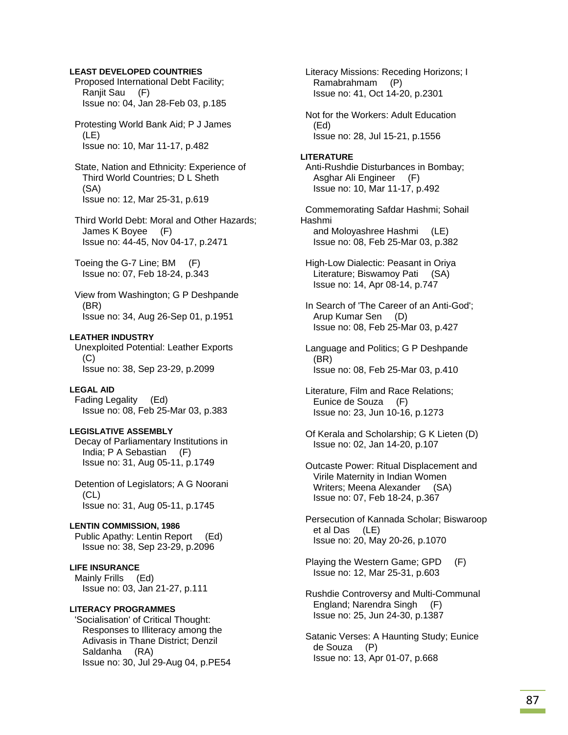## **LEAST DEVELOPED COUNTRIES**

 Proposed International Debt Facility; Ranjit Sau (F) Issue no: 04, Jan 28-Feb 03, p.185

 Protesting World Bank Aid; P J James (LE) Issue no: 10, Mar 11-17, p.482

 State, Nation and Ethnicity: Experience of Third World Countries; D L Sheth (SA) Issue no: 12, Mar 25-31, p.619

 Third World Debt: Moral and Other Hazards; James K Boyee (F) Issue no: 44-45, Nov 04-17, p.2471

 Toeing the G-7 Line; BM (F) Issue no: 07, Feb 18-24, p.343

 View from Washington; G P Deshpande (BR) Issue no: 34, Aug 26-Sep 01, p.1951

## **LEATHER INDUSTRY**

 Unexploited Potential: Leather Exports (C) Issue no: 38, Sep 23-29, p.2099

### **LEGAL AID**

 Fading Legality (Ed) Issue no: 08, Feb 25-Mar 03, p.383

#### **LEGISLATIVE ASSEMBLY**

 Decay of Parliamentary Institutions in India; P A Sebastian (F) Issue no: 31, Aug 05-11, p.1749

 Detention of Legislators; A G Noorani (CL) Issue no: 31, Aug 05-11, p.1745

### **LENTIN COMMISSION, 1986**  Public Apathy: Lentin Report (Ed) Issue no: 38, Sep 23-29, p.2096

#### **LIFE INSURANCE**

 Mainly Frills (Ed) Issue no: 03, Jan 21-27, p.111

## **LITERACY PROGRAMMES**

 'Socialisation' of Critical Thought: Responses to Illiteracy among the Adivasis in Thane District; Denzil Saldanha (RA) Issue no: 30, Jul 29-Aug 04, p.PE54  Literacy Missions: Receding Horizons; I Ramabrahmam (P) Issue no: 41, Oct 14-20, p.2301

 Not for the Workers: Adult Education (Ed) Issue no: 28, Jul 15-21, p.1556

### **LITERATURE**  Anti-Rushdie Disturbances in Bombay; Asghar Ali Engineer (F) Issue no: 10, Mar 11-17, p.492

 Commemorating Safdar Hashmi; Sohail Hashmi and Moloyashree Hashmi (LE) Issue no: 08, Feb 25-Mar 03, p.382

 High-Low Dialectic: Peasant in Oriya Literature; Biswamoy Pati (SA) Issue no: 14, Apr 08-14, p.747

 In Search of 'The Career of an Anti-God'; Arup Kumar Sen (D) Issue no: 08, Feb 25-Mar 03, p.427

 Language and Politics; G P Deshpande (BR) Issue no: 08, Feb 25-Mar 03, p.410

 Literature, Film and Race Relations; Eunice de Souza (F) Issue no: 23, Jun 10-16, p.1273

- Of Kerala and Scholarship; G K Lieten (D) Issue no: 02, Jan 14-20, p.107
- Outcaste Power: Ritual Displacement and Virile Maternity in Indian Women Writers; Meena Alexander (SA) Issue no: 07, Feb 18-24, p.367
- Persecution of Kannada Scholar; Biswaroop et al Das (LE) Issue no: 20, May 20-26, p.1070
- Playing the Western Game; GPD (F) Issue no: 12, Mar 25-31, p.603
- Rushdie Controversy and Multi-Communal England; Narendra Singh (F) Issue no: 25, Jun 24-30, p.1387

 Satanic Verses: A Haunting Study; Eunice de Souza (P) Issue no: 13, Apr 01-07, p.668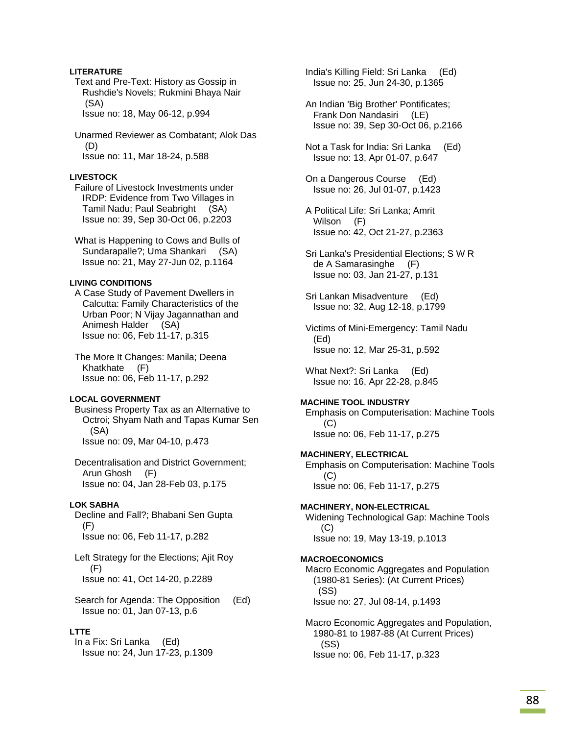## **LITERATURE**

 Text and Pre-Text: History as Gossip in Rushdie's Novels; Rukmini Bhaya Nair (SA) Issue no: 18, May 06-12, p.994

 Unarmed Reviewer as Combatant; Alok Das (D) Issue no: 11, Mar 18-24, p.588

### **LIVESTOCK**

 Failure of Livestock Investments under IRDP: Evidence from Two Villages in Tamil Nadu; Paul Seabright (SA) Issue no: 39, Sep 30-Oct 06, p.2203

 What is Happening to Cows and Bulls of Sundarapalle?; Uma Shankari (SA) Issue no: 21, May 27-Jun 02, p.1164

## **LIVING CONDITIONS**

 A Case Study of Pavement Dwellers in Calcutta: Family Characteristics of the Urban Poor; N Vijay Jagannathan and Animesh Halder (SA) Issue no: 06, Feb 11-17, p.315

 The More It Changes: Manila; Deena Khatkhate (F) Issue no: 06, Feb 11-17, p.292

#### **LOCAL GOVERNMENT**

 Business Property Tax as an Alternative to Octroi; Shyam Nath and Tapas Kumar Sen (SA) Issue no: 09, Mar 04-10, p.473

 Decentralisation and District Government; Arun Ghosh (F) Issue no: 04, Jan 28-Feb 03, p.175

### **LOK SABHA**

 Decline and Fall?; Bhabani Sen Gupta (F) Issue no: 06, Feb 11-17, p.282

 Left Strategy for the Elections; Ajit Roy  $(F)$ Issue no: 41, Oct 14-20, p.2289

 Search for Agenda: The Opposition (Ed) Issue no: 01, Jan 07-13, p.6

### **LTTE**

 In a Fix: Sri Lanka (Ed) Issue no: 24, Jun 17-23, p.1309  India's Killing Field: Sri Lanka (Ed) Issue no: 25, Jun 24-30, p.1365

 An Indian 'Big Brother' Pontificates; Frank Don Nandasiri (LE) Issue no: 39, Sep 30-Oct 06, p.2166

 Not a Task for India: Sri Lanka (Ed) Issue no: 13, Apr 01-07, p.647

- On a Dangerous Course (Ed) Issue no: 26, Jul 01-07, p.1423
- A Political Life: Sri Lanka; Amrit Wilson (F) Issue no: 42, Oct 21-27, p.2363
- Sri Lanka's Presidential Elections; S W R de A Samarasinghe (F) Issue no: 03, Jan 21-27, p.131
- Sri Lankan Misadventure (Ed) Issue no: 32, Aug 12-18, p.1799

 Victims of Mini-Emergency: Tamil Nadu (Ed) Issue no: 12, Mar 25-31, p.592

 What Next?: Sri Lanka (Ed) Issue no: 16, Apr 22-28, p.845

### **MACHINE TOOL INDUSTRY**

 Emphasis on Computerisation: Machine Tools (C) Issue no: 06, Feb 11-17, p.275

### **MACHINERY, ELECTRICAL**

 Emphasis on Computerisation: Machine Tools (C) Issue no: 06, Feb 11-17, p.275

#### **MACHINERY, NON-ELECTRICAL**

 Widening Technological Gap: Machine Tools (C) Issue no: 19, May 13-19, p.1013

### **MACROECONOMICS**

 Macro Economic Aggregates and Population (1980-81 Series): (At Current Prices) (SS) Issue no: 27, Jul 08-14, p.1493

 Macro Economic Aggregates and Population, 1980-81 to 1987-88 (At Current Prices) (SS) Issue no: 06, Feb 11-17, p.323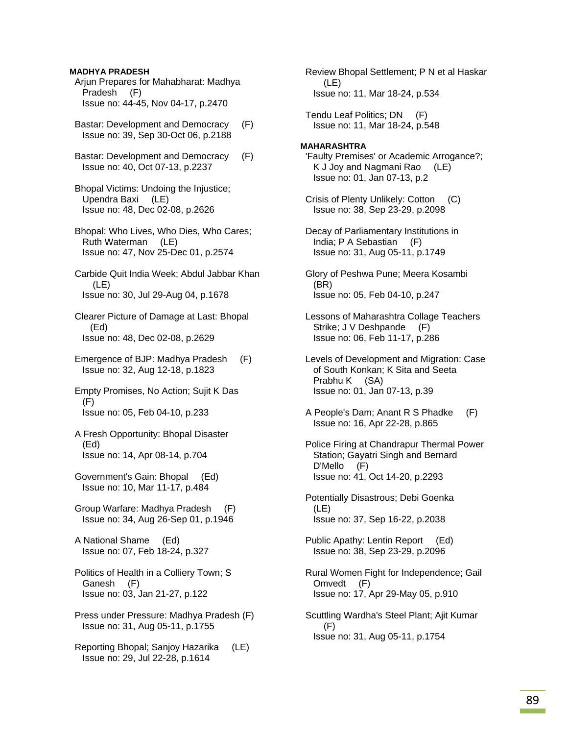## **MADHYA PRADESH**

 Arjun Prepares for Mahabharat: Madhya Pradesh (F) Issue no: 44-45, Nov 04-17, p.2470

- Bastar: Development and Democracy (F) Issue no: 39, Sep 30-Oct 06, p.2188
- Bastar: Development and Democracy (F) Issue no: 40, Oct 07-13, p.2237
- Bhopal Victims: Undoing the Injustice; Upendra Baxi (LE) Issue no: 48, Dec 02-08, p.2626
- Bhopal: Who Lives, Who Dies, Who Cares; Ruth Waterman (LE) Issue no: 47, Nov 25-Dec 01, p.2574
- Carbide Quit India Week; Abdul Jabbar Khan (LE) Issue no: 30, Jul 29-Aug 04, p.1678

 Clearer Picture of Damage at Last: Bhopal (Ed) Issue no: 48, Dec 02-08, p.2629

- Emergence of BJP: Madhya Pradesh (F) Issue no: 32, Aug 12-18, p.1823
- Empty Promises, No Action; Sujit K Das (F) Issue no: 05, Feb 04-10, p.233
- A Fresh Opportunity: Bhopal Disaster (Ed) Issue no: 14, Apr 08-14, p.704
- Government's Gain: Bhopal (Ed) Issue no: 10, Mar 11-17, p.484
- Group Warfare: Madhya Pradesh (F) Issue no: 34, Aug 26-Sep 01, p.1946
- A National Shame (Ed) Issue no: 07, Feb 18-24, p.327
- Politics of Health in a Colliery Town; S Ganesh (F) Issue no: 03, Jan 21-27, p.122
- Press under Pressure: Madhya Pradesh (F) Issue no: 31, Aug 05-11, p.1755
- Reporting Bhopal; Sanjoy Hazarika (LE) Issue no: 29, Jul 22-28, p.1614

 Review Bhopal Settlement; P N et al Haskar (LE) Issue no: 11, Mar 18-24, p.534

 Tendu Leaf Politics; DN (F) Issue no: 11, Mar 18-24, p.548

## **MAHARASHTRA**

- 'Faulty Premises' or Academic Arrogance?; K J Joy and Nagmani Rao (LE) Issue no: 01, Jan 07-13, p.2
- Crisis of Plenty Unlikely: Cotton (C) Issue no: 38, Sep 23-29, p.2098

 Decay of Parliamentary Institutions in India; P A Sebastian (F) Issue no: 31, Aug 05-11, p.1749

- Glory of Peshwa Pune; Meera Kosambi (BR) Issue no: 05, Feb 04-10, p.247
- Lessons of Maharashtra Collage Teachers Strike; J V Deshpande (F) Issue no: 06, Feb 11-17, p.286
- Levels of Development and Migration: Case of South Konkan; K Sita and Seeta Prabhu K (SA) Issue no: 01, Jan 07-13, p.39
- A People's Dam; Anant R S Phadke (F) Issue no: 16, Apr 22-28, p.865

 Police Firing at Chandrapur Thermal Power Station; Gayatri Singh and Bernard D'Mello (F) Issue no: 41, Oct 14-20, p.2293

- Potentially Disastrous; Debi Goenka (LE) Issue no: 37, Sep 16-22, p.2038
- Public Apathy: Lentin Report (Ed) Issue no: 38, Sep 23-29, p.2096
- Rural Women Fight for Independence; Gail Omvedt (F) Issue no: 17, Apr 29-May 05, p.910
- Scuttling Wardha's Steel Plant; Ajit Kumar (F) Issue no: 31, Aug 05-11, p.1754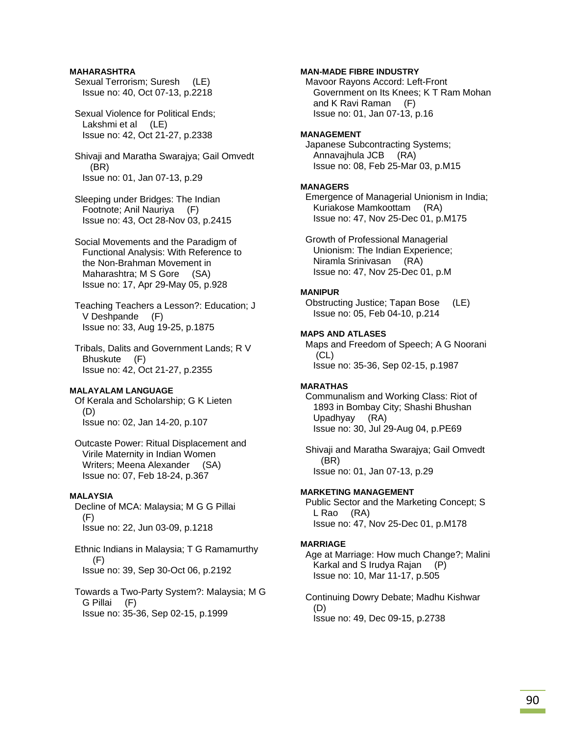## **MAHARASHTRA**

 Sexual Terrorism; Suresh (LE) Issue no: 40, Oct 07-13, p.2218

 Sexual Violence for Political Ends; Lakshmi et al (LE) Issue no: 42, Oct 21-27, p.2338

 Shivaji and Maratha Swarajya; Gail Omvedt (BR) Issue no: 01, Jan 07-13, p.29

 Sleeping under Bridges: The Indian Footnote; Anil Nauriya (F) Issue no: 43, Oct 28-Nov 03, p.2415

 Social Movements and the Paradigm of Functional Analysis: With Reference to the Non-Brahman Movement in Maharashtra; M S Gore (SA) Issue no: 17, Apr 29-May 05, p.928

 Teaching Teachers a Lesson?: Education; J V Deshpande (F) Issue no: 33, Aug 19-25, p.1875

 Tribals, Dalits and Government Lands; R V Bhuskute (F) Issue no: 42, Oct 21-27, p.2355

## **MALAYALAM LANGUAGE**

 Of Kerala and Scholarship; G K Lieten (D) Issue no: 02, Jan 14-20, p.107

 Outcaste Power: Ritual Displacement and Virile Maternity in Indian Women Writers; Meena Alexander (SA) Issue no: 07, Feb 18-24, p.367

## **MALAYSIA**

 Decline of MCA: Malaysia; M G G Pillai (F) Issue no: 22, Jun 03-09, p.1218

 Ethnic Indians in Malaysia; T G Ramamurthy (F) Issue no: 39, Sep 30-Oct 06, p.2192

 Towards a Two-Party System?: Malaysia; M G G Pillai (F) Issue no: 35-36, Sep 02-15, p.1999

### **MAN-MADE FIBRE INDUSTRY**

 Mavoor Rayons Accord: Left-Front Government on Its Knees; K T Ram Mohan and K Ravi Raman (F) Issue no: 01, Jan 07-13, p.16

#### **MANAGEMENT**

 Japanese Subcontracting Systems; Annavajhula JCB (RA) Issue no: 08, Feb 25-Mar 03, p.M15

#### **MANAGERS**

 Emergence of Managerial Unionism in India; Kuriakose Mamkoottam (RA) Issue no: 47, Nov 25-Dec 01, p.M175

 Growth of Professional Managerial Unionism: The Indian Experience; Niramla Srinivasan (RA) Issue no: 47, Nov 25-Dec 01, p.M

#### **MANIPUR**

 Obstructing Justice; Tapan Bose (LE) Issue no: 05, Feb 04-10, p.214

### **MAPS AND ATLASES**

 Maps and Freedom of Speech; A G Noorani (CL) Issue no: 35-36, Sep 02-15, p.1987

### **MARATHAS**

 Communalism and Working Class: Riot of 1893 in Bombay City; Shashi Bhushan Upadhyay (RA) Issue no: 30, Jul 29-Aug 04, p.PE69

 Shivaji and Maratha Swarajya; Gail Omvedt (BR) Issue no: 01, Jan 07-13, p.29

#### **MARKETING MANAGEMENT**

 Public Sector and the Marketing Concept; S L Rao (RA) Issue no: 47, Nov 25-Dec 01, p.M178

#### **MARRIAGE**

 Age at Marriage: How much Change?; Malini Karkal and S Irudya Rajan (P) Issue no: 10, Mar 11-17, p.505

 Continuing Dowry Debate; Madhu Kishwar (D) Issue no: 49, Dec 09-15, p.2738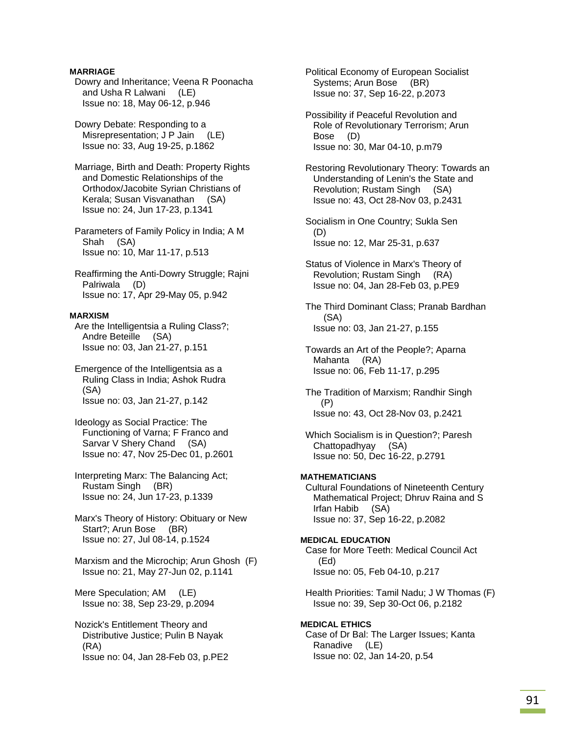## **MARRIAGE**

 Dowry and Inheritance; Veena R Poonacha and Usha R Lalwani (LE) Issue no: 18, May 06-12, p.946

 Dowry Debate: Responding to a Misrepresentation; J P Jain (LE) Issue no: 33, Aug 19-25, p.1862

 Marriage, Birth and Death: Property Rights and Domestic Relationships of the Orthodox/Jacobite Syrian Christians of Kerala; Susan Visvanathan (SA) Issue no: 24, Jun 17-23, p.1341

 Parameters of Family Policy in India; A M Shah (SA) Issue no: 10, Mar 11-17, p.513

 Reaffirming the Anti-Dowry Struggle; Rajni Palriwala (D) Issue no: 17, Apr 29-May 05, p.942

## **MARXISM**

 Are the Intelligentsia a Ruling Class?; Andre Beteille (SA) Issue no: 03, Jan 21-27, p.151

 Emergence of the Intelligentsia as a Ruling Class in India; Ashok Rudra (SA) Issue no: 03, Jan 21-27, p.142

 Ideology as Social Practice: The Functioning of Varna; F Franco and Sarvar V Shery Chand (SA) Issue no: 47, Nov 25-Dec 01, p.2601

 Interpreting Marx: The Balancing Act; Rustam Singh (BR) Issue no: 24, Jun 17-23, p.1339

 Marx's Theory of History: Obituary or New Start?; Arun Bose (BR) Issue no: 27, Jul 08-14, p.1524

 Marxism and the Microchip; Arun Ghosh (F) Issue no: 21, May 27-Jun 02, p.1141

 Mere Speculation; AM (LE) Issue no: 38, Sep 23-29, p.2094

 Nozick's Entitlement Theory and Distributive Justice; Pulin B Nayak (RA) Issue no: 04, Jan 28-Feb 03, p.PE2  Political Economy of European Socialist Systems; Arun Bose (BR) Issue no: 37, Sep 16-22, p.2073

 Possibility if Peaceful Revolution and Role of Revolutionary Terrorism; Arun Bose (D) Issue no: 30, Mar 04-10, p.m79

 Restoring Revolutionary Theory: Towards an Understanding of Lenin's the State and Revolution; Rustam Singh (SA) Issue no: 43, Oct 28-Nov 03, p.2431

 Socialism in One Country; Sukla Sen (D) Issue no: 12, Mar 25-31, p.637

 Status of Violence in Marx's Theory of Revolution; Rustam Singh (RA) Issue no: 04, Jan 28-Feb 03, p.PE9

 The Third Dominant Class; Pranab Bardhan (SA) Issue no: 03, Jan 21-27, p.155

 Towards an Art of the People?; Aparna Mahanta (RA) Issue no: 06, Feb 11-17, p.295

 The Tradition of Marxism; Randhir Singh (P) Issue no: 43, Oct 28-Nov 03, p.2421

 Which Socialism is in Question?; Paresh Chattopadhyay (SA) Issue no: 50, Dec 16-22, p.2791

### **MATHEMATICIANS**

 Cultural Foundations of Nineteenth Century Mathematical Project; Dhruv Raina and S Irfan Habib (SA) Issue no: 37, Sep 16-22, p.2082

**MEDICAL EDUCATION**  Case for More Teeth: Medical Council Act (Ed) Issue no: 05, Feb 04-10, p.217

 Health Priorities: Tamil Nadu; J W Thomas (F) Issue no: 39, Sep 30-Oct 06, p.2182

**MEDICAL ETHICS**  Case of Dr Bal: The Larger Issues; Kanta Ranadive (LE) Issue no: 02, Jan 14-20, p.54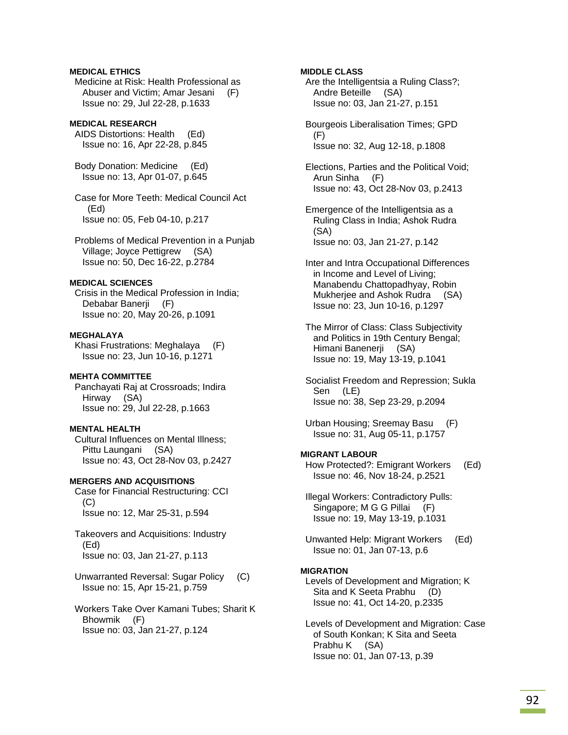## **MEDICAL ETHICS**

 Medicine at Risk: Health Professional as Abuser and Victim; Amar Jesani (F) Issue no: 29, Jul 22-28, p.1633

## **MEDICAL RESEARCH**

 AIDS Distortions: Health (Ed) Issue no: 16, Apr 22-28, p.845

 Body Donation: Medicine (Ed) Issue no: 13, Apr 01-07, p.645

 Case for More Teeth: Medical Council Act (Ed) Issue no: 05, Feb 04-10, p.217

 Problems of Medical Prevention in a Punjab Village; Joyce Pettigrew (SA) Issue no: 50, Dec 16-22, p.2784

## **MEDICAL SCIENCES**

 Crisis in the Medical Profession in India; Debabar Banerji (F) Issue no: 20, May 20-26, p.1091

# **MEGHALAYA**

 Khasi Frustrations: Meghalaya (F) Issue no: 23, Jun 10-16, p.1271

### **MEHTA COMMITTEE**

 Panchayati Raj at Crossroads; Indira Hirway (SA) Issue no: 29, Jul 22-28, p.1663

## **MENTAL HEALTH**

 Cultural Influences on Mental Illness; Pittu Laungani (SA) Issue no: 43, Oct 28-Nov 03, p.2427

### **MERGERS AND ACQUISITIONS**

 Case for Financial Restructuring: CCI  $(C)$ Issue no: 12, Mar 25-31, p.594

 Takeovers and Acquisitions: Industry (Ed) Issue no: 03, Jan 21-27, p.113

 Unwarranted Reversal: Sugar Policy (C) Issue no: 15, Apr 15-21, p.759

 Workers Take Over Kamani Tubes; Sharit K Bhowmik (F) Issue no: 03, Jan 21-27, p.124

### **MIDDLE CLASS**

 Are the Intelligentsia a Ruling Class?; Andre Beteille (SA) Issue no: 03, Jan 21-27, p.151

 Bourgeois Liberalisation Times; GPD (F) Issue no: 32, Aug 12-18, p.1808

 Elections, Parties and the Political Void; Arun Sinha (F) Issue no: 43, Oct 28-Nov 03, p.2413

- Emergence of the Intelligentsia as a Ruling Class in India; Ashok Rudra (SA) Issue no: 03, Jan 21-27, p.142
- Inter and Intra Occupational Differences in Income and Level of Living; Manabendu Chattopadhyay, Robin Mukherjee and Ashok Rudra (SA) Issue no: 23, Jun 10-16, p.1297
- The Mirror of Class: Class Subjectivity and Politics in 19th Century Bengal; Himani Banenerji (SA) Issue no: 19, May 13-19, p.1041
- Socialist Freedom and Repression; Sukla Sen (LE) Issue no: 38, Sep 23-29, p.2094
- Urban Housing; Sreemay Basu (F) Issue no: 31, Aug 05-11, p.1757

## **MIGRANT LABOUR**

 How Protected?: Emigrant Workers (Ed) Issue no: 46, Nov 18-24, p.2521

 Illegal Workers: Contradictory Pulls: Singapore; M G G Pillai (F) Issue no: 19, May 13-19, p.1031

 Unwanted Help: Migrant Workers (Ed) Issue no: 01, Jan 07-13, p.6

### **MIGRATION**

 Levels of Development and Migration; K Sita and K Seeta Prabhu (D) Issue no: 41, Oct 14-20, p.2335

 Levels of Development and Migration: Case of South Konkan; K Sita and Seeta Prabhu K (SA) Issue no: 01, Jan 07-13, p.39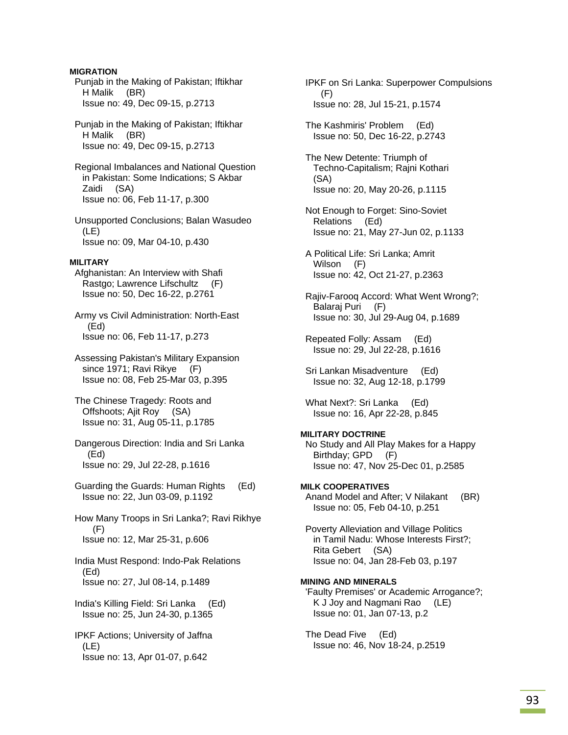## **MIGRATION**

 Punjab in the Making of Pakistan; Iftikhar H Malik (BR) Issue no: 49, Dec 09-15, p.2713

 Punjab in the Making of Pakistan; Iftikhar H Malik (BR) Issue no: 49, Dec 09-15, p.2713

 Regional Imbalances and National Question in Pakistan: Some Indications; S Akbar Zaidi (SA) Issue no: 06, Feb 11-17, p.300

 Unsupported Conclusions; Balan Wasudeo (LE) Issue no: 09, Mar 04-10, p.430

## **MILITARY**

 Afghanistan: An Interview with Shafi Rastgo; Lawrence Lifschultz (F) Issue no: 50, Dec 16-22, p.2761

 Army vs Civil Administration: North-East (Ed) Issue no: 06, Feb 11-17, p.273

 Assessing Pakistan's Military Expansion since 1971; Ravi Rikye (F) Issue no: 08, Feb 25-Mar 03, p.395

 The Chinese Tragedy: Roots and Offshoots; Ajit Roy (SA) Issue no: 31, Aug 05-11, p.1785

 Dangerous Direction: India and Sri Lanka (Ed) Issue no: 29, Jul 22-28, p.1616

 Guarding the Guards: Human Rights (Ed) Issue no: 22, Jun 03-09, p.1192

 How Many Troops in Sri Lanka?; Ravi Rikhye (F) Issue no: 12, Mar 25-31, p.606

 India Must Respond: Indo-Pak Relations (Ed) Issue no: 27, Jul 08-14, p.1489

 India's Killing Field: Sri Lanka (Ed) Issue no: 25, Jun 24-30, p.1365

 IPKF Actions; University of Jaffna (LE) Issue no: 13, Apr 01-07, p.642

 IPKF on Sri Lanka: Superpower Compulsions (F) Issue no: 28, Jul 15-21, p.1574

 The Kashmiris' Problem (Ed) Issue no: 50, Dec 16-22, p.2743

- The New Detente: Triumph of Techno-Capitalism; Rajni Kothari (SA) Issue no: 20, May 20-26, p.1115
- Not Enough to Forget: Sino-Soviet Relations (Ed) Issue no: 21, May 27-Jun 02, p.1133
- A Political Life: Sri Lanka; Amrit Wilson (F) Issue no: 42, Oct 21-27, p.2363
- Rajiv-Farooq Accord: What Went Wrong?; Balaraj Puri (F) Issue no: 30, Jul 29-Aug 04, p.1689
- Repeated Folly: Assam (Ed) Issue no: 29, Jul 22-28, p.1616
- Sri Lankan Misadventure (Ed) Issue no: 32, Aug 12-18, p.1799

 What Next?: Sri Lanka (Ed) Issue no: 16, Apr 22-28, p.845

## **MILITARY DOCTRINE**  No Study and All Play Makes for a Happy Birthday; GPD (F) Issue no: 47, Nov 25-Dec 01, p.2585

**MILK COOPERATIVES**  Anand Model and After; V Nilakant (BR) Issue no: 05, Feb 04-10, p.251

 Poverty Alleviation and Village Politics in Tamil Nadu: Whose Interests First?; Rita Gebert (SA) Issue no: 04, Jan 28-Feb 03, p.197

## **MINING AND MINERALS**

 'Faulty Premises' or Academic Arrogance?; K J Joy and Nagmani Rao (LE) Issue no: 01, Jan 07-13, p.2

 The Dead Five (Ed) Issue no: 46, Nov 18-24, p.2519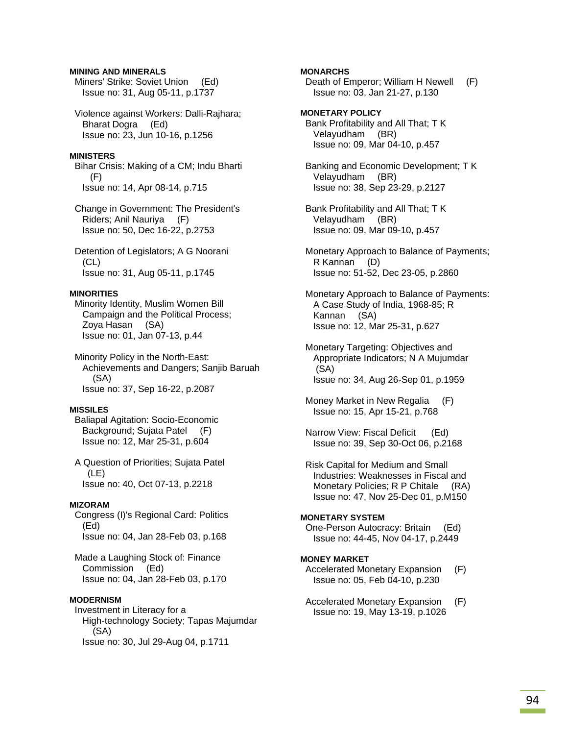## **MINING AND MINERALS**

 Miners' Strike: Soviet Union (Ed) Issue no: 31, Aug 05-11, p.1737

 Violence against Workers: Dalli-Rajhara; Bharat Dogra (Ed) Issue no: 23, Jun 10-16, p.1256

#### **MINISTERS**

 Bihar Crisis: Making of a CM; Indu Bharti (F) Issue no: 14, Apr 08-14, p.715

 Change in Government: The President's Riders; Anil Nauriya (F) Issue no: 50, Dec 16-22, p.2753

 Detention of Legislators; A G Noorani  $(CL)$ Issue no: 31, Aug 05-11, p.1745

### **MINORITIES**

 Minority Identity, Muslim Women Bill Campaign and the Political Process; Zoya Hasan (SA) Issue no: 01, Jan 07-13, p.44

 Minority Policy in the North-East: Achievements and Dangers; Sanjib Baruah (SA) Issue no: 37, Sep 16-22, p.2087

### **MISSILES**

 Baliapal Agitation: Socio-Economic Background; Sujata Patel (F) Issue no: 12, Mar 25-31, p.604

 A Question of Priorities; Sujata Patel (LE) Issue no: 40, Oct 07-13, p.2218

#### **MIZORAM**

 Congress (I)'s Regional Card: Politics (Ed) Issue no: 04, Jan 28-Feb 03, p.168

 Made a Laughing Stock of: Finance Commission (Ed) Issue no: 04, Jan 28-Feb 03, p.170

#### **MODERNISM**

 Investment in Literacy for a High-technology Society; Tapas Majumdar (SA) Issue no: 30, Jul 29-Aug 04, p.1711

### **MONARCHS**

 Death of Emperor; William H Newell (F) Issue no: 03, Jan 21-27, p.130

## **MONETARY POLICY**

 Bank Profitability and All That; T K Velayudham (BR) Issue no: 09, Mar 04-10, p.457

 Banking and Economic Development; T K Velayudham (BR) Issue no: 38, Sep 23-29, p.2127

 Bank Profitability and All That; T K Velayudham (BR) Issue no: 09, Mar 09-10, p.457

 Monetary Approach to Balance of Payments; R Kannan (D) Issue no: 51-52, Dec 23-05, p.2860

 Monetary Approach to Balance of Payments: A Case Study of India, 1968-85; R Kannan (SA) Issue no: 12, Mar 25-31, p.627

 Monetary Targeting: Objectives and Appropriate Indicators; N A Mujumdar (SA) Issue no: 34, Aug 26-Sep 01, p.1959

 Money Market in New Regalia (F) Issue no: 15, Apr 15-21, p.768

 Narrow View: Fiscal Deficit (Ed) Issue no: 39, Sep 30-Oct 06, p.2168

 Risk Capital for Medium and Small Industries: Weaknesses in Fiscal and Monetary Policies; R P Chitale (RA) Issue no: 47, Nov 25-Dec 01, p.M150

## **MONETARY SYSTEM**

 One-Person Autocracy: Britain (Ed) Issue no: 44-45, Nov 04-17, p.2449

### **MONEY MARKET**

 Accelerated Monetary Expansion (F) Issue no: 05, Feb 04-10, p.230

 Accelerated Monetary Expansion (F) Issue no: 19, May 13-19, p.1026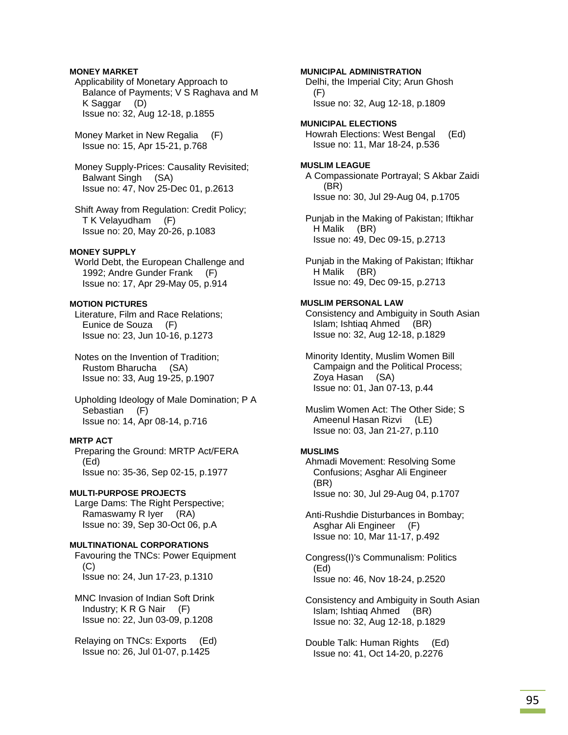### **MONEY MARKET**

 Applicability of Monetary Approach to Balance of Payments; V S Raghava and M K Saggar (D) Issue no: 32, Aug 12-18, p.1855

 Money Market in New Regalia (F) Issue no: 15, Apr 15-21, p.768

 Money Supply-Prices: Causality Revisited; Balwant Singh (SA) Issue no: 47, Nov 25-Dec 01, p.2613

 Shift Away from Regulation: Credit Policy; T K Velayudham (F) Issue no: 20, May 20-26, p.1083

#### **MONEY SUPPLY**

 World Debt, the European Challenge and 1992; Andre Gunder Frank (F) Issue no: 17, Apr 29-May 05, p.914

## **MOTION PICTURES**

 Literature, Film and Race Relations; Eunice de Souza (F) Issue no: 23, Jun 10-16, p.1273

 Notes on the Invention of Tradition; Rustom Bharucha (SA) Issue no: 33, Aug 19-25, p.1907

 Upholding Ideology of Male Domination; P A Sebastian (F) Issue no: 14, Apr 08-14, p.716

## **MRTP ACT**

 Preparing the Ground: MRTP Act/FERA (Ed) Issue no: 35-36, Sep 02-15, p.1977

#### **MULTI-PURPOSE PROJECTS**

 Large Dams: The Right Perspective; Ramaswamy R Iyer (RA) Issue no: 39, Sep 30-Oct 06, p.A

## **MULTINATIONAL CORPORATIONS**

 Favouring the TNCs: Power Equipment (C) Issue no: 24, Jun 17-23, p.1310

 MNC Invasion of Indian Soft Drink Industry; K R G Nair (F) Issue no: 22, Jun 03-09, p.1208

 Relaying on TNCs: Exports (Ed) Issue no: 26, Jul 01-07, p.1425

### **MUNICIPAL ADMINISTRATION**

 Delhi, the Imperial City; Arun Ghosh (F) Issue no: 32, Aug 12-18, p.1809

**MUNICIPAL ELECTIONS**  Howrah Elections: West Bengal (Ed) Issue no: 11, Mar 18-24, p.536

# **MUSLIM LEAGUE**

 A Compassionate Portrayal; S Akbar Zaidi (BR) Issue no: 30, Jul 29-Aug 04, p.1705

 Punjab in the Making of Pakistan; Iftikhar H Malik (BR) Issue no: 49, Dec 09-15, p.2713

 Punjab in the Making of Pakistan; Iftikhar H Malik (BR) Issue no: 49, Dec 09-15, p.2713

## **MUSLIM PERSONAL LAW**

 Consistency and Ambiguity in South Asian Islam; Ishtiaq Ahmed (BR) Issue no: 32, Aug 12-18, p.1829

 Minority Identity, Muslim Women Bill Campaign and the Political Process; Zoya Hasan (SA) Issue no: 01, Jan 07-13, p.44

 Muslim Women Act: The Other Side; S Ameenul Hasan Rizvi (LE) Issue no: 03, Jan 21-27, p.110

#### **MUSLIMS**

 Ahmadi Movement: Resolving Some Confusions; Asghar Ali Engineer (BR) Issue no: 30, Jul 29-Aug 04, p.1707

 Anti-Rushdie Disturbances in Bombay; Asghar Ali Engineer (F) Issue no: 10, Mar 11-17, p.492

 Congress(I)'s Communalism: Politics (Ed) Issue no: 46, Nov 18-24, p.2520

 Consistency and Ambiguity in South Asian Islam; Ishtiaq Ahmed (BR) Issue no: 32, Aug 12-18, p.1829

 Double Talk: Human Rights (Ed) Issue no: 41, Oct 14-20, p.2276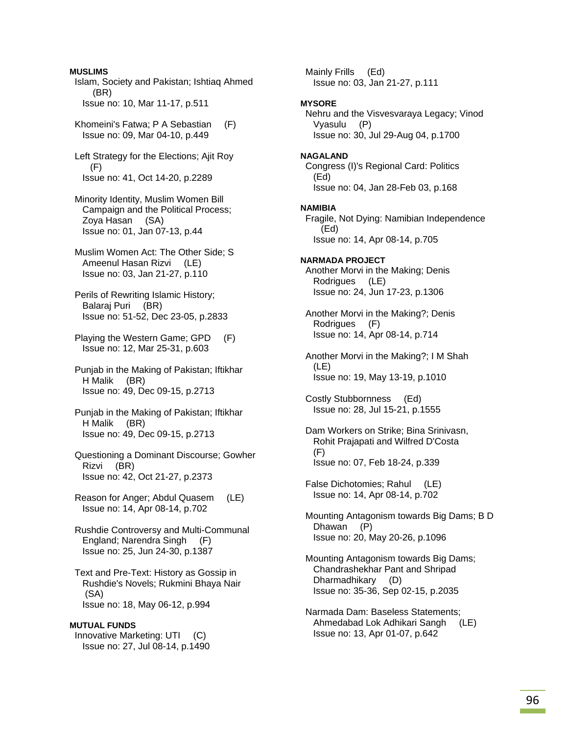**MUSLIMS**  Islam, Society and Pakistan; Ishtiaq Ahmed (BR) Issue no: 10, Mar 11-17, p.511

 Khomeini's Fatwa; P A Sebastian (F) Issue no: 09, Mar 04-10, p.449

 Left Strategy for the Elections; Ajit Roy (F) Issue no: 41, Oct 14-20, p.2289

 Minority Identity, Muslim Women Bill Campaign and the Political Process; Zoya Hasan (SA) Issue no: 01, Jan 07-13, p.44

 Muslim Women Act: The Other Side; S Ameenul Hasan Rizvi (LE) Issue no: 03, Jan 21-27, p.110

 Perils of Rewriting Islamic History; Balaraj Puri (BR) Issue no: 51-52, Dec 23-05, p.2833

 Playing the Western Game; GPD (F) Issue no: 12, Mar 25-31, p.603

 Punjab in the Making of Pakistan; Iftikhar H Malik (BR) Issue no: 49, Dec 09-15, p.2713

 Punjab in the Making of Pakistan; Iftikhar H Malik (BR) Issue no: 49, Dec 09-15, p.2713

 Questioning a Dominant Discourse; Gowher Rizvi (BR) Issue no: 42, Oct 21-27, p.2373

 Reason for Anger; Abdul Quasem (LE) Issue no: 14, Apr 08-14, p.702

 Rushdie Controversy and Multi-Communal England; Narendra Singh (F) Issue no: 25, Jun 24-30, p.1387

 Text and Pre-Text: History as Gossip in Rushdie's Novels; Rukmini Bhaya Nair (SA) Issue no: 18, May 06-12, p.994

### **MUTUAL FUNDS**

 Innovative Marketing: UTI (C) Issue no: 27, Jul 08-14, p.1490  Mainly Frills (Ed) Issue no: 03, Jan 21-27, p.111

### **MYSORE**

 Nehru and the Visvesvaraya Legacy; Vinod Vyasulu (P) Issue no: 30, Jul 29-Aug 04, p.1700

### **NAGALAND**

 Congress (I)'s Regional Card: Politics (Ed) Issue no: 04, Jan 28-Feb 03, p.168

**NAMIBIA** 

 Fragile, Not Dying: Namibian Independence (Ed) Issue no: 14, Apr 08-14, p.705

**NARMADA PROJECT**  Another Morvi in the Making; Denis Rodrigues (LE) Issue no: 24, Jun 17-23, p.1306

 Another Morvi in the Making?; Denis Rodrigues (F) Issue no: 14, Apr 08-14, p.714

 Another Morvi in the Making?; I M Shah (LE) Issue no: 19, May 13-19, p.1010

 Costly Stubbornness (Ed) Issue no: 28, Jul 15-21, p.1555

 Dam Workers on Strike; Bina Srinivasn, Rohit Prajapati and Wilfred D'Costa (F) Issue no: 07, Feb 18-24, p.339

 False Dichotomies; Rahul (LE) Issue no: 14, Apr 08-14, p.702

 Mounting Antagonism towards Big Dams; B D Dhawan (P) Issue no: 20, May 20-26, p.1096

 Mounting Antagonism towards Big Dams; Chandrashekhar Pant and Shripad Dharmadhikary (D) Issue no: 35-36, Sep 02-15, p.2035

 Narmada Dam: Baseless Statements; Ahmedabad Lok Adhikari Sangh (LE) Issue no: 13, Apr 01-07, p.642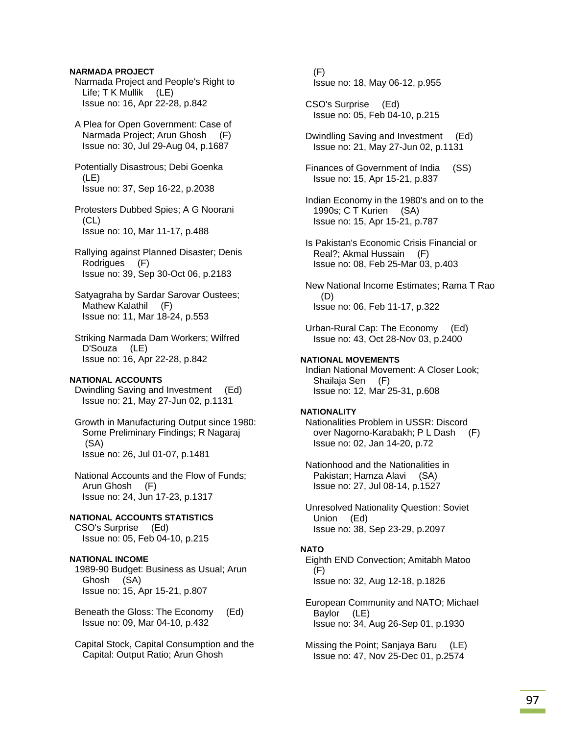## **NARMADA PROJECT**

 Narmada Project and People's Right to Life; T K Mullik (LE) Issue no: 16, Apr 22-28, p.842

 A Plea for Open Government: Case of Narmada Project; Arun Ghosh (F) Issue no: 30, Jul 29-Aug 04, p.1687

 Potentially Disastrous; Debi Goenka (LE) Issue no: 37, Sep 16-22, p.2038

 Protesters Dubbed Spies; A G Noorani  $(CL)$ Issue no: 10, Mar 11-17, p.488

 Rallying against Planned Disaster; Denis Rodrigues (F) Issue no: 39, Sep 30-Oct 06, p.2183

 Satyagraha by Sardar Sarovar Oustees; Mathew Kalathil (F) Issue no: 11, Mar 18-24, p.553

 Striking Narmada Dam Workers; Wilfred D'Souza (LE) Issue no: 16, Apr 22-28, p.842

## **NATIONAL ACCOUNTS**

 Dwindling Saving and Investment (Ed) Issue no: 21, May 27-Jun 02, p.1131

 Growth in Manufacturing Output since 1980: Some Preliminary Findings; R Nagaraj (SA) Issue no: 26, Jul 01-07, p.1481

 National Accounts and the Flow of Funds; Arun Ghosh (F) Issue no: 24, Jun 17-23, p.1317

**NATIONAL ACCOUNTS STATISTICS**  CSO's Surprise (Ed) Issue no: 05, Feb 04-10, p.215

## **NATIONAL INCOME**

 1989-90 Budget: Business as Usual; Arun Ghosh (SA) Issue no: 15, Apr 15-21, p.807

 Beneath the Gloss: The Economy (Ed) Issue no: 09, Mar 04-10, p.432

 Capital Stock, Capital Consumption and the Capital: Output Ratio; Arun Ghosh

 (F) Issue no: 18, May 06-12, p.955

 CSO's Surprise (Ed) Issue no: 05, Feb 04-10, p.215

 Dwindling Saving and Investment (Ed) Issue no: 21, May 27-Jun 02, p.1131

 Finances of Government of India (SS) Issue no: 15, Apr 15-21, p.837

 Indian Economy in the 1980's and on to the 1990s; C T Kurien (SA) Issue no: 15, Apr 15-21, p.787

 Is Pakistan's Economic Crisis Financial or Real?; Akmal Hussain (F) Issue no: 08, Feb 25-Mar 03, p.403

 New National Income Estimates; Rama T Rao (D) Issue no: 06, Feb 11-17, p.322

 Urban-Rural Cap: The Economy (Ed) Issue no: 43, Oct 28-Nov 03, p.2400

# **NATIONAL MOVEMENTS**

 Indian National Movement: A Closer Look; Shailaja Sen (F) Issue no: 12, Mar 25-31, p.608

### **NATIONALITY**

 Nationalities Problem in USSR: Discord over Nagorno-Karabakh; P L Dash (F) Issue no: 02, Jan 14-20, p.72

 Nationhood and the Nationalities in Pakistan; Hamza Alavi (SA) Issue no: 27, Jul 08-14, p.1527

 Unresolved Nationality Question: Soviet Union (Ed) Issue no: 38, Sep 23-29, p.2097

### **NATO**

 Eighth END Convection; Amitabh Matoo  $(F)$ Issue no: 32, Aug 12-18, p.1826

 European Community and NATO; Michael Baylor (LE) Issue no: 34, Aug 26-Sep 01, p.1930

 Missing the Point; Sanjaya Baru (LE) Issue no: 47, Nov 25-Dec 01, p.2574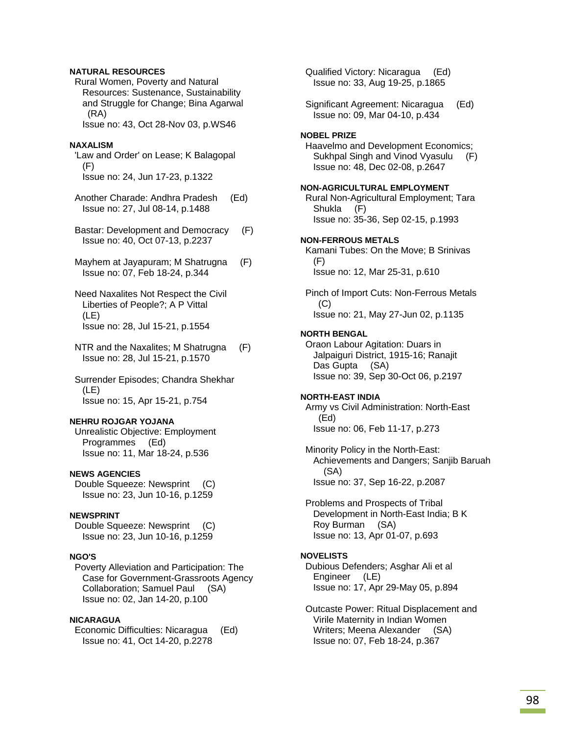## **NATURAL RESOURCES**

 Rural Women, Poverty and Natural Resources: Sustenance, Sustainability and Struggle for Change; Bina Agarwal (RA)

Issue no: 43, Oct 28-Nov 03, p.WS46

### **NAXALISM**

'Law and Order' on Lease; K Balagopal (F) Issue no: 24, Jun 17-23, p.1322

 Another Charade: Andhra Pradesh (Ed) Issue no: 27, Jul 08-14, p.1488

 Bastar: Development and Democracy (F) Issue no: 40, Oct 07-13, p.2237

 Mayhem at Jayapuram; M Shatrugna (F) Issue no: 07, Feb 18-24, p.344

 Need Naxalites Not Respect the Civil Liberties of People?; A P Vittal (LE) Issue no: 28, Jul 15-21, p.1554

 NTR and the Naxalites; M Shatrugna (F) Issue no: 28, Jul 15-21, p.1570

 Surrender Episodes; Chandra Shekhar (LE) Issue no: 15, Apr 15-21, p.754

### **NEHRU ROJGAR YOJANA**

 Unrealistic Objective: Employment Programmes (Ed) Issue no: 11, Mar 18-24, p.536

## **NEWS AGENCIES**

 Double Squeeze: Newsprint (C) Issue no: 23, Jun 10-16, p.1259

## **NEWSPRINT**

 Double Squeeze: Newsprint (C) Issue no: 23, Jun 10-16, p.1259

### **NGO'S**

 Poverty Alleviation and Participation: The Case for Government-Grassroots Agency Collaboration; Samuel Paul (SA) Issue no: 02, Jan 14-20, p.100

### **NICARAGUA**

 Economic Difficulties: Nicaragua (Ed) Issue no: 41, Oct 14-20, p.2278

 Qualified Victory: Nicaragua (Ed) Issue no: 33, Aug 19-25, p.1865

 Significant Agreement: Nicaragua (Ed) Issue no: 09, Mar 04-10, p.434

#### **NOBEL PRIZE**

 Haavelmo and Development Economics; Sukhpal Singh and Vinod Vyasulu (F) Issue no: 48, Dec 02-08, p.2647

### **NON-AGRICULTURAL EMPLOYMENT**

 Rural Non-Agricultural Employment; Tara Shukla (F) Issue no: 35-36, Sep 02-15, p.1993

#### **NON-FERROUS METALS**

 Kamani Tubes: On the Move; B Srinivas (F) Issue no: 12, Mar 25-31, p.610

 Pinch of Import Cuts: Non-Ferrous Metals  $(C)$ Issue no: 21, May 27-Jun 02, p.1135

#### **NORTH BENGAL**

 Oraon Labour Agitation: Duars in Jalpaiguri District, 1915-16; Ranajit Das Gupta (SA) Issue no: 39, Sep 30-Oct 06, p.2197

#### **NORTH-EAST INDIA**

 Army vs Civil Administration: North-East (Ed) Issue no: 06, Feb 11-17, p.273

 Minority Policy in the North-East: Achievements and Dangers; Sanjib Baruah (SA) Issue no: 37, Sep 16-22, p.2087

 Problems and Prospects of Tribal Development in North-East India; B K Roy Burman (SA) Issue no: 13, Apr 01-07, p.693

## **NOVELISTS**

 Dubious Defenders; Asghar Ali et al Engineer (LE) Issue no: 17, Apr 29-May 05, p.894

 Outcaste Power: Ritual Displacement and Virile Maternity in Indian Women Writers; Meena Alexander (SA) Issue no: 07, Feb 18-24, p.367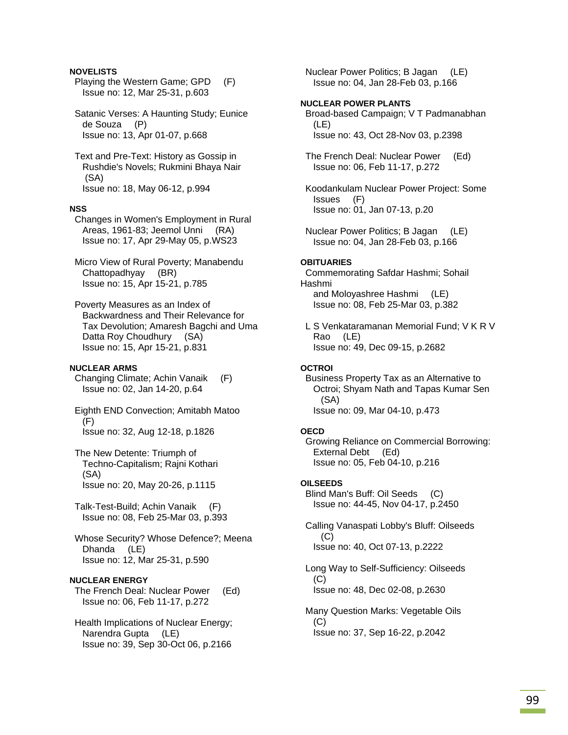## **NOVELISTS**

- Playing the Western Game; GPD (F) Issue no: 12, Mar 25-31, p.603
- Satanic Verses: A Haunting Study; Eunice de Souza (P) Issue no: 13, Apr 01-07, p.668
- Text and Pre-Text: History as Gossip in Rushdie's Novels; Rukmini Bhaya Nair (SA) Issue no: 18, May 06-12, p.994

#### **NSS**

- Changes in Women's Employment in Rural Areas, 1961-83; Jeemol Unni (RA) Issue no: 17, Apr 29-May 05, p.WS23
- Micro View of Rural Poverty; Manabendu Chattopadhyay (BR) Issue no: 15, Apr 15-21, p.785
- Poverty Measures as an Index of Backwardness and Their Relevance for Tax Devolution; Amaresh Bagchi and Uma Datta Roy Choudhury (SA) Issue no: 15, Apr 15-21, p.831

### **NUCLEAR ARMS**

- Changing Climate; Achin Vanaik (F) Issue no: 02, Jan 14-20, p.64
- Eighth END Convection; Amitabh Matoo (F) Issue no: 32, Aug 12-18, p.1826
- The New Detente: Triumph of Techno-Capitalism; Rajni Kothari (SA) Issue no: 20, May 20-26, p.1115
- Talk-Test-Build; Achin Vanaik (F) Issue no: 08, Feb 25-Mar 03, p.393
- Whose Security? Whose Defence?; Meena Dhanda (LE) Issue no: 12, Mar 25-31, p.590

### **NUCLEAR ENERGY**

 The French Deal: Nuclear Power (Ed) Issue no: 06, Feb 11-17, p.272

 Health Implications of Nuclear Energy; Narendra Gupta (LE) Issue no: 39, Sep 30-Oct 06, p.2166  Nuclear Power Politics; B Jagan (LE) Issue no: 04, Jan 28-Feb 03, p.166

### **NUCLEAR POWER PLANTS**

 Broad-based Campaign; V T Padmanabhan (LE) Issue no: 43, Oct 28-Nov 03, p.2398

- The French Deal: Nuclear Power (Ed) Issue no: 06, Feb 11-17, p.272
- Koodankulam Nuclear Power Project: Some Issues (F) Issue no: 01, Jan 07-13, p.20
- Nuclear Power Politics; B Jagan (LE) Issue no: 04, Jan 28-Feb 03, p.166

#### **OBITUARIES**

 Commemorating Safdar Hashmi; Sohail Hashmi and Moloyashree Hashmi (LE) Issue no: 08, Feb 25-Mar 03, p.382

 L S Venkataramanan Memorial Fund; V K R V Rao (LE) Issue no: 49, Dec 09-15, p.2682

#### **OCTROI**

 Business Property Tax as an Alternative to Octroi; Shyam Nath and Tapas Kumar Sen (SA) Issue no: 09, Mar 04-10, p.473

#### **OECD**

 Growing Reliance on Commercial Borrowing: External Debt (Ed) Issue no: 05, Feb 04-10, p.216

#### **OILSEEDS**

 Blind Man's Buff: Oil Seeds (C) Issue no: 44-45, Nov 04-17, p.2450

 Calling Vanaspati Lobby's Bluff: Oilseeds  $(C)$ Issue no: 40, Oct 07-13, p.2222

 Long Way to Self-Sufficiency: Oilseeds (C) Issue no: 48, Dec 02-08, p.2630

 Many Question Marks: Vegetable Oils (C) Issue no: 37, Sep 16-22, p.2042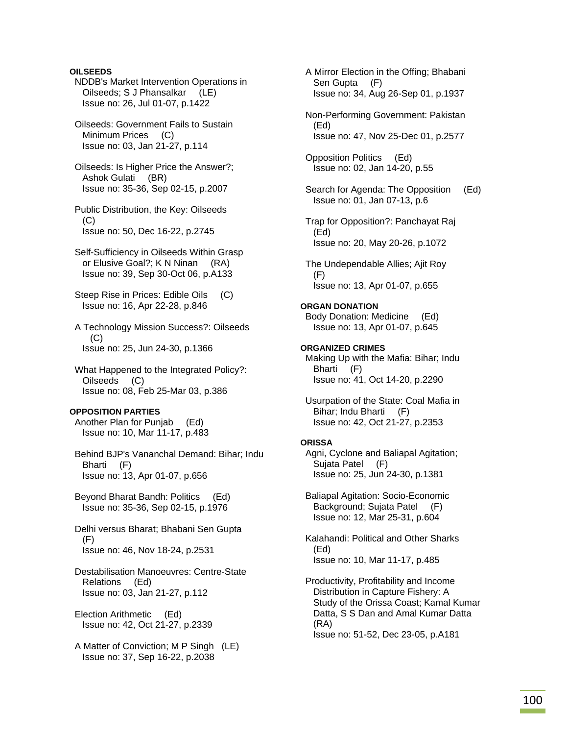**OILSEEDS** 

- NDDB's Market Intervention Operations in Oilseeds; S J Phansalkar (LE) Issue no: 26, Jul 01-07, p.1422
- Oilseeds: Government Fails to Sustain Minimum Prices (C) Issue no: 03, Jan 21-27, p.114
- Oilseeds: Is Higher Price the Answer?; Ashok Gulati (BR) Issue no: 35-36, Sep 02-15, p.2007
- Public Distribution, the Key: Oilseeds  $(C)$ Issue no: 50, Dec 16-22, p.2745
- Self-Sufficiency in Oilseeds Within Grasp or Elusive Goal?; K N Ninan (RA) Issue no: 39, Sep 30-Oct 06, p.A133
- Steep Rise in Prices: Edible Oils (C) Issue no: 16, Apr 22-28, p.846
- A Technology Mission Success?: Oilseeds (C) Issue no: 25, Jun 24-30, p.1366
- What Happened to the Integrated Policy?: Oilseeds (C) Issue no: 08, Feb 25-Mar 03, p.386

### **OPPOSITION PARTIES**

 Another Plan for Punjab (Ed) Issue no: 10, Mar 11-17, p.483

 Behind BJP's Vananchal Demand: Bihar; Indu Bharti (F) Issue no: 13, Apr 01-07, p.656

 Beyond Bharat Bandh: Politics (Ed) Issue no: 35-36, Sep 02-15, p.1976

 Delhi versus Bharat; Bhabani Sen Gupta (F) Issue no: 46, Nov 18-24, p.2531

 Destabilisation Manoeuvres: Centre-State Relations (Ed) Issue no: 03, Jan 21-27, p.112

 Election Arithmetic (Ed) Issue no: 42, Oct 21-27, p.2339

 A Matter of Conviction; M P Singh (LE) Issue no: 37, Sep 16-22, p.2038

 A Mirror Election in the Offing; Bhabani Sen Gupta (F) Issue no: 34, Aug 26-Sep 01, p.1937 Non-Performing Government: Pakistan (Ed) Issue no: 47, Nov 25-Dec 01, p.2577 Opposition Politics (Ed) Issue no: 02, Jan 14-20, p.55 Search for Agenda: The Opposition (Ed) Issue no: 01, Jan 07-13, p.6 Trap for Opposition?: Panchayat Raj (Ed) Issue no: 20, May 20-26, p.1072 The Undependable Allies; Ajit Roy (F) Issue no: 13, Apr 01-07, p.655 **ORGAN DONATION**  Body Donation: Medicine (Ed) Issue no: 13, Apr 01-07, p.645 **ORGANIZED CRIMES**  Making Up with the Mafia: Bihar; Indu Bharti (F) Issue no: 41, Oct 14-20, p.2290 Usurpation of the State: Coal Mafia in Bihar; Indu Bharti (F) Issue no: 42, Oct 21-27, p.2353 **ORISSA**  Agni, Cyclone and Baliapal Agitation; Sujata Patel (F) Issue no: 25, Jun 24-30, p.1381 Baliapal Agitation: Socio-Economic Background; Sujata Patel (F) Issue no: 12, Mar 25-31, p.604 Kalahandi: Political and Other Sharks (Ed) Issue no: 10, Mar 11-17, p.485

 Productivity, Profitability and Income Distribution in Capture Fishery: A Study of the Orissa Coast; Kamal Kumar Datta, S S Dan and Amal Kumar Datta (RA) Issue no: 51-52, Dec 23-05, p.A181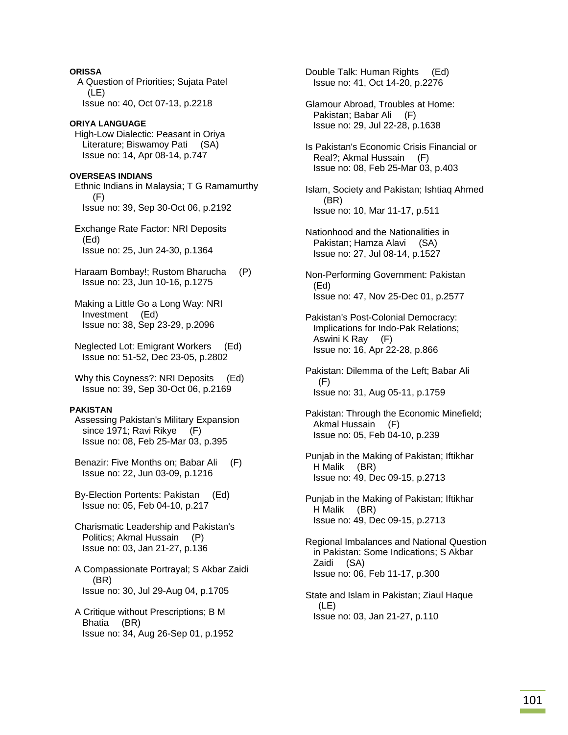**ORISSA**  A Question of Priorities; Sujata Patel (LE) Issue no: 40, Oct 07-13, p.2218

# **ORIYA LANGUAGE**

 High-Low Dialectic: Peasant in Oriya Literature; Biswamoy Pati (SA) Issue no: 14, Apr 08-14, p.747

# **OVERSEAS INDIANS**

 Ethnic Indians in Malaysia; T G Ramamurthy (F) Issue no: 39, Sep 30-Oct 06, p.2192

 Exchange Rate Factor: NRI Deposits (Ed) Issue no: 25, Jun 24-30, p.1364

 Haraam Bombay!; Rustom Bharucha (P) Issue no: 23, Jun 10-16, p.1275

 Making a Little Go a Long Way: NRI Investment (Ed) Issue no: 38, Sep 23-29, p.2096

 Neglected Lot: Emigrant Workers (Ed) Issue no: 51-52, Dec 23-05, p.2802

Why this Coyness?: NRI Deposits (Ed) Issue no: 39, Sep 30-Oct 06, p.2169

## **PAKISTAN**

 Assessing Pakistan's Military Expansion since 1971; Ravi Rikye (F) Issue no: 08, Feb 25-Mar 03, p.395

 Benazir: Five Months on; Babar Ali (F) Issue no: 22, Jun 03-09, p.1216

 By-Election Portents: Pakistan (Ed) Issue no: 05, Feb 04-10, p.217

 Charismatic Leadership and Pakistan's Politics; Akmal Hussain (P) Issue no: 03, Jan 21-27, p.136

- A Compassionate Portrayal; S Akbar Zaidi (BR) Issue no: 30, Jul 29-Aug 04, p.1705
- A Critique without Prescriptions; B M Bhatia (BR) Issue no: 34, Aug 26-Sep 01, p.1952

 Double Talk: Human Rights (Ed) Issue no: 41, Oct 14-20, p.2276

- Glamour Abroad, Troubles at Home: Pakistan; Babar Ali (F) Issue no: 29, Jul 22-28, p.1638
- Is Pakistan's Economic Crisis Financial or Real?; Akmal Hussain (F) Issue no: 08, Feb 25-Mar 03, p.403

 Islam, Society and Pakistan; Ishtiaq Ahmed (BR) Issue no: 10, Mar 11-17, p.511

- Nationhood and the Nationalities in Pakistan; Hamza Alavi (SA) Issue no: 27, Jul 08-14, p.1527
- Non-Performing Government: Pakistan (Ed) Issue no: 47, Nov 25-Dec 01, p.2577
- Pakistan's Post-Colonial Democracy: Implications for Indo-Pak Relations; Aswini K Ray (F) Issue no: 16, Apr 22-28, p.866
- Pakistan: Dilemma of the Left; Babar Ali (F) Issue no: 31, Aug 05-11, p.1759

 Pakistan: Through the Economic Minefield; Akmal Hussain (F) Issue no: 05, Feb 04-10, p.239

- Punjab in the Making of Pakistan; Iftikhar H Malik (BR) Issue no: 49, Dec 09-15, p.2713
- Punjab in the Making of Pakistan; Iftikhar H Malik (BR) Issue no: 49, Dec 09-15, p.2713

 Regional Imbalances and National Question in Pakistan: Some Indications; S Akbar Zaidi (SA) Issue no: 06, Feb 11-17, p.300

 State and Islam in Pakistan; Ziaul Haque (LE) Issue no: 03, Jan 21-27, p.110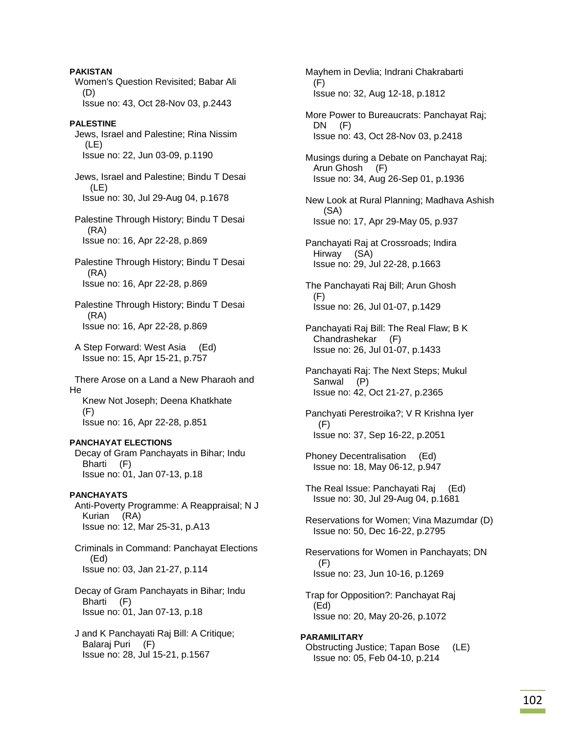**PAKISTAN**  Women's Question Revisited; Babar Ali (D) Issue no: 43, Oct 28-Nov 03, p.2443 **PALESTINE**  Jews, Israel and Palestine; Rina Nissim (LE) Issue no: 22, Jun 03-09, p.1190 Jews, Israel and Palestine; Bindu T Desai  $(LE)$  Issue no: 30, Jul 29-Aug 04, p.1678 Palestine Through History; Bindu T Desai (RA) Issue no: 16, Apr 22-28, p.869 Palestine Through History; Bindu T Desai (RA) Issue no: 16, Apr 22-28, p.869 Palestine Through History; Bindu T Desai (RA) Issue no: 16, Apr 22-28, p.869 A Step Forward: West Asia (Ed) Issue no: 15, Apr 15-21, p.757 There Arose on a Land a New Pharaoh and He Knew Not Joseph; Deena Khatkhate (F) Issue no: 16, Apr 22-28, p.851 **PANCHAYAT ELECTIONS**  Decay of Gram Panchayats in Bihar; Indu Bharti (F) Issue no: 01, Jan 07-13, p.18 **PANCHAYATS**  Anti-Poverty Programme: A Reappraisal; N J Kurian (RA) Issue no: 12, Mar 25-31, p.A13 Criminals in Command: Panchayat Elections (Ed) Issue no: 03, Jan 21-27, p.114 Decay of Gram Panchayats in Bihar; Indu Bharti (F) Issue no: 01, Jan 07-13, p.18 J and K Panchayati Raj Bill: A Critique; Balaraj Puri (F) Issue no: 28, Jul 15-21, p.1567

 Mayhem in Devlia; Indrani Chakrabarti (F) Issue no: 32, Aug 12-18, p.1812

 More Power to Bureaucrats: Panchayat Raj; DN (F) Issue no: 43, Oct 28-Nov 03, p.2418

 Musings during a Debate on Panchayat Raj; Arun Ghosh (F) Issue no: 34, Aug 26-Sep 01, p.1936

 New Look at Rural Planning; Madhava Ashish (SA) Issue no: 17, Apr 29-May 05, p.937

 Panchayati Raj at Crossroads; Indira Hirway (SA) Issue no: 29, Jul 22-28, p.1663

 The Panchayati Raj Bill; Arun Ghosh (F) Issue no: 26, Jul 01-07, p.1429

 Panchayati Raj Bill: The Real Flaw; B K Chandrashekar (F) Issue no: 26, Jul 01-07, p.1433

 Panchayati Raj: The Next Steps; Mukul Sanwal (P) Issue no: 42, Oct 21-27, p.2365

 Panchyati Perestroika?; V R Krishna Iyer (F) Issue no: 37, Sep 16-22, p.2051

 Phoney Decentralisation (Ed) Issue no: 18, May 06-12, p.947

 The Real Issue: Panchayati Raj (Ed) Issue no: 30, Jul 29-Aug 04, p.1681

 Reservations for Women; Vina Mazumdar (D) Issue no: 50, Dec 16-22, p.2795

 Reservations for Women in Panchayats; DN  $(F)$ Issue no: 23, Jun 10-16, p.1269

 Trap for Opposition?: Panchayat Raj (Ed) Issue no: 20, May 20-26, p.1072

**PARAMILITARY**  Obstructing Justice; Tapan Bose (LE) Issue no: 05, Feb 04-10, p.214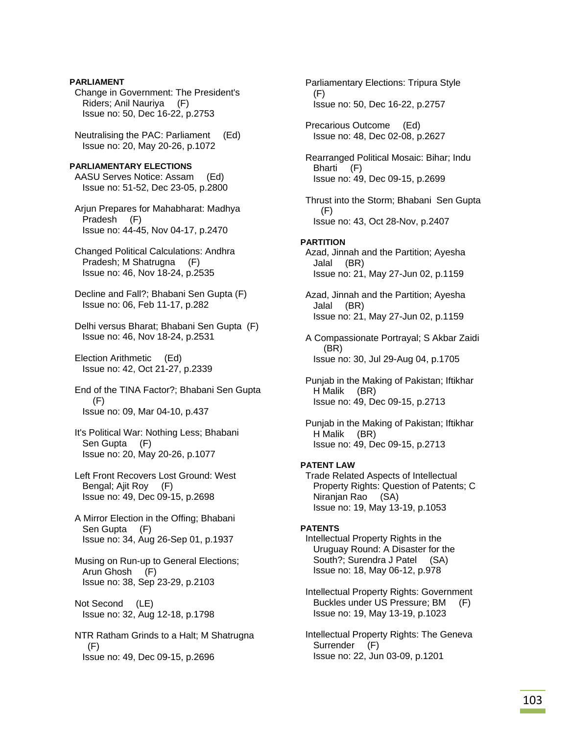**PARLIAMENT**  Change in Government: The President's Riders; Anil Nauriya (F) Issue no: 50, Dec 16-22, p.2753

 Neutralising the PAC: Parliament (Ed) Issue no: 20, May 20-26, p.1072

**PARLIAMENTARY ELECTIONS**  AASU Serves Notice: Assam (Ed) Issue no: 51-52, Dec 23-05, p.2800

 Arjun Prepares for Mahabharat: Madhya Pradesh (F) Issue no: 44-45, Nov 04-17, p.2470

 Changed Political Calculations: Andhra Pradesh; M Shatrugna (F) Issue no: 46, Nov 18-24, p.2535

 Decline and Fall?; Bhabani Sen Gupta (F) Issue no: 06, Feb 11-17, p.282

 Delhi versus Bharat; Bhabani Sen Gupta (F) Issue no: 46, Nov 18-24, p.2531

 Election Arithmetic (Ed) Issue no: 42, Oct 21-27, p.2339

 End of the TINA Factor?; Bhabani Sen Gupta (F) Issue no: 09, Mar 04-10, p.437

 It's Political War: Nothing Less; Bhabani Sen Gupta (F) Issue no: 20, May 20-26, p.1077

 Left Front Recovers Lost Ground: West Bengal; Ajit Roy (F) Issue no: 49, Dec 09-15, p.2698

 A Mirror Election in the Offing; Bhabani Sen Gupta (F) Issue no: 34, Aug 26-Sep 01, p.1937

 Musing on Run-up to General Elections; Arun Ghosh (F) Issue no: 38, Sep 23-29, p.2103

 Not Second (LE) Issue no: 32, Aug 12-18, p.1798

 NTR Ratham Grinds to a Halt; M Shatrugna (F) Issue no: 49, Dec 09-15, p.2696

 Parliamentary Elections: Tripura Style (F) Issue no: 50, Dec 16-22, p.2757 Precarious Outcome (Ed) Issue no: 48, Dec 02-08, p.2627 Rearranged Political Mosaic: Bihar; Indu Bharti (F) Issue no: 49, Dec 09-15, p.2699 Thrust into the Storm; Bhabani Sen Gupta (F) Issue no: 43, Oct 28-Nov, p.2407 **PARTITION**  Azad, Jinnah and the Partition; Ayesha Jalal (BR) Issue no: 21, May 27-Jun 02, p.1159 Azad, Jinnah and the Partition; Ayesha Jalal (BR) Issue no: 21, May 27-Jun 02, p.1159 A Compassionate Portrayal; S Akbar Zaidi (BR) Issue no: 30, Jul 29-Aug 04, p.1705 Punjab in the Making of Pakistan; Iftikhar H Malik (BR) Issue no: 49, Dec 09-15, p.2713 Punjab in the Making of Pakistan; Iftikhar H Malik (BR) Issue no: 49, Dec 09-15, p.2713 **PATENT LAW**  Trade Related Aspects of Intellectual Property Rights: Question of Patents; C Niranjan Rao (SA) Issue no: 19, May 13-19, p.1053 **PATENTS**  Intellectual Property Rights in the Uruguay Round: A Disaster for the South?; Surendra J Patel (SA) Issue no: 18, May 06-12, p.978 Intellectual Property Rights: Government Buckles under US Pressure; BM (F) Issue no: 19, May 13-19, p.1023 Intellectual Property Rights: The Geneva Surrender (F) Issue no: 22, Jun 03-09, p.1201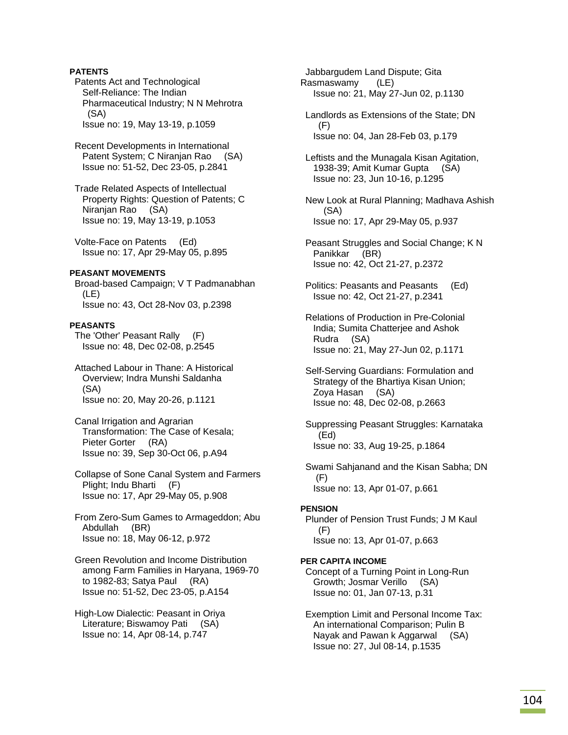## **PATENTS**

 Patents Act and Technological Self-Reliance: The Indian Pharmaceutical Industry; N N Mehrotra (SA) Issue no: 19, May 13-19, p.1059

 Recent Developments in International Patent System; C Niranjan Rao (SA) Issue no: 51-52, Dec 23-05, p.2841

 Trade Related Aspects of Intellectual Property Rights: Question of Patents; C Niranjan Rao (SA) Issue no: 19, May 13-19, p.1053

 Volte-Face on Patents (Ed) Issue no: 17, Apr 29-May 05, p.895

## **PEASANT MOVEMENTS**

 Broad-based Campaign; V T Padmanabhan (LE) Issue no: 43, Oct 28-Nov 03, p.2398

### **PEASANTS**

 The 'Other' Peasant Rally (F) Issue no: 48, Dec 02-08, p.2545

 Attached Labour in Thane: A Historical Overview; Indra Munshi Saldanha (SA) Issue no: 20, May 20-26, p.1121

 Canal Irrigation and Agrarian Transformation: The Case of Kesala; Pieter Gorter (RA) Issue no: 39, Sep 30-Oct 06, p.A94

 Collapse of Sone Canal System and Farmers Plight; Indu Bharti (F) Issue no: 17, Apr 29-May 05, p.908

 From Zero-Sum Games to Armageddon; Abu Abdullah (BR) Issue no: 18, May 06-12, p.972

 Green Revolution and Income Distribution among Farm Families in Haryana, 1969-70 to 1982-83; Satya Paul (RA) Issue no: 51-52, Dec 23-05, p.A154

 High-Low Dialectic: Peasant in Oriya Literature; Biswamoy Pati (SA) Issue no: 14, Apr 08-14, p.747

 Jabbargudem Land Dispute; Gita Rasmaswamy (LE) Issue no: 21, May 27-Jun 02, p.1130

 Landlords as Extensions of the State; DN (F) Issue no: 04, Jan 28-Feb 03, p.179

 Leftists and the Munagala Kisan Agitation, 1938-39; Amit Kumar Gupta (SA) Issue no: 23, Jun 10-16, p.1295

 New Look at Rural Planning; Madhava Ashish (SA) Issue no: 17, Apr 29-May 05, p.937

 Peasant Struggles and Social Change; K N Panikkar (BR) Issue no: 42, Oct 21-27, p.2372

 Politics: Peasants and Peasants (Ed) Issue no: 42, Oct 21-27, p.2341

 Relations of Production in Pre-Colonial India; Sumita Chatterjee and Ashok Rudra (SA) Issue no: 21, May 27-Jun 02, p.1171

 Self-Serving Guardians: Formulation and Strategy of the Bhartiya Kisan Union; Zoya Hasan (SA) Issue no: 48, Dec 02-08, p.2663

 Suppressing Peasant Struggles: Karnataka (Ed) Issue no: 33, Aug 19-25, p.1864

 Swami Sahjanand and the Kisan Sabha; DN (F) Issue no: 13, Apr 01-07, p.661

## **PENSION**

 Plunder of Pension Trust Funds; J M Kaul (F) Issue no: 13, Apr 01-07, p.663

## **PER CAPITA INCOME**

 Concept of a Turning Point in Long-Run Growth; Josmar Verillo (SA) Issue no: 01, Jan 07-13, p.31

 Exemption Limit and Personal Income Tax: An international Comparison; Pulin B Nayak and Pawan k Aggarwal (SA) Issue no: 27, Jul 08-14, p.1535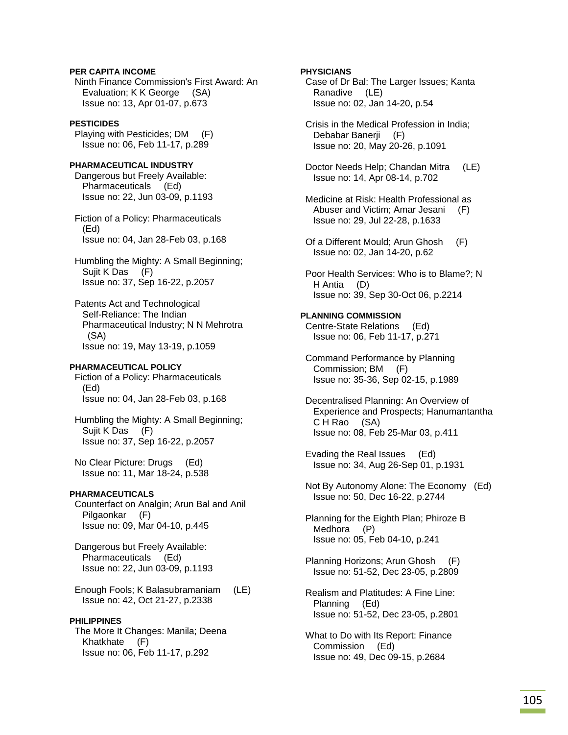## **PER CAPITA INCOME**

 Ninth Finance Commission's First Award: An Evaluation; K K George (SA) Issue no: 13, Apr 01-07, p.673

## **PESTICIDES**

 Playing with Pesticides; DM (F) Issue no: 06, Feb 11-17, p.289

**PHARMACEUTICAL INDUSTRY**  Dangerous but Freely Available: Pharmaceuticals (Ed) Issue no: 22, Jun 03-09, p.1193

 Fiction of a Policy: Pharmaceuticals (Ed) Issue no: 04, Jan 28-Feb 03, p.168

 Humbling the Mighty: A Small Beginning; Sujit K Das (F) Issue no: 37, Sep 16-22, p.2057

 Patents Act and Technological Self-Reliance: The Indian Pharmaceutical Industry; N N Mehrotra (SA) Issue no: 19, May 13-19, p.1059

## **PHARMACEUTICAL POLICY**

 Fiction of a Policy: Pharmaceuticals (Ed) Issue no: 04, Jan 28-Feb 03, p.168

 Humbling the Mighty: A Small Beginning; Sujit K Das (F) Issue no: 37, Sep 16-22, p.2057

 No Clear Picture: Drugs (Ed) Issue no: 11, Mar 18-24, p.538

#### **PHARMACEUTICALS**

 Counterfact on Analgin; Arun Bal and Anil Pilgaonkar (F) Issue no: 09, Mar 04-10, p.445

 Dangerous but Freely Available: Pharmaceuticals (Ed) Issue no: 22, Jun 03-09, p.1193

 Enough Fools; K Balasubramaniam (LE) Issue no: 42, Oct 21-27, p.2338

#### **PHILIPPINES**

 The More It Changes: Manila; Deena Khatkhate (F) Issue no: 06, Feb 11-17, p.292

### **PHYSICIANS**

 Case of Dr Bal: The Larger Issues; Kanta Ranadive (LE) Issue no: 02, Jan 14-20, p.54

 Crisis in the Medical Profession in India; Debabar Banerii (F) Issue no: 20, May 20-26, p.1091

 Doctor Needs Help; Chandan Mitra (LE) Issue no: 14, Apr 08-14, p.702

- Medicine at Risk: Health Professional as Abuser and Victim; Amar Jesani (F) Issue no: 29, Jul 22-28, p.1633
- Of a Different Mould; Arun Ghosh (F) Issue no: 02, Jan 14-20, p.62
- Poor Health Services: Who is to Blame?; N H Antia (D) Issue no: 39, Sep 30-Oct 06, p.2214

### **PLANNING COMMISSION**  Centre-State Relations (Ed)

Issue no: 06, Feb 11-17, p.271

 Command Performance by Planning Commission; BM (F) Issue no: 35-36, Sep 02-15, p.1989

 Decentralised Planning: An Overview of Experience and Prospects; Hanumantantha C H Rao (SA) Issue no: 08, Feb 25-Mar 03, p.411

 Evading the Real Issues (Ed) Issue no: 34, Aug 26-Sep 01, p.1931

 Not By Autonomy Alone: The Economy (Ed) Issue no: 50, Dec 16-22, p.2744

 Planning for the Eighth Plan; Phiroze B Medhora (P) Issue no: 05, Feb 04-10, p.241

 Planning Horizons; Arun Ghosh (F) Issue no: 51-52, Dec 23-05, p.2809

 Realism and Platitudes: A Fine Line: Planning (Ed) Issue no: 51-52, Dec 23-05, p.2801

 What to Do with Its Report: Finance Commission (Ed) Issue no: 49, Dec 09-15, p.2684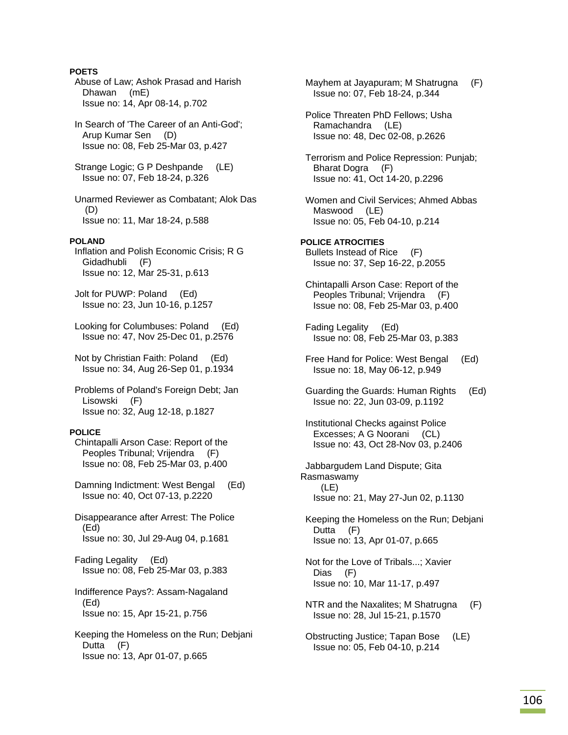# **POETS**

 Abuse of Law; Ashok Prasad and Harish Dhawan (mE) Issue no: 14, Apr 08-14, p.702 In Search of 'The Career of an Anti-God'; Arup Kumar Sen (D) Issue no: 08, Feb 25-Mar 03, p.427 Strange Logic; G P Deshpande (LE) Issue no: 07, Feb 18-24, p.326 Unarmed Reviewer as Combatant; Alok Das (D) Issue no: 11, Mar 18-24, p.588 **POLAND**  Inflation and Polish Economic Crisis; R G Gidadhubli (F) Issue no: 12, Mar 25-31, p.613 Jolt for PUWP: Poland (Ed) Issue no: 23, Jun 10-16, p.1257 Looking for Columbuses: Poland (Ed) Issue no: 47, Nov 25-Dec 01, p.2576 Not by Christian Faith: Poland (Ed) Issue no: 34, Aug 26-Sep 01, p.1934 Problems of Poland's Foreign Debt; Jan Lisowski (F) Issue no: 32, Aug 12-18, p.1827 **POLICE**  Chintapalli Arson Case: Report of the Peoples Tribunal; Vrijendra (F) Issue no: 08, Feb 25-Mar 03, p.400 Damning Indictment: West Bengal (Ed) Issue no: 40, Oct 07-13, p.2220 Disappearance after Arrest: The Police (Ed) Issue no: 30, Jul 29-Aug 04, p.1681 Fading Legality (Ed) Issue no: 08, Feb 25-Mar 03, p.383 Indifference Pays?: Assam-Nagaland (Ed) Issue no: 15, Apr 15-21, p.756 Keeping the Homeless on the Run; Debjani Dutta (F) Issue no: 13, Apr 01-07, p.665

 Mayhem at Jayapuram; M Shatrugna (F) Issue no: 07, Feb 18-24, p.344 Police Threaten PhD Fellows; Usha Ramachandra (LE) Issue no: 48, Dec 02-08, p.2626 Terrorism and Police Repression: Punjab; Bharat Dogra (F) Issue no: 41, Oct 14-20, p.2296 Women and Civil Services; Ahmed Abbas Maswood (LE) Issue no: 05, Feb 04-10, p.214 **POLICE ATROCITIES**  Bullets Instead of Rice (F) Issue no: 37, Sep 16-22, p.2055 Chintapalli Arson Case: Report of the Peoples Tribunal; Vrijendra (F) Issue no: 08, Feb 25-Mar 03, p.400 Fading Legality (Ed) Issue no: 08, Feb 25-Mar 03, p.383 Free Hand for Police: West Bengal (Ed) Issue no: 18, May 06-12, p.949 Guarding the Guards: Human Rights (Ed) Issue no: 22, Jun 03-09, p.1192 Institutional Checks against Police Excesses; A G Noorani (CL) Issue no: 43, Oct 28-Nov 03, p.2406 Jabbargudem Land Dispute; Gita Rasmaswamy (LE) Issue no: 21, May 27-Jun 02, p.1130 Keeping the Homeless on the Run; Debjani Dutta (F) Issue no: 13, Apr 01-07, p.665 Not for the Love of Tribals...; Xavier Dias (F) Issue no: 10, Mar 11-17, p.497 NTR and the Naxalites; M Shatrugna (F) Issue no: 28, Jul 15-21, p.1570 Obstructing Justice; Tapan Bose (LE) Issue no: 05, Feb 04-10, p.214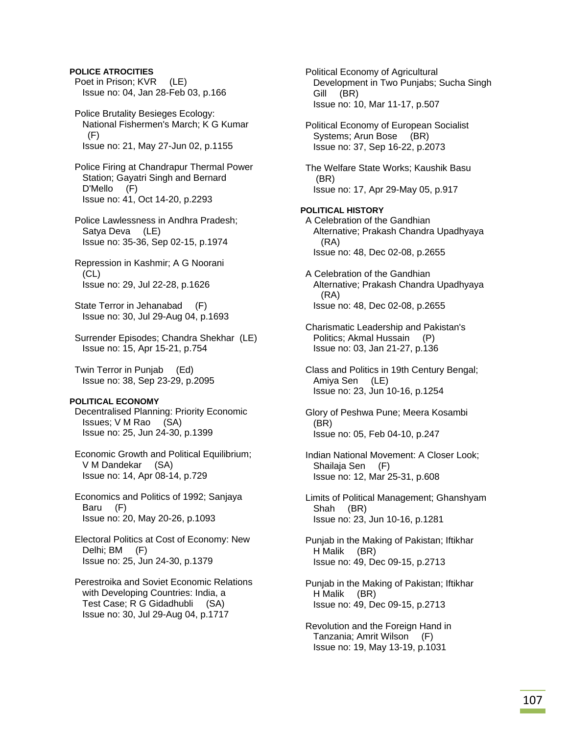# **POLICE ATROCITIES**

Poet in Prison; KVR (LE) Issue no: 04, Jan 28-Feb 03, p.166

 Police Brutality Besieges Ecology: National Fishermen's March; K G Kumar (F) Issue no: 21, May 27-Jun 02, p.1155

 Police Firing at Chandrapur Thermal Power Station; Gayatri Singh and Bernard D'Mello (F) Issue no: 41, Oct 14-20, p.2293

 Police Lawlessness in Andhra Pradesh; Satya Deva (LE) Issue no: 35-36, Sep 02-15, p.1974

 Repression in Kashmir; A G Noorani (CL) Issue no: 29, Jul 22-28, p.1626

 State Terror in Jehanabad (F) Issue no: 30, Jul 29-Aug 04, p.1693

 Surrender Episodes; Chandra Shekhar (LE) Issue no: 15, Apr 15-21, p.754

 Twin Terror in Punjab (Ed) Issue no: 38, Sep 23-29, p.2095

### **POLITICAL ECONOMY**

 Decentralised Planning: Priority Economic Issues; V M Rao (SA) Issue no: 25, Jun 24-30, p.1399

 Economic Growth and Political Equilibrium; V M Dandekar (SA) Issue no: 14, Apr 08-14, p.729

 Economics and Politics of 1992; Sanjaya Baru (F) Issue no: 20, May 20-26, p.1093

 Electoral Politics at Cost of Economy: New Delhi; BM (F) Issue no: 25, Jun 24-30, p.1379

 Perestroika and Soviet Economic Relations with Developing Countries: India, a Test Case; R G Gidadhubli (SA) Issue no: 30, Jul 29-Aug 04, p.1717

 Political Economy of Agricultural Development in Two Punjabs; Sucha Singh Gill (BR) Issue no: 10, Mar 11-17, p.507 Political Economy of European Socialist Systems; Arun Bose (BR) Issue no: 37, Sep 16-22, p.2073 The Welfare State Works; Kaushik Basu (BR) Issue no: 17, Apr 29-May 05, p.917 **POLITICAL HISTORY**  A Celebration of the Gandhian Alternative; Prakash Chandra Upadhyaya (RA) Issue no: 48, Dec 02-08, p.2655 A Celebration of the Gandhian Alternative; Prakash Chandra Upadhyaya (RA) Issue no: 48, Dec 02-08, p.2655 Charismatic Leadership and Pakistan's Politics; Akmal Hussain (P) Issue no: 03, Jan 21-27, p.136 Class and Politics in 19th Century Bengal; Amiya Sen (LE) Issue no: 23, Jun 10-16, p.1254 Glory of Peshwa Pune; Meera Kosambi (BR) Issue no: 05, Feb 04-10, p.247 Indian National Movement: A Closer Look; Shailaja Sen (F) Issue no: 12, Mar 25-31, p.608 Limits of Political Management; Ghanshyam Shah (BR) Issue no: 23, Jun 10-16, p.1281 Punjab in the Making of Pakistan; Iftikhar H Malik (BR) Issue no: 49, Dec 09-15, p.2713 Punjab in the Making of Pakistan; Iftikhar H Malik (BR) Issue no: 49, Dec 09-15, p.2713

 Revolution and the Foreign Hand in Tanzania; Amrit Wilson (F) Issue no: 19, May 13-19, p.1031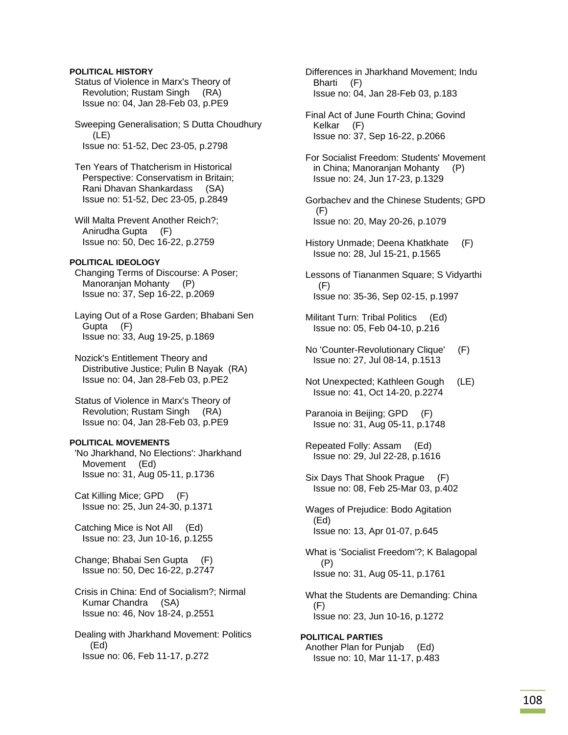## **POLITICAL HISTORY**

 Status of Violence in Marx's Theory of Revolution; Rustam Singh (RA) Issue no: 04, Jan 28-Feb 03, p.PE9

 Sweeping Generalisation; S Dutta Choudhury (LE) Issue no: 51-52, Dec 23-05, p.2798

 Ten Years of Thatcherism in Historical Perspective: Conservatism in Britain; Rani Dhavan Shankardass (SA) Issue no: 51-52, Dec 23-05, p.2849

 Will Malta Prevent Another Reich?; Anirudha Gupta (F) Issue no: 50, Dec 16-22, p.2759

### **POLITICAL IDEOLOGY**

 Changing Terms of Discourse: A Poser; Manoranjan Mohanty (P) Issue no: 37, Sep 16-22, p.2069

 Laying Out of a Rose Garden; Bhabani Sen Gupta (F) Issue no: 33, Aug 19-25, p.1869

 Nozick's Entitlement Theory and Distributive Justice; Pulin B Nayak (RA) Issue no: 04, Jan 28-Feb 03, p.PE2

 Status of Violence in Marx's Theory of Revolution; Rustam Singh (RA) Issue no: 04, Jan 28-Feb 03, p.PE9

## **POLITICAL MOVEMENTS**

 'No Jharkhand, No Elections': Jharkhand Movement (Ed) Issue no: 31, Aug 05-11, p.1736

 Cat Killing Mice; GPD (F) Issue no: 25, Jun 24-30, p.1371

 Catching Mice is Not All (Ed) Issue no: 23, Jun 10-16, p.1255

 Change; Bhabai Sen Gupta (F) Issue no: 50, Dec 16-22, p.2747

 Crisis in China: End of Socialism?; Nirmal Kumar Chandra (SA) Issue no: 46, Nov 18-24, p.2551

 Dealing with Jharkhand Movement: Politics (Ed) Issue no: 06, Feb 11-17, p.272

 Differences in Jharkhand Movement; Indu Bharti (F) Issue no: 04, Jan 28-Feb 03, p.183

 Final Act of June Fourth China; Govind Kelkar (F) Issue no: 37, Sep 16-22, p.2066

 For Socialist Freedom: Students' Movement in China; Manoranjan Mohanty (P) Issue no: 24, Jun 17-23, p.1329

 Gorbachev and the Chinese Students; GPD (F) Issue no: 20, May 20-26, p.1079

 History Unmade; Deena Khatkhate (F) Issue no: 28, Jul 15-21, p.1565

 Lessons of Tiananmen Square; S Vidyarthi (F) Issue no: 35-36, Sep 02-15, p.1997

- Militant Turn: Tribal Politics (Ed) Issue no: 05, Feb 04-10, p.216
- No 'Counter-Revolutionary Clique' (F) Issue no: 27, Jul 08-14, p.1513

 Not Unexpected; Kathleen Gough (LE) Issue no: 41, Oct 14-20, p.2274

 Paranoia in Beijing; GPD (F) Issue no: 31, Aug 05-11, p.1748

 Repeated Folly: Assam (Ed) Issue no: 29, Jul 22-28, p.1616

 Six Days That Shook Prague (F) Issue no: 08, Feb 25-Mar 03, p.402

 Wages of Prejudice: Bodo Agitation (Ed) Issue no: 13, Apr 01-07, p.645

 What is 'Socialist Freedom'?; K Balagopal (P) Issue no: 31, Aug 05-11, p.1761

 What the Students are Demanding: China (F) Issue no: 23, Jun 10-16, p.1272

**POLITICAL PARTIES**  Another Plan for Punjab (Ed) Issue no: 10, Mar 11-17, p.483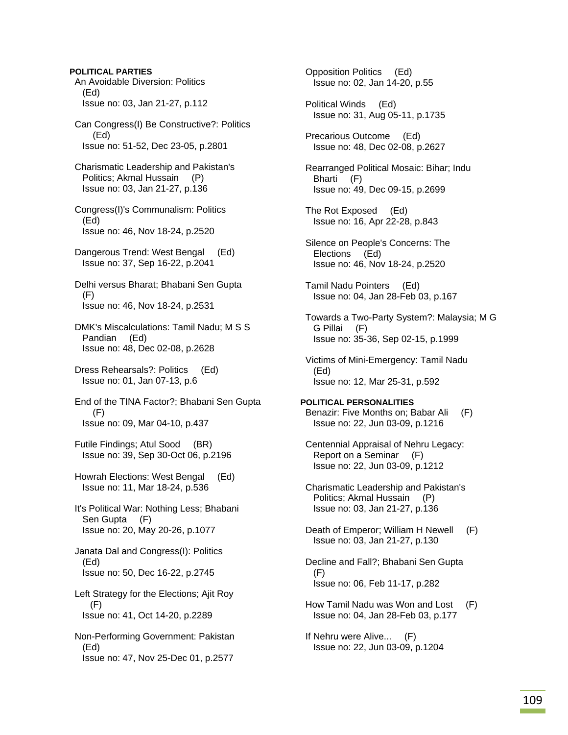**POLITICAL PARTIES**  An Avoidable Diversion: Politics (Ed) Issue no: 03, Jan 21-27, p.112 Can Congress(I) Be Constructive?: Politics (Ed) Issue no: 51-52, Dec 23-05, p.2801 Charismatic Leadership and Pakistan's Politics; Akmal Hussain (P) Issue no: 03, Jan 21-27, p.136 Congress(I)'s Communalism: Politics (Ed) Issue no: 46, Nov 18-24, p.2520 Dangerous Trend: West Bengal (Ed) Issue no: 37, Sep 16-22, p.2041 Delhi versus Bharat; Bhabani Sen Gupta (F) Issue no: 46, Nov 18-24, p.2531 DMK's Miscalculations: Tamil Nadu; M S S Pandian (Ed) Issue no: 48, Dec 02-08, p.2628 Dress Rehearsals?: Politics (Ed) Issue no: 01, Jan 07-13, p.6 End of the TINA Factor?; Bhabani Sen Gupta (F) Issue no: 09, Mar 04-10, p.437 Futile Findings; Atul Sood (BR) Issue no: 39, Sep 30-Oct 06, p.2196 Howrah Elections: West Bengal (Ed) Issue no: 11, Mar 18-24, p.536 It's Political War: Nothing Less; Bhabani Sen Gupta (F) Issue no: 20, May 20-26, p.1077 Janata Dal and Congress(I): Politics (Ed) Issue no: 50, Dec 16-22, p.2745 Left Strategy for the Elections; Ajit Roy (F) Issue no: 41, Oct 14-20, p.2289

 Non-Performing Government: Pakistan (Ed) Issue no: 47, Nov 25-Dec 01, p.2577

 Opposition Politics (Ed) Issue no: 02, Jan 14-20, p.55

 Political Winds (Ed) Issue no: 31, Aug 05-11, p.1735

 Precarious Outcome (Ed) Issue no: 48, Dec 02-08, p.2627

 Rearranged Political Mosaic: Bihar; Indu Bharti (F) Issue no: 49, Dec 09-15, p.2699

 The Rot Exposed (Ed) Issue no: 16, Apr 22-28, p.843

 Silence on People's Concerns: The Elections (Ed) Issue no: 46, Nov 18-24, p.2520

 Tamil Nadu Pointers (Ed) Issue no: 04, Jan 28-Feb 03, p.167

 Towards a Two-Party System?: Malaysia; M G G Pillai (F) Issue no: 35-36, Sep 02-15, p.1999

 Victims of Mini-Emergency: Tamil Nadu (Ed) Issue no: 12, Mar 25-31, p.592

**POLITICAL PERSONALITIES**  Benazir: Five Months on; Babar Ali (F) Issue no: 22, Jun 03-09, p.1216

 Centennial Appraisal of Nehru Legacy: Report on a Seminar (F) Issue no: 22, Jun 03-09, p.1212

 Charismatic Leadership and Pakistan's Politics; Akmal Hussain (P) Issue no: 03, Jan 21-27, p.136

 Death of Emperor; William H Newell (F) Issue no: 03, Jan 21-27, p.130

- Decline and Fall?; Bhabani Sen Gupta (F) Issue no: 06, Feb 11-17, p.282
- How Tamil Nadu was Won and Lost (F) Issue no: 04, Jan 28-Feb 03, p.177

 If Nehru were Alive... (F) Issue no: 22, Jun 03-09, p.1204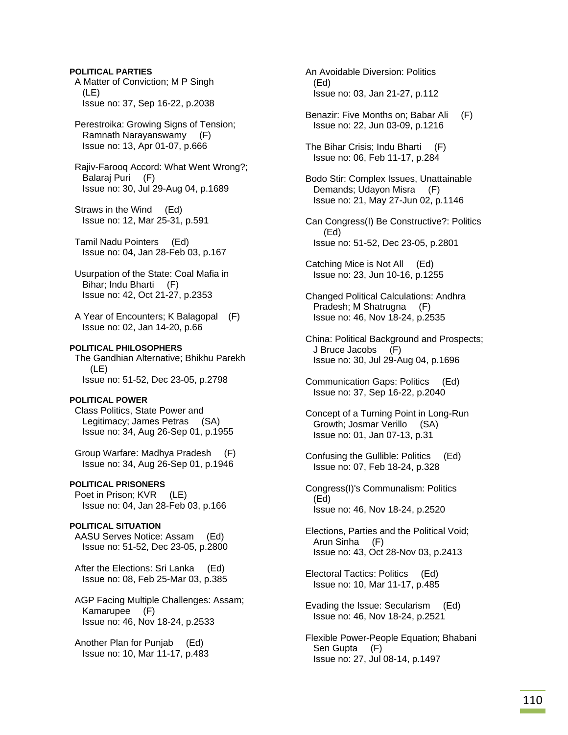# **POLITICAL PARTIES**

 A Matter of Conviction; M P Singh (LE) Issue no: 37, Sep 16-22, p.2038

 Perestroika: Growing Signs of Tension; Ramnath Narayanswamy (F) Issue no: 13, Apr 01-07, p.666

 Rajiv-Farooq Accord: What Went Wrong?; Balaraj Puri (F) Issue no: 30, Jul 29-Aug 04, p.1689

 Straws in the Wind (Ed) Issue no: 12, Mar 25-31, p.591

 Tamil Nadu Pointers (Ed) Issue no: 04, Jan 28-Feb 03, p.167

 Usurpation of the State: Coal Mafia in Bihar; Indu Bharti (F) Issue no: 42, Oct 21-27, p.2353

 A Year of Encounters; K Balagopal (F) Issue no: 02, Jan 14-20, p.66

## **POLITICAL PHILOSOPHERS**

 The Gandhian Alternative; Bhikhu Parekh (LE) Issue no: 51-52, Dec 23-05, p.2798

### **POLITICAL POWER**

 Class Politics, State Power and Legitimacy; James Petras (SA) Issue no: 34, Aug 26-Sep 01, p.1955

 Group Warfare: Madhya Pradesh (F) Issue no: 34, Aug 26-Sep 01, p.1946

# **POLITICAL PRISONERS**

Poet in Prison; KVR (LE) Issue no: 04, Jan 28-Feb 03, p.166

## **POLITICAL SITUATION**

 AASU Serves Notice: Assam (Ed) Issue no: 51-52, Dec 23-05, p.2800

 After the Elections: Sri Lanka (Ed) Issue no: 08, Feb 25-Mar 03, p.385

 AGP Facing Multiple Challenges: Assam; Kamarupee (F) Issue no: 46, Nov 18-24, p.2533

 Another Plan for Punjab (Ed) Issue no: 10, Mar 11-17, p.483  An Avoidable Diversion: Politics (Ed) Issue no: 03, Jan 21-27, p.112

 Benazir: Five Months on; Babar Ali (F) Issue no: 22, Jun 03-09, p.1216

 The Bihar Crisis; Indu Bharti (F) Issue no: 06, Feb 11-17, p.284

 Bodo Stir: Complex Issues, Unattainable Demands; Udayon Misra (F) Issue no: 21, May 27-Jun 02, p.1146

 Can Congress(I) Be Constructive?: Politics (Ed) Issue no: 51-52, Dec 23-05, p.2801

 Catching Mice is Not All (Ed) Issue no: 23, Jun 10-16, p.1255

 Changed Political Calculations: Andhra Pradesh; M Shatrugna (F) Issue no: 46, Nov 18-24, p.2535

 China: Political Background and Prospects; J Bruce Jacobs (F) Issue no: 30, Jul 29-Aug 04, p.1696

 Communication Gaps: Politics (Ed) Issue no: 37, Sep 16-22, p.2040

 Concept of a Turning Point in Long-Run Growth; Josmar Verillo (SA) Issue no: 01, Jan 07-13, p.31

 Confusing the Gullible: Politics (Ed) Issue no: 07, Feb 18-24, p.328

 Congress(I)'s Communalism: Politics (Ed) Issue no: 46, Nov 18-24, p.2520

 Elections, Parties and the Political Void; Arun Sinha (F) Issue no: 43, Oct 28-Nov 03, p.2413

 Electoral Tactics: Politics (Ed) Issue no: 10, Mar 11-17, p.485

 Evading the Issue: Secularism (Ed) Issue no: 46, Nov 18-24, p.2521

 Flexible Power-People Equation; Bhabani Sen Gupta (F) Issue no: 27, Jul 08-14, p.1497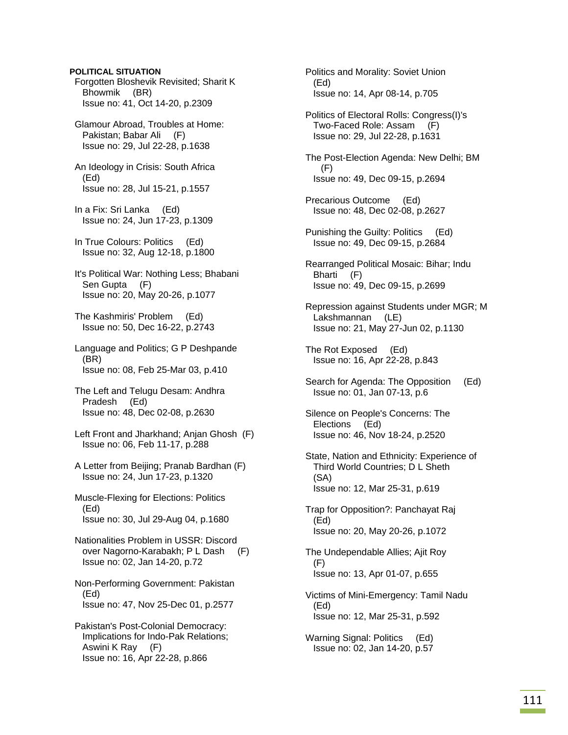## **POLITICAL SITUATION**

 Forgotten Bloshevik Revisited; Sharit K Bhowmik (BR) Issue no: 41, Oct 14-20, p.2309

 Glamour Abroad, Troubles at Home: Pakistan; Babar Ali (F) Issue no: 29, Jul 22-28, p.1638

 An Ideology in Crisis: South Africa (Ed) Issue no: 28, Jul 15-21, p.1557

 In a Fix: Sri Lanka (Ed) Issue no: 24, Jun 17-23, p.1309

 In True Colours: Politics (Ed) Issue no: 32, Aug 12-18, p.1800

 It's Political War: Nothing Less; Bhabani Sen Gupta (F) Issue no: 20, May 20-26, p.1077

 The Kashmiris' Problem (Ed) Issue no: 50, Dec 16-22, p.2743

 Language and Politics; G P Deshpande (BR) Issue no: 08, Feb 25-Mar 03, p.410

 The Left and Telugu Desam: Andhra Pradesh (Ed) Issue no: 48, Dec 02-08, p.2630

 Left Front and Jharkhand; Anjan Ghosh (F) Issue no: 06, Feb 11-17, p.288

 A Letter from Beijing; Pranab Bardhan (F) Issue no: 24, Jun 17-23, p.1320

 Muscle-Flexing for Elections: Politics (Ed) Issue no: 30, Jul 29-Aug 04, p.1680

 Nationalities Problem in USSR: Discord over Nagorno-Karabakh; P L Dash (F) Issue no: 02, Jan 14-20, p.72

 Non-Performing Government: Pakistan (Ed) Issue no: 47, Nov 25-Dec 01, p.2577

 Pakistan's Post-Colonial Democracy: Implications for Indo-Pak Relations; Aswini K Ray (F) Issue no: 16, Apr 22-28, p.866

 Politics and Morality: Soviet Union (Ed) Issue no: 14, Apr 08-14, p.705

 Politics of Electoral Rolls: Congress(I)'s Two-Faced Role: Assam (F) Issue no: 29, Jul 22-28, p.1631

 The Post-Election Agenda: New Delhi; BM (F) Issue no: 49, Dec 09-15, p.2694

 Precarious Outcome (Ed) Issue no: 48, Dec 02-08, p.2627

 Punishing the Guilty: Politics (Ed) Issue no: 49, Dec 09-15, p.2684

 Rearranged Political Mosaic: Bihar; Indu Bharti (F) Issue no: 49, Dec 09-15, p.2699

 Repression against Students under MGR; M Lakshmannan (LE) Issue no: 21, May 27-Jun 02, p.1130

 The Rot Exposed (Ed) Issue no: 16, Apr 22-28, p.843

 Search for Agenda: The Opposition (Ed) Issue no: 01, Jan 07-13, p.6

 Silence on People's Concerns: The Elections (Ed) Issue no: 46, Nov 18-24, p.2520

 State, Nation and Ethnicity: Experience of Third World Countries; D L Sheth (SA) Issue no: 12, Mar 25-31, p.619

 Trap for Opposition?: Panchayat Raj (Ed) Issue no: 20, May 20-26, p.1072

 The Undependable Allies; Ajit Roy (F) Issue no: 13, Apr 01-07, p.655

 Victims of Mini-Emergency: Tamil Nadu (Ed) Issue no: 12, Mar 25-31, p.592

 Warning Signal: Politics (Ed) Issue no: 02, Jan 14-20, p.57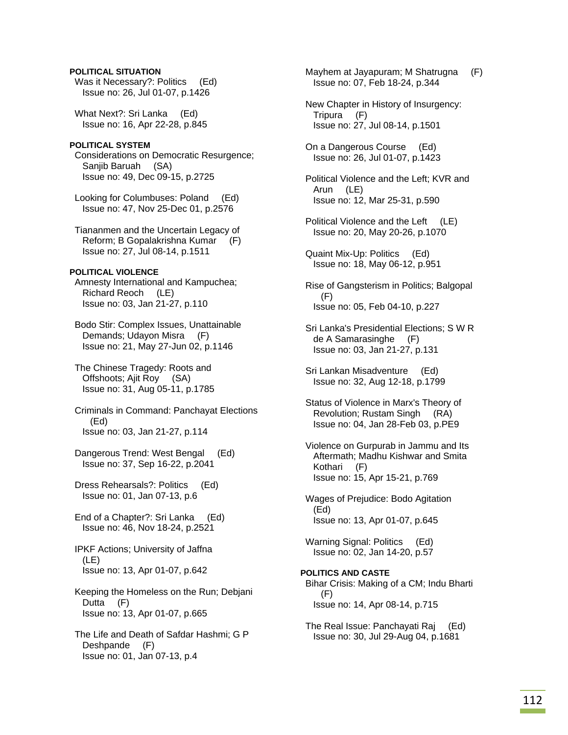## **POLITICAL SITUATION**

 Was it Necessary?: Politics (Ed) Issue no: 26, Jul 01-07, p.1426

 What Next?: Sri Lanka (Ed) Issue no: 16, Apr 22-28, p.845

## **POLITICAL SYSTEM**

 Considerations on Democratic Resurgence; Sanjib Baruah (SA) Issue no: 49, Dec 09-15, p.2725

 Looking for Columbuses: Poland (Ed) Issue no: 47, Nov 25-Dec 01, p.2576

 Tiananmen and the Uncertain Legacy of Reform; B Gopalakrishna Kumar (F) Issue no: 27, Jul 08-14, p.1511

### **POLITICAL VIOLENCE**

 Amnesty International and Kampuchea; Richard Reoch (LE) Issue no: 03, Jan 21-27, p.110

 Bodo Stir: Complex Issues, Unattainable Demands; Udayon Misra (F) Issue no: 21, May 27-Jun 02, p.1146

 The Chinese Tragedy: Roots and Offshoots; Ajit Roy (SA) Issue no: 31, Aug 05-11, p.1785

 Criminals in Command: Panchayat Elections (Ed) Issue no: 03, Jan 21-27, p.114

 Dangerous Trend: West Bengal (Ed) Issue no: 37, Sep 16-22, p.2041

 Dress Rehearsals?: Politics (Ed) Issue no: 01, Jan 07-13, p.6

 End of a Chapter?: Sri Lanka (Ed) Issue no: 46, Nov 18-24, p.2521

 IPKF Actions; University of Jaffna (LE) Issue no: 13, Apr 01-07, p.642

 Keeping the Homeless on the Run; Debjani Dutta (F) Issue no: 13, Apr 01-07, p.665

 The Life and Death of Safdar Hashmi; G P Deshpande (F) Issue no: 01, Jan 07-13, p.4

 Mayhem at Jayapuram; M Shatrugna (F) Issue no: 07, Feb 18-24, p.344

 New Chapter in History of Insurgency: Tripura (F) Issue no: 27, Jul 08-14, p.1501

 On a Dangerous Course (Ed) Issue no: 26, Jul 01-07, p.1423

 Political Violence and the Left; KVR and Arun (LE) Issue no: 12, Mar 25-31, p.590

- Political Violence and the Left (LE) Issue no: 20, May 20-26, p.1070
- Quaint Mix-Up: Politics (Ed) Issue no: 18, May 06-12, p.951

 Rise of Gangsterism in Politics; Balgopal (F) Issue no: 05, Feb 04-10, p.227

 Sri Lanka's Presidential Elections; S W R de A Samarasinghe (F) Issue no: 03, Jan 21-27, p.131

 Sri Lankan Misadventure (Ed) Issue no: 32, Aug 12-18, p.1799

 Status of Violence in Marx's Theory of Revolution; Rustam Singh (RA) Issue no: 04, Jan 28-Feb 03, p.PE9

 Violence on Gurpurab in Jammu and Its Aftermath; Madhu Kishwar and Smita Kothari (F) Issue no: 15, Apr 15-21, p.769

 Wages of Prejudice: Bodo Agitation (Ed) Issue no: 13, Apr 01-07, p.645

Warning Signal: Politics (Ed) Issue no: 02, Jan 14-20, p.57

**POLITICS AND CASTE**  Bihar Crisis: Making of a CM; Indu Bharti (F) Issue no: 14, Apr 08-14, p.715

 The Real Issue: Panchayati Raj (Ed) Issue no: 30, Jul 29-Aug 04, p.1681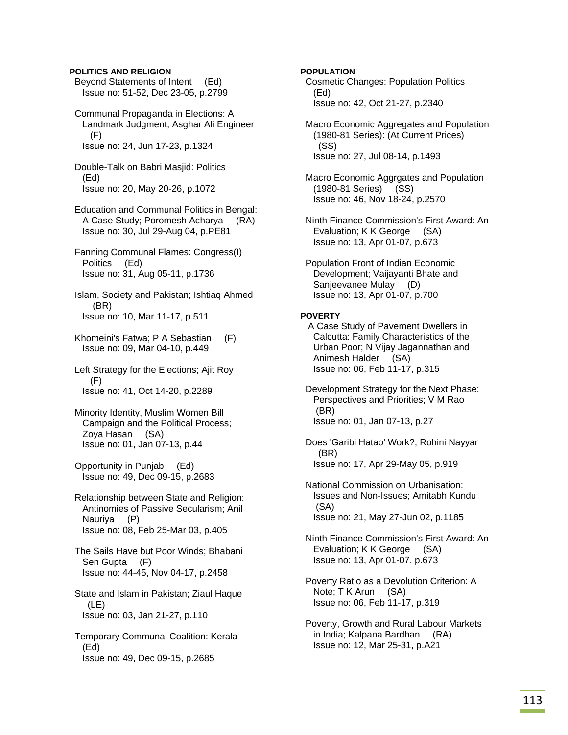## **POLITICS AND RELIGION**

 Beyond Statements of Intent (Ed) Issue no: 51-52, Dec 23-05, p.2799

 Communal Propaganda in Elections: A Landmark Judgment; Asghar Ali Engineer (F) Issue no: 24, Jun 17-23, p.1324

 Double-Talk on Babri Masjid: Politics (Ed) Issue no: 20, May 20-26, p.1072

 Education and Communal Politics in Bengal: A Case Study; Poromesh Acharya (RA) Issue no: 30, Jul 29-Aug 04, p.PE81

 Fanning Communal Flames: Congress(I) Politics (Ed) Issue no: 31, Aug 05-11, p.1736

 Islam, Society and Pakistan; Ishtiaq Ahmed (BR) Issue no: 10, Mar 11-17, p.511

- Khomeini's Fatwa; P A Sebastian (F) Issue no: 09, Mar 04-10, p.449
- Left Strategy for the Elections; Ajit Roy (F) Issue no: 41, Oct 14-20, p.2289
- Minority Identity, Muslim Women Bill Campaign and the Political Process; Zoya Hasan (SA) Issue no: 01, Jan 07-13, p.44
- Opportunity in Punjab (Ed) Issue no: 49, Dec 09-15, p.2683
- Relationship between State and Religion: Antinomies of Passive Secularism; Anil Nauriya (P) Issue no: 08, Feb 25-Mar 03, p.405
- The Sails Have but Poor Winds; Bhabani Sen Gupta (F) Issue no: 44-45, Nov 04-17, p.2458
- State and Islam in Pakistan; Ziaul Haque (LE) Issue no: 03, Jan 21-27, p.110

 Temporary Communal Coalition: Kerala (Ed) Issue no: 49, Dec 09-15, p.2685

### **POPULATION**

- Cosmetic Changes: Population Politics (Ed) Issue no: 42, Oct 21-27, p.2340
- Macro Economic Aggregates and Population (1980-81 Series): (At Current Prices) (SS) Issue no: 27, Jul 08-14, p.1493
- Macro Economic Aggrgates and Population (1980-81 Series) (SS) Issue no: 46, Nov 18-24, p.2570
- Ninth Finance Commission's First Award: An Evaluation; K K George (SA) Issue no: 13, Apr 01-07, p.673
- Population Front of Indian Economic Development; Vaijayanti Bhate and Sanjeevanee Mulay (D) Issue no: 13, Apr 01-07, p.700

#### **POVERTY**

 A Case Study of Pavement Dwellers in Calcutta: Family Characteristics of the Urban Poor; N Vijay Jagannathan and Animesh Halder (SA) Issue no: 06, Feb 11-17, p.315

 Development Strategy for the Next Phase: Perspectives and Priorities; V M Rao (BR) Issue no: 01, Jan 07-13, p.27

 Does 'Garibi Hatao' Work?; Rohini Nayyar (BR) Issue no: 17, Apr 29-May 05, p.919

 National Commission on Urbanisation: Issues and Non-Issues; Amitabh Kundu (SA) Issue no: 21, May 27-Jun 02, p.1185

 Ninth Finance Commission's First Award: An Evaluation; K K George (SA) Issue no: 13, Apr 01-07, p.673

- Poverty Ratio as a Devolution Criterion: A Note; T K Arun (SA) Issue no: 06, Feb 11-17, p.319
- Poverty, Growth and Rural Labour Markets in India; Kalpana Bardhan (RA) Issue no: 12, Mar 25-31, p.A21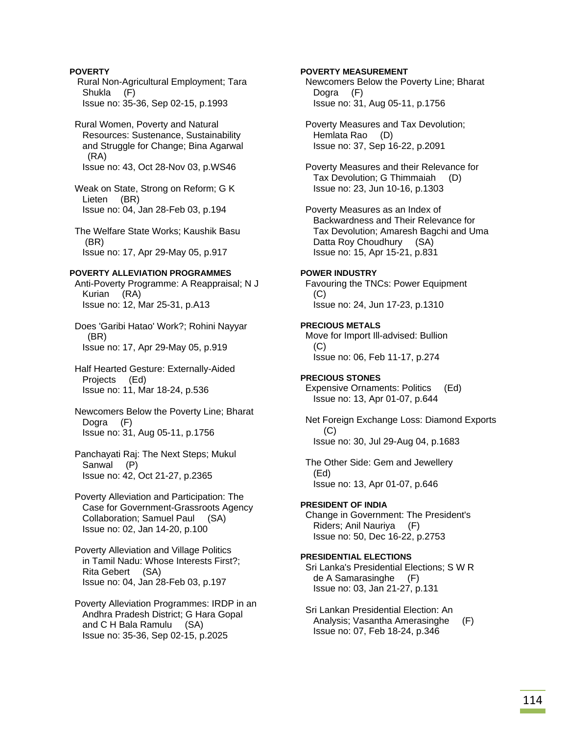## **POVERTY**  Rural Non-Agricultural Employment; Tara Shukla (F) Issue no: 35-36, Sep 02-15, p.1993

 Rural Women, Poverty and Natural Resources: Sustenance, Sustainability and Struggle for Change; Bina Agarwal (RA) Issue no: 43, Oct 28-Nov 03, p.WS46

 Weak on State, Strong on Reform; G K Lieten (BR) Issue no: 04, Jan 28-Feb 03, p.194

 The Welfare State Works; Kaushik Basu (BR) Issue no: 17, Apr 29-May 05, p.917

## **POVERTY ALLEVIATION PROGRAMMES**

 Anti-Poverty Programme: A Reappraisal; N J Kurian (RA) Issue no: 12, Mar 25-31, p.A13

 Does 'Garibi Hatao' Work?; Rohini Nayyar (BR) Issue no: 17, Apr 29-May 05, p.919

 Half Hearted Gesture: Externally-Aided Projects (Ed) Issue no: 11, Mar 18-24, p.536

 Newcomers Below the Poverty Line; Bharat Dogra (F) Issue no: 31, Aug 05-11, p.1756

 Panchayati Raj: The Next Steps; Mukul Sanwal (P) Issue no: 42, Oct 21-27, p.2365

 Poverty Alleviation and Participation: The Case for Government-Grassroots Agency Collaboration; Samuel Paul (SA) Issue no: 02, Jan 14-20, p.100

 Poverty Alleviation and Village Politics in Tamil Nadu: Whose Interests First?; Rita Gebert (SA) Issue no: 04, Jan 28-Feb 03, p.197

 Poverty Alleviation Programmes: IRDP in an Andhra Pradesh District; G Hara Gopal and C H Bala Ramulu (SA) Issue no: 35-36, Sep 02-15, p.2025

## **POVERTY MEASUREMENT**

 Newcomers Below the Poverty Line; Bharat Dogra (F) Issue no: 31, Aug 05-11, p.1756

 Poverty Measures and Tax Devolution; Hemlata Rao (D) Issue no: 37, Sep 16-22, p.2091

 Poverty Measures and their Relevance for Tax Devolution; G Thimmaiah (D) Issue no: 23, Jun 10-16, p.1303

 Poverty Measures as an Index of Backwardness and Their Relevance for Tax Devolution; Amaresh Bagchi and Uma Datta Roy Choudhury (SA) Issue no: 15, Apr 15-21, p.831

## **POWER INDUSTRY**

 Favouring the TNCs: Power Equipment (C) Issue no: 24, Jun 17-23, p.1310

## **PRECIOUS METALS**  Move for Import Ill-advised: Bullion (C) Issue no: 06, Feb 11-17, p.274

**PRECIOUS STONES**  Expensive Ornaments: Politics (Ed) Issue no: 13, Apr 01-07, p.644

 Net Foreign Exchange Loss: Diamond Exports (C) Issue no: 30, Jul 29-Aug 04, p.1683

 The Other Side: Gem and Jewellery (Ed) Issue no: 13, Apr 01-07, p.646

**PRESIDENT OF INDIA**  Change in Government: The President's Riders; Anil Nauriya (F) Issue no: 50, Dec 16-22, p.2753

## **PRESIDENTIAL ELECTIONS**

 Sri Lanka's Presidential Elections; S W R de A Samarasinghe (F) Issue no: 03, Jan 21-27, p.131

 Sri Lankan Presidential Election: An Analysis; Vasantha Amerasinghe (F) Issue no: 07, Feb 18-24, p.346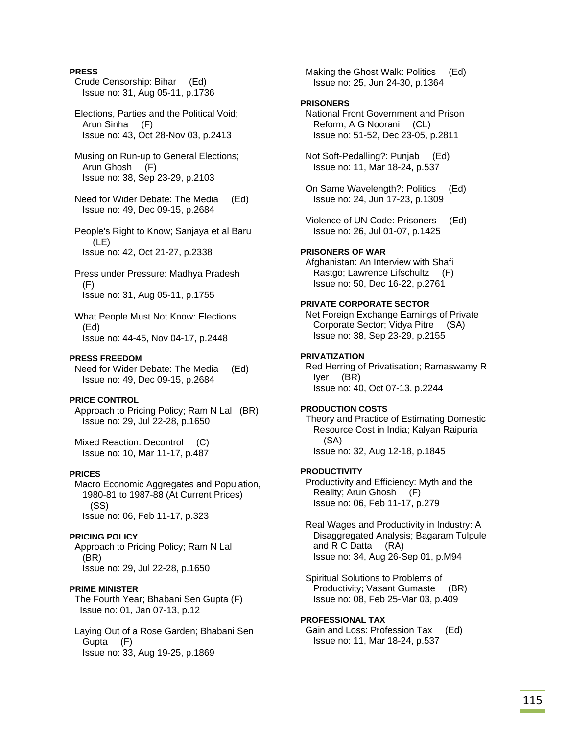## **PRESS**

- Crude Censorship: Bihar (Ed) Issue no: 31, Aug 05-11, p.1736
- Elections, Parties and the Political Void; Arun Sinha (F) Issue no: 43, Oct 28-Nov 03, p.2413
- Musing on Run-up to General Elections; Arun Ghosh (F) Issue no: 38, Sep 23-29, p.2103
- Need for Wider Debate: The Media (Ed) Issue no: 49, Dec 09-15, p.2684
- People's Right to Know; Sanjaya et al Baru (LE) Issue no: 42, Oct 21-27, p.2338
- Press under Pressure: Madhya Pradesh (F) Issue no: 31, Aug 05-11, p.1755
- What People Must Not Know: Elections (Ed) Issue no: 44-45, Nov 04-17, p.2448

### **PRESS FREEDOM**

 Need for Wider Debate: The Media (Ed) Issue no: 49, Dec 09-15, p.2684

## **PRICE CONTROL**

 Approach to Pricing Policy; Ram N Lal (BR) Issue no: 29, Jul 22-28, p.1650

 Mixed Reaction: Decontrol (C) Issue no: 10, Mar 11-17, p.487

### **PRICES**

 Macro Economic Aggregates and Population, 1980-81 to 1987-88 (At Current Prices) (SS) Issue no: 06, Feb 11-17, p.323

### **PRICING POLICY**

 Approach to Pricing Policy; Ram N Lal (BR) Issue no: 29, Jul 22-28, p.1650

### **PRIME MINISTER**

 The Fourth Year; Bhabani Sen Gupta (F) Issue no: 01, Jan 07-13, p.12

 Laying Out of a Rose Garden; Bhabani Sen Gupta (F) Issue no: 33, Aug 19-25, p.1869

Making the Ghost Walk: Politics (Ed) Issue no: 25, Jun 24-30, p.1364

## **PRISONERS**

 National Front Government and Prison Reform; A G Noorani (CL) Issue no: 51-52, Dec 23-05, p.2811

 Not Soft-Pedalling?: Punjab (Ed) Issue no: 11, Mar 18-24, p.537

- On Same Wavelength?: Politics (Ed) Issue no: 24, Jun 17-23, p.1309
- Violence of UN Code: Prisoners (Ed) Issue no: 26, Jul 01-07, p.1425

### **PRISONERS OF WAR**

Afghanistan: An Interview with Shafi Rastgo; Lawrence Lifschultz (F) Issue no: 50, Dec 16-22, p.2761

### **PRIVATE CORPORATE SECTOR**

 Net Foreign Exchange Earnings of Private Corporate Sector; Vidya Pitre (SA) Issue no: 38, Sep 23-29, p.2155

# **PRIVATIZATION**

 Red Herring of Privatisation; Ramaswamy R Iyer (BR) Issue no: 40, Oct 07-13, p.2244

#### **PRODUCTION COSTS**

 Theory and Practice of Estimating Domestic Resource Cost in India; Kalyan Raipuria (SA) Issue no: 32, Aug 12-18, p.1845

### **PRODUCTIVITY**

 Productivity and Efficiency: Myth and the Reality; Arun Ghosh (F) Issue no: 06, Feb 11-17, p.279

 Real Wages and Productivity in Industry: A Disaggregated Analysis; Bagaram Tulpule and R C Datta (RA) Issue no: 34, Aug 26-Sep 01, p.M94

 Spiritual Solutions to Problems of Productivity; Vasant Gumaste (BR) Issue no: 08, Feb 25-Mar 03, p.409

### **PROFESSIONAL TAX**  Gain and Loss: Profession Tax (Ed) Issue no: 11, Mar 18-24, p.537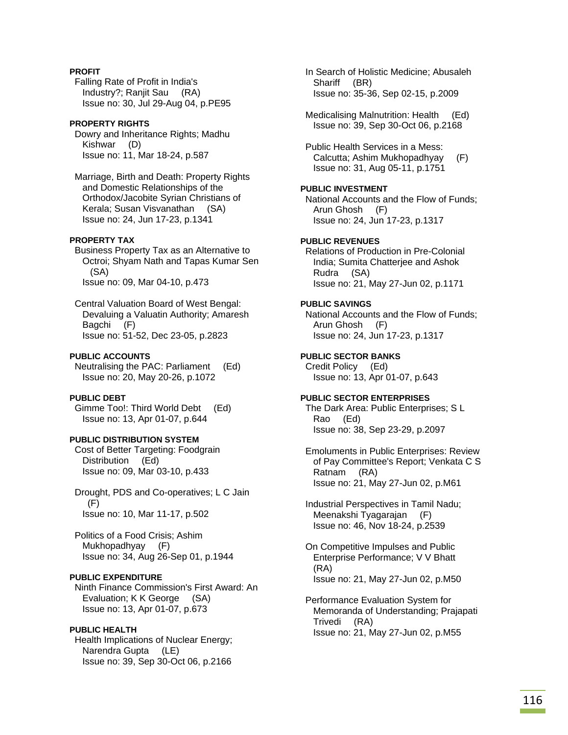# **PROFIT**

 Falling Rate of Profit in India's Industry?; Ranjit Sau (RA) Issue no: 30, Jul 29-Aug 04, p.PE95

## **PROPERTY RIGHTS**

 Dowry and Inheritance Rights; Madhu Kishwar (D) Issue no: 11, Mar 18-24, p.587

 Marriage, Birth and Death: Property Rights and Domestic Relationships of the Orthodox/Jacobite Syrian Christians of Kerala; Susan Visvanathan (SA) Issue no: 24, Jun 17-23, p.1341

## **PROPERTY TAX**

 Business Property Tax as an Alternative to Octroi; Shyam Nath and Tapas Kumar Sen (SA) Issue no: 09, Mar 04-10, p.473

 Central Valuation Board of West Bengal: Devaluing a Valuatin Authority; Amaresh Bagchi (F) Issue no: 51-52, Dec 23-05, p.2823

## **PUBLIC ACCOUNTS**

 Neutralising the PAC: Parliament (Ed) Issue no: 20, May 20-26, p.1072

## **PUBLIC DEBT**

 Gimme Too!: Third World Debt (Ed) Issue no: 13, Apr 01-07, p.644

# **PUBLIC DISTRIBUTION SYSTEM**

 Cost of Better Targeting: Foodgrain Distribution (Ed) Issue no: 09, Mar 03-10, p.433

 Drought, PDS and Co-operatives; L C Jain (F) Issue no: 10, Mar 11-17, p.502

 Politics of a Food Crisis; Ashim Mukhopadhyay (F) Issue no: 34, Aug 26-Sep 01, p.1944

# **PUBLIC EXPENDITURE**

 Ninth Finance Commission's First Award: An Evaluation; K K George (SA) Issue no: 13, Apr 01-07, p.673

## **PUBLIC HEALTH**

 Health Implications of Nuclear Energy; Narendra Gupta (LE) Issue no: 39, Sep 30-Oct 06, p.2166

 In Search of Holistic Medicine; Abusaleh Shariff (BR) Issue no: 35-36, Sep 02-15, p.2009

 Medicalising Malnutrition: Health (Ed) Issue no: 39, Sep 30-Oct 06, p.2168

 Public Health Services in a Mess: Calcutta; Ashim Mukhopadhyay (F) Issue no: 31, Aug 05-11, p.1751

# **PUBLIC INVESTMENT**

 National Accounts and the Flow of Funds; Arun Ghosh (F) Issue no: 24, Jun 17-23, p.1317

### **PUBLIC REVENUES**

 Relations of Production in Pre-Colonial India; Sumita Chatterjee and Ashok Rudra (SA) Issue no: 21, May 27-Jun 02, p.1171

## **PUBLIC SAVINGS**

 National Accounts and the Flow of Funds; Arun Ghosh (F) Issue no: 24, Jun 17-23, p.1317

# **PUBLIC SECTOR BANKS**

 Credit Policy (Ed) Issue no: 13, Apr 01-07, p.643

### **PUBLIC SECTOR ENTERPRISES**

 The Dark Area: Public Enterprises; S L Rao (Ed) Issue no: 38, Sep 23-29, p.2097

 Emoluments in Public Enterprises: Review of Pay Committee's Report; Venkata C S Ratnam (RA) Issue no: 21, May 27-Jun 02, p.M61

 Industrial Perspectives in Tamil Nadu; Meenakshi Tyagarajan (F) Issue no: 46, Nov 18-24, p.2539

 On Competitive Impulses and Public Enterprise Performance; V V Bhatt (RA) Issue no: 21, May 27-Jun 02, p.M50

 Performance Evaluation System for Memoranda of Understanding; Prajapati Trivedi (RA) Issue no: 21, May 27-Jun 02, p.M55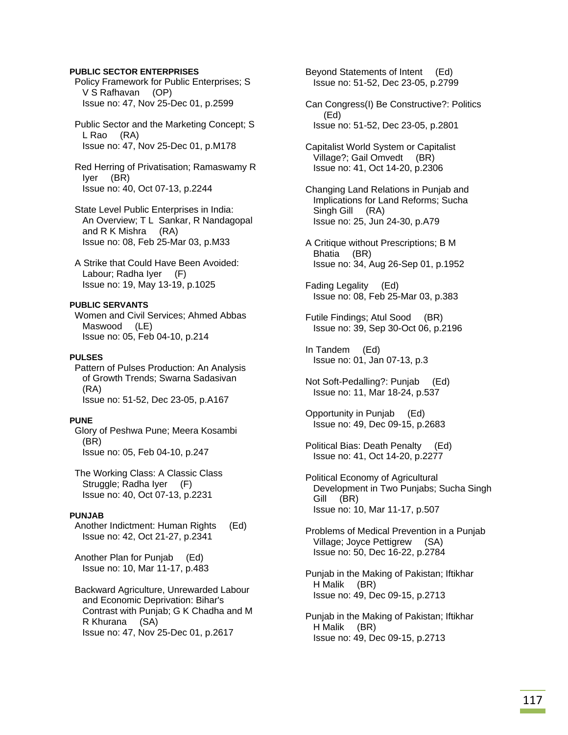### **PUBLIC SECTOR ENTERPRISES**

 Policy Framework for Public Enterprises; S V S Rafhavan (OP) Issue no: 47, Nov 25-Dec 01, p.2599

 Public Sector and the Marketing Concept; S L Rao (RA) Issue no: 47, Nov 25-Dec 01, p.M178

 Red Herring of Privatisation; Ramaswamy R Iyer (BR) Issue no: 40, Oct 07-13, p.2244

 State Level Public Enterprises in India: An Overview; T L Sankar, R Nandagopal and R K Mishra (RA) Issue no: 08, Feb 25-Mar 03, p.M33

 A Strike that Could Have Been Avoided: Labour; Radha Iyer (F) Issue no: 19, May 13-19, p.1025

# **PUBLIC SERVANTS**

 Women and Civil Services; Ahmed Abbas Maswood (LE) Issue no: 05, Feb 04-10, p.214

## **PULSES**

 Pattern of Pulses Production: An Analysis of Growth Trends; Swarna Sadasivan (RA) Issue no: 51-52, Dec 23-05, p.A167

## **PUNE**

 Glory of Peshwa Pune; Meera Kosambi (BR) Issue no: 05, Feb 04-10, p.247

 The Working Class: A Classic Class Struggle; Radha Iyer (F) Issue no: 40, Oct 07-13, p.2231

## **PUNJAB**

 Another Indictment: Human Rights (Ed) Issue no: 42, Oct 21-27, p.2341

 Another Plan for Punjab (Ed) Issue no: 10, Mar 11-17, p.483

 Backward Agriculture, Unrewarded Labour and Economic Deprivation: Bihar's Contrast with Punjab; G K Chadha and M R Khurana (SA) Issue no: 47, Nov 25-Dec 01, p.2617

 Beyond Statements of Intent (Ed) Issue no: 51-52, Dec 23-05, p.2799

 Can Congress(I) Be Constructive?: Politics (Ed) Issue no: 51-52, Dec 23-05, p.2801

 Capitalist World System or Capitalist Village?; Gail Omvedt (BR) Issue no: 41, Oct 14-20, p.2306

- Changing Land Relations in Punjab and Implications for Land Reforms; Sucha Singh Gill (RA) Issue no: 25, Jun 24-30, p.A79
- A Critique without Prescriptions; B M Bhatia (BR) Issue no: 34, Aug 26-Sep 01, p.1952

 Fading Legality (Ed) Issue no: 08, Feb 25-Mar 03, p.383

- Futile Findings; Atul Sood (BR) Issue no: 39, Sep 30-Oct 06, p.2196
- In Tandem (Ed) Issue no: 01, Jan 07-13, p.3
- Not Soft-Pedalling?: Punjab (Ed) Issue no: 11, Mar 18-24, p.537
- Opportunity in Punjab (Ed) Issue no: 49, Dec 09-15, p.2683
- Political Bias: Death Penalty (Ed) Issue no: 41, Oct 14-20, p.2277
- Political Economy of Agricultural Development in Two Punjabs; Sucha Singh Gill (BR) Issue no: 10, Mar 11-17, p.507

 Problems of Medical Prevention in a Punjab Village; Joyce Pettigrew (SA) Issue no: 50, Dec 16-22, p.2784

 Punjab in the Making of Pakistan; Iftikhar H Malik (BR) Issue no: 49, Dec 09-15, p.2713

 Punjab in the Making of Pakistan; Iftikhar H Malik (BR) Issue no: 49, Dec 09-15, p.2713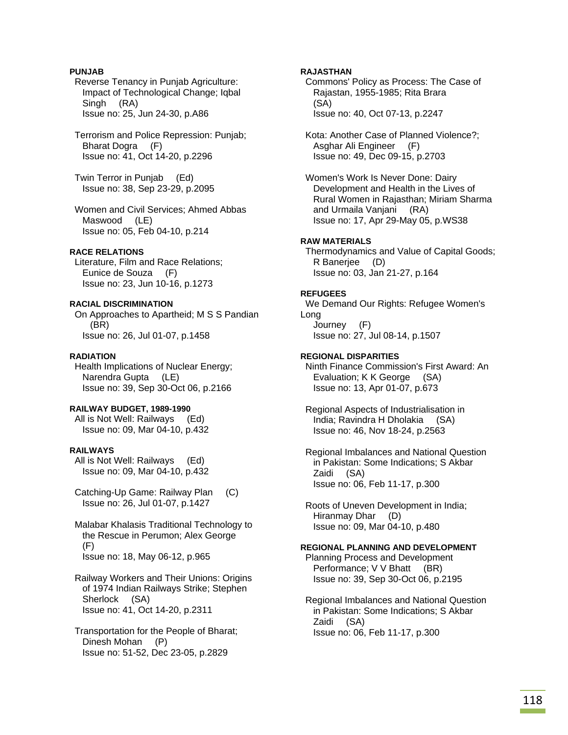## **PUNJAB**

 Reverse Tenancy in Punjab Agriculture: Impact of Technological Change; Iqbal Singh (RA) Issue no: 25, Jun 24-30, p.A86

 Terrorism and Police Repression: Punjab; Bharat Dogra (F) Issue no: 41, Oct 14-20, p.2296

 Twin Terror in Punjab (Ed) Issue no: 38, Sep 23-29, p.2095

 Women and Civil Services; Ahmed Abbas Maswood (LE) Issue no: 05, Feb 04-10, p.214

## **RACE RELATIONS**

 Literature, Film and Race Relations; Eunice de Souza (F) Issue no: 23, Jun 10-16, p.1273

## **RACIAL DISCRIMINATION**

 On Approaches to Apartheid; M S S Pandian (BR) Issue no: 26, Jul 01-07, p.1458

### **RADIATION**

 Health Implications of Nuclear Energy; Narendra Gupta (LE) Issue no: 39, Sep 30-Oct 06, p.2166

### **RAILWAY BUDGET, 1989-1990**

 All is Not Well: Railways (Ed) Issue no: 09, Mar 04-10, p.432

### **RAILWAYS**

 All is Not Well: Railways (Ed) Issue no: 09, Mar 04-10, p.432

 Catching-Up Game: Railway Plan (C) Issue no: 26, Jul 01-07, p.1427

 Malabar Khalasis Traditional Technology to the Rescue in Perumon; Alex George (F) Issue no: 18, May 06-12, p.965

 Railway Workers and Their Unions: Origins of 1974 Indian Railways Strike; Stephen Sherlock (SA) Issue no: 41, Oct 14-20, p.2311

 Transportation for the People of Bharat; Dinesh Mohan (P) Issue no: 51-52, Dec 23-05, p.2829

## **RAJASTHAN**

 Commons' Policy as Process: The Case of Rajastan, 1955-1985; Rita Brara (SA) Issue no: 40, Oct 07-13, p.2247

 Kota: Another Case of Planned Violence?; Asghar Ali Engineer (F) Issue no: 49, Dec 09-15, p.2703

 Women's Work Is Never Done: Dairy Development and Health in the Lives of Rural Women in Rajasthan; Miriam Sharma and Urmaila Vanjani (RA) Issue no: 17, Apr 29-May 05, p.WS38

## **RAW MATERIALS**

 Thermodynamics and Value of Capital Goods; R Banerjee (D) Issue no: 03, Jan 21-27, p.164

## **REFUGEES**

 We Demand Our Rights: Refugee Women's Long Journey (F) Issue no: 27, Jul 08-14, p.1507

## **REGIONAL DISPARITIES**

 Ninth Finance Commission's First Award: An Evaluation; K K George (SA) Issue no: 13, Apr 01-07, p.673

 Regional Aspects of Industrialisation in India; Ravindra H Dholakia (SA) Issue no: 46, Nov 18-24, p.2563

 Regional Imbalances and National Question in Pakistan: Some Indications; S Akbar Zaidi (SA) Issue no: 06, Feb 11-17, p.300

 Roots of Uneven Development in India; Hiranmay Dhar (D) Issue no: 09, Mar 04-10, p.480

## **REGIONAL PLANNING AND DEVELOPMENT**

 Planning Process and Development Performance; V V Bhatt (BR) Issue no: 39, Sep 30-Oct 06, p.2195

 Regional Imbalances and National Question in Pakistan: Some Indications; S Akbar Zaidi (SA) Issue no: 06, Feb 11-17, p.300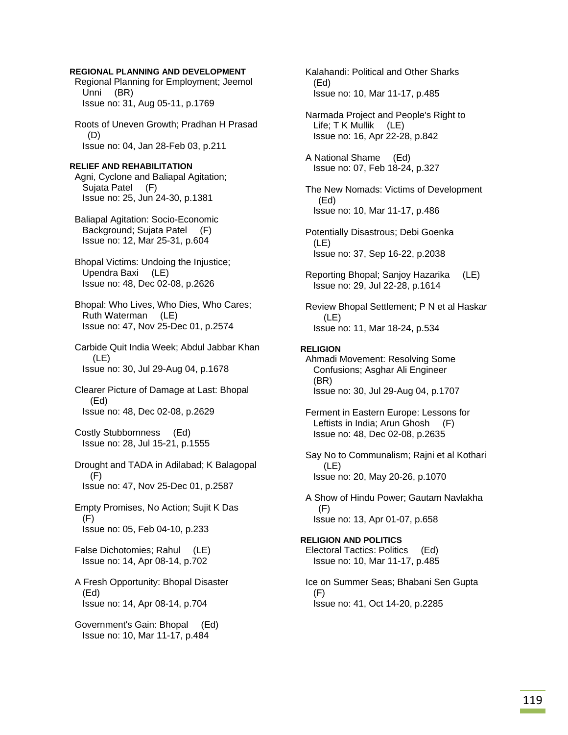### **REGIONAL PLANNING AND DEVELOPMENT**

 Regional Planning for Employment; Jeemol Unni (BR) Issue no: 31, Aug 05-11, p.1769

 Roots of Uneven Growth; Pradhan H Prasad (D) Issue no: 04, Jan 28-Feb 03, p.211

#### **RELIEF AND REHABILITATION**

 Agni, Cyclone and Baliapal Agitation; Sujata Patel (F) Issue no: 25, Jun 24-30, p.1381

 Baliapal Agitation: Socio-Economic Background; Sujata Patel (F) Issue no: 12, Mar 25-31, p.604

 Bhopal Victims: Undoing the Injustice; Upendra Baxi (LE) Issue no: 48, Dec 02-08, p.2626

 Bhopal: Who Lives, Who Dies, Who Cares; Ruth Waterman (LE) Issue no: 47, Nov 25-Dec 01, p.2574

 Carbide Quit India Week; Abdul Jabbar Khan (LE) Issue no: 30, Jul 29-Aug 04, p.1678

 Clearer Picture of Damage at Last: Bhopal (Ed) Issue no: 48, Dec 02-08, p.2629

 Costly Stubbornness (Ed) Issue no: 28, Jul 15-21, p.1555

 Drought and TADA in Adilabad; K Balagopal (F) Issue no: 47, Nov 25-Dec 01, p.2587

 Empty Promises, No Action; Sujit K Das (F) Issue no: 05, Feb 04-10, p.233

 False Dichotomies; Rahul (LE) Issue no: 14, Apr 08-14, p.702

 A Fresh Opportunity: Bhopal Disaster (Ed) Issue no: 14, Apr 08-14, p.704

 Government's Gain: Bhopal (Ed) Issue no: 10, Mar 11-17, p.484

 Kalahandi: Political and Other Sharks (Ed) Issue no: 10, Mar 11-17, p.485

 Narmada Project and People's Right to Life; T K Mullik (LE) Issue no: 16, Apr 22-28, p.842

 A National Shame (Ed) Issue no: 07, Feb 18-24, p.327

 The New Nomads: Victims of Development (Ed) Issue no: 10, Mar 11-17, p.486

 Potentially Disastrous; Debi Goenka (LE) Issue no: 37, Sep 16-22, p.2038

 Reporting Bhopal; Sanjoy Hazarika (LE) Issue no: 29, Jul 22-28, p.1614

 Review Bhopal Settlement; P N et al Haskar (LE) Issue no: 11, Mar 18-24, p.534

### **RELIGION**

 Ahmadi Movement: Resolving Some Confusions; Asghar Ali Engineer (BR) Issue no: 30, Jul 29-Aug 04, p.1707

 Ferment in Eastern Europe: Lessons for Leftists in India; Arun Ghosh (F) Issue no: 48, Dec 02-08, p.2635

 Say No to Communalism; Rajni et al Kothari (LE) Issue no: 20, May 20-26, p.1070

 A Show of Hindu Power; Gautam Navlakha (F) Issue no: 13, Apr 01-07, p.658

**RELIGION AND POLITICS**  Electoral Tactics: Politics (Ed) Issue no: 10, Mar 11-17, p.485

 Ice on Summer Seas; Bhabani Sen Gupta (F) Issue no: 41, Oct 14-20, p.2285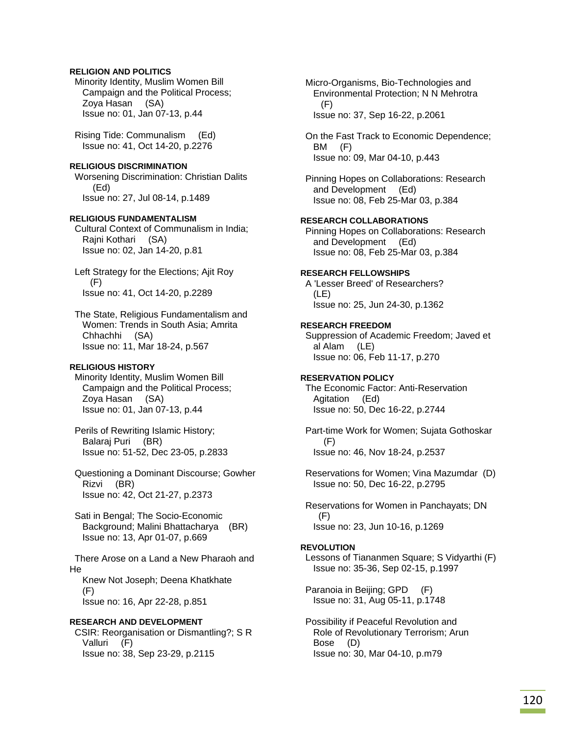## **RELIGION AND POLITICS**

 Minority Identity, Muslim Women Bill Campaign and the Political Process; Zoya Hasan (SA) Issue no: 01, Jan 07-13, p.44

 Rising Tide: Communalism (Ed) Issue no: 41, Oct 14-20, p.2276

# **RELIGIOUS DISCRIMINATION**

 Worsening Discrimination: Christian Dalits (Ed) Issue no: 27, Jul 08-14, p.1489

## **RELIGIOUS FUNDAMENTALISM**

 Cultural Context of Communalism in India; Rajni Kothari (SA) Issue no: 02, Jan 14-20, p.81

 Left Strategy for the Elections; Ajit Roy  $(F)$ Issue no: 41, Oct 14-20, p.2289

 The State, Religious Fundamentalism and Women: Trends in South Asia; Amrita Chhachhi (SA) Issue no: 11, Mar 18-24, p.567

## **RELIGIOUS HISTORY**

 Minority Identity, Muslim Women Bill Campaign and the Political Process; Zoya Hasan (SA) Issue no: 01, Jan 07-13, p.44

 Perils of Rewriting Islamic History; Balaraj Puri (BR) Issue no: 51-52, Dec 23-05, p.2833

 Questioning a Dominant Discourse; Gowher Rizvi (BR) Issue no: 42, Oct 21-27, p.2373

 Sati in Bengal; The Socio-Economic Background; Malini Bhattacharya (BR) Issue no: 13, Apr 01-07, p.669

 There Arose on a Land a New Pharaoh and He

 Knew Not Joseph; Deena Khatkhate  $(F)$ Issue no: 16, Apr 22-28, p.851

## **RESEARCH AND DEVELOPMENT**

 CSIR: Reorganisation or Dismantling?; S R Valluri (F) Issue no: 38, Sep 23-29, p.2115

 Micro-Organisms, Bio-Technologies and Environmental Protection; N N Mehrotra (F) Issue no: 37, Sep 16-22, p.2061

 On the Fast Track to Economic Dependence; BM (F) Issue no: 09, Mar 04-10, p.443

 Pinning Hopes on Collaborations: Research and Development (Ed) Issue no: 08, Feb 25-Mar 03, p.384

## **RESEARCH COLLABORATIONS**

 Pinning Hopes on Collaborations: Research and Development (Ed) Issue no: 08, Feb 25-Mar 03, p.384

## **RESEARCH FELLOWSHIPS**

 A 'Lesser Breed' of Researchers? (LE) Issue no: 25, Jun 24-30, p.1362

## **RESEARCH FREEDOM**

 Suppression of Academic Freedom; Javed et al Alam (LE) Issue no: 06, Feb 11-17, p.270

## **RESERVATION POLICY**

 The Economic Factor: Anti-Reservation Agitation (Ed) Issue no: 50, Dec 16-22, p.2744

 Part-time Work for Women; Sujata Gothoskar (F) Issue no: 46, Nov 18-24, p.2537

 Reservations for Women; Vina Mazumdar (D) Issue no: 50, Dec 16-22, p.2795

 Reservations for Women in Panchayats; DN (F) Issue no: 23, Jun 10-16, p.1269

## **REVOLUTION**

 Lessons of Tiananmen Square; S Vidyarthi (F) Issue no: 35-36, Sep 02-15, p.1997

 Paranoia in Beijing; GPD (F) Issue no: 31, Aug 05-11, p.1748

 Possibility if Peaceful Revolution and Role of Revolutionary Terrorism; Arun Bose (D) Issue no: 30, Mar 04-10, p.m79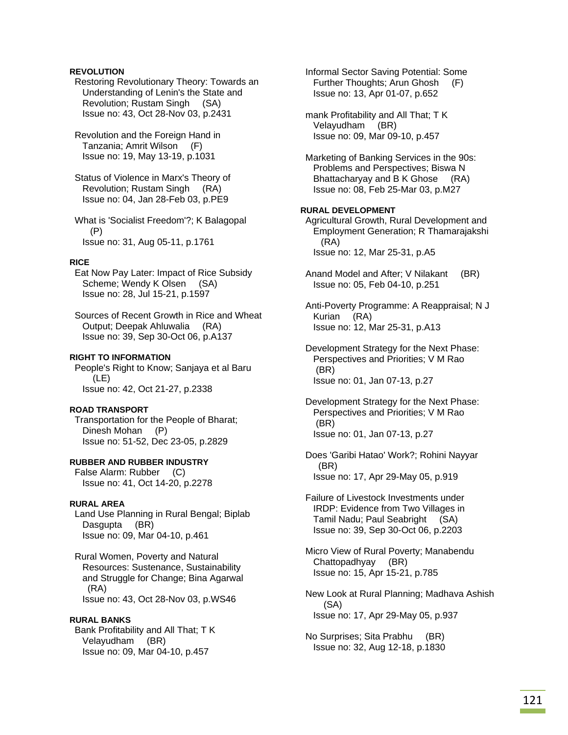## **REVOLUTION**

 Restoring Revolutionary Theory: Towards an Understanding of Lenin's the State and Revolution; Rustam Singh (SA) Issue no: 43, Oct 28-Nov 03, p.2431

 Revolution and the Foreign Hand in Tanzania; Amrit Wilson (F) Issue no: 19, May 13-19, p.1031

 Status of Violence in Marx's Theory of Revolution; Rustam Singh (RA) Issue no: 04, Jan 28-Feb 03, p.PE9

 What is 'Socialist Freedom'?; K Balagopal (P) Issue no: 31, Aug 05-11, p.1761

## **RICE**

 Eat Now Pay Later: Impact of Rice Subsidy Scheme; Wendy K Olsen (SA) Issue no: 28, Jul 15-21, p.1597

 Sources of Recent Growth in Rice and Wheat Output; Deepak Ahluwalia (RA) Issue no: 39, Sep 30-Oct 06, p.A137

### **RIGHT TO INFORMATION**

 People's Right to Know; Sanjaya et al Baru (LE) Issue no: 42, Oct 21-27, p.2338

## **ROAD TRANSPORT**

 Transportation for the People of Bharat; Dinesh Mohan (P) Issue no: 51-52, Dec 23-05, p.2829

## **RUBBER AND RUBBER INDUSTRY**

 False Alarm: Rubber (C) Issue no: 41, Oct 14-20, p.2278

### **RURAL AREA**

 Land Use Planning in Rural Bengal; Biplab Dasgupta (BR) Issue no: 09, Mar 04-10, p.461

 Rural Women, Poverty and Natural Resources: Sustenance, Sustainability and Struggle for Change; Bina Agarwal (RA) Issue no: 43, Oct 28-Nov 03, p.WS46

### **RURAL BANKS**

 Bank Profitability and All That; T K Velayudham (BR) Issue no: 09, Mar 04-10, p.457

 Informal Sector Saving Potential: Some Further Thoughts; Arun Ghosh (F) Issue no: 13, Apr 01-07, p.652

 mank Profitability and All That; T K Velayudham (BR) Issue no: 09, Mar 09-10, p.457

 Marketing of Banking Services in the 90s: Problems and Perspectives; Biswa N Bhattacharyay and B K Ghose (RA) Issue no: 08, Feb 25-Mar 03, p.M27

### **RURAL DEVELOPMENT**

 Agricultural Growth, Rural Development and Employment Generation; R Thamarajakshi (RA) Issue no: 12, Mar 25-31, p.A5

 Anand Model and After; V Nilakant (BR) Issue no: 05, Feb 04-10, p.251

 Anti-Poverty Programme: A Reappraisal; N J Kurian (RA) Issue no: 12, Mar 25-31, p.A13

 Development Strategy for the Next Phase: Perspectives and Priorities; V M Rao (BR) Issue no: 01, Jan 07-13, p.27

 Development Strategy for the Next Phase: Perspectives and Priorities; V M Rao (BR) Issue no: 01, Jan 07-13, p.27

 Does 'Garibi Hatao' Work?; Rohini Nayyar (BR) Issue no: 17, Apr 29-May 05, p.919

 Failure of Livestock Investments under IRDP: Evidence from Two Villages in Tamil Nadu; Paul Seabright (SA) Issue no: 39, Sep 30-Oct 06, p.2203

 Micro View of Rural Poverty; Manabendu Chattopadhyay (BR) Issue no: 15, Apr 15-21, p.785

 New Look at Rural Planning; Madhava Ashish (SA) Issue no: 17, Apr 29-May 05, p.937

 No Surprises; Sita Prabhu (BR) Issue no: 32, Aug 12-18, p.1830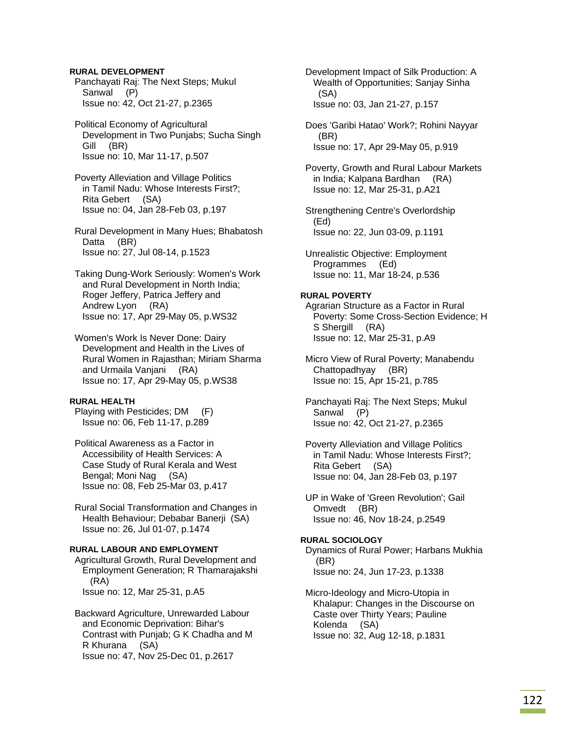## **RURAL DEVELOPMENT**

 Panchayati Raj: The Next Steps; Mukul Sanwal (P) Issue no: 42, Oct 21-27, p.2365

 Political Economy of Agricultural Development in Two Punjabs; Sucha Singh Gill (BR) Issue no: 10, Mar 11-17, p.507

 Poverty Alleviation and Village Politics in Tamil Nadu: Whose Interests First?; Rita Gebert (SA) Issue no: 04, Jan 28-Feb 03, p.197

 Rural Development in Many Hues; Bhabatosh Datta (BR) Issue no: 27, Jul 08-14, p.1523

 Taking Dung-Work Seriously: Women's Work and Rural Development in North India; Roger Jeffery, Patrica Jeffery and Andrew Lyon (RA) Issue no: 17, Apr 29-May 05, p.WS32

 Women's Work Is Never Done: Dairy Development and Health in the Lives of Rural Women in Rajasthan; Miriam Sharma and Urmaila Vanjani (RA) Issue no: 17, Apr 29-May 05, p.WS38

### **RURAL HEALTH**

 Playing with Pesticides; DM (F) Issue no: 06, Feb 11-17, p.289

 Political Awareness as a Factor in Accessibility of Health Services: A Case Study of Rural Kerala and West Bengal; Moni Nag (SA) Issue no: 08, Feb 25-Mar 03, p.417

 Rural Social Transformation and Changes in Health Behaviour; Debabar Banerji (SA) Issue no: 26, Jul 01-07, p.1474

## **RURAL LABOUR AND EMPLOYMENT**

 Agricultural Growth, Rural Development and Employment Generation; R Thamarajakshi (RA) Issue no: 12, Mar 25-31, p.A5

 Backward Agriculture, Unrewarded Labour and Economic Deprivation: Bihar's Contrast with Punjab; G K Chadha and M R Khurana (SA) Issue no: 47, Nov 25-Dec 01, p.2617

 Development Impact of Silk Production: A Wealth of Opportunities; Sanjay Sinha (SA) Issue no: 03, Jan 21-27, p.157

 Does 'Garibi Hatao' Work?; Rohini Nayyar (BR) Issue no: 17, Apr 29-May 05, p.919

 Poverty, Growth and Rural Labour Markets in India; Kalpana Bardhan (RA) Issue no: 12, Mar 25-31, p.A21

 Strengthening Centre's Overlordship (Ed) Issue no: 22, Jun 03-09, p.1191

 Unrealistic Objective: Employment Programmes (Ed) Issue no: 11, Mar 18-24, p.536

## **RURAL POVERTY**

 Agrarian Structure as a Factor in Rural Poverty: Some Cross-Section Evidence; H S Shergill (RA) Issue no: 12, Mar 25-31, p.A9

 Micro View of Rural Poverty; Manabendu Chattopadhyay (BR) Issue no: 15, Apr 15-21, p.785

 Panchayati Raj: The Next Steps; Mukul Sanwal (P) Issue no: 42, Oct 21-27, p.2365

 Poverty Alleviation and Village Politics in Tamil Nadu: Whose Interests First?; Rita Gebert (SA) Issue no: 04, Jan 28-Feb 03, p.197

 UP in Wake of 'Green Revolution'; Gail Omvedt (BR) Issue no: 46, Nov 18-24, p.2549

# **RURAL SOCIOLOGY**  Dynamics of Rural Power; Harbans Mukhia (BR) Issue no: 24, Jun 17-23, p.1338

 Micro-Ideology and Micro-Utopia in Khalapur: Changes in the Discourse on Caste over Thirty Years; Pauline Kolenda (SA) Issue no: 32, Aug 12-18, p.1831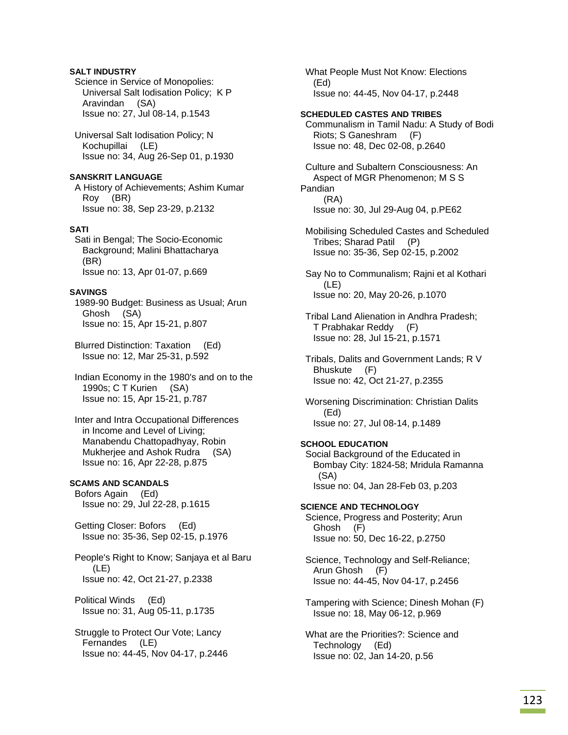## **SALT INDUSTRY**

 Science in Service of Monopolies: Universal Salt Iodisation Policy; K P Aravindan (SA) Issue no: 27, Jul 08-14, p.1543

 Universal Salt Iodisation Policy; N Kochupillai (LE) Issue no: 34, Aug 26-Sep 01, p.1930

## **SANSKRIT LANGUAGE**

 A History of Achievements; Ashim Kumar Roy (BR) Issue no: 38, Sep 23-29, p.2132

## **SATI**

 Sati in Bengal; The Socio-Economic Background; Malini Bhattacharya (BR) Issue no: 13, Apr 01-07, p.669

## **SAVINGS**

 1989-90 Budget: Business as Usual; Arun Ghosh (SA) Issue no: 15, Apr 15-21, p.807

 Blurred Distinction: Taxation (Ed) Issue no: 12, Mar 25-31, p.592

 Indian Economy in the 1980's and on to the 1990s; C T Kurien (SA) Issue no: 15, Apr 15-21, p.787

 Inter and Intra Occupational Differences in Income and Level of Living; Manabendu Chattopadhyay, Robin Mukherjee and Ashok Rudra (SA) Issue no: 16, Apr 22-28, p.875

### **SCAMS AND SCANDALS**

 Bofors Again (Ed) Issue no: 29, Jul 22-28, p.1615

 Getting Closer: Bofors (Ed) Issue no: 35-36, Sep 02-15, p.1976

 People's Right to Know; Sanjaya et al Baru (LE) Issue no: 42, Oct 21-27, p.2338

 Political Winds (Ed) Issue no: 31, Aug 05-11, p.1735

 Struggle to Protect Our Vote; Lancy Fernandes (LE) Issue no: 44-45, Nov 04-17, p.2446  What People Must Not Know: Elections (Ed) Issue no: 44-45, Nov 04-17, p.2448

## **SCHEDULED CASTES AND TRIBES**

 Communalism in Tamil Nadu: A Study of Bodi Riots; S Ganeshram (F) Issue no: 48, Dec 02-08, p.2640

 Culture and Subaltern Consciousness: An Aspect of MGR Phenomenon; M S S Pandian (RA) Issue no: 30, Jul 29-Aug 04, p.PE62

 Mobilising Scheduled Castes and Scheduled Tribes; Sharad Patil (P) Issue no: 35-36, Sep 02-15, p.2002

 Say No to Communalism; Rajni et al Kothari (LE) Issue no: 20, May 20-26, p.1070

 Tribal Land Alienation in Andhra Pradesh; T Prabhakar Reddy (F) Issue no: 28, Jul 15-21, p.1571

 Tribals, Dalits and Government Lands; R V Bhuskute (F) Issue no: 42, Oct 21-27, p.2355

 Worsening Discrimination: Christian Dalits (Ed) Issue no: 27, Jul 08-14, p.1489

# **SCHOOL EDUCATION**

 Social Background of the Educated in Bombay City: 1824-58; Mridula Ramanna (SA) Issue no: 04, Jan 28-Feb 03, p.203

**SCIENCE AND TECHNOLOGY**  Science, Progress and Posterity; Arun Ghosh (F) Issue no: 50, Dec 16-22, p.2750

 Science, Technology and Self-Reliance; Arun Ghosh (F) Issue no: 44-45, Nov 04-17, p.2456

 Tampering with Science; Dinesh Mohan (F) Issue no: 18, May 06-12, p.969

 What are the Priorities?: Science and Technology (Ed) Issue no: 02, Jan 14-20, p.56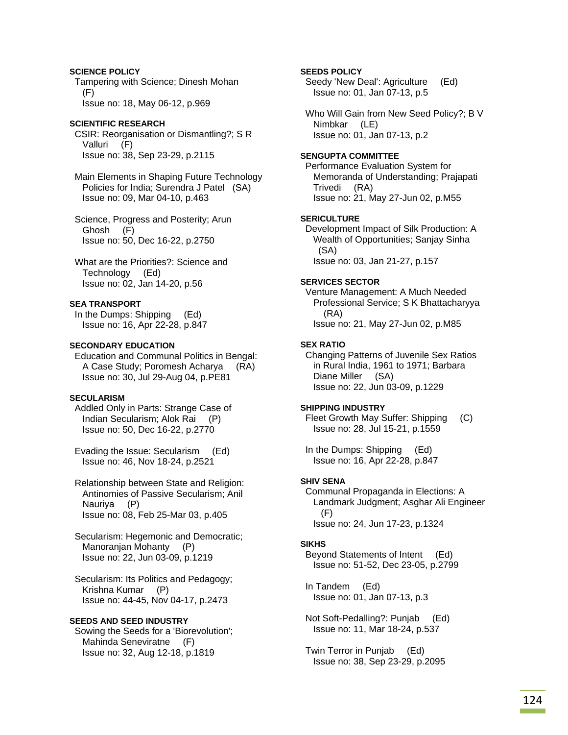# **SCIENCE POLICY**

 Tampering with Science; Dinesh Mohan (F) Issue no: 18, May 06-12, p.969

## **SCIENTIFIC RESEARCH**

 CSIR: Reorganisation or Dismantling?; S R Valluri (F) Issue no: 38, Sep 23-29, p.2115

 Main Elements in Shaping Future Technology Policies for India; Surendra J Patel (SA) Issue no: 09, Mar 04-10, p.463

 Science, Progress and Posterity; Arun Ghosh (F) Issue no: 50, Dec 16-22, p.2750

 What are the Priorities?: Science and Technology (Ed) Issue no: 02, Jan 14-20, p.56

### **SEA TRANSPORT**

 In the Dumps: Shipping (Ed) Issue no: 16, Apr 22-28, p.847

### **SECONDARY EDUCATION**

 Education and Communal Politics in Bengal: A Case Study; Poromesh Acharya (RA) Issue no: 30, Jul 29-Aug 04, p.PE81

## **SECULARISM**

 Addled Only in Parts: Strange Case of Indian Secularism; Alok Rai (P) Issue no: 50, Dec 16-22, p.2770

 Evading the Issue: Secularism (Ed) Issue no: 46, Nov 18-24, p.2521

 Relationship between State and Religion: Antinomies of Passive Secularism; Anil Nauriya (P) Issue no: 08, Feb 25-Mar 03, p.405

 Secularism: Hegemonic and Democratic; Manoranjan Mohanty (P) Issue no: 22, Jun 03-09, p.1219

 Secularism: Its Politics and Pedagogy; Krishna Kumar (P) Issue no: 44-45, Nov 04-17, p.2473

### **SEEDS AND SEED INDUSTRY**

 Sowing the Seeds for a 'Biorevolution'; Mahinda Seneviratne (F) Issue no: 32, Aug 12-18, p.1819

## **SEEDS POLICY**

 Seedy 'New Deal': Agriculture (Ed) Issue no: 01, Jan 07-13, p.5

 Who Will Gain from New Seed Policy?; B V Nimbkar (LE) Issue no: 01, Jan 07-13, p.2

#### **SENGUPTA COMMITTEE**

 Performance Evaluation System for Memoranda of Understanding; Prajapati Trivedi (RA) Issue no: 21, May 27-Jun 02, p.M55

## **SERICULTURE**

 Development Impact of Silk Production: A Wealth of Opportunities; Sanjay Sinha (SA) Issue no: 03, Jan 21-27, p.157

### **SERVICES SECTOR**

 Venture Management: A Much Needed Professional Service; S K Bhattacharyya (RA) Issue no: 21, May 27-Jun 02, p.M85

### **SEX RATIO**

 Changing Patterns of Juvenile Sex Ratios in Rural India, 1961 to 1971; Barbara Diane Miller (SA) Issue no: 22, Jun 03-09, p.1229

### **SHIPPING INDUSTRY**

 Fleet Growth May Suffer: Shipping (C) Issue no: 28, Jul 15-21, p.1559

 In the Dumps: Shipping (Ed) Issue no: 16, Apr 22-28, p.847

### **SHIV SENA**

 Communal Propaganda in Elections: A Landmark Judgment; Asghar Ali Engineer (F) Issue no: 24, Jun 17-23, p.1324

### **SIKHS**

 Beyond Statements of Intent (Ed) Issue no: 51-52, Dec 23-05, p.2799

 In Tandem (Ed) Issue no: 01, Jan 07-13, p.3

 Not Soft-Pedalling?: Punjab (Ed) Issue no: 11, Mar 18-24, p.537

 Twin Terror in Punjab (Ed) Issue no: 38, Sep 23-29, p.2095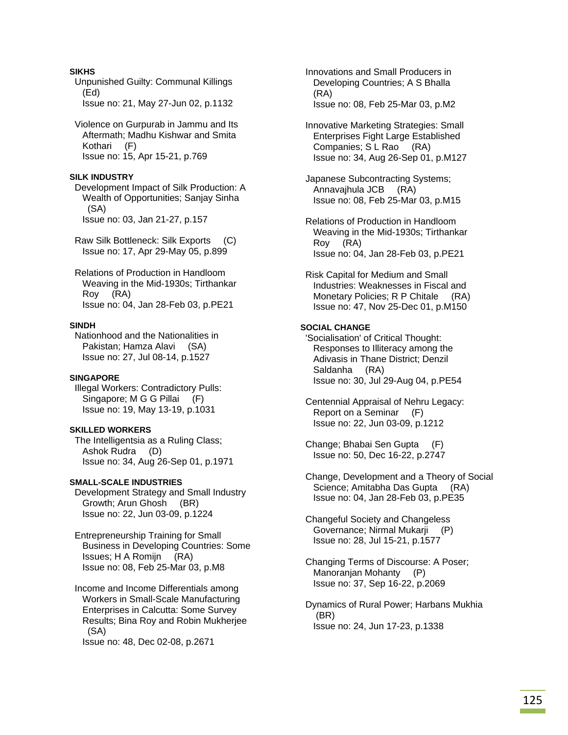# **SIKHS**

 Unpunished Guilty: Communal Killings (Ed) Issue no: 21, May 27-Jun 02, p.1132

 Violence on Gurpurab in Jammu and Its Aftermath; Madhu Kishwar and Smita Kothari (F) Issue no: 15, Apr 15-21, p.769

# **SILK INDUSTRY**

 Development Impact of Silk Production: A Wealth of Opportunities; Sanjay Sinha (SA) Issue no: 03, Jan 21-27, p.157

 Raw Silk Bottleneck: Silk Exports (C) Issue no: 17, Apr 29-May 05, p.899

 Relations of Production in Handloom Weaving in the Mid-1930s; Tirthankar Roy (RA) Issue no: 04, Jan 28-Feb 03, p.PE21

## **SINDH**

 Nationhood and the Nationalities in Pakistan; Hamza Alavi (SA) Issue no: 27, Jul 08-14, p.1527

## **SINGAPORE**

 Illegal Workers: Contradictory Pulls: Singapore; M G G Pillai (F) Issue no: 19, May 13-19, p.1031

# **SKILLED WORKERS**

 The Intelligentsia as a Ruling Class; Ashok Rudra (D) Issue no: 34, Aug 26-Sep 01, p.1971

## **SMALL-SCALE INDUSTRIES**

 Development Strategy and Small Industry Growth; Arun Ghosh (BR) Issue no: 22, Jun 03-09, p.1224

 Entrepreneurship Training for Small Business in Developing Countries: Some Issues; H A Romijn (RA) Issue no: 08, Feb 25-Mar 03, p.M8

 Income and Income Differentials among Workers in Small-Scale Manufacturing Enterprises in Calcutta: Some Survey Results; Bina Roy and Robin Mukherjee (SA)

Issue no: 48, Dec 02-08, p.2671

 Innovations and Small Producers in Developing Countries; A S Bhalla (RA) Issue no: 08, Feb 25-Mar 03, p.M2

 Innovative Marketing Strategies: Small Enterprises Fight Large Established Companies; S L Rao (RA) Issue no: 34, Aug 26-Sep 01, p.M127

 Japanese Subcontracting Systems; Annavajhula JCB (RA) Issue no: 08, Feb 25-Mar 03, p.M15

 Relations of Production in Handloom Weaving in the Mid-1930s; Tirthankar Roy (RA) Issue no: 04, Jan 28-Feb 03, p.PE21

 Risk Capital for Medium and Small Industries: Weaknesses in Fiscal and Monetary Policies; R P Chitale (RA) Issue no: 47, Nov 25-Dec 01, p.M150

## **SOCIAL CHANGE**

 'Socialisation' of Critical Thought: Responses to Illiteracy among the Adivasis in Thane District; Denzil Saldanha (RA) Issue no: 30, Jul 29-Aug 04, p.PE54

- Centennial Appraisal of Nehru Legacy: Report on a Seminar (F) Issue no: 22, Jun 03-09, p.1212
- Change; Bhabai Sen Gupta (F) Issue no: 50, Dec 16-22, p.2747
- Change, Development and a Theory of Social Science; Amitabha Das Gupta (RA) Issue no: 04, Jan 28-Feb 03, p.PE35

 Changeful Society and Changeless Governance; Nirmal Mukarji (P) Issue no: 28, Jul 15-21, p.1577

 Changing Terms of Discourse: A Poser; Manoranjan Mohanty (P) Issue no: 37, Sep 16-22, p.2069

 Dynamics of Rural Power; Harbans Mukhia (BR) Issue no: 24, Jun 17-23, p.1338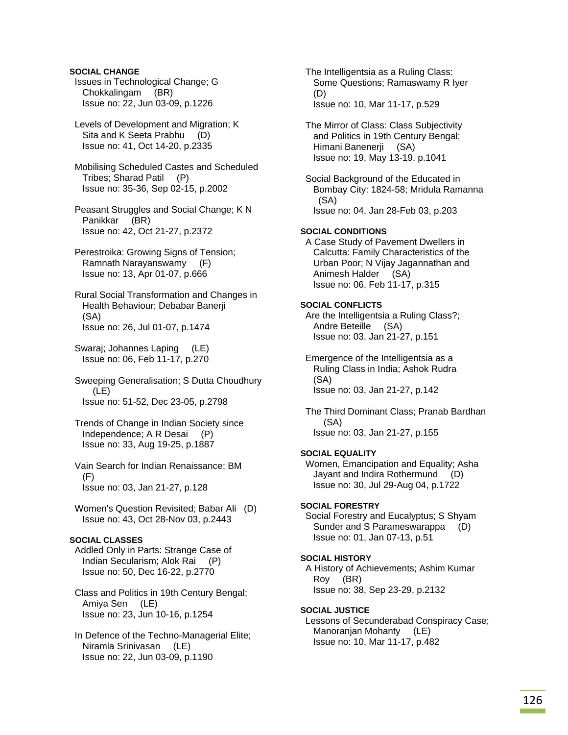## **SOCIAL CHANGE**

 Issues in Technological Change; G Chokkalingam (BR) Issue no: 22, Jun 03-09, p.1226

 Levels of Development and Migration; K Sita and K Seeta Prabhu (D) Issue no: 41, Oct 14-20, p.2335

 Mobilising Scheduled Castes and Scheduled Tribes; Sharad Patil (P) Issue no: 35-36, Sep 02-15, p.2002

 Peasant Struggles and Social Change; K N Panikkar (BR) Issue no: 42, Oct 21-27, p.2372

 Perestroika: Growing Signs of Tension; Ramnath Narayanswamy (F) Issue no: 13, Apr 01-07, p.666

 Rural Social Transformation and Changes in Health Behaviour; Debabar Banerji (SA) Issue no: 26, Jul 01-07, p.1474

 Swaraj; Johannes Laping (LE) Issue no: 06, Feb 11-17, p.270

 Sweeping Generalisation; S Dutta Choudhury (LE) Issue no: 51-52, Dec 23-05, p.2798

 Trends of Change in Indian Society since Independence; A R Desai (P) Issue no: 33, Aug 19-25, p.1887

 Vain Search for Indian Renaissance; BM  $(F)$ Issue no: 03, Jan 21-27, p.128

 Women's Question Revisited; Babar Ali (D) Issue no: 43, Oct 28-Nov 03, p.2443

## **SOCIAL CLASSES**

 Addled Only in Parts: Strange Case of Indian Secularism; Alok Rai (P) Issue no: 50, Dec 16-22, p.2770

 Class and Politics in 19th Century Bengal; Amiya Sen (LE) Issue no: 23, Jun 10-16, p.1254

 In Defence of the Techno-Managerial Elite; Niramla Srinivasan (LE) Issue no: 22, Jun 03-09, p.1190

 The Intelligentsia as a Ruling Class: Some Questions; Ramaswamy R Iyer (D) Issue no: 10, Mar 11-17, p.529

 The Mirror of Class: Class Subjectivity and Politics in 19th Century Bengal; Himani Banenerji (SA) Issue no: 19, May 13-19, p.1041

 Social Background of the Educated in Bombay City: 1824-58; Mridula Ramanna (SA) Issue no: 04, Jan 28-Feb 03, p.203

## **SOCIAL CONDITIONS**

 A Case Study of Pavement Dwellers in Calcutta: Family Characteristics of the Urban Poor; N Vijay Jagannathan and Animesh Halder (SA) Issue no: 06, Feb 11-17, p.315

## **SOCIAL CONFLICTS**

 Are the Intelligentsia a Ruling Class?; Andre Beteille (SA) Issue no: 03, Jan 21-27, p.151

 Emergence of the Intelligentsia as a Ruling Class in India; Ashok Rudra (SA) Issue no: 03, Jan 21-27, p.142

 The Third Dominant Class; Pranab Bardhan (SA) Issue no: 03, Jan 21-27, p.155

## **SOCIAL EQUALITY**

 Women, Emancipation and Equality; Asha Jayant and Indira Rothermund (D) Issue no: 30, Jul 29-Aug 04, p.1722

### **SOCIAL FORESTRY**

 Social Forestry and Eucalyptus; S Shyam Sunder and S Parameswarappa (D) Issue no: 01, Jan 07-13, p.51

## **SOCIAL HISTORY**

 A History of Achievements; Ashim Kumar Roy (BR) Issue no: 38, Sep 23-29, p.2132

## **SOCIAL JUSTICE**

 Lessons of Secunderabad Conspiracy Case; Manoranjan Mohanty (LE) Issue no: 10, Mar 11-17, p.482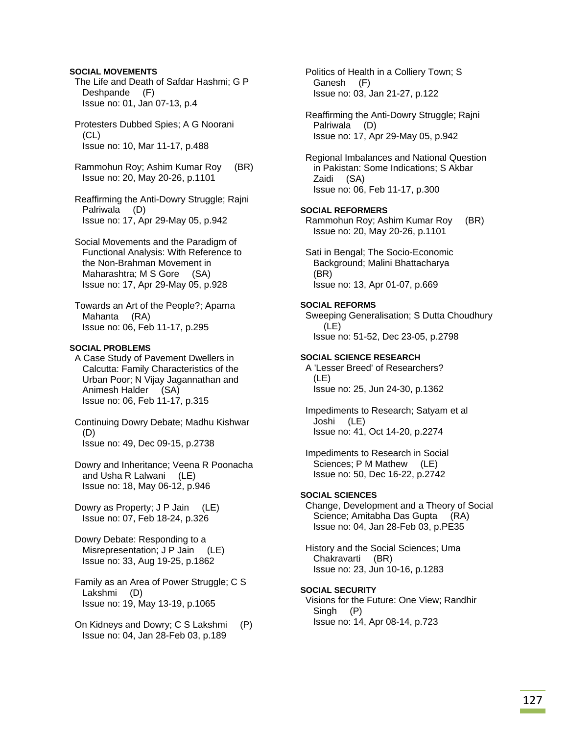### **SOCIAL MOVEMENTS**

 The Life and Death of Safdar Hashmi; G P Deshpande (F) Issue no: 01, Jan 07-13, p.4

 Protesters Dubbed Spies; A G Noorani (CL) Issue no: 10, Mar 11-17, p.488

 Rammohun Roy; Ashim Kumar Roy (BR) Issue no: 20, May 20-26, p.1101

 Reaffirming the Anti-Dowry Struggle; Rajni Palriwala (D) Issue no: 17, Apr 29-May 05, p.942

 Social Movements and the Paradigm of Functional Analysis: With Reference to the Non-Brahman Movement in Maharashtra; M S Gore (SA) Issue no: 17, Apr 29-May 05, p.928

 Towards an Art of the People?; Aparna Mahanta (RA) Issue no: 06, Feb 11-17, p.295

## **SOCIAL PROBLEMS**

 A Case Study of Pavement Dwellers in Calcutta: Family Characteristics of the Urban Poor; N Vijay Jagannathan and Animesh Halder (SA) Issue no: 06, Feb 11-17, p.315

 Continuing Dowry Debate; Madhu Kishwar (D) Issue no: 49, Dec 09-15, p.2738

 Dowry and Inheritance; Veena R Poonacha and Usha R Lalwani (LE) Issue no: 18, May 06-12, p.946

 Dowry as Property; J P Jain (LE) Issue no: 07, Feb 18-24, p.326

 Dowry Debate: Responding to a Misrepresentation; J P Jain (LE) Issue no: 33, Aug 19-25, p.1862

- Family as an Area of Power Struggle; C S Lakshmi (D) Issue no: 19, May 13-19, p.1065
- On Kidneys and Dowry; C S Lakshmi (P) Issue no: 04, Jan 28-Feb 03, p.189

 Politics of Health in a Colliery Town; S Ganesh (F) Issue no: 03, Jan 21-27, p.122

 Reaffirming the Anti-Dowry Struggle; Rajni Palriwala (D) Issue no: 17, Apr 29-May 05, p.942

 Regional Imbalances and National Question in Pakistan: Some Indications; S Akbar Zaidi (SA) Issue no: 06, Feb 11-17, p.300

### **SOCIAL REFORMERS**

 Rammohun Roy; Ashim Kumar Roy (BR) Issue no: 20, May 20-26, p.1101

 Sati in Bengal; The Socio-Economic Background; Malini Bhattacharya (BR) Issue no: 13, Apr 01-07, p.669

#### **SOCIAL REFORMS**

 Sweeping Generalisation; S Dutta Choudhury (LE) Issue no: 51-52, Dec 23-05, p.2798

### **SOCIAL SCIENCE RESEARCH**

 A 'Lesser Breed' of Researchers? (LE) Issue no: 25, Jun 24-30, p.1362

 Impediments to Research; Satyam et al Joshi (LE) Issue no: 41, Oct 14-20, p.2274

 Impediments to Research in Social Sciences; P M Mathew (LE) Issue no: 50, Dec 16-22, p.2742

### **SOCIAL SCIENCES**

 Change, Development and a Theory of Social Science; Amitabha Das Gupta (RA) Issue no: 04, Jan 28-Feb 03, p.PE35

 History and the Social Sciences; Uma Chakravarti (BR) Issue no: 23, Jun 10-16, p.1283

## **SOCIAL SECURITY**

 Visions for the Future: One View; Randhir Singh (P) Issue no: 14, Apr 08-14, p.723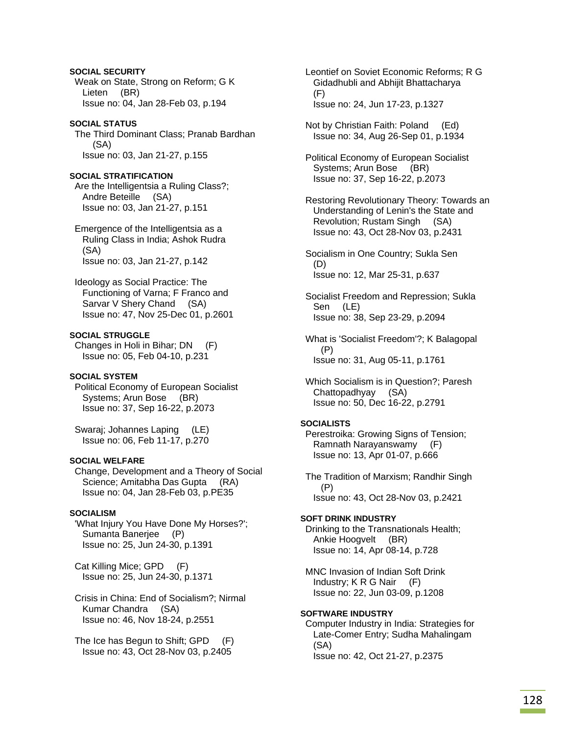## **SOCIAL SECURITY**

 Weak on State, Strong on Reform; G K Lieten (BR) Issue no: 04, Jan 28-Feb 03, p.194

# **SOCIAL STATUS**

 The Third Dominant Class; Pranab Bardhan (SA) Issue no: 03, Jan 21-27, p.155

# **SOCIAL STRATIFICATION**

 Are the Intelligentsia a Ruling Class?; Andre Beteille (SA) Issue no: 03, Jan 21-27, p.151

 Emergence of the Intelligentsia as a Ruling Class in India; Ashok Rudra (SA) Issue no: 03, Jan 21-27, p.142

 Ideology as Social Practice: The Functioning of Varna; F Franco and Sarvar V Shery Chand (SA) Issue no: 47, Nov 25-Dec 01, p.2601

# **SOCIAL STRUGGLE**

 Changes in Holi in Bihar; DN (F) Issue no: 05, Feb 04-10, p.231

## **SOCIAL SYSTEM**

 Political Economy of European Socialist Systems; Arun Bose (BR) Issue no: 37, Sep 16-22, p.2073

 Swaraj; Johannes Laping (LE) Issue no: 06, Feb 11-17, p.270

## **SOCIAL WELFARE**

 Change, Development and a Theory of Social Science; Amitabha Das Gupta (RA) Issue no: 04, Jan 28-Feb 03, p.PE35

## **SOCIALISM**

 'What Injury You Have Done My Horses?'; Sumanta Banerjee (P) Issue no: 25, Jun 24-30, p.1391

 Cat Killing Mice; GPD (F) Issue no: 25, Jun 24-30, p.1371

 Crisis in China: End of Socialism?; Nirmal Kumar Chandra (SA) Issue no: 46, Nov 18-24, p.2551

 The Ice has Begun to Shift; GPD (F) Issue no: 43, Oct 28-Nov 03, p.2405

 Leontief on Soviet Economic Reforms; R G Gidadhubli and Abhijit Bhattacharya (F) Issue no: 24, Jun 17-23, p.1327

 Not by Christian Faith: Poland (Ed) Issue no: 34, Aug 26-Sep 01, p.1934

 Political Economy of European Socialist Systems; Arun Bose (BR) Issue no: 37, Sep 16-22, p.2073

 Restoring Revolutionary Theory: Towards an Understanding of Lenin's the State and Revolution; Rustam Singh (SA) Issue no: 43, Oct 28-Nov 03, p.2431

 Socialism in One Country; Sukla Sen (D) Issue no: 12, Mar 25-31, p.637

 Socialist Freedom and Repression; Sukla Sen (LE) Issue no: 38, Sep 23-29, p.2094

 What is 'Socialist Freedom'?; K Balagopal (P) Issue no: 31, Aug 05-11, p.1761

 Which Socialism is in Question?; Paresh Chattopadhyay (SA) Issue no: 50, Dec 16-22, p.2791

## **SOCIALISTS**

 Perestroika: Growing Signs of Tension; Ramnath Narayanswamy (F) Issue no: 13, Apr 01-07, p.666

 The Tradition of Marxism; Randhir Singh (P) Issue no: 43, Oct 28-Nov 03, p.2421

# **SOFT DRINK INDUSTRY**

 Drinking to the Transnationals Health; Ankie Hoogvelt (BR) Issue no: 14, Apr 08-14, p.728

 MNC Invasion of Indian Soft Drink Industry; K R G Nair (F) Issue no: 22, Jun 03-09, p.1208

# **SOFTWARE INDUSTRY**

 Computer Industry in India: Strategies for Late-Comer Entry; Sudha Mahalingam (SA) Issue no: 42, Oct 21-27, p.2375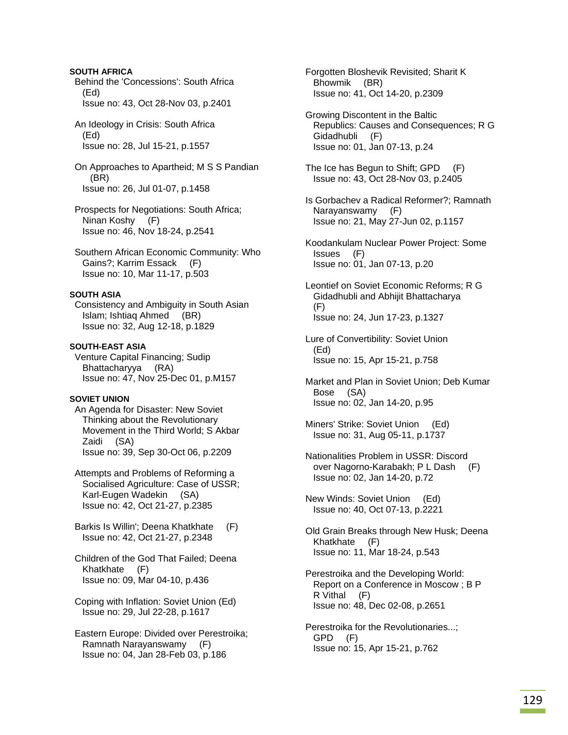## **SOUTH AFRICA**

 Behind the 'Concessions': South Africa (Ed) Issue no: 43, Oct 28-Nov 03, p.2401

 An Ideology in Crisis: South Africa (Ed) Issue no: 28, Jul 15-21, p.1557

 On Approaches to Apartheid; M S S Pandian (BR) Issue no: 26, Jul 01-07, p.1458

 Prospects for Negotiations: South Africa; Ninan Koshy (F) Issue no: 46, Nov 18-24, p.2541

 Southern African Economic Community: Who Gains?; Karrim Essack (F) Issue no: 10, Mar 11-17, p.503

### **SOUTH ASIA**

 Consistency and Ambiguity in South Asian Islam; Ishtiaq Ahmed (BR) Issue no: 32, Aug 12-18, p.1829

## **SOUTH-EAST ASIA**

 Venture Capital Financing; Sudip Bhattacharyya (RA) Issue no: 47, Nov 25-Dec 01, p.M157

#### **SOVIET UNION**

 An Agenda for Disaster: New Soviet Thinking about the Revolutionary Movement in the Third World; S Akbar Zaidi (SA) Issue no: 39, Sep 30-Oct 06, p.2209

 Attempts and Problems of Reforming a Socialised Agriculture: Case of USSR; Karl-Eugen Wadekin (SA) Issue no: 42, Oct 21-27, p.2385

 Barkis Is Willin'; Deena Khatkhate (F) Issue no: 42, Oct 21-27, p.2348

 Children of the God That Failed; Deena Khatkhate (F) Issue no: 09, Mar 04-10, p.436

 Coping with Inflation: Soviet Union (Ed) Issue no: 29, Jul 22-28, p.1617

 Eastern Europe: Divided over Perestroika; Ramnath Narayanswamy (F) Issue no: 04, Jan 28-Feb 03, p.186

 Forgotten Bloshevik Revisited; Sharit K Bhowmik (BR) Issue no: 41, Oct 14-20, p.2309

 Growing Discontent in the Baltic Republics: Causes and Consequences; R G Gidadhubli (F) Issue no: 01, Jan 07-13, p.24

 The Ice has Begun to Shift; GPD (F) Issue no: 43, Oct 28-Nov 03, p.2405

- Is Gorbachev a Radical Reformer?; Ramnath Narayanswamy (F) Issue no: 21, May 27-Jun 02, p.1157
- Koodankulam Nuclear Power Project: Some Issues (F) Issue no: 01, Jan 07-13, p.20

 Leontief on Soviet Economic Reforms; R G Gidadhubli and Abhijit Bhattacharya (F) Issue no: 24, Jun 17-23, p.1327

- Lure of Convertibility: Soviet Union (Ed) Issue no: 15, Apr 15-21, p.758
- Market and Plan in Soviet Union; Deb Kumar Bose (SA) Issue no: 02, Jan 14-20, p.95
- Miners' Strike: Soviet Union (Ed) Issue no: 31, Aug 05-11, p.1737
- Nationalities Problem in USSR: Discord over Nagorno-Karabakh; P L Dash (F) Issue no: 02, Jan 14-20, p.72

 New Winds: Soviet Union (Ed) Issue no: 40, Oct 07-13, p.2221

- Old Grain Breaks through New Husk; Deena Khatkhate (F) Issue no: 11, Mar 18-24, p.543
- Perestroika and the Developing World: Report on a Conference in Moscow ; B P R Vithal (F) Issue no: 48, Dec 02-08, p.2651

 Perestroika for the Revolutionaries...; GPD (F) Issue no: 15, Apr 15-21, p.762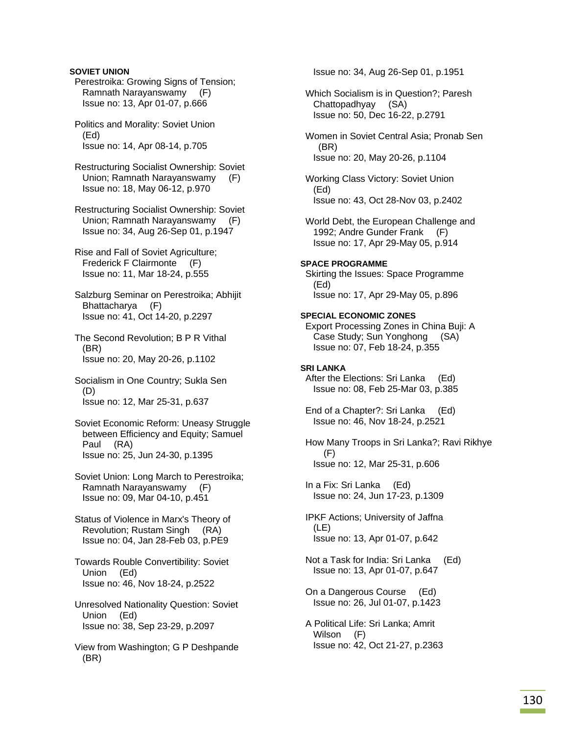## **SOVIET UNION**

 Perestroika: Growing Signs of Tension; Ramnath Narayanswamy (F) Issue no: 13, Apr 01-07, p.666

 Politics and Morality: Soviet Union (Ed) Issue no: 14, Apr 08-14, p.705

 Restructuring Socialist Ownership: Soviet Union; Ramnath Narayanswamy (F) Issue no: 18, May 06-12, p.970

 Restructuring Socialist Ownership: Soviet Union; Ramnath Narayanswamy (F) Issue no: 34, Aug 26-Sep 01, p.1947

 Rise and Fall of Soviet Agriculture; Frederick F Clairmonte (F) Issue no: 11, Mar 18-24, p.555

 Salzburg Seminar on Perestroika; Abhijit Bhattacharya (F) Issue no: 41, Oct 14-20, p.2297

 The Second Revolution; B P R Vithal (BR) Issue no: 20, May 20-26, p.1102

 Socialism in One Country; Sukla Sen (D) Issue no: 12, Mar 25-31, p.637

 Soviet Economic Reform: Uneasy Struggle between Efficiency and Equity; Samuel Paul (RA) Issue no: 25, Jun 24-30, p.1395

 Soviet Union: Long March to Perestroika; Ramnath Narayanswamy (F) Issue no: 09, Mar 04-10, p.451

 Status of Violence in Marx's Theory of Revolution; Rustam Singh (RA) Issue no: 04, Jan 28-Feb 03, p.PE9

 Towards Rouble Convertibility: Soviet Union (Ed) Issue no: 46, Nov 18-24, p.2522

 Unresolved Nationality Question: Soviet Union (Ed) Issue no: 38, Sep 23-29, p.2097

 View from Washington; G P Deshpande (BR)

Issue no: 34, Aug 26-Sep 01, p.1951

 Which Socialism is in Question?; Paresh Chattopadhyay (SA) Issue no: 50, Dec 16-22, p.2791

 Women in Soviet Central Asia; Pronab Sen (BR) Issue no: 20, May 20-26, p.1104

 Working Class Victory: Soviet Union (Ed) Issue no: 43, Oct 28-Nov 03, p.2402

 World Debt, the European Challenge and 1992; Andre Gunder Frank (F) Issue no: 17, Apr 29-May 05, p.914

### **SPACE PROGRAMME**

 Skirting the Issues: Space Programme (Ed) Issue no: 17, Apr 29-May 05, p.896

### **SPECIAL ECONOMIC ZONES**

 Export Processing Zones in China Buji: A Case Study; Sun Yonghong (SA) Issue no: 07, Feb 18-24, p.355

### **SRI LANKA**

 After the Elections: Sri Lanka (Ed) Issue no: 08, Feb 25-Mar 03, p.385

 End of a Chapter?: Sri Lanka (Ed) Issue no: 46, Nov 18-24, p.2521

 How Many Troops in Sri Lanka?; Ravi Rikhye (F) Issue no: 12, Mar 25-31, p.606

 In a Fix: Sri Lanka (Ed) Issue no: 24, Jun 17-23, p.1309

 IPKF Actions; University of Jaffna (LE) Issue no: 13, Apr 01-07, p.642

 Not a Task for India: Sri Lanka (Ed) Issue no: 13, Apr 01-07, p.647

 On a Dangerous Course (Ed) Issue no: 26, Jul 01-07, p.1423

 A Political Life: Sri Lanka; Amrit Wilson (F) Issue no: 42, Oct 21-27, p.2363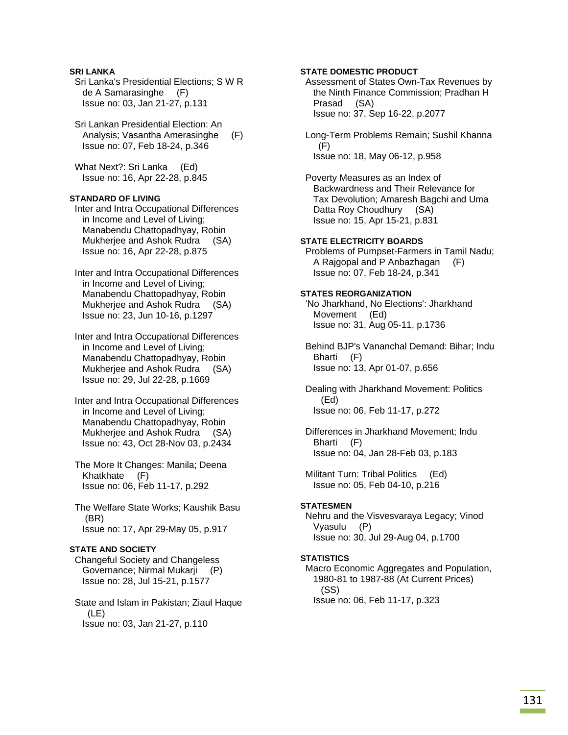## **SRI LANKA**

 Sri Lanka's Presidential Elections; S W R de A Samarasinghe (F) Issue no: 03, Jan 21-27, p.131

 Sri Lankan Presidential Election: An Analysis; Vasantha Amerasinghe (F) Issue no: 07, Feb 18-24, p.346

What Next?: Sri Lanka (Ed) Issue no: 16, Apr 22-28, p.845

## **STANDARD OF LIVING**

 Inter and Intra Occupational Differences in Income and Level of Living; Manabendu Chattopadhyay, Robin Mukherjee and Ashok Rudra (SA) Issue no: 16, Apr 22-28, p.875

 Inter and Intra Occupational Differences in Income and Level of Living; Manabendu Chattopadhyay, Robin Mukherjee and Ashok Rudra (SA) Issue no: 23, Jun 10-16, p.1297

 Inter and Intra Occupational Differences in Income and Level of Living; Manabendu Chattopadhyay, Robin Mukherjee and Ashok Rudra (SA) Issue no: 29, Jul 22-28, p.1669

 Inter and Intra Occupational Differences in Income and Level of Living; Manabendu Chattopadhyay, Robin Mukherjee and Ashok Rudra (SA) Issue no: 43, Oct 28-Nov 03, p.2434

 The More It Changes: Manila; Deena Khatkhate (F) Issue no: 06, Feb 11-17, p.292

 The Welfare State Works; Kaushik Basu (BR) Issue no: 17, Apr 29-May 05, p.917

## **STATE AND SOCIETY**

 Changeful Society and Changeless Governance; Nirmal Mukarji (P) Issue no: 28, Jul 15-21, p.1577

 State and Islam in Pakistan; Ziaul Haque (LE) Issue no: 03, Jan 21-27, p.110

### **STATE DOMESTIC PRODUCT**

 Assessment of States Own-Tax Revenues by the Ninth Finance Commission; Pradhan H Prasad (SA) Issue no: 37, Sep 16-22, p.2077

 Long-Term Problems Remain; Sushil Khanna (F) Issue no: 18, May 06-12, p.958

 Poverty Measures as an Index of Backwardness and Their Relevance for Tax Devolution; Amaresh Bagchi and Uma Datta Roy Choudhury (SA) Issue no: 15, Apr 15-21, p.831

### **STATE ELECTRICITY BOARDS**

 Problems of Pumpset-Farmers in Tamil Nadu; A Rajgopal and P Anbazhagan (F) Issue no: 07, Feb 18-24, p.341

### **STATES REORGANIZATION**

 'No Jharkhand, No Elections': Jharkhand Movement (Ed) Issue no: 31, Aug 05-11, p.1736

 Behind BJP's Vananchal Demand: Bihar; Indu Bharti (F) Issue no: 13, Apr 01-07, p.656

 Dealing with Jharkhand Movement: Politics (Ed) Issue no: 06, Feb 11-17, p.272

 Differences in Jharkhand Movement; Indu Bharti (F) Issue no: 04, Jan 28-Feb 03, p.183

 Militant Turn: Tribal Politics (Ed) Issue no: 05, Feb 04-10, p.216

## **STATESMEN**

 Nehru and the Visvesvaraya Legacy; Vinod Vyasulu (P) Issue no: 30, Jul 29-Aug 04, p.1700

## **STATISTICS**

 Macro Economic Aggregates and Population, 1980-81 to 1987-88 (At Current Prices) (SS) Issue no: 06, Feb 11-17, p.323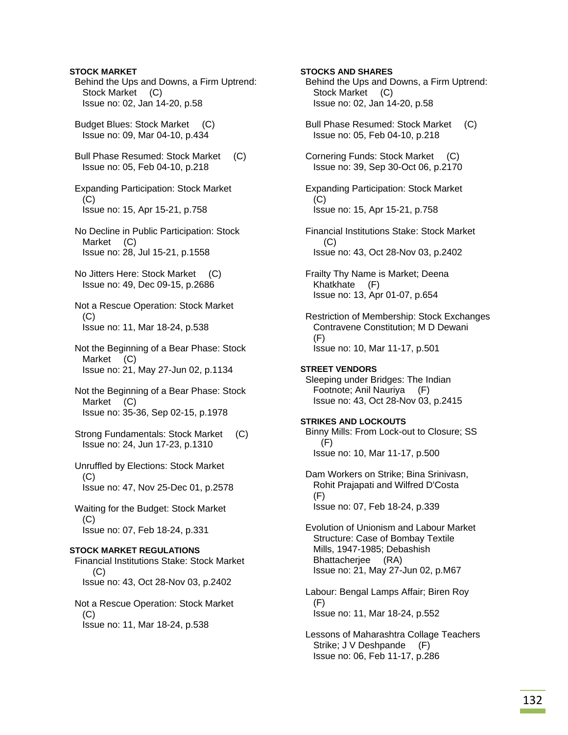Behind the Ups and Downs, a Firm Uptrend: Stock Market (C) Issue no: 02, Jan 14-20, p.58 Budget Blues: Stock Market (C) Issue no: 09, Mar 04-10, p.434 Bull Phase Resumed: Stock Market (C) Issue no: 05, Feb 04-10, p.218 Expanding Participation: Stock Market  $(C)$  Issue no: 15, Apr 15-21, p.758 No Decline in Public Participation: Stock Market (C) Issue no: 28, Jul 15-21, p.1558 No Jitters Here: Stock Market (C) Issue no: 49, Dec 09-15, p.2686 Not a Rescue Operation: Stock Market  $(C)$  Issue no: 11, Mar 18-24, p.538 Not the Beginning of a Bear Phase: Stock Market (C) Issue no: 21, May 27-Jun 02, p.1134 Not the Beginning of a Bear Phase: Stock Market (C) Issue no: 35-36, Sep 02-15, p.1978 Strong Fundamentals: Stock Market (C) Issue no: 24, Jun 17-23, p.1310 Unruffled by Elections: Stock Market  $(C)$  Issue no: 47, Nov 25-Dec 01, p.2578 Waiting for the Budget: Stock Market (C) Issue no: 07, Feb 18-24, p.331 **STOCK MARKET REGULATIONS**  Financial Institutions Stake: Stock Market (C) Issue no: 43, Oct 28-Nov 03, p.2402 Not a Rescue Operation: Stock Market  $(C)$ Issue no: 11, Mar 18-24, p.538

**STOCK MARKET** 

**STOCKS AND SHARES**  Behind the Ups and Downs, a Firm Uptrend: Stock Market (C) Issue no: 02, Jan 14-20, p.58 Bull Phase Resumed: Stock Market (C) Issue no: 05, Feb 04-10, p.218 Cornering Funds: Stock Market (C) Issue no: 39, Sep 30-Oct 06, p.2170 Expanding Participation: Stock Market (C) Issue no: 15, Apr 15-21, p.758 Financial Institutions Stake: Stock Market  $(C)$  Issue no: 43, Oct 28-Nov 03, p.2402 Frailty Thy Name is Market; Deena Khatkhate (F) Issue no: 13, Apr 01-07, p.654 Restriction of Membership: Stock Exchanges Contravene Constitution; M D Dewani (F) Issue no: 10, Mar 11-17, p.501 **STREET VENDORS**  Sleeping under Bridges: The Indian Footnote; Anil Nauriya (F) Issue no: 43, Oct 28-Nov 03, p.2415 **STRIKES AND LOCKOUTS**  Binny Mills: From Lock-out to Closure; SS  $(F)$  Issue no: 10, Mar 11-17, p.500 Dam Workers on Strike; Bina Srinivasn, Rohit Prajapati and Wilfred D'Costa (F) Issue no: 07, Feb 18-24, p.339 Evolution of Unionism and Labour Market Structure: Case of Bombay Textile Mills, 1947-1985; Debashish Bhattacherjee (RA) Issue no: 21, May 27-Jun 02, p.M67 Labour: Bengal Lamps Affair; Biren Roy (F) Issue no: 11, Mar 18-24, p.552 Lessons of Maharashtra Collage Teachers Strike; J V Deshpande (F) Issue no: 06, Feb 11-17, p.286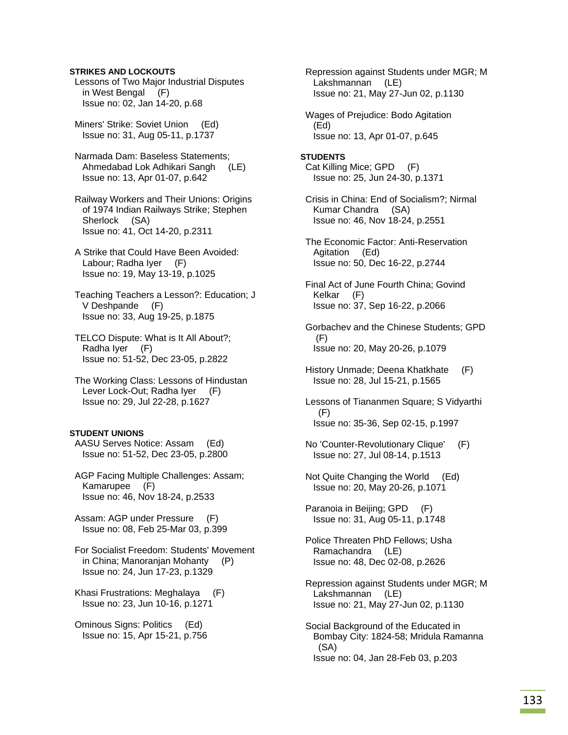### **STRIKES AND LOCKOUTS**

 Lessons of Two Major Industrial Disputes in West Bengal (F) Issue no: 02, Jan 14-20, p.68

 Miners' Strike: Soviet Union (Ed) Issue no: 31, Aug 05-11, p.1737

 Narmada Dam: Baseless Statements; Ahmedabad Lok Adhikari Sangh (LE) Issue no: 13, Apr 01-07, p.642

 Railway Workers and Their Unions: Origins of 1974 Indian Railways Strike; Stephen Sherlock (SA) Issue no: 41, Oct 14-20, p.2311

 A Strike that Could Have Been Avoided: Labour; Radha Iyer (F) Issue no: 19, May 13-19, p.1025

 Teaching Teachers a Lesson?: Education; J V Deshpande (F) Issue no: 33, Aug 19-25, p.1875

 TELCO Dispute: What is It All About?; Radha Iyer (F) Issue no: 51-52, Dec 23-05, p.2822

 The Working Class: Lessons of Hindustan Lever Lock-Out; Radha Iyer (F) Issue no: 29, Jul 22-28, p.1627

## **STUDENT UNIONS**

 AASU Serves Notice: Assam (Ed) Issue no: 51-52, Dec 23-05, p.2800

 AGP Facing Multiple Challenges: Assam; Kamarupee (F) Issue no: 46, Nov 18-24, p.2533

 Assam: AGP under Pressure (F) Issue no: 08, Feb 25-Mar 03, p.399

 For Socialist Freedom: Students' Movement in China; Manoranjan Mohanty (P) Issue no: 24, Jun 17-23, p.1329

 Khasi Frustrations: Meghalaya (F) Issue no: 23, Jun 10-16, p.1271

 Ominous Signs: Politics (Ed) Issue no: 15, Apr 15-21, p.756  Repression against Students under MGR; M Lakshmannan (LE) Issue no: 21, May 27-Jun 02, p.1130

 Wages of Prejudice: Bodo Agitation (Ed) Issue no: 13, Apr 01-07, p.645

**STUDENTS**  Cat Killing Mice; GPD (F) Issue no: 25, Jun 24-30, p.1371

 Crisis in China: End of Socialism?; Nirmal Kumar Chandra (SA) Issue no: 46, Nov 18-24, p.2551

 The Economic Factor: Anti-Reservation Agitation (Ed) Issue no: 50, Dec 16-22, p.2744

 Final Act of June Fourth China; Govind Kelkar (F) Issue no: 37, Sep 16-22, p.2066

 Gorbachev and the Chinese Students; GPD (F) Issue no: 20, May 20-26, p.1079

 History Unmade; Deena Khatkhate (F) Issue no: 28, Jul 15-21, p.1565

 Lessons of Tiananmen Square; S Vidyarthi (F) Issue no: 35-36, Sep 02-15, p.1997

 No 'Counter-Revolutionary Clique' (F) Issue no: 27, Jul 08-14, p.1513

 Not Quite Changing the World (Ed) Issue no: 20, May 20-26, p.1071

 Paranoia in Beijing; GPD (F) Issue no: 31, Aug 05-11, p.1748

 Police Threaten PhD Fellows; Usha Ramachandra (LE) Issue no: 48, Dec 02-08, p.2626

 Repression against Students under MGR; M Lakshmannan (LE) Issue no: 21, May 27-Jun 02, p.1130

 Social Background of the Educated in Bombay City: 1824-58; Mridula Ramanna (SA) Issue no: 04, Jan 28-Feb 03, p.203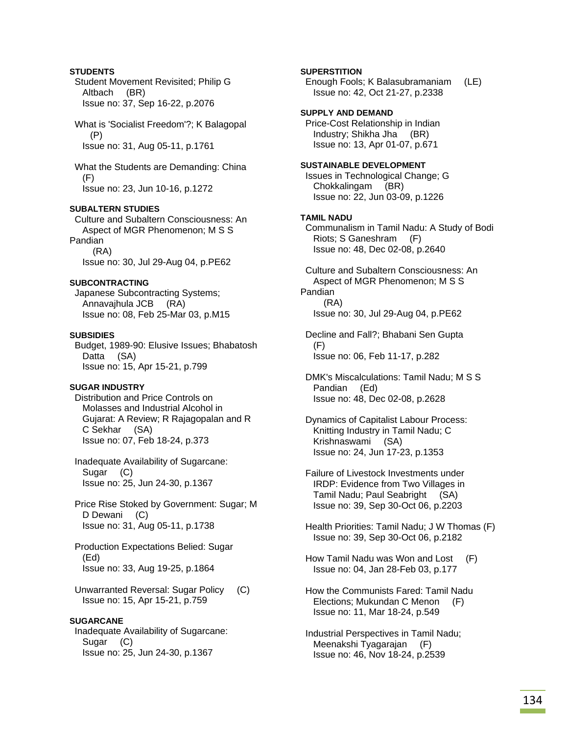## **STUDENTS**

 Student Movement Revisited; Philip G Altbach (BR) Issue no: 37, Sep 16-22, p.2076

 What is 'Socialist Freedom'?; K Balagopal (P) Issue no: 31, Aug 05-11, p.1761

 What the Students are Demanding: China (F) Issue no: 23, Jun 10-16, p.1272

## **SUBALTERN STUDIES**

 Culture and Subaltern Consciousness: An Aspect of MGR Phenomenon; M S S Pandian (RA) Issue no: 30, Jul 29-Aug 04, p.PE62

### **SUBCONTRACTING**

 Japanese Subcontracting Systems; Annavajhula JCB (RA) Issue no: 08, Feb 25-Mar 03, p.M15

### **SUBSIDIES**

 Budget, 1989-90: Elusive Issues; Bhabatosh Datta (SA) Issue no: 15, Apr 15-21, p.799

### **SUGAR INDUSTRY**

 Distribution and Price Controls on Molasses and Industrial Alcohol in Gujarat: A Review; R Rajagopalan and R C Sekhar (SA) Issue no: 07, Feb 18-24, p.373

 Inadequate Availability of Sugarcane: Sugar (C) Issue no: 25, Jun 24-30, p.1367

 Price Rise Stoked by Government: Sugar; M D Dewani (C) Issue no: 31, Aug 05-11, p.1738

 Production Expectations Belied: Sugar (Ed) Issue no: 33, Aug 19-25, p.1864

 Unwarranted Reversal: Sugar Policy (C) Issue no: 15, Apr 15-21, p.759

### **SUGARCANE**

 Inadequate Availability of Sugarcane: Sugar (C) Issue no: 25, Jun 24-30, p.1367

### **SUPERSTITION**

 Enough Fools; K Balasubramaniam (LE) Issue no: 42, Oct 21-27, p.2338

**SUPPLY AND DEMAND**  Price-Cost Relationship in Indian Industry; Shikha Jha (BR) Issue no: 13, Apr 01-07, p.671

# **SUSTAINABLE DEVELOPMENT**

 Issues in Technological Change; G Chokkalingam (BR) Issue no: 22, Jun 03-09, p.1226

### **TAMIL NADU**

 Communalism in Tamil Nadu: A Study of Bodi Riots; S Ganeshram (F) Issue no: 48, Dec 02-08, p.2640

 Culture and Subaltern Consciousness: An Aspect of MGR Phenomenon; M S S Pandian (RA) Issue no: 30, Jul 29-Aug 04, p.PE62

 Decline and Fall?; Bhabani Sen Gupta (F) Issue no: 06, Feb 11-17, p.282

 DMK's Miscalculations: Tamil Nadu; M S S Pandian (Ed) Issue no: 48, Dec 02-08, p.2628

 Dynamics of Capitalist Labour Process: Knitting Industry in Tamil Nadu; C Krishnaswami (SA) Issue no: 24, Jun 17-23, p.1353

 Failure of Livestock Investments under IRDP: Evidence from Two Villages in Tamil Nadu; Paul Seabright (SA) Issue no: 39, Sep 30-Oct 06, p.2203

 Health Priorities: Tamil Nadu; J W Thomas (F) Issue no: 39, Sep 30-Oct 06, p.2182

 How Tamil Nadu was Won and Lost (F) Issue no: 04, Jan 28-Feb 03, p.177

 How the Communists Fared: Tamil Nadu Elections; Mukundan C Menon (F) Issue no: 11, Mar 18-24, p.549

 Industrial Perspectives in Tamil Nadu; Meenakshi Tyagarajan (F) Issue no: 46, Nov 18-24, p.2539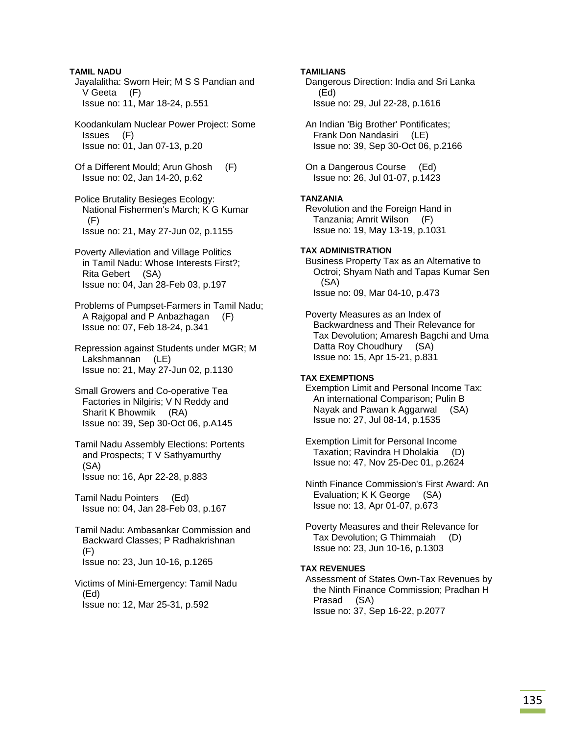**TAMIL NADU**  Jayalalitha: Sworn Heir; M S S Pandian and V Geeta (F) Issue no: 11, Mar 18-24, p.551

 Koodankulam Nuclear Power Project: Some Issues (F) Issue no: 01, Jan 07-13, p.20

 Of a Different Mould; Arun Ghosh (F) Issue no: 02, Jan 14-20, p.62

 Police Brutality Besieges Ecology: National Fishermen's March; K G Kumar  $(F)$ Issue no: 21, May 27-Jun 02, p.1155

 Poverty Alleviation and Village Politics in Tamil Nadu: Whose Interests First?; Rita Gebert (SA) Issue no: 04, Jan 28-Feb 03, p.197

 Problems of Pumpset-Farmers in Tamil Nadu; A Rajgopal and P Anbazhagan (F) Issue no: 07, Feb 18-24, p.341

 Repression against Students under MGR; M Lakshmannan (LE) Issue no: 21, May 27-Jun 02, p.1130

 Small Growers and Co-operative Tea Factories in Nilgiris; V N Reddy and Sharit K Bhowmik (RA) Issue no: 39, Sep 30-Oct 06, p.A145

 Tamil Nadu Assembly Elections: Portents and Prospects; T V Sathyamurthy (SA) Issue no: 16, Apr 22-28, p.883

 Tamil Nadu Pointers (Ed) Issue no: 04, Jan 28-Feb 03, p.167

 Tamil Nadu: Ambasankar Commission and Backward Classes; P Radhakrishnan (F) Issue no: 23, Jun 10-16, p.1265

 Victims of Mini-Emergency: Tamil Nadu (Ed) Issue no: 12, Mar 25-31, p.592

## **TAMILIANS**

 Dangerous Direction: India and Sri Lanka (Ed) Issue no: 29, Jul 22-28, p.1616

 An Indian 'Big Brother' Pontificates; Frank Don Nandasiri (LE) Issue no: 39, Sep 30-Oct 06, p.2166

 On a Dangerous Course (Ed) Issue no: 26, Jul 01-07, p.1423

## **TANZANIA**

 Revolution and the Foreign Hand in Tanzania; Amrit Wilson (F) Issue no: 19, May 13-19, p.1031

## **TAX ADMINISTRATION**

 Business Property Tax as an Alternative to Octroi; Shyam Nath and Tapas Kumar Sen (SA) Issue no: 09, Mar 04-10, p.473

 Poverty Measures as an Index of Backwardness and Their Relevance for Tax Devolution; Amaresh Bagchi and Uma Datta Roy Choudhury (SA) Issue no: 15, Apr 15-21, p.831

## **TAX EXEMPTIONS**

 Exemption Limit and Personal Income Tax: An international Comparison; Pulin B Nayak and Pawan k Aggarwal (SA) Issue no: 27, Jul 08-14, p.1535

 Exemption Limit for Personal Income Taxation; Ravindra H Dholakia (D) Issue no: 47, Nov 25-Dec 01, p.2624

 Ninth Finance Commission's First Award: An Evaluation; K K George (SA) Issue no: 13, Apr 01-07, p.673

 Poverty Measures and their Relevance for Tax Devolution; G Thimmaiah (D) Issue no: 23, Jun 10-16, p.1303

### **TAX REVENUES**

 Assessment of States Own-Tax Revenues by the Ninth Finance Commission; Pradhan H Prasad (SA) Issue no: 37, Sep 16-22, p.2077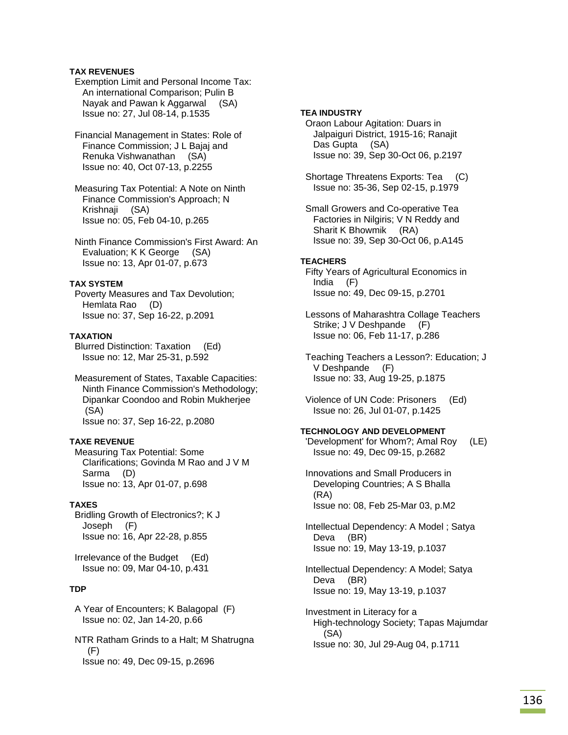## **TAX REVENUES**

- Exemption Limit and Personal Income Tax: An international Comparison; Pulin B Nayak and Pawan k Aggarwal (SA) Issue no: 27, Jul 08-14, p.1535
- Financial Management in States: Role of Finance Commission; J L Bajaj and Renuka Vishwanathan (SA) Issue no: 40, Oct 07-13, p.2255
- Measuring Tax Potential: A Note on Ninth Finance Commission's Approach; N Krishnaji (SA) Issue no: 05, Feb 04-10, p.265

 Ninth Finance Commission's First Award: An Evaluation; K K George (SA) Issue no: 13, Apr 01-07, p.673

### **TAX SYSTEM**

 Poverty Measures and Tax Devolution; Hemlata Rao (D) Issue no: 37, Sep 16-22, p.2091

## **TAXATION**

 Blurred Distinction: Taxation (Ed) Issue no: 12, Mar 25-31, p.592

 Measurement of States, Taxable Capacities: Ninth Finance Commission's Methodology; Dipankar Coondoo and Robin Mukherjee (SA) Issue no: 37, Sep 16-22, p.2080

### **TAXE REVENUE**

 Measuring Tax Potential: Some Clarifications; Govinda M Rao and J V M Sarma (D) Issue no: 13, Apr 01-07, p.698

## **TAXES**

 Bridling Growth of Electronics?; K J Joseph (F) Issue no: 16, Apr 22-28, p.855

 Irrelevance of the Budget (Ed) Issue no: 09, Mar 04-10, p.431

## **TDP**

 A Year of Encounters; K Balagopal (F) Issue no: 02, Jan 14-20, p.66

 NTR Ratham Grinds to a Halt; M Shatrugna  $(F)$ Issue no: 49, Dec 09-15, p.2696

## **TEA INDUSTRY**

 Oraon Labour Agitation: Duars in Jalpaiguri District, 1915-16; Ranajit Das Gupta (SA) Issue no: 39, Sep 30-Oct 06, p.2197

 Shortage Threatens Exports: Tea (C) Issue no: 35-36, Sep 02-15, p.1979

 Small Growers and Co-operative Tea Factories in Nilgiris; V N Reddy and Sharit K Bhowmik (RA) Issue no: 39, Sep 30-Oct 06, p.A145

### **TEACHERS**

 Fifty Years of Agricultural Economics in India (F) Issue no: 49, Dec 09-15, p.2701

 Lessons of Maharashtra Collage Teachers Strike; J V Deshpande (F) Issue no: 06, Feb 11-17, p.286

 Teaching Teachers a Lesson?: Education; J V Deshpande (F) Issue no: 33, Aug 19-25, p.1875

 Violence of UN Code: Prisoners (Ed) Issue no: 26, Jul 01-07, p.1425

# **TECHNOLOGY AND DEVELOPMENT**

- 'Development' for Whom?; Amal Roy (LE) Issue no: 49, Dec 09-15, p.2682
- Innovations and Small Producers in Developing Countries; A S Bhalla (RA) Issue no: 08, Feb 25-Mar 03, p.M2
- Intellectual Dependency: A Model ; Satya Deva (BR) Issue no: 19, May 13-19, p.1037
- Intellectual Dependency: A Model; Satya Deva (BR) Issue no: 19, May 13-19, p.1037
- Investment in Literacy for a High-technology Society; Tapas Majumdar (SA) Issue no: 30, Jul 29-Aug 04, p.1711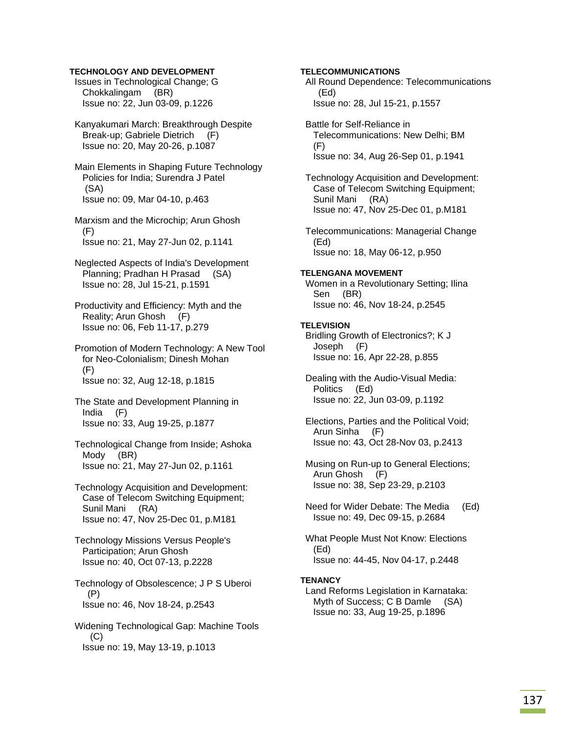### **TECHNOLOGY AND DEVELOPMENT**

 Issues in Technological Change; G Chokkalingam (BR) Issue no: 22, Jun 03-09, p.1226

 Kanyakumari March: Breakthrough Despite Break-up; Gabriele Dietrich (F) Issue no: 20, May 20-26, p.1087

 Main Elements in Shaping Future Technology Policies for India; Surendra J Patel (SA) Issue no: 09, Mar 04-10, p.463

- Marxism and the Microchip; Arun Ghosh (F) Issue no: 21, May 27-Jun 02, p.1141
- Neglected Aspects of India's Development Planning; Pradhan H Prasad (SA) Issue no: 28, Jul 15-21, p.1591
- Productivity and Efficiency: Myth and the Reality; Arun Ghosh (F) Issue no: 06, Feb 11-17, p.279

 Promotion of Modern Technology: A New Tool for Neo-Colonialism; Dinesh Mohan (F) Issue no: 32, Aug 12-18, p.1815

- The State and Development Planning in India (F) Issue no: 33, Aug 19-25, p.1877
- Technological Change from Inside; Ashoka Mody (BR) Issue no: 21, May 27-Jun 02, p.1161

 Technology Acquisition and Development: Case of Telecom Switching Equipment; Sunil Mani (RA) Issue no: 47, Nov 25-Dec 01, p.M181

 Technology Missions Versus People's Participation; Arun Ghosh Issue no: 40, Oct 07-13, p.2228

 Technology of Obsolescence; J P S Uberoi (P) Issue no: 46, Nov 18-24, p.2543

 Widening Technological Gap: Machine Tools  $(C)$ Issue no: 19, May 13-19, p.1013

## **TELECOMMUNICATIONS**

 All Round Dependence: Telecommunications (Ed) Issue no: 28, Jul 15-21, p.1557

 Battle for Self-Reliance in Telecommunications: New Delhi; BM (F) Issue no: 34, Aug 26-Sep 01, p.1941

 Technology Acquisition and Development: Case of Telecom Switching Equipment; Sunil Mani (RA) Issue no: 47, Nov 25-Dec 01, p.M181

 Telecommunications: Managerial Change (Ed) Issue no: 18, May 06-12, p.950

#### **TELENGANA MOVEMENT**

 Women in a Revolutionary Setting; Ilina Sen (BR) Issue no: 46, Nov 18-24, p.2545

### **TELEVISION**

 Bridling Growth of Electronics?; K J Joseph (F) Issue no: 16, Apr 22-28, p.855

 Dealing with the Audio-Visual Media: Politics (Ed) Issue no: 22, Jun 03-09, p.1192

 Elections, Parties and the Political Void; Arun Sinha (F) Issue no: 43, Oct 28-Nov 03, p.2413

 Musing on Run-up to General Elections; Arun Ghosh (F) Issue no: 38, Sep 23-29, p.2103

 Need for Wider Debate: The Media (Ed) Issue no: 49, Dec 09-15, p.2684

 What People Must Not Know: Elections (Ed) Issue no: 44-45, Nov 04-17, p.2448

#### **TENANCY**

 Land Reforms Legislation in Karnataka: Myth of Success; C B Damle (SA) Issue no: 33, Aug 19-25, p.1896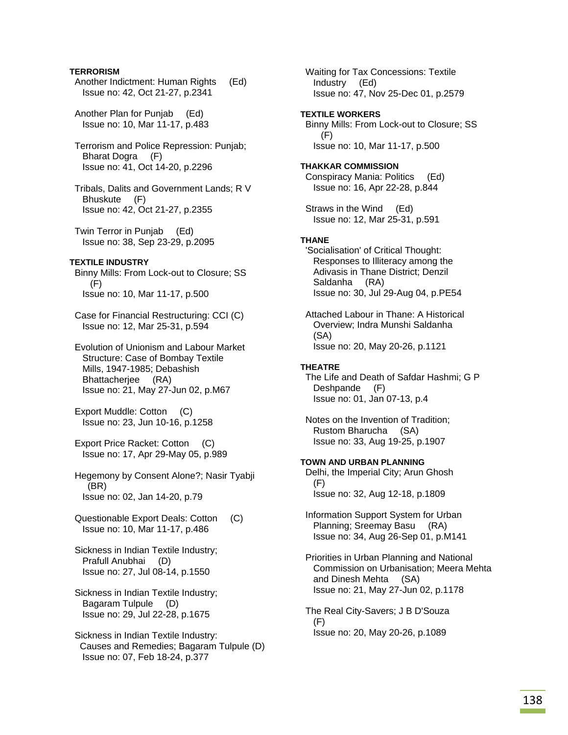## **TERRORISM**

- Another Indictment: Human Rights (Ed) Issue no: 42, Oct 21-27, p.2341
- Another Plan for Punjab (Ed) Issue no: 10, Mar 11-17, p.483
- Terrorism and Police Repression: Punjab; Bharat Dogra (F) Issue no: 41, Oct 14-20, p.2296
- Tribals, Dalits and Government Lands; R V Bhuskute (F) Issue no: 42, Oct 21-27, p.2355
- Twin Terror in Punjab (Ed) Issue no: 38, Sep 23-29, p.2095

## **TEXTILE INDUSTRY**

- Binny Mills: From Lock-out to Closure; SS (F) Issue no: 10, Mar 11-17, p.500
- Case for Financial Restructuring: CCI (C) Issue no: 12, Mar 25-31, p.594
- Evolution of Unionism and Labour Market Structure: Case of Bombay Textile Mills, 1947-1985; Debashish Bhattacherjee (RA) Issue no: 21, May 27-Jun 02, p.M67
- Export Muddle: Cotton (C) Issue no: 23, Jun 10-16, p.1258
- Export Price Racket: Cotton (C) Issue no: 17, Apr 29-May 05, p.989
- Hegemony by Consent Alone?; Nasir Tyabji (BR) Issue no: 02, Jan 14-20, p.79
- Questionable Export Deals: Cotton (C) Issue no: 10, Mar 11-17, p.486
- Sickness in Indian Textile Industry; Prafull Anubhai (D) Issue no: 27, Jul 08-14, p.1550
- Sickness in Indian Textile Industry; Bagaram Tulpule (D) Issue no: 29, Jul 22-28, p.1675
- Sickness in Indian Textile Industry: Causes and Remedies; Bagaram Tulpule (D) Issue no: 07, Feb 18-24, p.377

 Waiting for Tax Concessions: Textile Industry (Ed) Issue no: 47, Nov 25-Dec 01, p.2579

- **TEXTILE WORKERS**  Binny Mills: From Lock-out to Closure; SS (F) Issue no: 10, Mar 11-17, p.500
- **THAKKAR COMMISSION**  Conspiracy Mania: Politics (Ed) Issue no: 16, Apr 22-28, p.844
- Straws in the Wind (Ed) Issue no: 12, Mar 25-31, p.591

### **THANE**

- 'Socialisation' of Critical Thought: Responses to Illiteracy among the Adivasis in Thane District; Denzil Saldanha (RA) Issue no: 30, Jul 29-Aug 04, p.PE54
- Attached Labour in Thane: A Historical Overview; Indra Munshi Saldanha (SA) Issue no: 20, May 20-26, p.1121

#### **THEATRE**

- The Life and Death of Safdar Hashmi; G P Deshpande (F) Issue no: 01, Jan 07-13, p.4
- Notes on the Invention of Tradition; Rustom Bharucha (SA) Issue no: 33, Aug 19-25, p.1907

### **TOWN AND URBAN PLANNING**

 Delhi, the Imperial City; Arun Ghosh (F) Issue no: 32, Aug 12-18, p.1809

- Information Support System for Urban Planning; Sreemay Basu (RA) Issue no: 34, Aug 26-Sep 01, p.M141
- Priorities in Urban Planning and National Commission on Urbanisation; Meera Mehta and Dinesh Mehta (SA) Issue no: 21, May 27-Jun 02, p.1178
- The Real City-Savers; J B D'Souza (F) Issue no: 20, May 20-26, p.1089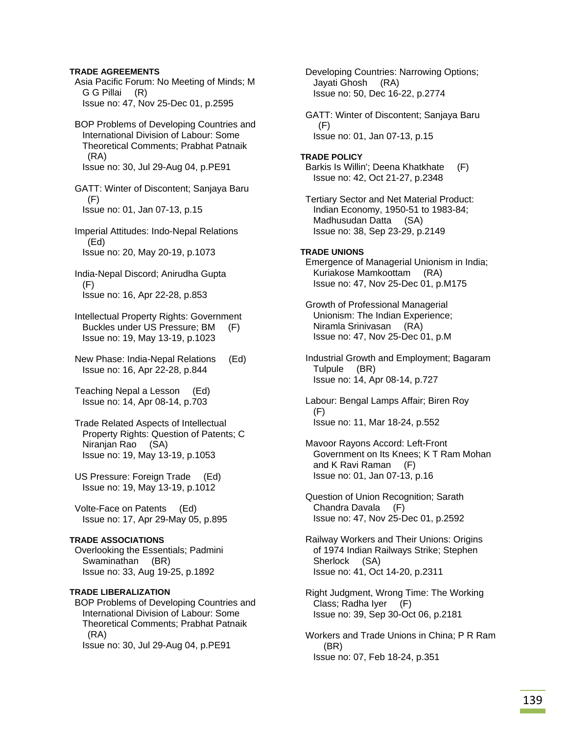## **TRADE AGREEMENTS**

 Asia Pacific Forum: No Meeting of Minds; M G G Pillai (R) Issue no: 47, Nov 25-Dec 01, p.2595

 BOP Problems of Developing Countries and International Division of Labour: Some Theoretical Comments; Prabhat Patnaik (RA) Issue no: 30, Jul 29-Aug 04, p.PE91

 GATT: Winter of Discontent; Sanjaya Baru  $(F)$ Issue no: 01, Jan 07-13, p.15

 Imperial Attitudes: Indo-Nepal Relations (Ed) Issue no: 20, May 20-19, p.1073

 India-Nepal Discord; Anirudha Gupta  $(F)$ Issue no: 16, Apr 22-28, p.853

 Intellectual Property Rights: Government Buckles under US Pressure; BM (F) Issue no: 19, May 13-19, p.1023

 New Phase: India-Nepal Relations (Ed) Issue no: 16, Apr 22-28, p.844

 Teaching Nepal a Lesson (Ed) Issue no: 14, Apr 08-14, p.703

 Trade Related Aspects of Intellectual Property Rights: Question of Patents; C Niranjan Rao (SA) Issue no: 19, May 13-19, p.1053

 US Pressure: Foreign Trade (Ed) Issue no: 19, May 13-19, p.1012

 Volte-Face on Patents (Ed) Issue no: 17, Apr 29-May 05, p.895

### **TRADE ASSOCIATIONS**

 Overlooking the Essentials; Padmini Swaminathan (BR) Issue no: 33, Aug 19-25, p.1892

## **TRADE LIBERALIZATION**

 BOP Problems of Developing Countries and International Division of Labour: Some Theoretical Comments; Prabhat Patnaik (RA) Issue no: 30, Jul 29-Aug 04, p.PE91

 Jayati Ghosh (RA) Issue no: 50, Dec 16-22, p.2774 GATT: Winter of Discontent; Sanjaya Baru (F) Issue no: 01, Jan 07-13, p.15 **TRADE POLICY**  Barkis Is Willin'; Deena Khatkhate (F) Issue no: 42, Oct 21-27, p.2348 Tertiary Sector and Net Material Product: Indian Economy, 1950-51 to 1983-84; Madhusudan Datta (SA) Issue no: 38, Sep 23-29, p.2149 **TRADE UNIONS**  Emergence of Managerial Unionism in India; Kuriakose Mamkoottam (RA) Issue no: 47, Nov 25-Dec 01, p.M175 Growth of Professional Managerial Unionism: The Indian Experience; Niramla Srinivasan (RA) Issue no: 47, Nov 25-Dec 01, p.M Industrial Growth and Employment; Bagaram Tulpule (BR) Issue no: 14, Apr 08-14, p.727 Labour: Bengal Lamps Affair; Biren Roy (F) Issue no: 11, Mar 18-24, p.552 Mavoor Rayons Accord: Left-Front Government on Its Knees; K T Ram Mohan and K Ravi Raman (F) Issue no: 01, Jan 07-13, p.16 Question of Union Recognition; Sarath Chandra Davala (F) Issue no: 47, Nov 25-Dec 01, p.2592 Railway Workers and Their Unions: Origins of 1974 Indian Railways Strike; Stephen Sherlock (SA) Issue no: 41, Oct 14-20, p.2311 Right Judgment, Wrong Time: The Working Class; Radha Iyer (F) Issue no: 39, Sep 30-Oct 06, p.2181

Developing Countries: Narrowing Options;

 Workers and Trade Unions in China; P R Ram (BR) Issue no: 07, Feb 18-24, p.351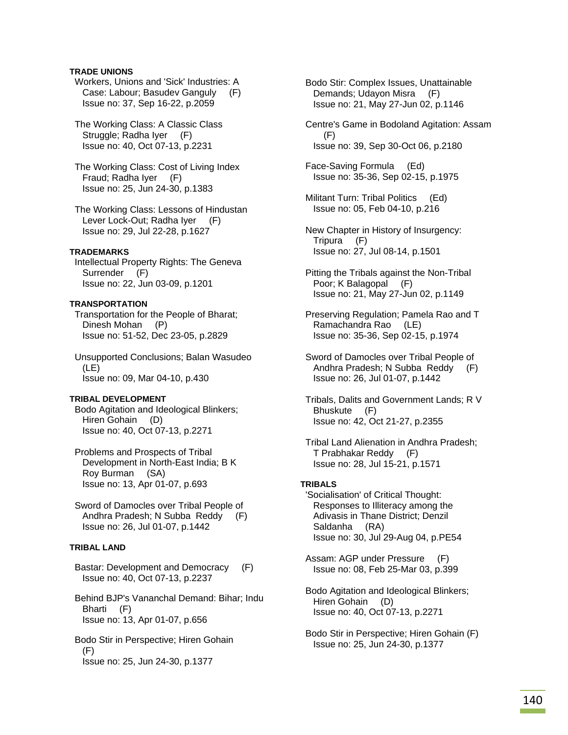## **TRADE UNIONS**

 Workers, Unions and 'Sick' Industries: A Case: Labour; Basudev Ganguly (F) Issue no: 37, Sep 16-22, p.2059

 The Working Class: A Classic Class Struggle; Radha Iyer (F) Issue no: 40, Oct 07-13, p.2231

 The Working Class: Cost of Living Index Fraud; Radha Iyer (F) Issue no: 25, Jun 24-30, p.1383

 The Working Class: Lessons of Hindustan Lever Lock-Out; Radha Iyer (F) Issue no: 29, Jul 22-28, p.1627

### **TRADEMARKS**

 Intellectual Property Rights: The Geneva Surrender (F) Issue no: 22, Jun 03-09, p.1201

## **TRANSPORTATION**

 Transportation for the People of Bharat; Dinesh Mohan (P) Issue no: 51-52, Dec 23-05, p.2829

 Unsupported Conclusions; Balan Wasudeo (LE) Issue no: 09, Mar 04-10, p.430

### **TRIBAL DEVELOPMENT**

 Bodo Agitation and Ideological Blinkers; Hiren Gohain (D) Issue no: 40, Oct 07-13, p.2271

 Problems and Prospects of Tribal Development in North-East India; B K Roy Burman (SA) Issue no: 13, Apr 01-07, p.693

 Sword of Damocles over Tribal People of Andhra Pradesh; N Subba Reddy (F) Issue no: 26, Jul 01-07, p.1442

# **TRIBAL LAND**

 Bastar: Development and Democracy (F) Issue no: 40, Oct 07-13, p.2237

 Behind BJP's Vananchal Demand: Bihar; Indu Bharti (F) Issue no: 13, Apr 01-07, p.656

 Bodo Stir in Perspective; Hiren Gohain  $(F)$ Issue no: 25, Jun 24-30, p.1377

 Bodo Stir: Complex Issues, Unattainable Demands; Udayon Misra (F) Issue no: 21, May 27-Jun 02, p.1146

 Centre's Game in Bodoland Agitation: Assam (F) Issue no: 39, Sep 30-Oct 06, p.2180

 Face-Saving Formula (Ed) Issue no: 35-36, Sep 02-15, p.1975

 Militant Turn: Tribal Politics (Ed) Issue no: 05, Feb 04-10, p.216

 New Chapter in History of Insurgency: Tripura (F) Issue no: 27, Jul 08-14, p.1501

 Pitting the Tribals against the Non-Tribal Poor; K Balagopal (F) Issue no: 21, May 27-Jun 02, p.1149

 Preserving Regulation; Pamela Rao and T Ramachandra Rao (LE) Issue no: 35-36, Sep 02-15, p.1974

 Sword of Damocles over Tribal People of Andhra Pradesh; N Subba Reddy (F) Issue no: 26, Jul 01-07, p.1442

 Tribals, Dalits and Government Lands; R V Bhuskute (F) Issue no: 42, Oct 21-27, p.2355

 Tribal Land Alienation in Andhra Pradesh; T Prabhakar Reddy (F) Issue no: 28, Jul 15-21, p.1571

### **TRIBALS**

 'Socialisation' of Critical Thought: Responses to Illiteracy among the Adivasis in Thane District; Denzil Saldanha (RA) Issue no: 30, Jul 29-Aug 04, p.PE54

 Assam: AGP under Pressure (F) Issue no: 08, Feb 25-Mar 03, p.399

 Bodo Agitation and Ideological Blinkers; Hiren Gohain (D) Issue no: 40, Oct 07-13, p.2271

 Bodo Stir in Perspective; Hiren Gohain (F) Issue no: 25, Jun 24-30, p.1377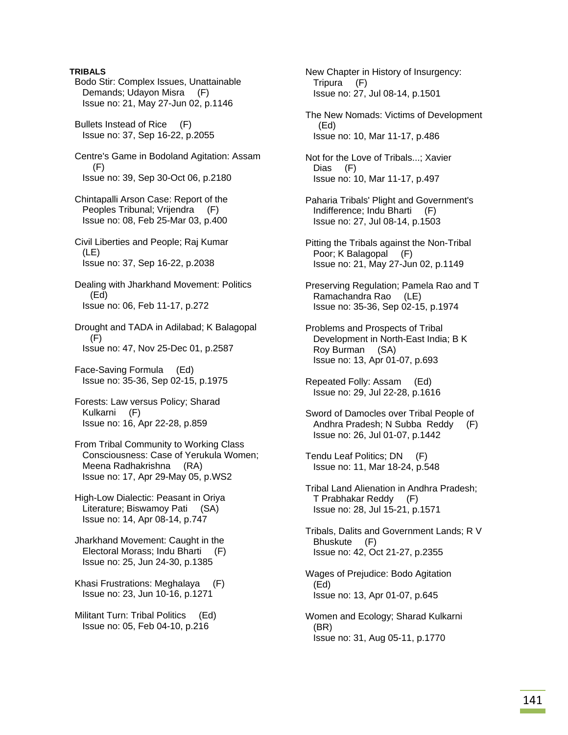## **TRIBALS**

 Bodo Stir: Complex Issues, Unattainable Demands; Udayon Misra (F) Issue no: 21, May 27-Jun 02, p.1146 Bullets Instead of Rice (F) Issue no: 37, Sep 16-22, p.2055 Centre's Game in Bodoland Agitation: Assam (F) Issue no: 39, Sep 30-Oct 06, p.2180 Chintapalli Arson Case: Report of the Peoples Tribunal; Vrijendra (F) Issue no: 08, Feb 25-Mar 03, p.400 Civil Liberties and People; Raj Kumar (LE) Issue no: 37, Sep 16-22, p.2038 Dealing with Jharkhand Movement: Politics (Ed) Issue no: 06, Feb 11-17, p.272 Drought and TADA in Adilabad; K Balagopal (F) Issue no: 47, Nov 25-Dec 01, p.2587 Face-Saving Formula (Ed) Issue no: 35-36, Sep 02-15, p.1975 Forests: Law versus Policy; Sharad Kulkarni (F) Issue no: 16, Apr 22-28, p.859

 From Tribal Community to Working Class Consciousness: Case of Yerukula Women; Meena Radhakrishna (RA) Issue no: 17, Apr 29-May 05, p.WS2

 High-Low Dialectic: Peasant in Oriya Literature; Biswamoy Pati (SA) Issue no: 14, Apr 08-14, p.747

 Jharkhand Movement: Caught in the Electoral Morass; Indu Bharti (F) Issue no: 25, Jun 24-30, p.1385

 Khasi Frustrations: Meghalaya (F) Issue no: 23, Jun 10-16, p.1271

 Militant Turn: Tribal Politics (Ed) Issue no: 05, Feb 04-10, p.216

 New Chapter in History of Insurgency: Tripura (F) Issue no: 27, Jul 08-14, p.1501

 The New Nomads: Victims of Development (Ed) Issue no: 10, Mar 11-17, p.486

 Not for the Love of Tribals...; Xavier Dias (F) Issue no: 10, Mar 11-17, p.497

 Paharia Tribals' Plight and Government's Indifference; Indu Bharti (F) Issue no: 27, Jul 08-14, p.1503

 Pitting the Tribals against the Non-Tribal Poor; K Balagopal (F) Issue no: 21, May 27-Jun 02, p.1149

 Preserving Regulation; Pamela Rao and T Ramachandra Rao (LE) Issue no: 35-36, Sep 02-15, p.1974

 Problems and Prospects of Tribal Development in North-East India; B K Roy Burman (SA) Issue no: 13, Apr 01-07, p.693

 Repeated Folly: Assam (Ed) Issue no: 29, Jul 22-28, p.1616

 Sword of Damocles over Tribal People of Andhra Pradesh; N Subba Reddy (F) Issue no: 26, Jul 01-07, p.1442

 Tendu Leaf Politics; DN (F) Issue no: 11, Mar 18-24, p.548

 Tribal Land Alienation in Andhra Pradesh; T Prabhakar Reddy (F) Issue no: 28, Jul 15-21, p.1571

 Tribals, Dalits and Government Lands; R V Bhuskute (F) Issue no: 42, Oct 21-27, p.2355

 Wages of Prejudice: Bodo Agitation (Ed) Issue no: 13, Apr 01-07, p.645

 Women and Ecology; Sharad Kulkarni (BR) Issue no: 31, Aug 05-11, p.1770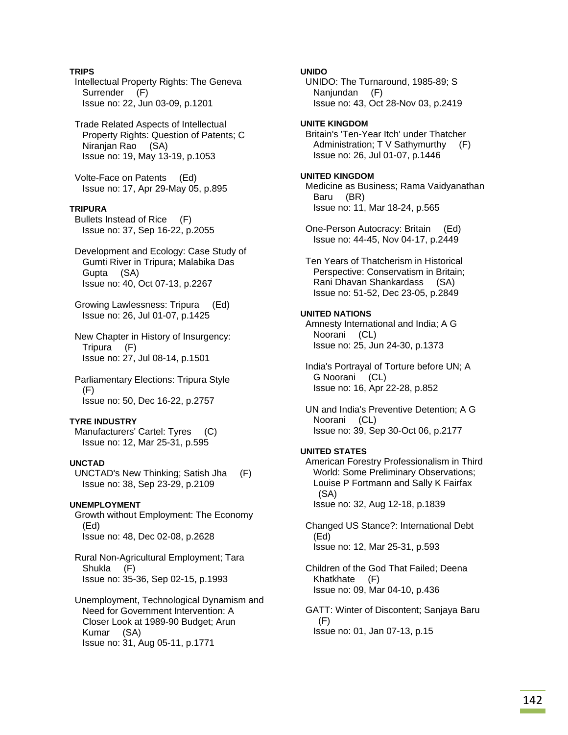## **TRIPS**

 Intellectual Property Rights: The Geneva Surrender (F) Issue no: 22, Jun 03-09, p.1201

 Trade Related Aspects of Intellectual Property Rights: Question of Patents; C Niranjan Rao (SA) Issue no: 19, May 13-19, p.1053

 Volte-Face on Patents (Ed) Issue no: 17, Apr 29-May 05, p.895

## **TRIPURA**

 Bullets Instead of Rice (F) Issue no: 37, Sep 16-22, p.2055

- Development and Ecology: Case Study of Gumti River in Tripura; Malabika Das Gupta (SA) Issue no: 40, Oct 07-13, p.2267
- Growing Lawlessness: Tripura (Ed) Issue no: 26, Jul 01-07, p.1425
- New Chapter in History of Insurgency: Tripura (F) Issue no: 27, Jul 08-14, p.1501
- Parliamentary Elections: Tripura Style (F) Issue no: 50, Dec 16-22, p.2757

### **TYRE INDUSTRY**

 Manufacturers' Cartel: Tyres (C) Issue no: 12, Mar 25-31, p.595

### **UNCTAD**

 UNCTAD's New Thinking; Satish Jha (F) Issue no: 38, Sep 23-29, p.2109

### **UNEMPLOYMENT**

 Growth without Employment: The Economy (Ed) Issue no: 48, Dec 02-08, p.2628

 Rural Non-Agricultural Employment; Tara Shukla (F) Issue no: 35-36, Sep 02-15, p.1993

 Unemployment, Technological Dynamism and Need for Government Intervention: A Closer Look at 1989-90 Budget; Arun Kumar (SA) Issue no: 31, Aug 05-11, p.1771

**UNIDO** 

 UNIDO: The Turnaround, 1985-89; S Nanjundan (F) Issue no: 43, Oct 28-Nov 03, p.2419

# **UNITE KINGDOM**

 Britain's 'Ten-Year Itch' under Thatcher Administration; T V Sathymurthy (F) Issue no: 26, Jul 01-07, p.1446

## **UNITED KINGDOM**

 Medicine as Business; Rama Vaidyanathan Baru (BR) Issue no: 11, Mar 18-24, p.565

 One-Person Autocracy: Britain (Ed) Issue no: 44-45, Nov 04-17, p.2449

 Ten Years of Thatcherism in Historical Perspective: Conservatism in Britain; Rani Dhavan Shankardass (SA) Issue no: 51-52, Dec 23-05, p.2849

### **UNITED NATIONS**

 Amnesty International and India; A G Noorani (CL) Issue no: 25, Jun 24-30, p.1373

 India's Portrayal of Torture before UN; A G Noorani (CL) Issue no: 16, Apr 22-28, p.852

 UN and India's Preventive Detention; A G Noorani (CL) Issue no: 39, Sep 30-Oct 06, p.2177

## **UNITED STATES**

 American Forestry Professionalism in Third World: Some Preliminary Observations; Louise P Fortmann and Sally K Fairfax (SA) Issue no: 32, Aug 12-18, p.1839

 Changed US Stance?: International Debt (Ed) Issue no: 12, Mar 25-31, p.593

 Children of the God That Failed; Deena Khatkhate (F) Issue no: 09, Mar 04-10, p.436

 GATT: Winter of Discontent; Sanjaya Baru (F) Issue no: 01, Jan 07-13, p.15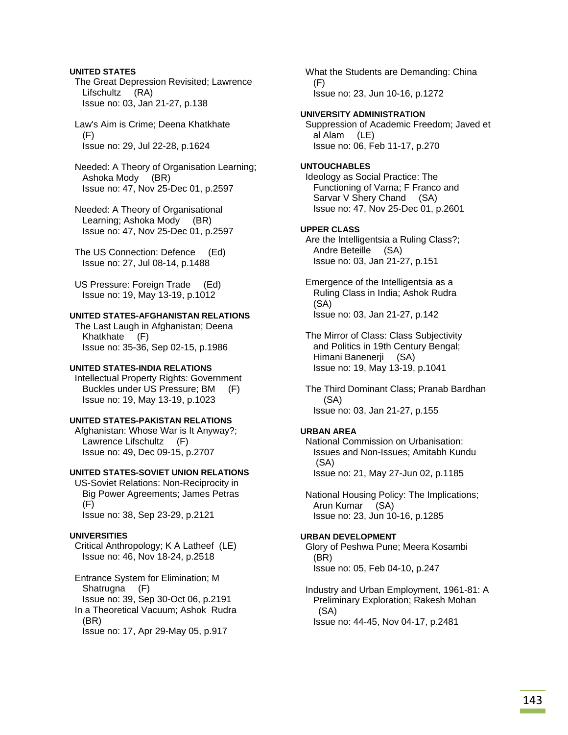## **UNITED STATES**

 The Great Depression Revisited; Lawrence Lifschultz (RA) Issue no: 03, Jan 21-27, p.138

 Law's Aim is Crime; Deena Khatkhate (F) Issue no: 29, Jul 22-28, p.1624

 Needed: A Theory of Organisation Learning; Ashoka Mody (BR) Issue no: 47, Nov 25-Dec 01, p.2597

 Needed: A Theory of Organisational Learning; Ashoka Mody (BR) Issue no: 47, Nov 25-Dec 01, p.2597

 The US Connection: Defence (Ed) Issue no: 27, Jul 08-14, p.1488

 US Pressure: Foreign Trade (Ed) Issue no: 19, May 13-19, p.1012

## **UNITED STATES-AFGHANISTAN RELATIONS**

 The Last Laugh in Afghanistan; Deena Khatkhate (F) Issue no: 35-36, Sep 02-15, p.1986

## **UNITED STATES-INDIA RELATIONS**

 Intellectual Property Rights: Government Buckles under US Pressure; BM (F) Issue no: 19, May 13-19, p.1023

## **UNITED STATES-PAKISTAN RELATIONS**

 Afghanistan: Whose War is It Anyway?; Lawrence Lifschultz (F) Issue no: 49, Dec 09-15, p.2707

### **UNITED STATES-SOVIET UNION RELATIONS**

 US-Soviet Relations: Non-Reciprocity in Big Power Agreements; James Petras  $(F)$ Issue no: 38, Sep 23-29, p.2121

## **UNIVERSITIES**

 Critical Anthropology; K A Latheef (LE) Issue no: 46, Nov 18-24, p.2518

 Entrance System for Elimination; M Shatrugna (F) Issue no: 39, Sep 30-Oct 06, p.2191 In a Theoretical Vacuum; Ashok Rudra (BR) Issue no: 17, Apr 29-May 05, p.917

 What the Students are Demanding: China (F) Issue no: 23, Jun 10-16, p.1272

## **UNIVERSITY ADMINISTRATION**

 Suppression of Academic Freedom; Javed et al Alam (LE) Issue no: 06, Feb 11-17, p.270

## **UNTOUCHABLES**

 Ideology as Social Practice: The Functioning of Varna; F Franco and Sarvar V Shery Chand (SA) Issue no: 47, Nov 25-Dec 01, p.2601

## **UPPER CLASS**

 Are the Intelligentsia a Ruling Class?; Andre Beteille (SA) Issue no: 03, Jan 21-27, p.151

 Emergence of the Intelligentsia as a Ruling Class in India; Ashok Rudra (SA) Issue no: 03, Jan 21-27, p.142

 The Mirror of Class: Class Subjectivity and Politics in 19th Century Bengal; Himani Banenerji (SA) Issue no: 19, May 13-19, p.1041

 The Third Dominant Class; Pranab Bardhan (SA) Issue no: 03, Jan 21-27, p.155

## **URBAN AREA**

 National Commission on Urbanisation: Issues and Non-Issues; Amitabh Kundu (SA) Issue no: 21, May 27-Jun 02, p.1185

 National Housing Policy: The Implications; Arun Kumar (SA) Issue no: 23, Jun 10-16, p.1285

## **URBAN DEVELOPMENT**

 Glory of Peshwa Pune; Meera Kosambi (BR) Issue no: 05, Feb 04-10, p.247

 Industry and Urban Employment, 1961-81: A Preliminary Exploration; Rakesh Mohan (SA) Issue no: 44-45, Nov 04-17, p.2481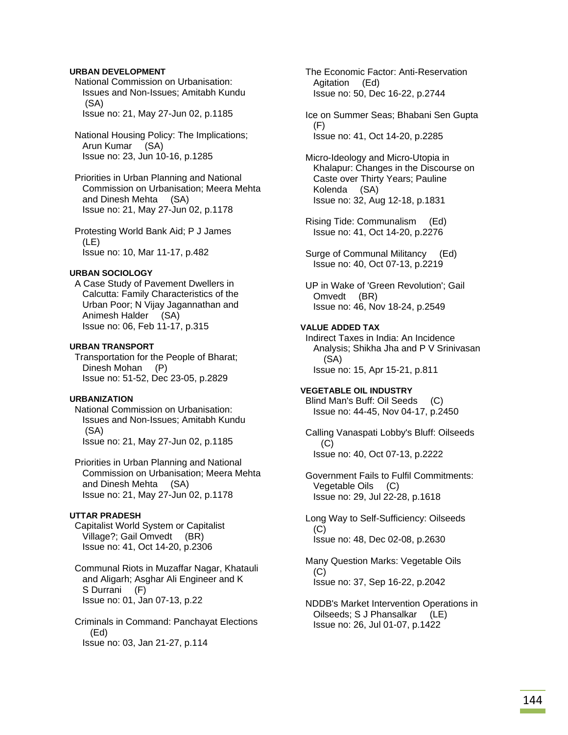## **URBAN DEVELOPMENT**

- National Commission on Urbanisation: Issues and Non-Issues; Amitabh Kundu (SA) Issue no: 21, May 27-Jun 02, p.1185
- National Housing Policy: The Implications; Arun Kumar (SA) Issue no: 23, Jun 10-16, p.1285
- Priorities in Urban Planning and National Commission on Urbanisation; Meera Mehta and Dinesh Mehta (SA) Issue no: 21, May 27-Jun 02, p.1178
- Protesting World Bank Aid; P J James (LE) Issue no: 10, Mar 11-17, p.482

#### **URBAN SOCIOLOGY**

 A Case Study of Pavement Dwellers in Calcutta: Family Characteristics of the Urban Poor; N Vijay Jagannathan and Animesh Halder (SA) Issue no: 06, Feb 11-17, p.315

#### **URBAN TRANSPORT**

 Transportation for the People of Bharat; Dinesh Mohan (P) Issue no: 51-52, Dec 23-05, p.2829

#### **URBANIZATION**

 National Commission on Urbanisation: Issues and Non-Issues; Amitabh Kundu (SA) Issue no: 21, May 27-Jun 02, p.1185

 Priorities in Urban Planning and National Commission on Urbanisation; Meera Mehta and Dinesh Mehta (SA) Issue no: 21, May 27-Jun 02, p.1178

# **UTTAR PRADESH**

 Capitalist World System or Capitalist Village?; Gail Omvedt (BR) Issue no: 41, Oct 14-20, p.2306

 Communal Riots in Muzaffar Nagar, Khatauli and Aligarh; Asghar Ali Engineer and K S Durrani (F) Issue no: 01, Jan 07-13, p.22

 Criminals in Command: Panchayat Elections (Ed) Issue no: 03, Jan 21-27, p.114

 The Economic Factor: Anti-Reservation Agitation (Ed) Issue no: 50, Dec 16-22, p.2744

- Ice on Summer Seas; Bhabani Sen Gupta (F) Issue no: 41, Oct 14-20, p.2285
- Micro-Ideology and Micro-Utopia in Khalapur: Changes in the Discourse on Caste over Thirty Years; Pauline Kolenda (SA) Issue no: 32, Aug 12-18, p.1831
- Rising Tide: Communalism (Ed) Issue no: 41, Oct 14-20, p.2276
- Surge of Communal Militancy (Ed) Issue no: 40, Oct 07-13, p.2219
- UP in Wake of 'Green Revolution'; Gail Omvedt (BR) Issue no: 46, Nov 18-24, p.2549

### **VALUE ADDED TAX**

 Indirect Taxes in India: An Incidence Analysis; Shikha Jha and P V Srinivasan (SA) Issue no: 15, Apr 15-21, p.811

#### **VEGETABLE OIL INDUSTRY**

 Blind Man's Buff: Oil Seeds (C) Issue no: 44-45, Nov 04-17, p.2450

 Calling Vanaspati Lobby's Bluff: Oilseeds (C) Issue no: 40, Oct 07-13, p.2222

 Government Fails to Fulfil Commitments: Vegetable Oils (C) Issue no: 29, Jul 22-28, p.1618

 Long Way to Self-Sufficiency: Oilseeds (C) Issue no: 48, Dec 02-08, p.2630

 Many Question Marks: Vegetable Oils (C) Issue no: 37, Sep 16-22, p.2042

## NDDB's Market Intervention Operations in Oilseeds; S J Phansalkar (LE) Issue no: 26, Jul 01-07, p.1422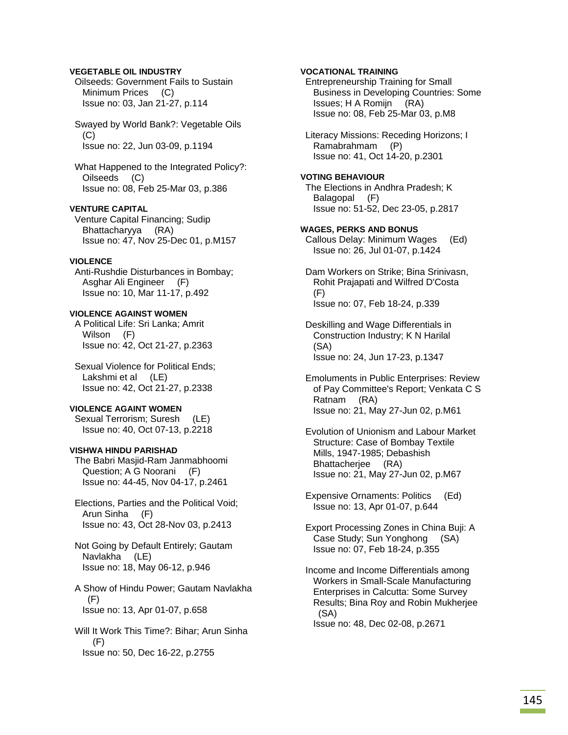### **VEGETABLE OIL INDUSTRY**

 Oilseeds: Government Fails to Sustain Minimum Prices (C) Issue no: 03, Jan 21-27, p.114

 Swayed by World Bank?: Vegetable Oils (C) Issue no: 22, Jun 03-09, p.1194

 What Happened to the Integrated Policy?: Oilseeds (C) Issue no: 08, Feb 25-Mar 03, p.386

# **VENTURE CAPITAL**

 Venture Capital Financing; Sudip Bhattacharyya (RA) Issue no: 47, Nov 25-Dec 01, p.M157

### **VIOLENCE**

 Anti-Rushdie Disturbances in Bombay; Asghar Ali Engineer (F) Issue no: 10, Mar 11-17, p.492

### **VIOLENCE AGAINST WOMEN**

 A Political Life: Sri Lanka; Amrit Wilson (F) Issue no: 42, Oct 21-27, p.2363

 Sexual Violence for Political Ends; Lakshmi et al (LE) Issue no: 42, Oct 21-27, p.2338

#### **VIOLENCE AGAINT WOMEN**

 Sexual Terrorism; Suresh (LE) Issue no: 40, Oct 07-13, p.2218

### **VISHWA HINDU PARISHAD**

 The Babri Masjid-Ram Janmabhoomi Question; A G Noorani (F) Issue no: 44-45, Nov 04-17, p.2461

 Elections, Parties and the Political Void; Arun Sinha (F) Issue no: 43, Oct 28-Nov 03, p.2413

 Not Going by Default Entirely; Gautam Navlakha (LE) Issue no: 18, May 06-12, p.946

 A Show of Hindu Power; Gautam Navlakha (F) Issue no: 13, Apr 01-07, p.658

 Will It Work This Time?: Bihar; Arun Sinha (F) Issue no: 50, Dec 16-22, p.2755

**VOCATIONAL TRAINING**  Entrepreneurship Training for Small Business in Developing Countries: Some Issues; H A Romijn (RA) Issue no: 08, Feb 25-Mar 03, p.M8 Literacy Missions: Receding Horizons; I

 Ramabrahmam (P) Issue no: 41, Oct 14-20, p.2301

### **VOTING BEHAVIOUR**

 The Elections in Andhra Pradesh; K Balagopal (F) Issue no: 51-52, Dec 23-05, p.2817

#### **WAGES, PERKS AND BONUS**

 Callous Delay: Minimum Wages (Ed) Issue no: 26, Jul 01-07, p.1424

 Dam Workers on Strike; Bina Srinivasn, Rohit Prajapati and Wilfred D'Costa (F) Issue no: 07, Feb 18-24, p.339

 Deskilling and Wage Differentials in Construction Industry; K N Harilal (SA) Issue no: 24, Jun 17-23, p.1347

 Emoluments in Public Enterprises: Review of Pay Committee's Report; Venkata C S Ratnam (RA) Issue no: 21, May 27-Jun 02, p.M61

 Evolution of Unionism and Labour Market Structure: Case of Bombay Textile Mills, 1947-1985; Debashish Bhattacherjee (RA) Issue no: 21, May 27-Jun 02, p.M67

 Expensive Ornaments: Politics (Ed) Issue no: 13, Apr 01-07, p.644

 Export Processing Zones in China Buji: A Case Study; Sun Yonghong (SA) Issue no: 07, Feb 18-24, p.355

 Income and Income Differentials among Workers in Small-Scale Manufacturing Enterprises in Calcutta: Some Survey Results; Bina Roy and Robin Mukherjee (SA) Issue no: 48, Dec 02-08, p.2671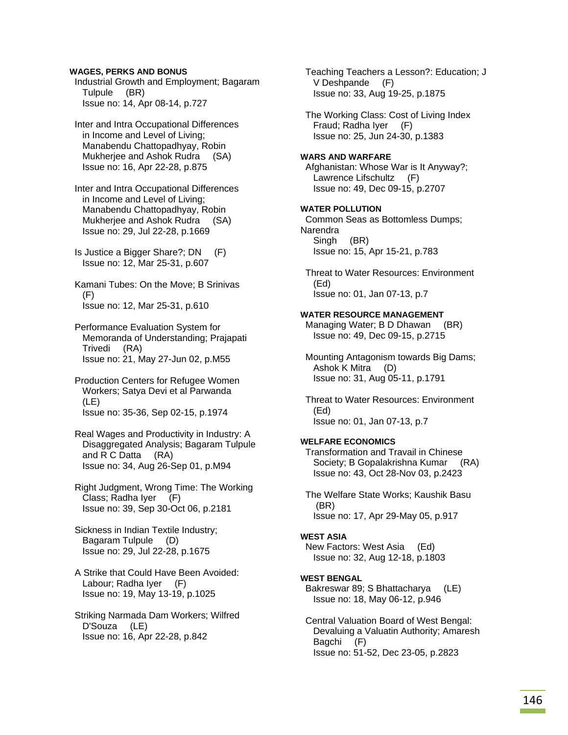### **WAGES, PERKS AND BONUS**

 Industrial Growth and Employment; Bagaram Tulpule (BR) Issue no: 14, Apr 08-14, p.727

 Inter and Intra Occupational Differences in Income and Level of Living; Manabendu Chattopadhyay, Robin Mukherjee and Ashok Rudra (SA) Issue no: 16, Apr 22-28, p.875

 Inter and Intra Occupational Differences in Income and Level of Living; Manabendu Chattopadhyay, Robin Mukherjee and Ashok Rudra (SA) Issue no: 29, Jul 22-28, p.1669

 Is Justice a Bigger Share?; DN (F) Issue no: 12, Mar 25-31, p.607

 Kamani Tubes: On the Move; B Srinivas (F) Issue no: 12, Mar 25-31, p.610

- Performance Evaluation System for Memoranda of Understanding; Prajapati Trivedi (RA) Issue no: 21, May 27-Jun 02, p.M55
- Production Centers for Refugee Women Workers; Satya Devi et al Parwanda (LE) Issue no: 35-36, Sep 02-15, p.1974

 Real Wages and Productivity in Industry: A Disaggregated Analysis; Bagaram Tulpule and R C Datta (RA) Issue no: 34, Aug 26-Sep 01, p.M94

 Right Judgment, Wrong Time: The Working Class; Radha Iyer (F) Issue no: 39, Sep 30-Oct 06, p.2181

 Sickness in Indian Textile Industry; Bagaram Tulpule (D) Issue no: 29, Jul 22-28, p.1675

 A Strike that Could Have Been Avoided: Labour; Radha Iyer (F) Issue no: 19, May 13-19, p.1025

 Striking Narmada Dam Workers; Wilfred D'Souza (LE) Issue no: 16, Apr 22-28, p.842

 Teaching Teachers a Lesson?: Education; J V Deshpande (F) Issue no: 33, Aug 19-25, p.1875

 The Working Class: Cost of Living Index Fraud; Radha Iyer (F) Issue no: 25, Jun 24-30, p.1383

### **WARS AND WARFARE**

 Afghanistan: Whose War is It Anyway?; Lawrence Lifschultz (F) Issue no: 49, Dec 09-15, p.2707

### **WATER POLLUTION**

 Common Seas as Bottomless Dumps; Narendra Singh (BR) Issue no: 15, Apr 15-21, p.783

 Threat to Water Resources: Environment (Ed) Issue no: 01, Jan 07-13, p.7

### **WATER RESOURCE MANAGEMENT**

Managing Water; B D Dhawan (BR) Issue no: 49, Dec 09-15, p.2715

 Mounting Antagonism towards Big Dams; Ashok K Mitra (D) Issue no: 31, Aug 05-11, p.1791

 Threat to Water Resources: Environment (Ed) Issue no: 01, Jan 07-13, p.7

### **WELFARE ECONOMICS**

 Transformation and Travail in Chinese Society; B Gopalakrishna Kumar (RA) Issue no: 43, Oct 28-Nov 03, p.2423

 The Welfare State Works; Kaushik Basu (BR) Issue no: 17, Apr 29-May 05, p.917

### **WEST ASIA**

 New Factors: West Asia (Ed) Issue no: 32, Aug 12-18, p.1803

### **WEST BENGAL**

 Bakreswar 89; S Bhattacharya (LE) Issue no: 18, May 06-12, p.946

 Central Valuation Board of West Bengal: Devaluing a Valuatin Authority; Amaresh Bagchi (F) Issue no: 51-52, Dec 23-05, p.2823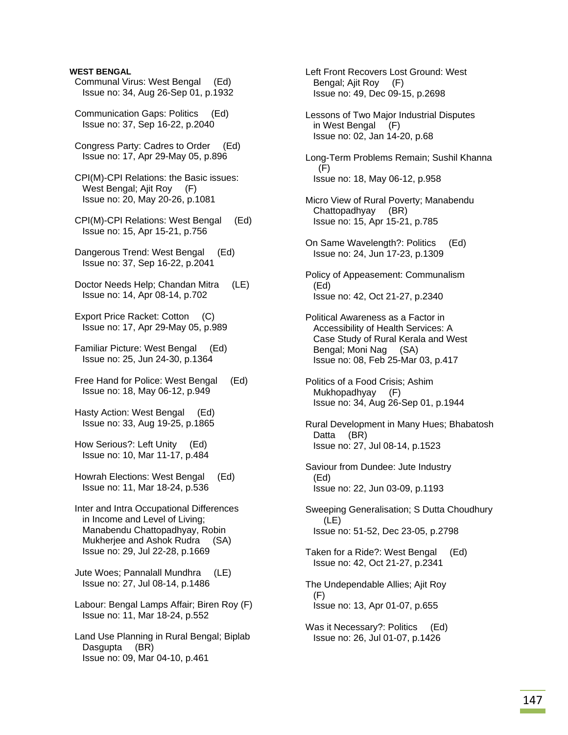### **WEST BENGAL**

- Communal Virus: West Bengal (Ed) Issue no: 34, Aug 26-Sep 01, p.1932
- Communication Gaps: Politics (Ed) Issue no: 37, Sep 16-22, p.2040
- Congress Party: Cadres to Order (Ed) Issue no: 17, Apr 29-May 05, p.896
- CPI(M)-CPI Relations: the Basic issues: West Bengal; Ajit Roy (F) Issue no: 20, May 20-26, p.1081
- CPI(M)-CPI Relations: West Bengal (Ed) Issue no: 15, Apr 15-21, p.756
- Dangerous Trend: West Bengal (Ed) Issue no: 37, Sep 16-22, p.2041
- Doctor Needs Help; Chandan Mitra (LE) Issue no: 14, Apr 08-14, p.702
- Export Price Racket: Cotton (C) Issue no: 17, Apr 29-May 05, p.989
- Familiar Picture: West Bengal (Ed) Issue no: 25, Jun 24-30, p.1364
- Free Hand for Police: West Bengal (Ed) Issue no: 18, May 06-12, p.949
- Hasty Action: West Bengal (Ed) Issue no: 33, Aug 19-25, p.1865
- How Serious?: Left Unity (Ed) Issue no: 10, Mar 11-17, p.484
- Howrah Elections: West Bengal (Ed) Issue no: 11, Mar 18-24, p.536
- Inter and Intra Occupational Differences in Income and Level of Living; Manabendu Chattopadhyay, Robin Mukherjee and Ashok Rudra (SA) Issue no: 29, Jul 22-28, p.1669
- Jute Woes; Pannalall Mundhra (LE) Issue no: 27, Jul 08-14, p.1486
- Labour: Bengal Lamps Affair; Biren Roy (F) Issue no: 11, Mar 18-24, p.552
- Land Use Planning in Rural Bengal; Biplab Dasgupta (BR) Issue no: 09, Mar 04-10, p.461

 Left Front Recovers Lost Ground: West Bengal; Ajit Roy (F) Issue no: 49, Dec 09-15, p.2698

- Lessons of Two Major Industrial Disputes in West Bengal (F) Issue no: 02, Jan 14-20, p.68
- Long-Term Problems Remain; Sushil Khanna (F) Issue no: 18, May 06-12, p.958
- Micro View of Rural Poverty; Manabendu Chattopadhyay (BR) Issue no: 15, Apr 15-21, p.785
- On Same Wavelength?: Politics (Ed) Issue no: 24, Jun 17-23, p.1309
- Policy of Appeasement: Communalism (Ed) Issue no: 42, Oct 21-27, p.2340
- Political Awareness as a Factor in Accessibility of Health Services: A Case Study of Rural Kerala and West Bengal; Moni Nag (SA) Issue no: 08, Feb 25-Mar 03, p.417
- Politics of a Food Crisis; Ashim Mukhopadhyay (F) Issue no: 34, Aug 26-Sep 01, p.1944
- Rural Development in Many Hues; Bhabatosh Datta (BR) Issue no: 27, Jul 08-14, p.1523
- Saviour from Dundee: Jute Industry (Ed) Issue no: 22, Jun 03-09, p.1193
- Sweeping Generalisation; S Dutta Choudhury (LE) Issue no: 51-52, Dec 23-05, p.2798
- Taken for a Ride?: West Bengal (Ed) Issue no: 42, Oct 21-27, p.2341
- The Undependable Allies; Ajit Roy  $(F)$ Issue no: 13, Apr 01-07, p.655
- Was it Necessary?: Politics (Ed) Issue no: 26, Jul 01-07, p.1426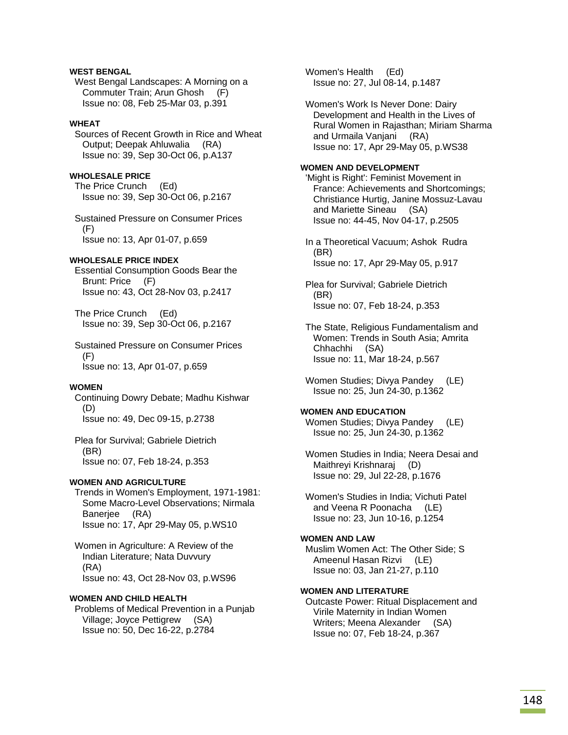# **WEST BENGAL**

 West Bengal Landscapes: A Morning on a Commuter Train; Arun Ghosh (F) Issue no: 08, Feb 25-Mar 03, p.391

### **WHEAT**

 Sources of Recent Growth in Rice and Wheat Output; Deepak Ahluwalia (RA) Issue no: 39, Sep 30-Oct 06, p.A137

### **WHOLESALE PRICE**

 The Price Crunch (Ed) Issue no: 39, Sep 30-Oct 06, p.2167

 Sustained Pressure on Consumer Prices (F) Issue no: 13, Apr 01-07, p.659

### **WHOLESALE PRICE INDEX**

 Essential Consumption Goods Bear the Brunt: Price (F) Issue no: 43, Oct 28-Nov 03, p.2417

 The Price Crunch (Ed) Issue no: 39, Sep 30-Oct 06, p.2167

 Sustained Pressure on Consumer Prices  $(F)$ Issue no: 13, Apr 01-07, p.659

### **WOMEN**

 Continuing Dowry Debate; Madhu Kishwar (D) Issue no: 49, Dec 09-15, p.2738

 Plea for Survival; Gabriele Dietrich (BR) Issue no: 07, Feb 18-24, p.353

#### **WOMEN AND AGRICULTURE**

 Trends in Women's Employment, 1971-1981: Some Macro-Level Observations; Nirmala Banerjee (RA) Issue no: 17, Apr 29-May 05, p.WS10

 Women in Agriculture: A Review of the Indian Literature; Nata Duvvury (RA) Issue no: 43, Oct 28-Nov 03, p.WS96

# **WOMEN AND CHILD HEALTH**

 Problems of Medical Prevention in a Punjab Village; Joyce Pettigrew (SA) Issue no: 50, Dec 16-22, p.2784

 Women's Health (Ed) Issue no: 27, Jul 08-14, p.1487

 Women's Work Is Never Done: Dairy Development and Health in the Lives of Rural Women in Rajasthan; Miriam Sharma and Urmaila Vanjani (RA) Issue no: 17, Apr 29-May 05, p.WS38

### **WOMEN AND DEVELOPMENT**

 'Might is Right': Feminist Movement in France: Achievements and Shortcomings; Christiance Hurtig, Janine Mossuz-Lavau and Mariette Sineau (SA) Issue no: 44-45, Nov 04-17, p.2505

 In a Theoretical Vacuum; Ashok Rudra (BR) Issue no: 17, Apr 29-May 05, p.917

 Plea for Survival; Gabriele Dietrich (BR) Issue no: 07, Feb 18-24, p.353

 The State, Religious Fundamentalism and Women: Trends in South Asia; Amrita Chhachhi (SA) Issue no: 11, Mar 18-24, p.567

Women Studies; Divya Pandey (LE) Issue no: 25, Jun 24-30, p.1362

#### **WOMEN AND EDUCATION**

 Women Studies; Divya Pandey (LE) Issue no: 25, Jun 24-30, p.1362

 Women Studies in India; Neera Desai and Maithreyi Krishnaraj (D) Issue no: 29, Jul 22-28, p.1676

 Women's Studies in India; Vichuti Patel and Veena R Poonacha (LE) Issue no: 23, Jun 10-16, p.1254

#### **WOMEN AND LAW**

 Muslim Women Act: The Other Side; S Ameenul Hasan Rizvi (LE) Issue no: 03, Jan 21-27, p.110

### **WOMEN AND LITERATURE**

 Outcaste Power: Ritual Displacement and Virile Maternity in Indian Women Writers; Meena Alexander (SA) Issue no: 07, Feb 18-24, p.367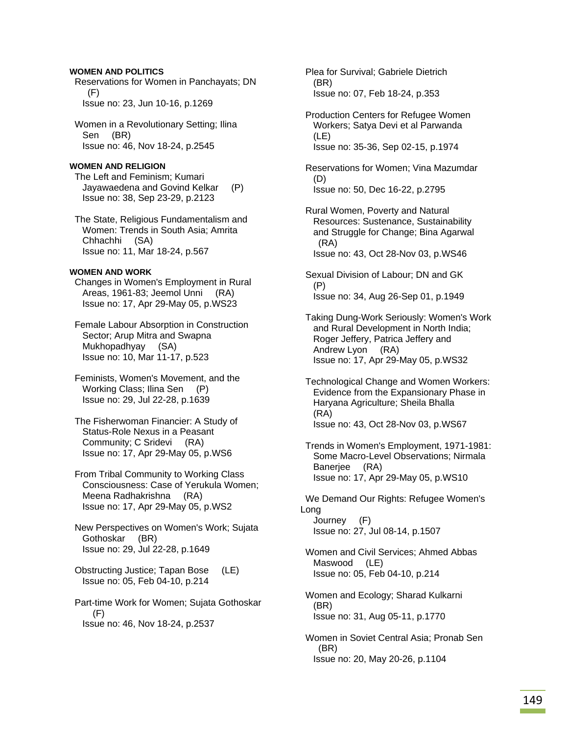### **WOMEN AND POLITICS**

 Reservations for Women in Panchayats; DN (F) Issue no: 23, Jun 10-16, p.1269

 Women in a Revolutionary Setting; Ilina Sen (BR) Issue no: 46, Nov 18-24, p.2545

#### **WOMEN AND RELIGION**

 The Left and Feminism; Kumari Jayawaedena and Govind Kelkar (P) Issue no: 38, Sep 23-29, p.2123

 The State, Religious Fundamentalism and Women: Trends in South Asia; Amrita Chhachhi (SA) Issue no: 11, Mar 18-24, p.567

#### **WOMEN AND WORK**

 Changes in Women's Employment in Rural Areas, 1961-83; Jeemol Unni (RA) Issue no: 17, Apr 29-May 05, p.WS23

 Female Labour Absorption in Construction Sector; Arup Mitra and Swapna Mukhopadhyay (SA) Issue no: 10, Mar 11-17, p.523

 Feminists, Women's Movement, and the Working Class; Ilina Sen (P) Issue no: 29, Jul 22-28, p.1639

 The Fisherwoman Financier: A Study of Status-Role Nexus in a Peasant Community; C Sridevi (RA) Issue no: 17, Apr 29-May 05, p.WS6

 From Tribal Community to Working Class Consciousness: Case of Yerukula Women; Meena Radhakrishna (RA) Issue no: 17, Apr 29-May 05, p.WS2

 New Perspectives on Women's Work; Sujata Gothoskar (BR) Issue no: 29, Jul 22-28, p.1649

 Obstructing Justice; Tapan Bose (LE) Issue no: 05, Feb 04-10, p.214

 Part-time Work for Women; Sujata Gothoskar (F) Issue no: 46, Nov 18-24, p.2537

 Plea for Survival; Gabriele Dietrich (BR) Issue no: 07, Feb 18-24, p.353

 Production Centers for Refugee Women Workers; Satya Devi et al Parwanda (LE) Issue no: 35-36, Sep 02-15, p.1974

 Reservations for Women; Vina Mazumdar (D) Issue no: 50, Dec 16-22, p.2795

 Rural Women, Poverty and Natural Resources: Sustenance, Sustainability and Struggle for Change; Bina Agarwal (RA) Issue no: 43, Oct 28-Nov 03, p.WS46

 Sexual Division of Labour; DN and GK (P) Issue no: 34, Aug 26-Sep 01, p.1949

 Taking Dung-Work Seriously: Women's Work and Rural Development in North India; Roger Jeffery, Patrica Jeffery and Andrew Lyon (RA) Issue no: 17, Apr 29-May 05, p.WS32

 Technological Change and Women Workers: Evidence from the Expansionary Phase in Haryana Agriculture; Sheila Bhalla (RA) Issue no: 43, Oct 28-Nov 03, p.WS67

 Trends in Women's Employment, 1971-1981: Some Macro-Level Observations; Nirmala Banerjee (RA) Issue no: 17, Apr 29-May 05, p.WS10

 We Demand Our Rights: Refugee Women's Long Journey (F) Issue no: 27, Jul 08-14, p.1507

 Women and Civil Services; Ahmed Abbas Maswood (LE) Issue no: 05, Feb 04-10, p.214

 Women and Ecology; Sharad Kulkarni (BR) Issue no: 31, Aug 05-11, p.1770

 Women in Soviet Central Asia; Pronab Sen (BR) Issue no: 20, May 20-26, p.1104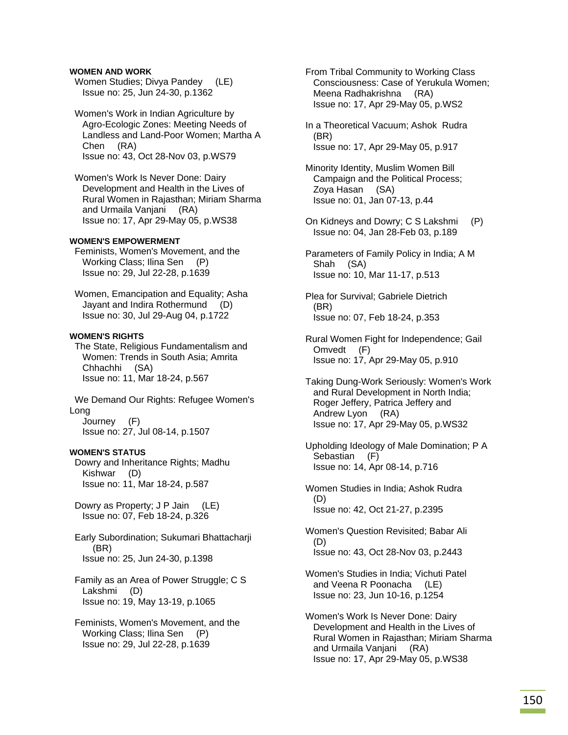### **WOMEN AND WORK**

Women Studies; Divya Pandey (LE) Issue no: 25, Jun 24-30, p.1362

 Women's Work in Indian Agriculture by Agro-Ecologic Zones: Meeting Needs of Landless and Land-Poor Women; Martha A Chen (RA) Issue no: 43, Oct 28-Nov 03, p.WS79

 Women's Work Is Never Done: Dairy Development and Health in the Lives of Rural Women in Rajasthan; Miriam Sharma and Urmaila Vanjani (RA) Issue no: 17, Apr 29-May 05, p.WS38

### **WOMEN'S EMPOWERMENT**

 Feminists, Women's Movement, and the Working Class; Ilina Sen (P) Issue no: 29, Jul 22-28, p.1639

 Women, Emancipation and Equality; Asha Jayant and Indira Rothermund (D) Issue no: 30, Jul 29-Aug 04, p.1722

### **WOMEN'S RIGHTS**

 The State, Religious Fundamentalism and Women: Trends in South Asia; Amrita Chhachhi (SA) Issue no: 11, Mar 18-24, p.567

 We Demand Our Rights: Refugee Women's Long Journey (F) Issue no: 27, Jul 08-14, p.1507

#### **WOMEN'S STATUS**

 Dowry and Inheritance Rights; Madhu Kishwar (D) Issue no: 11, Mar 18-24, p.587

 Dowry as Property; J P Jain (LE) Issue no: 07, Feb 18-24, p.326

 Early Subordination; Sukumari Bhattacharji (BR) Issue no: 25, Jun 24-30, p.1398

 Family as an Area of Power Struggle; C S Lakshmi (D) Issue no: 19, May 13-19, p.1065

 Feminists, Women's Movement, and the Working Class; Ilina Sen (P) Issue no: 29, Jul 22-28, p.1639

 From Tribal Community to Working Class Consciousness: Case of Yerukula Women; Meena Radhakrishna (RA) Issue no: 17, Apr 29-May 05, p.WS2

 In a Theoretical Vacuum; Ashok Rudra (BR) Issue no: 17, Apr 29-May 05, p.917

 Minority Identity, Muslim Women Bill Campaign and the Political Process; Zoya Hasan (SA) Issue no: 01, Jan 07-13, p.44

 On Kidneys and Dowry; C S Lakshmi (P) Issue no: 04, Jan 28-Feb 03, p.189

 Parameters of Family Policy in India; A M Shah (SA) Issue no: 10, Mar 11-17, p.513

 Plea for Survival; Gabriele Dietrich (BR) Issue no: 07, Feb 18-24, p.353

 Rural Women Fight for Independence; Gail Omvedt (F) Issue no: 17, Apr 29-May 05, p.910

 Taking Dung-Work Seriously: Women's Work and Rural Development in North India; Roger Jeffery, Patrica Jeffery and Andrew Lyon (RA) Issue no: 17, Apr 29-May 05, p.WS32

 Upholding Ideology of Male Domination; P A Sebastian (F) Issue no: 14, Apr 08-14, p.716

 Women Studies in India; Ashok Rudra (D) Issue no: 42, Oct 21-27, p.2395

 Women's Question Revisited; Babar Ali (D) Issue no: 43, Oct 28-Nov 03, p.2443

 Women's Studies in India; Vichuti Patel and Veena R Poonacha (LE) Issue no: 23, Jun 10-16, p.1254

 Women's Work Is Never Done: Dairy Development and Health in the Lives of Rural Women in Rajasthan; Miriam Sharma and Urmaila Vanjani (RA) Issue no: 17, Apr 29-May 05, p.WS38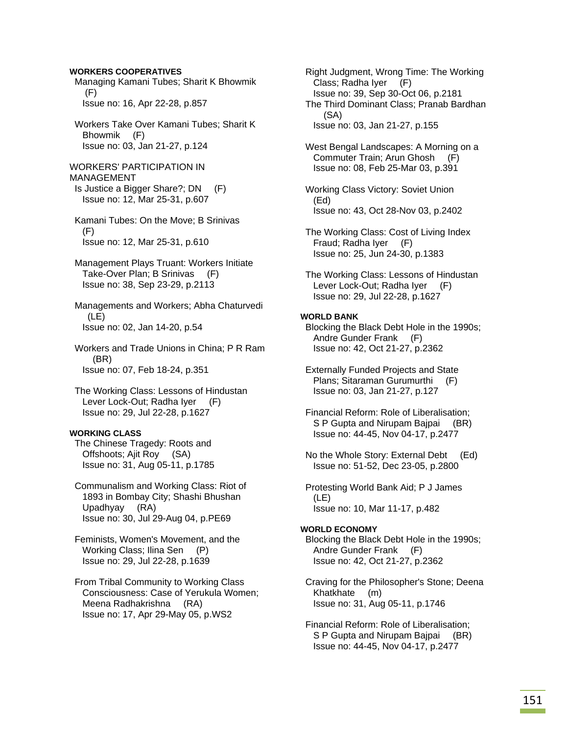### **WORKERS COOPERATIVES**

- Managing Kamani Tubes; Sharit K Bhowmik (F) Issue no: 16, Apr 22-28, p.857
- Workers Take Over Kamani Tubes; Sharit K Bhowmik (F) Issue no: 03, Jan 21-27, p.124
- WORKERS' PARTICIPATION IN MANAGEMENT Is Justice a Bigger Share?; DN (F) Issue no: 12, Mar 25-31, p.607
- Kamani Tubes: On the Move; B Srinivas  $(F)$ Issue no: 12, Mar 25-31, p.610
- Management Plays Truant: Workers Initiate Take-Over Plan; B Srinivas (F) Issue no: 38, Sep 23-29, p.2113
- Managements and Workers; Abha Chaturvedi (LE) Issue no: 02, Jan 14-20, p.54
- Workers and Trade Unions in China; P R Ram (BR) Issue no: 07, Feb 18-24, p.351
- The Working Class: Lessons of Hindustan Lever Lock-Out; Radha Iyer (F) Issue no: 29, Jul 22-28, p.1627

#### **WORKING CLASS**

- The Chinese Tragedy: Roots and Offshoots; Ajit Roy (SA) Issue no: 31, Aug 05-11, p.1785
- Communalism and Working Class: Riot of 1893 in Bombay City; Shashi Bhushan Upadhyay (RA) Issue no: 30, Jul 29-Aug 04, p.PE69
- Feminists, Women's Movement, and the Working Class; Ilina Sen (P) Issue no: 29, Jul 22-28, p.1639
- From Tribal Community to Working Class Consciousness: Case of Yerukula Women; Meena Radhakrishna (RA) Issue no: 17, Apr 29-May 05, p.WS2
- Right Judgment, Wrong Time: The Working Class; Radha Iyer (F) Issue no: 39, Sep 30-Oct 06, p.2181 The Third Dominant Class; Pranab Bardhan (SA) Issue no: 03, Jan 21-27, p.155
- West Bengal Landscapes: A Morning on a Commuter Train; Arun Ghosh (F) Issue no: 08, Feb 25-Mar 03, p.391
- Working Class Victory: Soviet Union (Ed) Issue no: 43, Oct 28-Nov 03, p.2402
- The Working Class: Cost of Living Index Fraud; Radha Iyer (F) Issue no: 25, Jun 24-30, p.1383
- The Working Class: Lessons of Hindustan Lever Lock-Out; Radha Iyer (F) Issue no: 29, Jul 22-28, p.1627

### **WORLD BANK**

- Blocking the Black Debt Hole in the 1990s; Andre Gunder Frank (F) Issue no: 42, Oct 21-27, p.2362
- Externally Funded Projects and State Plans; Sitaraman Gurumurthi (F) Issue no: 03, Jan 21-27, p.127
- Financial Reform: Role of Liberalisation; S P Gupta and Nirupam Bajpai (BR) Issue no: 44-45, Nov 04-17, p.2477
- No the Whole Story: External Debt (Ed) Issue no: 51-52, Dec 23-05, p.2800
- Protesting World Bank Aid; P J James (LE) Issue no: 10, Mar 11-17, p.482

#### **WORLD ECONOMY**

 Blocking the Black Debt Hole in the 1990s; Andre Gunder Frank (F) Issue no: 42, Oct 21-27, p.2362

- Craving for the Philosopher's Stone; Deena Khatkhate (m) Issue no: 31, Aug 05-11, p.1746
- Financial Reform: Role of Liberalisation; S P Gupta and Nirupam Bajpai (BR) Issue no: 44-45, Nov 04-17, p.2477